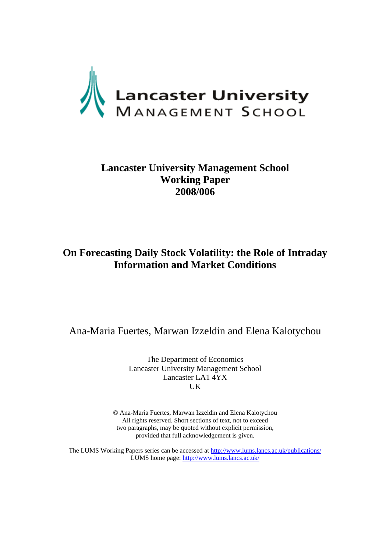

# **Lancaster University Management School Working Paper 2008/006**

# **On Forecasting Daily Stock Volatility: the Role of Intraday Information and Market Conditions**

Ana-Maria Fuertes, Marwan Izzeldin and Elena Kalotychou

The Department of Economics Lancaster University Management School Lancaster LA1 4YX UK

© Ana-Maria Fuertes, Marwan Izzeldin and Elena Kalotychou All rights reserved. Short sections of text, not to exceed two paragraphs, may be quoted without explicit permission, provided that full acknowledgement is given.

The LUMS Working Papers series can be accessed at http://www.lums.lancs.ac.uk/publications/ LUMS home page: http://www.lums.lancs.ac.uk/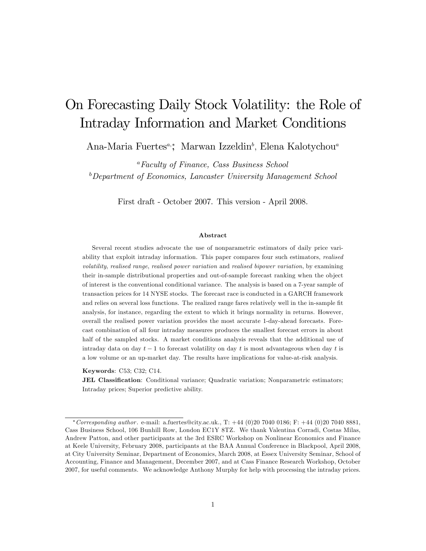# On Forecasting Daily Stock Volatility: the Role of Intraday Information and Market Conditions

Ana-Maria Fuertes<sup>a,</sup>\*, Marwan Izzeldin<sup>b</sup>, Elena Kalotychou<sup>a</sup>

<sup>a</sup>Faculty of Finance, Cass Business School  $b$ Department of Economics, Lancaster University Management School

First draft - October 2007. This version - April 2008.

#### Abstract

Several recent studies advocate the use of nonparametric estimators of daily price variability that exploit intraday information. This paper compares four such estimators, *realised* volatility, realised range, realised power variation and realised bipower variation, by examining their in-sample distributional properties and out-of-sample forecast ranking when the object of interest is the conventional conditional variance. The analysis is based on a 7-year sample of transaction prices for 14 NYSE stocks. The forecast race is conducted in a GARCH framework and relies on several loss functions. The realized range fares relatively well in the in-sample fit analysis, for instance, regarding the extent to which it brings normality in returns. However, overall the realised power variation provides the most accurate 1-day-ahead forecasts. Forecast combination of all four intraday measures produces the smallest forecast errors in about half of the sampled stocks. A market conditions analysis reveals that the additional use of intraday data on day  $t-1$  to forecast volatility on day t is most advantageous when day t is a low volume or an up-market day. The results have implications for value-at-risk analysis.

Keywords: C53; C32; C14.

**JEL Classification:** Conditional variance; Quadratic variation; Nonparametric estimators; Intraday prices; Superior predictive ability.

<sup>\*</sup> Corresponding author. e-mail: a.fuertes@city.ac.uk., T:  $+44$  (0)20 7040 0186; F:  $+44$  (0)20 7040 8881, Cass Business School, 106 Bunhill Row, London EC1Y 8TZ. We thank Valentina Corradi, Costas Milas, Andrew Patton, and other participants at the 3rd ESRC Workshop on Nonlinear Economics and Finance at Keele University, February 2008, participants at the BAA Annual Conference in Blackpool, April 2008, at City University Seminar, Department of Economics, March 2008, at Essex University Seminar, School of Accounting, Finance and Management, December 2007, and at Cass Finance Research Workshop, October 2007, for useful comments. We acknowledge Anthony Murphy for help with processing the intraday prices.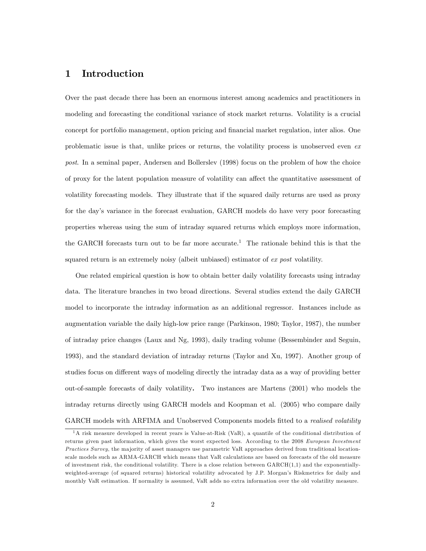# 1 Introduction

Over the past decade there has been an enormous interest among academics and practitioners in modeling and forecasting the conditional variance of stock market returns. Volatility is a crucial concept for portfolio management, option pricing and financial market regulation, inter alios. One problematic issue is that, unlike prices or returns, the volatility process is unobserved even  $ex$ post. In a seminal paper, Andersen and Bollerslev (1998) focus on the problem of how the choice of proxy for the latent population measure of volatility can affect the quantitative assessment of volatility forecasting models. They illustrate that if the squared daily returns are used as proxy for the dayís variance in the forecast evaluation, GARCH models do have very poor forecasting properties whereas using the sum of intraday squared returns which employs more information, the GARCH forecasts turn out to be far more accurate.<sup>1</sup> The rationale behind this is that the squared return is an extremely noisy (albeit unbiased) estimator of ex post volatility.

One related empirical question is how to obtain better daily volatility forecasts using intraday data. The literature branches in two broad directions. Several studies extend the daily GARCH model to incorporate the intraday information as an additional regressor. Instances include as augmentation variable the daily high-low price range (Parkinson, 1980; Taylor, 1987), the number of intraday price changes (Laux and Ng, 1993), daily trading volume (Bessembinder and Seguin, 1993), and the standard deviation of intraday returns (Taylor and Xu, 1997). Another group of studies focus on different ways of modeling directly the intraday data as a way of providing better out-of-sample forecasts of daily volatility. Two instances are Martens (2001) who models the intraday returns directly using GARCH models and Koopman et al. (2005) who compare daily GARCH models with ARFIMA and Unobserved Components models fitted to a realised volatility

<sup>&</sup>lt;sup>1</sup>A risk measure developed in recent years is Value-at-Risk (VaR), a quantile of the conditional distribution of returns given past information, which gives the worst expected loss. According to the 2008 European Investment Practices Survey, the majority of asset managers use parametric VaR approaches derived from traditional locationscale models such as ARMA-GARCH which means that VaR calculations are based on forecasts of the old measure of investment risk, the conditional volatility. There is a close relation between  $GARCH(1,1)$  and the exponentiallyweighted-average (of squared returns) historical volatility advocated by J.P. Morganís Riskmetrics for daily and monthly VaR estimation. If normality is assumed, VaR adds no extra information over the old volatility measure.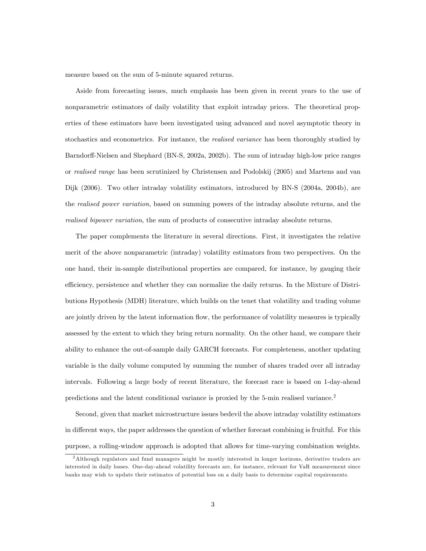measure based on the sum of 5-minute squared returns.

Aside from forecasting issues, much emphasis has been given in recent years to the use of nonparametric estimators of daily volatility that exploit intraday prices. The theoretical properties of these estimators have been investigated using advanced and novel asymptotic theory in stochastics and econometrics. For instance, the *realised variance* has been thoroughly studied by Barndorff-Nielsen and Shephard (BN-S, 2002a, 2002b). The sum of intraday high-low price ranges or realised range has been scrutinized by Christensen and Podolskij (2005) and Martens and van Dijk (2006). Two other intraday volatility estimators, introduced by BN-S (2004a, 2004b), are the *realised power variation*, based on summing powers of the intraday absolute returns, and the realised bipower variation, the sum of products of consecutive intraday absolute returns.

The paper complements the literature in several directions. First, it investigates the relative merit of the above nonparametric (intraday) volatility estimators from two perspectives. On the one hand, their in-sample distributional properties are compared, for instance, by gauging their efficiency, persistence and whether they can normalize the daily returns. In the Mixture of Distributions Hypothesis (MDH) literature, which builds on the tenet that volatility and trading volume are jointly driven by the latent information flow, the performance of volatility measures is typically assessed by the extent to which they bring return normality. On the other hand, we compare their ability to enhance the out-of-sample daily GARCH forecasts. For completeness, another updating variable is the daily volume computed by summing the number of shares traded over all intraday intervals. Following a large body of recent literature, the forecast race is based on 1-day-ahead predictions and the latent conditional variance is proxied by the 5-min realised variance.<sup>2</sup>

Second, given that market microstructure issues bedevil the above intraday volatility estimators in different ways, the paper addresses the question of whether forecast combining is fruitful. For this purpose, a rolling-window approach is adopted that allows for time-varying combination weights.

<sup>2</sup>Although regulators and fund managers might be mostly interested in longer horizons, derivative traders are interested in daily losses. One-day-ahead volatility forecasts are, for instance, relevant for VaR measurement since banks may wish to update their estimates of potential loss on a daily basis to determine capital requirements.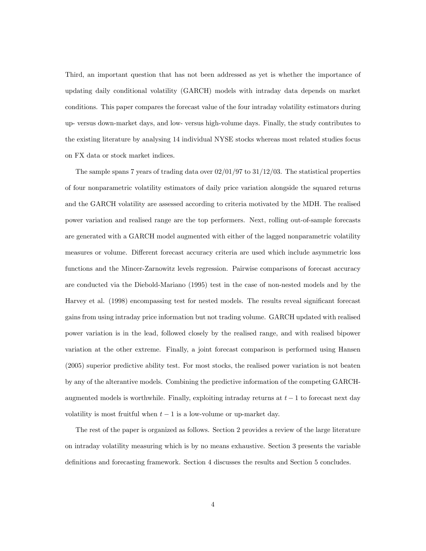Third, an important question that has not been addressed as yet is whether the importance of updating daily conditional volatility (GARCH) models with intraday data depends on market conditions. This paper compares the forecast value of the four intraday volatility estimators during up- versus down-market days, and low- versus high-volume days. Finally, the study contributes to the existing literature by analysing 14 individual NYSE stocks whereas most related studies focus on FX data or stock market indices.

The sample spans 7 years of trading data over  $02/01/97$  to  $31/12/03$ . The statistical properties of four nonparametric volatility estimators of daily price variation alongside the squared returns and the GARCH volatility are assessed according to criteria motivated by the MDH. The realised power variation and realised range are the top performers. Next, rolling out-of-sample forecasts are generated with a GARCH model augmented with either of the lagged nonparametric volatility measures or volume. Different forecast accuracy criteria are used which include asymmetric loss functions and the Mincer-Zarnowitz levels regression. Pairwise comparisons of forecast accuracy are conducted via the Diebold-Mariano (1995) test in the case of non-nested models and by the Harvey et al. (1998) encompassing test for nested models. The results reveal significant forecast gains from using intraday price information but not trading volume. GARCH updated with realised power variation is in the lead, followed closely by the realised range, and with realised bipower variation at the other extreme. Finally, a joint forecast comparison is performed using Hansen (2005) superior predictive ability test. For most stocks, the realised power variation is not beaten by any of the alterantive models. Combining the predictive information of the competing GARCHaugmented models is worthwhile. Finally, exploiting intraday returns at  $t-1$  to forecast next day volatility is most fruitful when  $t-1$  is a low-volume or up-market day.

The rest of the paper is organized as follows. Section 2 provides a review of the large literature on intraday volatility measuring which is by no means exhaustive. Section 3 presents the variable definitions and forecasting framework. Section 4 discusses the results and Section 5 concludes.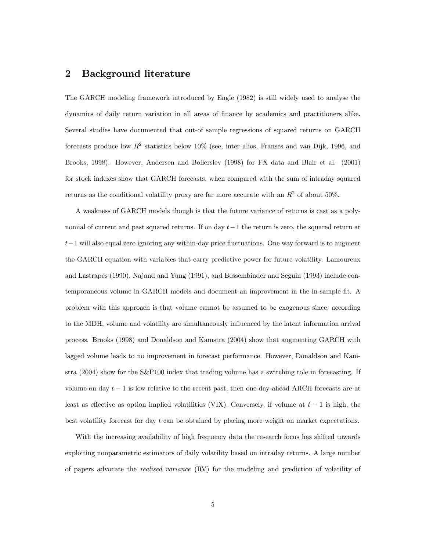## 2 Background literature

The GARCH modeling framework introduced by Engle (1982) is still widely used to analyse the dynamics of daily return variation in all areas of Önance by academics and practitioners alike. Several studies have documented that out-of sample regressions of squared returns on GARCH forecasts produce low  $R^2$  statistics below 10% (see, inter alios, Franses and van Dijk, 1996, and Brooks, 1998). However, Andersen and Bollerslev (1998) for FX data and Blair et al. (2001) for stock indexes show that GARCH forecasts, when compared with the sum of intraday squared returns as the conditional volatility proxy are far more accurate with an  $R^2$  of about 50%.

A weakness of GARCH models though is that the future variance of returns is cast as a polynomial of current and past squared returns. If on day  $t-1$  the return is zero, the squared return at  $t-1$  will also equal zero ignoring any within-day price fluctuations. One way forward is to augment the GARCH equation with variables that carry predictive power for future volatility. Lamoureux and Lastrapes (1990), Najand and Yung (1991), and Bessembinder and Seguin (1993) include contemporaneous volume in GARCH models and document an improvement in the in-sample fit. A problem with this approach is that volume cannot be assumed to be exogenous since, according to the MDH, volume and volatility are simultaneously influenced by the latent information arrival process. Brooks (1998) and Donaldson and Kamstra (2004) show that augmenting GARCH with lagged volume leads to no improvement in forecast performance. However, Donaldson and Kamstra (2004) show for the S&P100 index that trading volume has a switching role in forecasting. If volume on day  $t-1$  is low relative to the recent past, then one-day-ahead ARCH forecasts are at least as effective as option implied volatilities (VIX). Conversely, if volume at  $t - 1$  is high, the best volatility forecast for day t can be obtained by placing more weight on market expectations.

With the increasing availability of high frequency data the research focus has shifted towards exploiting nonparametric estimators of daily volatility based on intraday returns. A large number of papers advocate the *realised variance* (RV) for the modeling and prediction of volatility of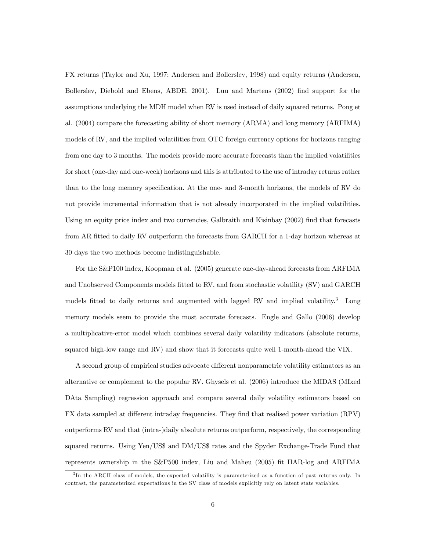FX returns (Taylor and Xu, 1997; Andersen and Bollerslev, 1998) and equity returns (Andersen, Bollerslev, Diebold and Ebens, ABDE, 2001). Luu and Martens (2002) Önd support for the assumptions underlying the MDH model when RV is used instead of daily squared returns. Pong et al. (2004) compare the forecasting ability of short memory (ARMA) and long memory (ARFIMA) models of RV, and the implied volatilities from OTC foreign currency options for horizons ranging from one day to 3 months. The models provide more accurate forecasts than the implied volatilities for short (one-day and one-week) horizons and this is attributed to the use of intraday returns rather than to the long memory specification. At the one- and 3-month horizons, the models of RV do not provide incremental information that is not already incorporated in the implied volatilities. Using an equity price index and two currencies, Galbraith and Kisinbay (2002) find that forecasts from AR fitted to daily RV outperform the forecasts from GARCH for a 1-day horizon whereas at 30 days the two methods become indistinguishable.

For the S&P100 index, Koopman et al. (2005) generate one-day-ahead forecasts from ARFIMA and Unobserved Components models fitted to RV, and from stochastic volatility (SV) and GARCH models fitted to daily returns and augmented with lagged RV and implied volatility.<sup>3</sup> Long memory models seem to provide the most accurate forecasts. Engle and Gallo (2006) develop a multiplicative-error model which combines several daily volatility indicators (absolute returns, squared high-low range and RV) and show that it forecasts quite well 1-month-ahead the VIX.

A second group of empirical studies advocate different nonparametric volatility estimators as an alternative or complement to the popular RV. Ghysels et al. (2006) introduce the MIDAS (MIxed DAta Sampling) regression approach and compare several daily volatility estimators based on FX data sampled at different intraday frequencies. They find that realised power variation (RPV) outperforms RV and that (intra-)daily absolute returns outperform, respectively, the corresponding squared returns. Using Yen/US\$ and DM/US\$ rates and the Spyder Exchange-Trade Fund that represents ownership in the  $S\&P500$  index, Liu and Maheu (2005) fit HAR-log and ARFIMA

<sup>&</sup>lt;sup>3</sup>In the ARCH class of models, the expected volatility is parameterized as a function of past returns only. In contrast, the parameterized expectations in the SV class of models explicitly rely on latent state variables.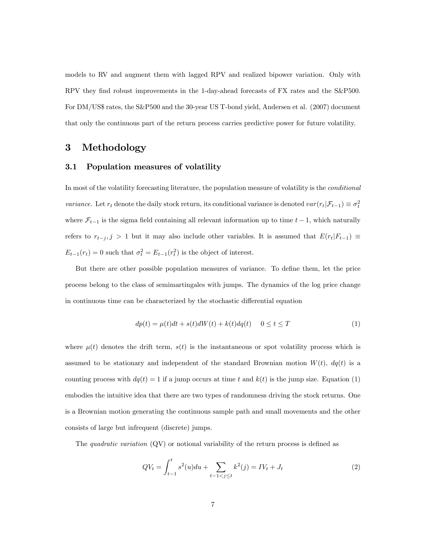models to RV and augment them with lagged RPV and realized bipower variation. Only with RPV they find robust improvements in the 1-day-ahead forecasts of FX rates and the S&P500. For DM/US\$ rates, the S&P500 and the 30-year US T-bond yield, Andersen et al. (2007) document that only the continuous part of the return process carries predictive power for future volatility.

# 3 Methodology

#### 3.1 Population measures of volatility

In most of the volatility forecasting literature, the population measure of volatility is the *conditional* variance. Let  $r_t$  denote the daily stock return, its conditional variance is denoted  $var(r_t|\mathcal{F}_{t-1}) \equiv \sigma_t^2$ where  $\mathcal{F}_{t-1}$  is the sigma field containing all relevant information up to time  $t-1$ , which naturally refers to  $r_{t-j}, j > 1$  but it may also include other variables. It is assumed that  $E(r_t|F_{t-1}) \equiv$  $E_{t-1}(r_t) = 0$  such that  $\sigma_t^2 = E_{t-1}(r_t^2)$  is the object of interest.

But there are other possible population measures of variance. To define them, let the price process belong to the class of semimartingales with jumps. The dynamics of the log price change in continuous time can be characterized by the stochastic differential equation

$$
dp(t) = \mu(t)dt + s(t)dW(t) + k(t)dq(t) \quad 0 \le t \le T
$$
\n(1)

where  $\mu(t)$  denotes the drift term,  $s(t)$  is the instantaneous or spot volatility process which is assumed to be stationary and independent of the standard Brownian motion  $W(t)$ ,  $dq(t)$  is a counting process with  $dq(t) = 1$  if a jump occurs at time t and  $k(t)$  is the jump size. Equation (1) embodies the intuitive idea that there are two types of randomness driving the stock returns. One is a Brownian motion generating the continuous sample path and small movements and the other consists of large but infrequent (discrete) jumps.

The quadratic variation  $(QV)$  or notional variability of the return process is defined as

$$
QV_t = \int_{t-1}^t s^2(u)du + \sum_{t-1 < j \le t} k^2(j) = IV_t + J_t \tag{2}
$$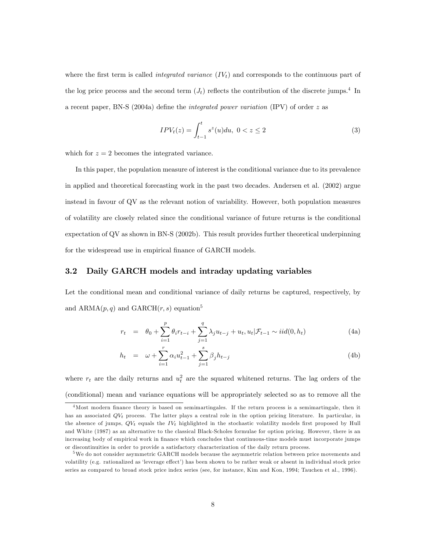where the first term is called *integrated variance*  $(IV<sub>t</sub>)$  and corresponds to the continuous part of the log price process and the second term  $(J_t)$  reflects the contribution of the discrete jumps.<sup>4</sup> In a recent paper, BN-S (2004a) define the *integrated power variation* (IPV) of order  $z$  as

$$
IPV_t(z) = \int_{t-1}^t s^z(u) du, \ 0 < z \le 2 \tag{3}
$$

which for  $z = 2$  becomes the integrated variance.

In this paper, the population measure of interest is the conditional variance due to its prevalence in applied and theoretical forecasting work in the past two decades. Andersen et al. (2002) argue instead in favour of QV as the relevant notion of variability. However, both population measures of volatility are closely related since the conditional variance of future returns is the conditional expectation of QV as shown in BN-S (2002b). This result provides further theoretical underpinning for the widespread use in empirical finance of GARCH models.

#### 3.2 Daily GARCH models and intraday updating variables

Let the conditional mean and conditional variance of daily returns be captured, respectively, by and  $ARMA(p, q)$  and  $GARCH(r, s)$  equation<sup>5</sup>

$$
r_{t} = \theta_{0} + \sum_{i=1}^{p} \theta_{i} r_{t-i} + \sum_{j=1}^{q} \lambda_{j} u_{t-j} + u_{t}, u_{t} | \mathcal{F}_{t-1} \sim i i d(0, h_{t})
$$
(4a)

$$
h_t = \omega + \sum_{i=1}^r \alpha_i u_{t-1}^2 + \sum_{j=1}^s \beta_j h_{t-j}
$$
 (4b)

where  $r_t$  are the daily returns and  $u_t^2$  are the squared whitened returns. The lag orders of the (conditional) mean and variance equations will be appropriately selected so as to remove all the

<sup>&</sup>lt;sup>4</sup>Most modern finance theory is based on semimartingales. If the return process is a semimartingale, then it has an associated  $QV_t$  process. The latter plays a central role in the option pricing literature. In particular, in the absence of jumps,  $QV_t$  equals the  $IV_t$  highlighted in the stochastic volatility models first proposed by Hull and White (1987) as an alternative to the classical Black-Scholes formulae for option pricing. However, there is an increasing body of empirical work in finance which concludes that continuous-time models must incorporate jumps or discontinuities in order to provide a satisfactory characterization of the daily return process.

<sup>5</sup>We do not consider asymmetric GARCH models because the asymmetric relation between price movements and volatility (e.g. rationalized as 'leverage effect') has been shown to be rather weak or absent in individual stock price series as compared to broad stock price index series (see, for instance, Kim and Kon, 1994; Tauchen et al., 1996).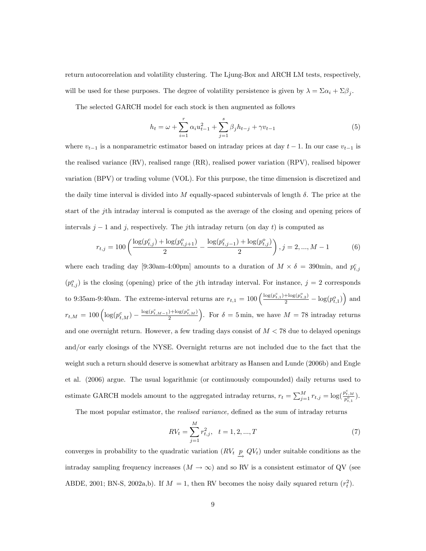return autocorrelation and volatility clustering. The Ljung-Box and ARCH LM tests, respectively, will be used for these purposes. The degree of volatility persistence is given by  $\lambda = \sum \alpha_i + \sum \beta_j$ .

The selected GARCH model for each stock is then augmented as follows

$$
h_t = \omega + \sum_{i=1}^r \alpha_i u_{t-1}^2 + \sum_{j=1}^s \beta_j h_{t-j} + \gamma v_{t-1}
$$
\n(5)

where  $v_{t-1}$  is a nonparametric estimator based on intraday prices at day  $t - 1$ . In our case  $v_{t-1}$  is the realised variance (RV), realised range (RR), realised power variation (RPV), realised bipower variation (BPV) or trading volume (VOL). For this purpose, the time dimension is discretized and the daily time interval is divided into M equally-spaced subintervals of length  $\delta$ . The price at the start of the jth intraday interval is computed as the average of the closing and opening prices of intervals  $j-1$  and j, respectively. The j<sup>th</sup> intraday return (on day t) is computed as

$$
r_{t,j} = 100 \left( \frac{\log(p_{t,j}^c) + \log(p_{t,j+1}^o)}{2} - \frac{\log(p_{t,j-1}^c) + \log(p_{t,j}^o)}{2} \right), j = 2, ..., M - 1
$$
 (6)

where each trading day [9:30am-4:00pm] amounts to a duration of  $M \times \delta = 390$ min, and  $p_{t,j}^c$  $(p_{t,j}^o)$  is the closing (opening) price of the jth intraday interval. For instance,  $j = 2$  corresponds to 9:35am-9:40am. The extreme-interval returns are  $r_{t,1} = 100 \left( \frac{\log(p_{t,1}^c) + \log(p_{t,2}^o)}{2} - \log(p_{t,1}^o) \right)$  and  $r_{t,M} = 100 \left( \log(p_{t,M}^c) - \frac{\log(p_{t,M-1}^c) + \log(p_{t,M}^o)}{2} \right)$ ). For  $\delta = 5 \text{min}$ , we have  $M = 78$  intraday returns and one overnight return. However, a few trading days consist of  $M < 78$  due to delayed openings and/or early closings of the NYSE. Overnight returns are not included due to the fact that the weight such a return should deserve is somewhat arbitrary as Hansen and Lunde (2006b) and Engle et al. (2006) argue. The usual logarithmic (or continuously compounded) daily returns used to estimate GARCH models amount to the aggregated intraday returns,  $r_t = \sum_{j=1}^{M} r_{t,j} = \log(\frac{p_{t,M}^c}{p_{t,1}^o}).$ 

The most popular estimator, the *realised variance*, defined as the sum of intraday returns

$$
RV_t = \sum_{j=1}^{M} r_{t,j}^2, \quad t = 1, 2, ..., T
$$
\n(7)

converges in probability to the quadratic variation  $(RV_t \, p)$  $\rightarrow$  $QV<sub>t</sub>$ ) under suitable conditions as the intraday sampling frequency increases  $(M \to \infty)$  and so RV is a consistent estimator of QV (see ABDE, 2001; BN-S, 2002a,b). If  $M = 1$ , then RV becomes the noisy daily squared return  $(r_t^2)$ .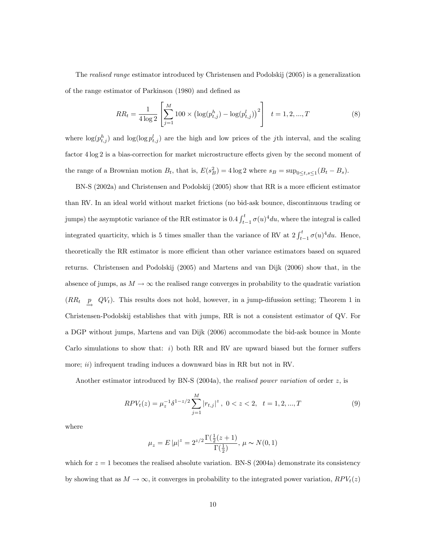The realised range estimator introduced by Christensen and Podolskij (2005) is a generalization of the range estimator of Parkinson (1980) and defined as

$$
RR_t = \frac{1}{4\log 2} \left[ \sum_{j=1}^{M} 100 \times \left( \log(p_{t,j}^h) - \log(p_{t,j}^l) \right)^2 \right] \quad t = 1, 2, ..., T \tag{8}
$$

where  $\log(p_{t,j}^h)$  and  $\log(\log p_{t,j}^l)$  are the high and low prices of the jth interval, and the scaling factor  $4 \log 2$  is a bias-correction for market microstructure effects given by the second moment of the range of a Brownian motion  $B_t$ , that is,  $E(s_B^2) = 4 \log 2$  where  $s_B = \sup_{0 \le t, s \le 1} (B_t - B_s)$ .

BN-S (2002a) and Christensen and Podolskij (2005) show that RR is a more efficient estimator than RV. In an ideal world without market frictions (no bid-ask bounce, discontinuous trading or jumps) the asymptotic variance of the RR estimator is  $0.4 \int_{t-1}^{t} \sigma(u)^{4} du$ , where the integral is called integrated quarticity, which is 5 times smaller than the variance of RV at  $2 \int_{t-1}^{t} \sigma(u)^{4} du$ . Hence, theoretically the RR estimator is more efficient than other variance estimators based on squared returns. Christensen and Podolskij (2005) and Martens and van Dijk (2006) show that, in the absence of jumps, as  $M \to \infty$  the realised range converges in probability to the quadratic variation  $(RR_t \quad p$  $\rightarrow$  $QV_t$ ). This results does not hold, however, in a jump-difussion setting; Theorem 1 in Christensen-Podolskij establishes that with jumps, RR is not a consistent estimator of QV. For a DGP without jumps, Martens and van Dijk (2006) accommodate the bid-ask bounce in Monte Carlo simulations to show that:  $i)$  both RR and RV are upward biased but the former suffers more; *ii*) infrequent trading induces a downward bias in RR but not in RV.

Another estimator introduced by BN-S (2004a), the *realised power variation* of order  $z$ , is

$$
RPV_t(z) = \mu_z^{-1} \delta^{1-z/2} \sum_{j=1}^{M} |r_{t,j}|^z, \ 0 < z < 2, \ t = 1, 2, \dots, T \tag{9}
$$

where

$$
\mu_z = E \left| \mu \right|^z = 2^{z/2} \frac{\Gamma(\frac{1}{2}(z+1)}{\Gamma(\frac{1}{2})}, \, \mu \sim N(0,1)
$$

which for  $z = 1$  becomes the realised absolute variation. BN-S (2004a) demonstrate its consistency by showing that as  $M \to \infty$ , it converges in probability to the integrated power variation,  $RPV_t(z)$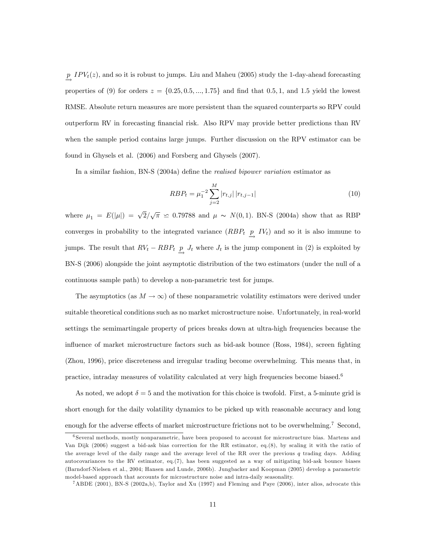p  $\rightarrow$  $IPV<sub>t</sub>(z)$ , and so it is robust to jumps. Liu and Maheu (2005) study the 1-day-ahead forecasting properties of (9) for orders  $z = \{0.25, 0.5, ..., 1.75\}$  and find that 0.5, 1, and 1.5 yield the lowest RMSE. Absolute return measures are more persistent than the squared counterparts so RPV could outperform RV in forecasting Önancial risk. Also RPV may provide better predictions than RV when the sample period contains large jumps. Further discussion on the RPV estimator can be found in Ghysels et al. (2006) and Forsberg and Ghysels (2007).

In a similar fashion, BN-S (2004a) define the *realised bipower variation* estimator as

$$
RBP_t = \mu_1^{-2} \sum_{j=2}^{M} |r_{t,j}| |r_{t,j-1}| \tag{10}
$$

where  $\mu_1 = E(|\mu|) = \sqrt{2}/\sqrt{\pi} \approx 0.79788$  and  $\mu \sim N(0, 1)$ . BN-S (2004a) show that as RBP converges in probability to the integrated variance  $(RBP_t$  p  $\rightarrow$  $IV<sub>t</sub>$  and so it is also immune to jumps. The result that  $RV_t - RBP_t \overset{p}{\rightarrow}$  $J_t$  where  $J_t$  is the jump component in (2) is exploited by BN-S (2006) alongside the joint asymptotic distribution of the two estimators (under the null of a continuous sample path) to develop a non-parametric test for jumps.

The asymptotics (as  $M \to \infty$ ) of these nonparametric volatility estimators were derived under suitable theoretical conditions such as no market microstructure noise. Unfortunately, in real-world settings the semimartingale property of prices breaks down at ultra-high frequencies because the influence of market microstructure factors such as bid-ask bounce (Ross, 1984), screen fighting (Zhou, 1996), price discreteness and irregular trading become overwhelming. This means that, in practice, intraday measures of volatility calculated at very high frequencies become biased.<sup>6</sup>

As noted, we adopt  $\delta = 5$  and the motivation for this choice is twofold. First, a 5-minute grid is short enough for the daily volatility dynamics to be picked up with reasonable accuracy and long enough for the adverse effects of market microstructure frictions not to be overwhelming.<sup>7</sup> Second,

<sup>6</sup> Several methods, mostly nonparametric, have been proposed to account for microstructure bias. Martens and Van Dijk (2006) suggest a bid-ask bias correction for the RR estimator, eq.(8), by scaling it with the ratio of the average level of the daily range and the average level of the RR over the previous  $q$  trading days. Adding autocovariances to the RV estimator, eq.(7), has been suggested as a way of mitigating bid-ask bounce biases (Barndorf-Nielsen et al., 2004; Hansen and Lunde, 2006b). Jungbacker and Koopman (2005) develop a parametric model-based approach that accounts for microstructure noise and intra-daily seasonality.

<sup>7</sup>ABDE (2001), BN-S (2002a,b), Taylor and Xu (1997) and Fleming and Paye (2006), inter alios, advocate this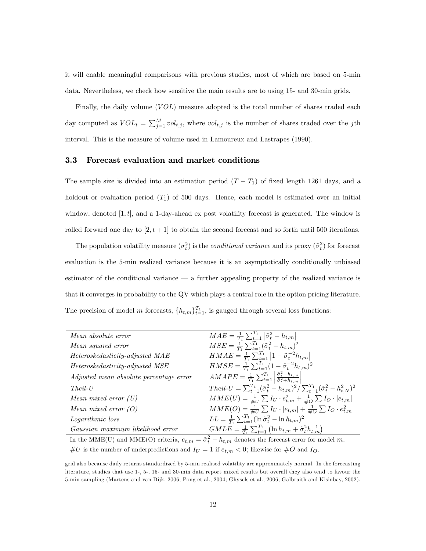it will enable meaningful comparisons with previous studies, most of which are based on 5-min data. Nevertheless, we check how sensitive the main results are to using 15- and 30-min grids.

Finally, the daily volume  $(VOL)$  measure adopted is the total number of shares traded each day computed as  $VOL_t = \sum_{j=1}^{M} vol_{t,j}$ , where  $vol_{t,j}$  is the number of shares traded over the jth interval. This is the measure of volume used in Lamoureux and Lastrapes (1990).

#### 3.3 Forecast evaluation and market conditions

The sample size is divided into an estimation period  $(T - T_1)$  of fixed length 1261 days, and a holdout or evaluation period  $(T_1)$  of 500 days. Hence, each model is estimated over an initial window, denoted  $[1, t]$ , and a 1-day-ahead ex post volatility forecast is generated. The window is rolled forward one day to  $[2, t + 1]$  to obtain the second forecast and so forth until 500 iterations.

The population volatility measure  $(\sigma_t^2)$  is the *conditional variance* and its proxy  $(\tilde{\sigma}_t^2)$  for forecast evaluation is the 5-min realized variance because it is an asymptotically conditionally unbiased estimator of the conditional variance  $\overline{\phantom{a}}$  a further appealing property of the realized variance is that it converges in probability to the QV which plays a central role in the option pricing literature. The precision of model m forecasts,  $\{h_{t,m}\}_{t=1}^{T_1}$ , is gauged through several loss functions:

| Mean absolute error                                                                                                 | $MAE = \frac{1}{T_1} \sum_{t=1}^{T_1}  \tilde{\sigma}_t^2 - h_{t,m} $                                                     |
|---------------------------------------------------------------------------------------------------------------------|---------------------------------------------------------------------------------------------------------------------------|
| Mean squared error                                                                                                  | $MSE = \frac{1}{T_1} \sum_{t=1}^{T_1} (\tilde{\sigma}_t^2 - h_{t,m})^2$                                                   |
| Heteroskedasticity-adjusted MAE                                                                                     | $HMAE = \frac{1}{T_1} \sum_{t=1}^{T_1}  1 - \tilde{\sigma}_t^{-2} h_{t,m} $                                               |
| Heteroskedasticity-adjusted MSE                                                                                     | $HMSE = \frac{1}{T_1} \sum_{t=1}^{T_1} (1 - \tilde{\sigma}_t^{-2} h_{t,m})^2$                                             |
| Adjusted mean absolute percentage error                                                                             | $AMAPE = \frac{1}{T_1} \sum_{t=1}^{T_1} \left  \frac{\tilde{\sigma}_t^2 - h_{t,m}}{\tilde{\sigma}_t^2 + h_{t,m}} \right $ |
| $Theil-U$                                                                                                           | $Theil-U = \sum_{t=1}^{T_1} (\tilde{\sigma}_t^2 - h_{t,m})^2 / \sum_{t=1}^{T_1} (\tilde{\sigma}_t^2 - h_{t,N}^2)^2$       |
| Mean mixed error $(U)$                                                                                              | $MME(U) = \frac{1}{\#U} \sum I_U \cdot e_{t,m}^2 + \frac{1}{\#O} \sum I_O \cdot  e_{t,m} $                                |
| Mean mixed error $(O)$                                                                                              | $MME(O) = \frac{1}{\#U} \sum I_U \cdot  e_{t,m}  + \frac{1}{\#O} \sum I_O \cdot e_{t,m}^2$                                |
| Logarithmic loss                                                                                                    | $LL = \frac{1}{T_1} \sum_{t=1}^{T_1} (\ln \tilde{\sigma}_t^2 - \ln h_{t,m})^2$                                            |
| Gaussian maximum likelihood error                                                                                   | $GMLE = \frac{1}{T} \sum_{t=1}^{T_1} (\ln h_{t,m} + \tilde{\sigma}_t^2 h_{t,m}^{-1})$                                     |
| In the MME(U) and MME(O) criteria, $e_{t,m} = \tilde{\sigma}_t^2 - h_{t,m}$ denotes the forecast error for model m. |                                                                                                                           |
|                                                                                                                     |                                                                                                                           |

#U is the number of underpredictions and  $I_U = 1$  if  $e_{t,m} < 0$ ; likewise for #O and  $I_O$ .

grid also because daily returns standardized by 5-min realised volatility are approximately normal. In the forecasting literature, studies that use 1-, 5-, 15- and 30-min data report mixed results but overall they also tend to favour the 5-min sampling (Martens and van Dijk, 2006; Pong et al., 2004; Ghysels et al., 2006; Galbraith and Kisinbay, 2002).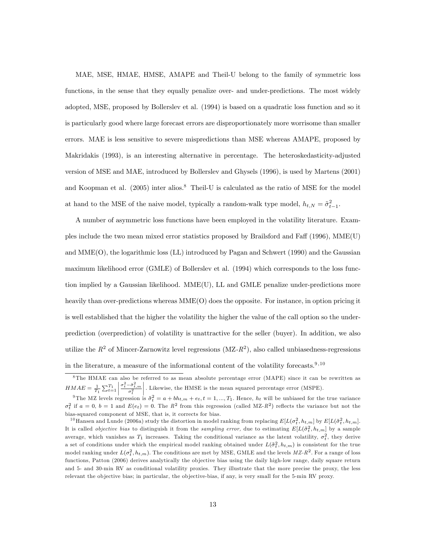MAE, MSE, HMAE, HMSE, AMAPE and Theil-U belong to the family of symmetric loss functions, in the sense that they equally penalize over- and under-predictions. The most widely adopted, MSE, proposed by Bollerslev et al. (1994) is based on a quadratic loss function and so it is particularly good where large forecast errors are disproportionately more worrisome than smaller errors. MAE is less sensitive to severe mispredictions than MSE whereas AMAPE, proposed by Makridakis (1993), is an interesting alternative in percentage. The heteroskedasticity-adjusted version of MSE and MAE, introduced by Bollerslev and Ghysels (1996), is used by Martens (2001) and Koopman et al.  $(2005)$  inter alios.<sup>8</sup> Theil-U is calculated as the ratio of MSE for the model at hand to the MSE of the naive model, typically a random-walk type model,  $h_{t,N} = \tilde{\sigma}_{t-1}^2$ .

A number of asymmetric loss functions have been employed in the volatility literature. Examples include the two mean mixed error statistics proposed by Brailsford and Faff (1996), MME(U) and MME(O), the logarithmic loss (LL) introduced by Pagan and Schwert (1990) and the Gaussian maximum likelihood error (GMLE) of Bollerslev et al. (1994) which corresponds to the loss function implied by a Gaussian likelihood. MME(U), LL and GMLE penalize under-predictions more heavily than over-predictions whereas MME(O) does the opposite. For instance, in option pricing it is well established that the higher the volatility the higher the value of the call option so the underprediction (overprediction) of volatility is unattractive for the seller (buyer). In addition, we also utilize the  $R^2$  of Mincer-Zarnowitz level regressions (MZ- $R^2$ ), also called unbiasedness-regressions in the literature, a measure of the informational content of the volatility forecasts.<sup>9,10</sup>

<sup>8</sup> The HMAE can also be referred to as mean absolute percentage error (MAPE) since it can be rewritten as  $HMAE = \frac{1}{T_1} \sum_{t=1}^{T_1}$   $\frac{\sigma_t^2 - \hat{\sigma}_{t,m}^2}{\sigma_t^2}$     : Likewise, the HMSE is the mean squared percentage error (MSPE).

<sup>&</sup>lt;sup>9</sup>The MZ levels regression is  $\tilde{\sigma}_t^2 = a + bh_{t,m} + e_t, t = 1, ..., T_1$ . Hence,  $h_t$  will be unbiased for the true variance  $\sigma_t^2$  if  $a = 0, b = 1$  and  $E(e_t) = 0$ . The  $R^2$  from this regression (called MZ- $R^2$ ) reflects the variance but not the bias-squared component of MSE, that is, it corrects for bias.

<sup>&</sup>lt;sup>10</sup>Hansen and Lunde (2006a) study the distortion in model ranking from replacing  $E[L(\sigma_t^2, h_{t,m}]$  by  $E[L(\tilde{\sigma}_t^2, h_{t,m}]]$ . It is called *objective bias* to distinguish it from the *sampling error*, due to estimating  $E[L(\tilde{\sigma}_t^2, h_{t,m}]$  by a sample average, which vanishes as  $T_1$  increases. Taking the conditional variance as the latent volatility,  $\sigma_t^2$ , they derive a set of conditions under which the empirical model ranking obtained under  $L(\tilde{\sigma}_t^2, h_{t,m})$  is consistent for the true model ranking under  $L(\sigma_t^2, h_{t,m})$ . The conditions are met by MSE, GMLE and the levels  $MZ$ -R<sup>2</sup>. For a range of loss functions, Patton (2006) derives analytically the objective bias using the daily high-low range, daily square return and 5- and 30-min RV as conditional volatility proxies. They illustrate that the more precise the proxy, the less relevant the ob jective bias; in particular, the ob jective-bias, if any, is very small for the 5-min RV proxy.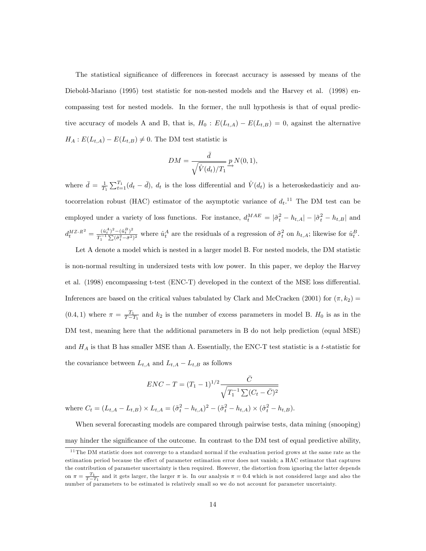The statistical significance of differences in forecast accuracy is assessed by means of the Diebold-Mariano (1995) test statistic for non-nested models and the Harvey et al. (1998) encompassing test for nested models. In the former, the null hypothesis is that of equal predictive accuracy of models A and B, that is,  $H_0 : E(L_{t,A}) - E(L_{t,B}) = 0$ , against the alternative  $H_A: E(L_{t,A}) - E(L_{t,B}) \neq 0.$  The DM test statistic is

$$
DM = \frac{\bar{d}}{\sqrt{\hat{V}(d_t)/T_1}} \mathop{\longrightarrow}\limits^{\bar{d}} P_{\lambda}(0,1),
$$

where  $\bar{d} = \frac{1}{T_1} \sum_{t=1}^{T_1} (d_t - \bar{d}), d_t$  is the loss differential and  $\hat{V}(d_t)$  is a heteroskedasticiy and autocorrelation robust (HAC) estimator of the asymptotic variance of  $d_t$ .<sup>11</sup> The DM test can be employed under a variety of loss functions. For instance,  $d_t^{MAE} = |\tilde{\sigma}_t^2 - h_{t,A}| - |\tilde{\sigma}_t^2 - h_{t,B}|$  and  $d_t^{MZ \text{-} R^2} = \frac{(\hat{u}_t^A)^2 - (\hat{u}_t^B)^2}{T^{-1} \sum (\tilde{\sigma}^2 - \bar{\sigma}^2)}$  $\frac{(\tilde{u}_t^n)^2 - (\tilde{u}_t^n)^2}{T_1^{-1} \sum (\tilde{\sigma}_t^2 - \bar{\sigma}^2)^2}$  where  $\hat{u}_t^A$  are the residuals of a regression of  $\tilde{\sigma}_t^2$  on  $h_{t,A}$ ; likewise for  $\hat{u}_t^B$ .

Let A denote a model which is nested in a larger model B. For nested models, the DM statistic is non-normal resulting in undersized tests with low power. In this paper, we deploy the Harvey et al. (1998) encompassing t-test (ENC-T) developed in the context of the MSE loss differential. Inferences are based on the critical values tabulated by Clark and McCracken (2001) for  $(\pi, k_2)$  $(0.4, 1)$  where  $\pi = \frac{T_1}{T-T_1}$  and  $k_2$  is the number of excess parameters in model B.  $H_0$  is as in the DM test, meaning here that the additional parameters in B do not help prediction (equal MSE) and  $H_A$  is that B has smaller MSE than A. Essentially, the ENC-T test statistic is a t-statistic for the covariance between  $L_{t,A}$  and  $L_{t,A} - L_{t,B}$  as follows

$$
ENC - T = (T_1 - 1)^{1/2} \frac{\bar{C}}{\sqrt{T_1^{-1} \sum (C_t - \bar{C})^2}}
$$

where  $C_t = (L_{t,A} - L_{t,B}) \times L_{t,A} = (\tilde{\sigma}_t^2 - h_{t,A})^2 - (\tilde{\sigma}_t^2 - h_{t,A}) \times (\tilde{\sigma}_t^2 - h_{t,B}).$ 

When several forecasting models are compared through pairwise tests, data mining (snooping) may hinder the significance of the outcome. In contrast to the DM test of equal predictive ability,

<sup>&</sup>lt;sup>11</sup> The DM statistic does not converge to a standard normal if the evaluation period grows at the same rate as the estimation period because the effect of parameter estimation error does not vanish; a HAC estimator that captures the contribution of parameter uncertainty is then required. However, the distortion from ignoring the latter depends on  $\pi = \frac{T_1}{T - T_1}$  and it gets larger, the larger  $\pi$  is. In our analysis  $\pi = 0.4$  which is not considered large and also the number of parameters to be estimated is relatively small so we do not account for parameter uncertainty.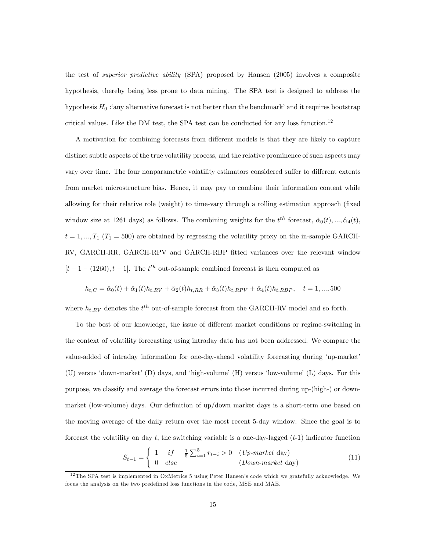the test of superior predictive ability (SPA) proposed by Hansen (2005) involves a composite hypothesis, thereby being less prone to data mining. The SPA test is designed to address the hypothesis  $H_0$ : 'any alternative forecast is not better than the benchmark' and it requires bootstrap critical values. Like the DM test, the SPA test can be conducted for any loss function.<sup>12</sup>

A motivation for combining forecasts from different models is that they are likely to capture distinct subtle aspects of the true volatility process, and the relative prominence of such aspects may vary over time. The four nonparametric volatility estimators considered suffer to different extents from market microstructure bias. Hence, it may pay to combine their information content while allowing for their relative role (weight) to time-vary through a rolling estimation approach (fixed window size at 1261 days) as follows. The combining weights for the  $t^{th}$  forecast,  $\hat{\alpha}_0(t), ..., \hat{\alpha}_4(t)$ ,  $t = 1, ..., T_1$  ( $T_1 = 500$ ) are obtained by regressing the volatility proxy on the in-sample GARCH-RV, GARCH-RR, GARCH-RPV and GARCH-RBP Ötted variances over the relevant window  $[t-1-(1260), t-1]$ . The  $t<sup>th</sup>$  out-of-sample combined forecast is then computed as

$$
h_{t,C} = \hat{\alpha}_0(t) + \hat{\alpha}_1(t)h_{t,RV} + \hat{\alpha}_2(t)h_{t,RR} + \hat{\alpha}_3(t)h_{t,RPV} + \hat{\alpha}_4(t)h_{t,RBP}, \quad t = 1, ..., 500
$$

where  $h_{t,RV}$  denotes the  $t^{th}$  out-of-sample forecast from the GARCH-RV model and so forth.

To the best of our knowledge, the issue of different market conditions or regime-switching in the context of volatility forecasting using intraday data has not been addressed. We compare the value-added of intraday information for one-day-ahead volatility forecasting during 'up-market' (U) versus 'down-market'  $(D)$  days, and 'high-volume'  $(H)$  versus 'low-volume'  $(L)$  days. For this purpose, we classify and average the forecast errors into those incurred during up-(high-) or downmarket (low-volume) days. Our definition of up/down market days is a short-term one based on the moving average of the daily return over the most recent 5-day window. Since the goal is to forecast the volatility on day t, the switching variable is a one-day-lagged  $(t-1)$  indicator function

$$
S_{t-1} = \begin{cases} 1 & if \quad \frac{1}{5} \sum_{i=1}^{5} r_{t-i} > 0 & (Up-market day) \\ 0 & else & (Down-market day) \end{cases}
$$
(11)

<sup>&</sup>lt;sup>12</sup>The SPA test is implemented in OxMetrics 5 using Peter Hansen's code which we gratefully acknowledge. We focus the analysis on the two predefined loss functions in the code, MSE and MAE.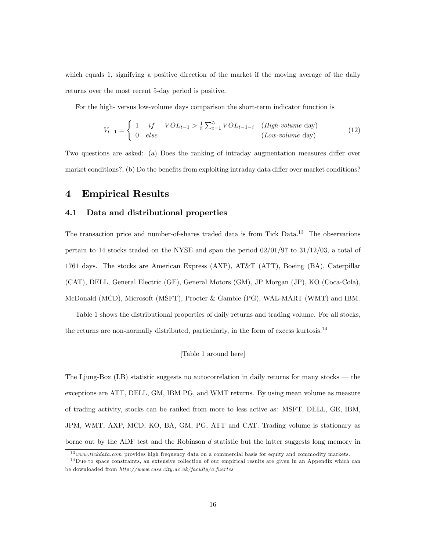which equals 1, signifying a positive direction of the market if the moving average of the daily returns over the most recent 5-day period is positive.

For the high- versus low-volume days comparison the short-term indicator function is

$$
V_{t-1} = \begin{cases} 1 & if & VOL_{t-1} > \frac{1}{5} \sum_{t=1}^{5} VOL_{t-1-i} & (High-volume day) \\ 0 & else & (Low-volume day) \end{cases}
$$
(12)

Two questions are asked: (a) Does the ranking of intraday augmentation measures differ over market conditions?, (b) Do the benefits from exploiting intraday data differ over market conditions?

### 4 Empirical Results

#### 4.1 Data and distributional properties

The transaction price and number-of-shares traded data is from Tick Data.<sup>13</sup> The observations pertain to 14 stocks traded on the NYSE and span the period  $02/01/97$  to  $31/12/03$ , a total of 1761 days. The stocks are American Express (AXP), AT&T (ATT), Boeing (BA), Caterpillar (CAT), DELL, General Electric (GE), General Motors (GM), JP Morgan (JP), KO (Coca-Cola), McDonald (MCD), Microsoft (MSFT), Procter & Gamble (PG), WAL-MART (WMT) and IBM.

Table 1 shows the distributional properties of daily returns and trading volume. For all stocks, the returns are non-normally distributed, particularly, in the form of excess kurtosis.<sup>14</sup>

#### [Table 1 around here]

The Ljung-Box  $(LB)$  statistic suggests no autocorrelation in daily returns for many stocks  $-$  the exceptions are ATT, DELL, GM, IBM PG, and WMT returns. By using mean volume as measure of trading activity, stocks can be ranked from more to less active as: MSFT, DELL, GE, IBM, JPM, WMT, AXP, MCD, KO, BA, GM, PG, ATT and CAT. Trading volume is stationary as borne out by the ADF test and the Robinson d statistic but the latter suggests long memory in

<sup>&</sup>lt;sup>13</sup>www.tickdata.com provides high frequency data on a commercial basis for equity and commodity markets.

 $14$ Due to space constraints, an extensive collection of our empirical results are given in an Appendix which can be downloaded from http://www.cass.city.ac.uk/faculty/a.fuertes.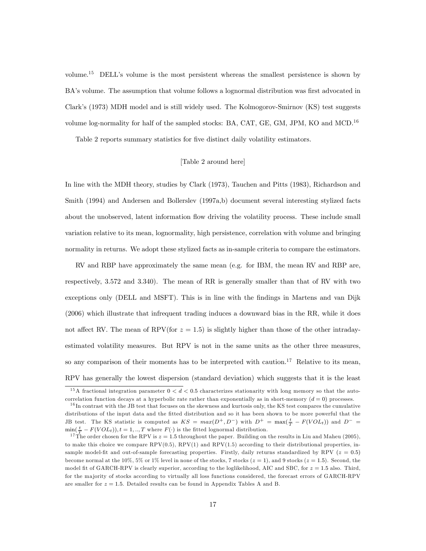volume.<sup>15</sup> DELL's volume is the most persistent whereas the smallest persistence is shown by BA's volume. The assumption that volume follows a lognormal distribution was first advocated in Clark's (1973) MDH model and is still widely used. The Kolmogorov-Smirnov (KS) test suggests volume log-normality for half of the sampled stocks: BA, CAT, GE, GM, JPM, KO and MCD.<sup>16</sup>

Table 2 reports summary statistics for five distinct daily volatility estimators.

#### [Table 2 around here]

In line with the MDH theory, studies by Clark (1973), Tauchen and Pitts (1983), Richardson and Smith (1994) and Andersen and Bollerslev (1997a,b) document several interesting stylized facts about the unobserved, latent information flow driving the volatility process. These include small variation relative to its mean, lognormality, high persistence, correlation with volume and bringing normality in returns. We adopt these stylized facts as in-sample criteria to compare the estimators.

RV and RBP have approximately the same mean (e.g. for IBM, the mean RV and RBP are, respectively, 3.572 and 3.340). The mean of RR is generally smaller than that of RV with two exceptions only (DELL and MSFT). This is in line with the Öndings in Martens and van Dijk (2006) which illustrate that infrequent trading induces a downward bias in the RR, while it does not affect RV. The mean of RPV(for  $z = 1.5$ ) is slightly higher than those of the other intradayestimated volatility measures. But RPV is not in the same units as the other three measures, so any comparison of their moments has to be interpreted with caution.<sup>17</sup> Relative to its mean, RPV has generally the lowest dispersion (standard deviation) which suggests that it is the least

<sup>&</sup>lt;sup>15</sup>A fractional integration parameter  $0 < d < 0.5$  characterizes stationarity with long memory so that the autocorrelation function decays at a hyperbolic rate rather than exponentially as in short-memory  $(d = 0)$  processes.

<sup>&</sup>lt;sup>16</sup>In contrast with the JB test that focuses on the skewness and kurtosis only, the KS test compares the cumulative distributions of the input data and the fitted distribution and so it has been shown to be more powerful that the JB test. The KS statistic is computed as  $KS = max(D^+, D^-)$  with  $D^+ = max(\frac{t}{T} - F(VOL_t))$  and  $D^- =$  $\min_{t \in \mathcal{T}} (\frac{t}{T} - F(VOL_t)), t = 1,..,T$  where  $F(\cdot)$  is the fitted lognormal distribution.

<sup>&</sup>lt;sup>17</sup> The order chosen for the RPV is  $z = 1.5$  throughout the paper. Building on the results in Liu and Maheu (2005), to make this choice we compare  $RPV(0.5)$ ,  $RPV(1)$  and  $RPV(1.5)$  according to their distributional properties, insample model-fit and out-of-sample forecasting properties. Firstly, daily returns standardized by RPV ( $z = 0.5$ ) become normal at the 10%, 5% or 1% level in none of the stocks, 7 stocks  $(z = 1)$ , and 9 stocks  $(z = 1.5)$ . Second, the model fit of GARCH-RPV is clearly superior, according to the loglikelihood, AIC and SBC, for  $z = 1.5$  also. Third, for the ma jority of stocks according to virtually all loss functions considered, the forecast errors of GARCH-RPV are smaller for  $z = 1.5$ . Detailed results can be found in Appendix Tables A and B.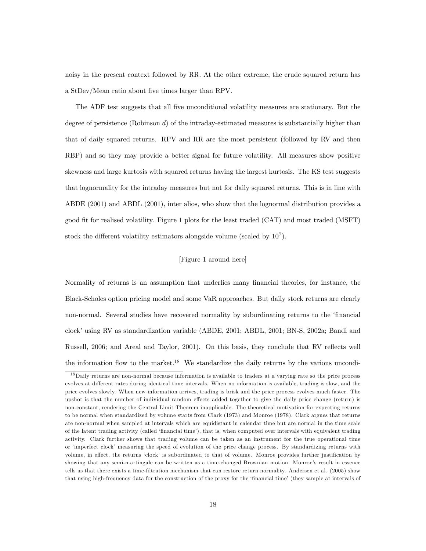noisy in the present context followed by RR. At the other extreme, the crude squared return has a StDev/Mean ratio about five times larger than RPV.

The ADF test suggests that all five unconditional volatility measures are stationary. But the degree of persistence (Robinson d) of the intraday-estimated measures is substantially higher than that of daily squared returns. RPV and RR are the most persistent (followed by RV and then RBP) and so they may provide a better signal for future volatility. All measures show positive skewness and large kurtosis with squared returns having the largest kurtosis. The KS test suggests that lognormality for the intraday measures but not for daily squared returns. This is in line with ABDE (2001) and ABDL (2001), inter alios, who show that the lognormal distribution provides a good Öt for realised volatility. Figure 1 plots for the least traded (CAT) and most traded (MSFT) stock the different volatility estimators alongside volume (scaled by  $10<sup>7</sup>$ ).

#### [Figure 1 around here]

Normality of returns is an assumption that underlies many financial theories, for instance, the Black-Scholes option pricing model and some VaR approaches. But daily stock returns are clearly non-normal. Several studies have recovered normality by subordinating returns to the 'financial clock' using RV as standardization variable (ABDE, 2001; ABDL, 2001; BN-S, 2002a; Bandi and Russell, 2006; and Areal and Taylor, 2001). On this basis, they conclude that RV reflects well the information flow to the market.<sup>18</sup> We standardize the daily returns by the various uncondi-

<sup>&</sup>lt;sup>18</sup>Daily returns are non-normal because information is available to traders at a varying rate so the price process evolves at different rates during identical time intervals. When no information is available, trading is slow, and the price evolves slowly. When new information arrives, trading is brisk and the price process evolves much faster. The upshot is that the number of individual random effects added together to give the daily price change (return) is non-constant, rendering the Central Limit Theorem inapplicable. The theoretical motivation for expecting returns to be normal when standardized by volume starts from Clark (1973) and Monroe (1978). Clark argues that returns are non-normal when sampled at intervals which are equidistant in calendar time but are normal in the time scale of the latent trading activity (called 'financial time'), that is, when computed over intervals with equivalent trading activity. Clark further shows that trading volume can be taken as an instrument for the true operational time or 'imperfect clock' measuring the speed of evolution of the price change process. By standardizing returns with volume, in effect, the returns 'clock' is subordinated to that of volume. Monroe provides further justification by showing that any semi-martingale can be written as a time-changed Brownian motion. Monroe's result in essence tells us that there exists a time-Öltration mechanism that can restore return normality. Andersen et al. (2005) show that using high-frequency data for the construction of the proxy for the 'financial time' (they sample at intervals of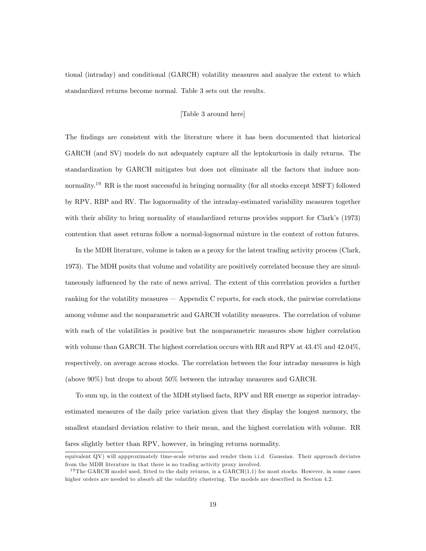tional (intraday) and conditional (GARCH) volatility measures and analyze the extent to which standardized returns become normal. Table 3 sets out the results.

#### [Table 3 around here]

The Öndings are consistent with the literature where it has been documented that historical GARCH (and SV) models do not adequately capture all the leptokurtosis in daily returns. The standardization by GARCH mitigates but does not eliminate all the factors that induce nonnormality.<sup>19</sup> RR is the most successful in bringing normality (for all stocks except MSFT) followed by RPV, RBP and RV. The lognormality of the intraday-estimated variability measures together with their ability to bring normality of standardized returns provides support for Clark's (1973) contention that asset returns follow a normal-lognormal mixture in the context of cotton futures.

In the MDH literature, volume is taken as a proxy for the latent trading activity process (Clark, 1973). The MDH posits that volume and volatility are positively correlated because they are simultaneously influenced by the rate of news arrival. The extent of this correlation provides a further ranking for the volatility measures  $-$  Appendix C reports, for each stock, the pairwise correlations among volume and the nonparametric and GARCH volatility measures. The correlation of volume with each of the volatilities is positive but the nonparametric measures show higher correlation with volume than GARCH. The highest correlation occurs with RR and RPV at  $43.4\%$  and  $42.04\%$ , respectively, on average across stocks. The correlation between the four intraday measures is high (above 90%) but drops to about 50% between the intraday measures and GARCH.

To sum up, in the context of the MDH stylised facts, RPV and RR emerge as superior intradayestimated measures of the daily price variation given that they display the longest memory, the smallest standard deviation relative to their mean, and the highest correlation with volume. RR fares slightly better than RPV, however, in bringing returns normality.

equivalent QV) will appproximately time-scale returns and render them i.i.d. Gaussian. Their approach deviates from the MDH literature in that there is no trading activity proxy involved.

<sup>&</sup>lt;sup>19</sup> The GARCH model used, fitted to the daily returns, is a  $GARCH(1,1)$  for most stocks. However, in some cases higher orders are needed to absorb all the volatility clustering. The models are described in Section 4.2.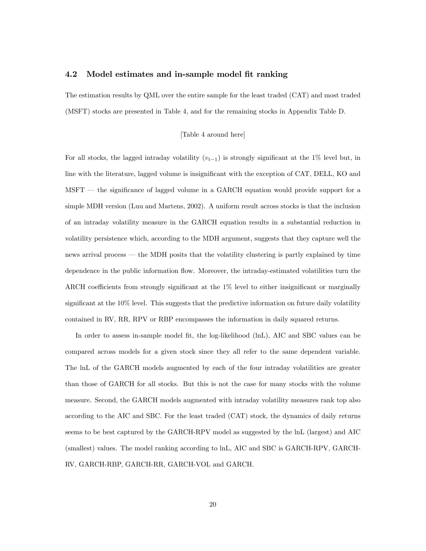#### 4.2 Model estimates and in-sample model fit ranking

The estimation results by QML over the entire sample for the least traded (CAT) and most traded (MSFT) stocks are presented in Table 4, and for the remaining stocks in Appendix Table D.

#### [Table 4 around here]

For all stocks, the lagged intraday volatility  $(v_{t-1})$  is strongly significant at the 1% level but, in line with the literature, lagged volume is insignificant with the exception of CAT, DELL, KO and  $M<sub>SET</sub>$  the significance of lagged volume in a GARCH equation would provide support for a simple MDH version (Luu and Martens, 2002). A uniform result across stocks is that the inclusion of an intraday volatility measure in the GARCH equation results in a substantial reduction in volatility persistence which, according to the MDH argument, suggests that they capture well the news arrival process  $\sim$  the MDH posits that the volatility clustering is partly explained by time dependence in the public information flow. Moreover, the intraday-estimated volatilities turn the ARCH coefficients from strongly significant at the  $1\%$  level to either insignificant or marginally significant at the  $10\%$  level. This suggests that the predictive information on future daily volatility contained in RV, RR, RPV or RBP encompasses the information in daily squared returns.

In order to assess in-sample model fit, the log-likelihood (lnL), AIC and SBC values can be compared across models for a given stock since they all refer to the same dependent variable. The lnL of the GARCH models augmented by each of the four intraday volatilities are greater than those of GARCH for all stocks. But this is not the case for many stocks with the volume measure. Second, the GARCH models augmented with intraday volatility measures rank top also according to the AIC and SBC. For the least traded (CAT) stock, the dynamics of daily returns seems to be best captured by the GARCH-RPV model as suggested by the lnL (largest) and AIC (smallest) values. The model ranking according to lnL, AIC and SBC is GARCH-RPV, GARCH-RV, GARCH-RBP, GARCH-RR, GARCH-VOL and GARCH.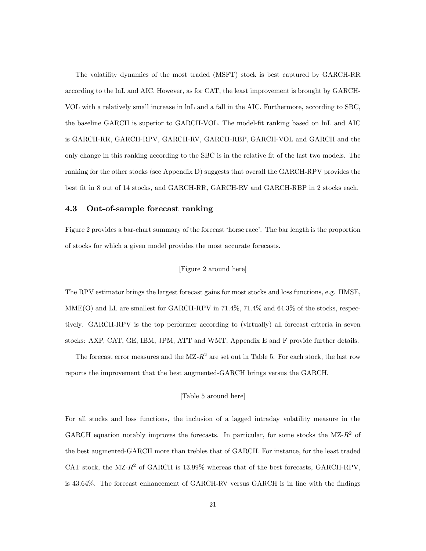The volatility dynamics of the most traded (MSFT) stock is best captured by GARCH-RR according to the lnL and AIC. However, as for CAT, the least improvement is brought by GARCH-VOL with a relatively small increase in lnL and a fall in the AIC. Furthermore, according to SBC, the baseline GARCH is superior to GARCH-VOL. The model-fit ranking based on lnL and AIC is GARCH-RR, GARCH-RPV, GARCH-RV, GARCH-RBP, GARCH-VOL and GARCH and the only change in this ranking according to the SBC is in the relative fit of the last two models. The ranking for the other stocks (see Appendix D) suggests that overall the GARCH-RPV provides the best Öt in 8 out of 14 stocks, and GARCH-RR, GARCH-RV and GARCH-RBP in 2 stocks each.

#### 4.3 Out-of-sample forecast ranking

Figure 2 provides a bar-chart summary of the forecast 'horse race'. The bar length is the proportion of stocks for which a given model provides the most accurate forecasts.

#### [Figure 2 around here]

The RPV estimator brings the largest forecast gains for most stocks and loss functions, e.g. HMSE, MME(O) and LL are smallest for GARCH-RPV in 71.4%, 71.4% and 64.3% of the stocks, respectively. GARCH-RPV is the top performer according to (virtually) all forecast criteria in seven stocks: AXP, CAT, GE, IBM, JPM, ATT and WMT. Appendix E and F provide further details.

The forecast error measures and the  $MZ-R^2$  are set out in Table 5. For each stock, the last row reports the improvement that the best augmented-GARCH brings versus the GARCH.

#### [Table 5 around here]

For all stocks and loss functions, the inclusion of a lagged intraday volatility measure in the GARCH equation notably improves the forecasts. In particular, for some stocks the  $MZ-R^2$  of the best augmented-GARCH more than trebles that of GARCH. For instance, for the least traded CAT stock, the MZ- $R^2$  of GARCH is 13.99% whereas that of the best forecasts, GARCH-RPV, is 43.64%. The forecast enhancement of GARCH-RV versus GARCH is in line with the findings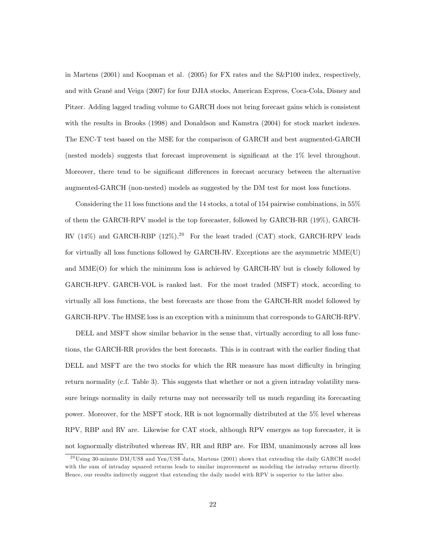in Martens (2001) and Koopman et al. (2005) for FX rates and the S&P100 index, respectively, and with GranÈ and Veiga (2007) for four DJIA stocks, American Express, Coca-Cola, Disney and Pitzer. Adding lagged trading volume to GARCH does not bring forecast gains which is consistent with the results in Brooks (1998) and Donaldson and Kamstra (2004) for stock market indexes. The ENC-T test based on the MSE for the comparison of GARCH and best augmented-GARCH (nested models) suggests that forecast improvement is significant at the 1% level throughout. Moreover, there tend to be significant differences in forecast accuracy between the alternative augmented-GARCH (non-nested) models as suggested by the DM test for most loss functions.

Considering the 11 loss functions and the 14 stocks, a total of 154 pairwise combinations, in 55% of them the GARCH-RPV model is the top forecaster, followed by GARCH-RR (19%), GARCH-RV  $(14\%)$  and GARCH-RBP  $(12\%)$ .<sup>20</sup> For the least traded  $(CAT)$  stock, GARCH-RPV leads for virtually all loss functions followed by GARCH-RV. Exceptions are the asymmetric MME(U) and MME(O) for which the minimum loss is achieved by GARCH-RV but is closely followed by GARCH-RPV. GARCH-VOL is ranked last. For the most traded (MSFT) stock, according to virtually all loss functions, the best forecasts are those from the GARCH-RR model followed by GARCH-RPV. The HMSE loss is an exception with a minimum that corresponds to GARCH-RPV.

DELL and MSFT show similar behavior in the sense that, virtually according to all loss functions, the GARCH-RR provides the best forecasts. This is in contrast with the earlier finding that DELL and MSFT are the two stocks for which the RR measure has most difficulty in bringing return normality (c.f. Table 3). This suggests that whether or not a given intraday volatility measure brings normality in daily returns may not necessarily tell us much regarding its forecasting power. Moreover, for the MSFT stock, RR is not lognormally distributed at the 5% level whereas RPV, RBP and RV are. Likewise for CAT stock, although RPV emerges as top forecaster, it is not lognormally distributed whereas RV, RR and RBP are. For IBM, unanimously across all loss

 $^{20}$ Using 30-minute DM/US\$ and Yen/US\$ data, Martens (2001) shows that extending the daily GARCH model with the sum of intraday squared returns leads to similar improvement as modeling the intraday returns directly. Hence, our results indirectly suggest that extending the daily model with RPV is superior to the latter also.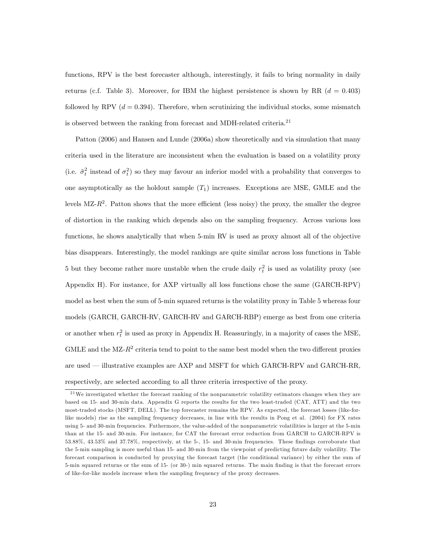functions, RPV is the best forecaster although, interestingly, it fails to bring normality in daily returns (c.f. Table 3). Moreover, for IBM the highest persistence is shown by RR  $(d = 0.403)$ followed by RPV  $(d = 0.394)$ . Therefore, when scrutinizing the individual stocks, some mismatch is observed between the ranking from forecast and MDH-related criteria.<sup>21</sup>

Patton (2006) and Hansen and Lunde (2006a) show theoretically and via simulation that many criteria used in the literature are inconsistent when the evaluation is based on a volatility proxy (i.e.  $\tilde{\sigma}_t^2$  instead of  $\sigma_t^2$ ) so they may favour an inferior model with a probability that converges to one asymptotically as the holdout sample  $(T_1)$  increases. Exceptions are MSE, GMLE and the levels MZ- $R^2$ . Patton shows that the more efficient (less noisy) the proxy, the smaller the degree of distortion in the ranking which depends also on the sampling frequency. Across various loss functions, he shows analytically that when 5-min RV is used as proxy almost all of the objective bias disappears. Interestingly, the model rankings are quite similar across loss functions in Table 5 but they become rather more unstable when the crude daily  $r_t^2$  is used as volatility proxy (see Appendix H). For instance, for AXP virtually all loss functions chose the same (GARCH-RPV) model as best when the sum of 5-min squared returns is the volatility proxy in Table 5 whereas four models (GARCH, GARCH-RV, GARCH-RV and GARCH-RBP) emerge as best from one criteria or another when  $r_t^2$  is used as proxy in Appendix H. Reassuringly, in a majority of cases the MSE, GMLE and the MZ- $R^2$  criteria tend to point to the same best model when the two different proxies are used – illustrative examples are AXP and MSFT for which GARCH-RPV and GARCH-RR, respectively, are selected according to all three criteria irrespective of the proxy.

 $2<sup>1</sup>$  We investigated whether the forecast ranking of the nonparametric volatility estimators changes when they are based on 15- and 30-min data. Appendix G reports the results for the two least-traded (CAT, ATT) and the two most-traded stocks (MSFT, DELL). The top forecaster remains the RPV. As expected, the forecast losses (like-forlike models) rise as the sampling frequency decreases, in line with the results in Pong et al. (2004) for FX rates using 5- and 30-min frequencies. Futhermore, the value-added of the nonparametric volatilities is larger at the 5-min than at the 15- and 30-min. For instance, for CAT the forecast error reduction from GARCH to GARCH-RPV is 53.88%, 43.53% and 37.78%, respectively, at the 5-, 15- and 30-min frequencies. These Öndings corroborate that the 5-min sampling is more useful than 15- and 30-min from the viewpoint of predicting future daily volatility. The forecast comparison is conducted by proxying the forecast target (the conditional variance) by either the sum of 5-min squared returns or the sum of 15- (or 30-) min squared returns. The main Önding is that the forecast errors of like-for-like models increase when the sampling frequency of the proxy decreases.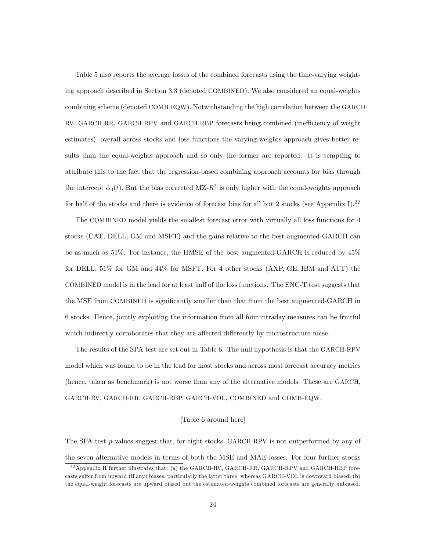Table 5 also reports the average losses of the combined forecasts using the time-varying weighting approach described in Section 3.3 (denoted COMBINED). We also considered an equal-weights combining scheme (denoted COMB-EQW). Notwithstanding the high correlation between the GARCH-RV, GARCH-RR, GARCH-RPV and GARCH-RBP forecasts being combined (inefficiency of weight estimates), overall across stocks and loss functions the varying-weights approach gives better results than the equal-weights approach and so only the former are reported. It is tempting to attribute this to the fact that the regression-based combining approach accounts for bias through the intercept  $\hat{\alpha}_0(t)$ . But the bias corrected MZ- $R^2$  is only higher with the equal-weights approach for half of the stocks and there is evidence of forecast bias for all but 2 stocks (see Appendix I).<sup>22</sup>

The COMBINED model yields the smallest forecast error with virtually all loss functions for 4 stocks (CAT, DELL, GM and MSFT) and the gains relative to the best augmented-GARCH can be as much as 51%. For instance, the HMSE of the best augmented-GARCH is reduced by 45% for DELL, 51% for GM and 44% for MSFT. For 4 other stocks (AXP, GE, IBM and ATT) the COMBINED model is in the lead for at least half of the loss functions. The ENC-T test suggests that the MSE from COMBINED is significantly smaller than that from the best augmented-GARCH in 6 stocks. Hence, jointly exploiting the information from all four intraday measures can be fruitful which indirectly corroborates that they are affected differently by microstructure noise.

The results of the SPA test are set out in Table 6. The null hypothesis is that the GARCH-RPV model which was found to be in the lead for most stocks and across most forecast accuracy metrics (hence, taken as benchmark) is not worse than any of the alternative models. These are GARCH, GARCH-RV, GARCH-RR, GARCH-RBP, GARCH-VOL, COMBINED and COMB-EQW.

#### [Table 6 around here]

The SPA test p-values suggest that, for eight stocks, GARCH-RPV is not outperformed by any of the seven alternative models in terms of both the MSE and MAE losses. For four further stocks

<sup>&</sup>lt;sup>22</sup> Appendix H further illustrates that: (a) the GARCH-RV, GARCH-RR, GARCH-RPV and GARCH-RBP forecasts suffer from upward (if any) biases, particularly the latter three, whereas GARCH-VOL is downward biased, (b) the equal-weight forecasts are upward biased but the estimated-weights combined forecasts are generally unbiased.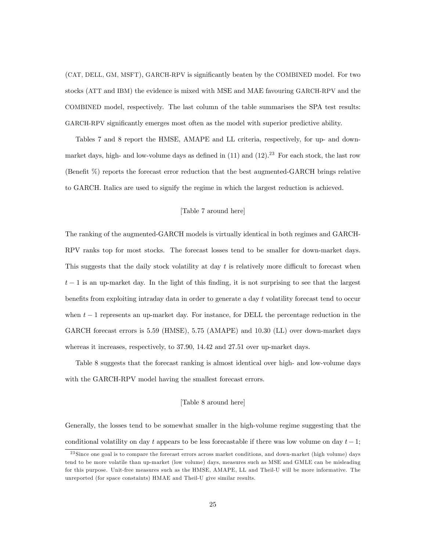(CAT, DELL, GM, MSFT), GARCH-RPV is significantly beaten by the COMBINED model. For two stocks (ATT and IBM) the evidence is mixed with MSE and MAE favouring GARCH-RPV and the COMBINED model, respectively. The last column of the table summarises the SPA test results: GARCH-RPV significantly emerges most often as the model with superior predictive ability.

Tables 7 and 8 report the HMSE, AMAPE and LL criteria, respectively, for up- and downmarket days, high- and low-volume days as defined in  $(11)$  and  $(12).^{23}$  For each stock, the last row (Benefit  $\%$ ) reports the forecast error reduction that the best augmented-GARCH brings relative to GARCH. Italics are used to signify the regime in which the largest reduction is achieved.

#### [Table 7 around here]

The ranking of the augmented-GARCH models is virtually identical in both regimes and GARCH-RPV ranks top for most stocks. The forecast losses tend to be smaller for down-market days. This suggests that the daily stock volatility at day  $t$  is relatively more difficult to forecast when  $t-1$  is an up-market day. In the light of this finding, it is not surprising to see that the largest benefits from exploiting intraday data in order to generate a day  $t$  volatility forecast tend to occur when  $t-1$  represents an up-market day. For instance, for DELL the percentage reduction in the GARCH forecast errors is 5.59 (HMSE), 5.75 (AMAPE) and 10.30 (LL) over down-market days whereas it increases, respectively, to 37.90, 14.42 and 27.51 over up-market days.

Table 8 suggests that the forecast ranking is almost identical over high- and low-volume days with the GARCH-RPV model having the smallest forecast errors.

#### [Table 8 around here]

Generally, the losses tend to be somewhat smaller in the high-volume regime suggesting that the conditional volatility on day t appears to be less forecastable if there was low volume on day  $t-1$ ;

<sup>&</sup>lt;sup>23</sup> Since one goal is to compare the forecast errors across market conditions, and down-market (high volume) days tend to be more volatile than up-market (low volume) days, measures such as MSE and GMLE can be misleading for this purpose. Unit-free measures such as the HMSE, AMAPE, LL and Theil-U will be more informative. The unreported (for space constaints) HMAE and Theil-U give similar results.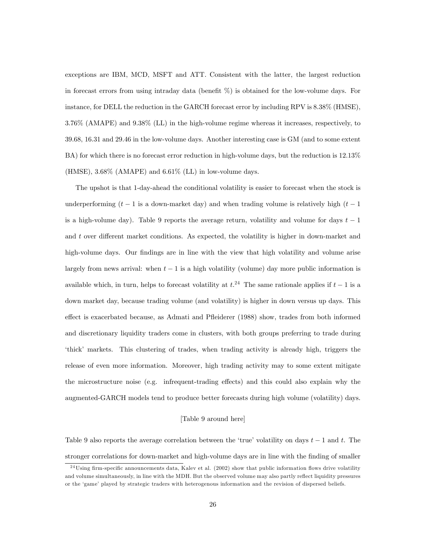exceptions are IBM, MCD, MSFT and ATT. Consistent with the latter, the largest reduction in forecast errors from using intraday data (benefit  $\%$ ) is obtained for the low-volume days. For instance, for DELL the reduction in the GARCH forecast error by including RPV is 8.38% (HMSE), 3.76% (AMAPE) and 9.38% (LL) in the high-volume regime whereas it increases, respectively, to 39.68, 16.31 and 29.46 in the low-volume days. Another interesting case is GM (and to some extent BA) for which there is no forecast error reduction in high-volume days, but the reduction is 12.13%  $(HMSE)$ ,  $3.68\%$  (AMAPE) and  $6.61\%$  (LL) in low-volume days.

The upshot is that 1-day-ahead the conditional volatility is easier to forecast when the stock is underperforming  $(t - 1)$  is a down-market day) and when trading volume is relatively high  $(t - 1)$ is a high-volume day). Table 9 reports the average return, volatility and volume for days  $t-1$ and  $t$  over different market conditions. As expected, the volatility is higher in down-market and high-volume days. Our findings are in line with the view that high volatility and volume arise largely from news arrival: when  $t - 1$  is a high volatility (volume) day more public information is available which, in turn, helps to forecast volatility at  $t^{24}$ . The same rationale applies if  $t-1$  is a down market day, because trading volume (and volatility) is higher in down versus up days. This effect is exacerbated because, as Admati and Pfleiderer (1988) show, trades from both informed and discretionary liquidity traders come in clusters, with both groups preferring to trade during ëthickí markets. This clustering of trades, when trading activity is already high, triggers the release of even more information. Moreover, high trading activity may to some extent mitigate the microstructure noise (e.g. infrequent-trading effects) and this could also explain why the augmented-GARCH models tend to produce better forecasts during high volume (volatility) days.

#### [Table 9 around here]

Table 9 also reports the average correlation between the 'true' volatility on days  $t - 1$  and t. The stronger correlations for down-market and high-volume days are in line with the finding of smaller

 $^{24}$ Using firm-specific announcements data, Kalev et al. (2002) show that public information flows drive volatility and volume simultaneously, in line with the MDH. But the observed volume may also partly reflect liquidity pressures or the 'game' played by strategic traders with heterogenous information and the revision of dispersed beliefs.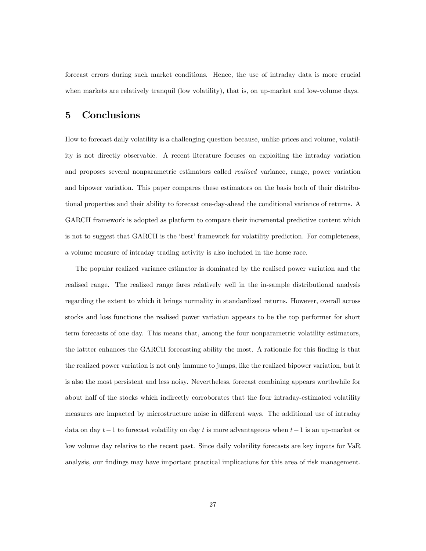forecast errors during such market conditions. Hence, the use of intraday data is more crucial when markets are relatively tranquil (low volatility), that is, on up-market and low-volume days.

# 5 Conclusions

How to forecast daily volatility is a challenging question because, unlike prices and volume, volatility is not directly observable. A recent literature focuses on exploiting the intraday variation and proposes several nonparametric estimators called realised variance, range, power variation and bipower variation. This paper compares these estimators on the basis both of their distributional properties and their ability to forecast one-day-ahead the conditional variance of returns. A GARCH framework is adopted as platform to compare their incremental predictive content which is not to suggest that GARCH is the 'best' framework for volatility prediction. For completeness, a volume measure of intraday trading activity is also included in the horse race.

The popular realized variance estimator is dominated by the realised power variation and the realised range. The realized range fares relatively well in the in-sample distributional analysis regarding the extent to which it brings normality in standardized returns. However, overall across stocks and loss functions the realised power variation appears to be the top performer for short term forecasts of one day. This means that, among the four nonparametric volatility estimators, the lattter enhances the GARCH forecasting ability the most. A rationale for this finding is that the realized power variation is not only immune to jumps, like the realized bipower variation, but it is also the most persistent and less noisy. Nevertheless, forecast combining appears worthwhile for about half of the stocks which indirectly corroborates that the four intraday-estimated volatility measures are impacted by microstructure noise in different ways. The additional use of intraday data on day  $t-1$  to forecast volatility on day t is more advantageous when  $t-1$  is an up-market or low volume day relative to the recent past. Since daily volatility forecasts are key inputs for VaR analysis, our findings may have important practical implications for this area of risk management.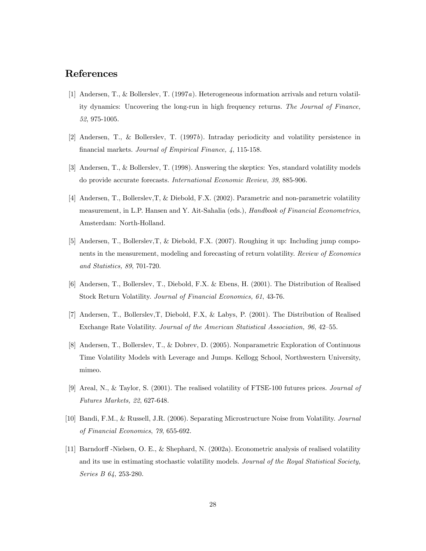# References

- [1] Andersen, T., & Bollerslev, T. (1997a). Heterogeneous information arrivals and return volatility dynamics: Uncovering the long-run in high frequency returns. The Journal of Finance, 52, 975-1005.
- [2] Andersen, T., & Bollerslev, T. (1997b). Intraday periodicity and volatility persistence in financial markets. Journal of Empirical Finance, 4, 115-158.
- [3] Andersen, T., & Bollerslev, T. (1998). Answering the skeptics: Yes, standard volatility models do provide accurate forecasts. International Economic Review, 39, 885-906.
- [4] Andersen, T., Bollerslev,T, & Diebold, F.X. (2002). Parametric and non-parametric volatility measurement, in L.P. Hansen and Y. Ait-Sahalia (eds.), Handbook of Financial Econometrics, Amsterdam: North-Holland.
- [5] Andersen, T., Bollerslev,T, & Diebold, F.X. (2007). Roughing it up: Including jump components in the measurement, modeling and forecasting of return volatility. Review of Economics and Statistics, 89, 701-720.
- [6] Andersen, T., Bollerslev, T., Diebold, F.X. & Ebens, H. (2001). The Distribution of Realised Stock Return Volatility. Journal of Financial Economics, 61, 43-76.
- [7] Andersen, T., Bollerslev,T, Diebold, F.X, & Labys, P. (2001). The Distribution of Realised Exchange Rate Volatility. Journal of the American Statistical Association, 96, 42–55.
- [8] Andersen, T., Bollerslev, T., & Dobrev, D. (2005). Nonparametric Exploration of Continuous Time Volatility Models with Leverage and Jumps. Kellogg School, Northwestern University, mimeo.
- [9] Areal, N., & Taylor, S. (2001). The realised volatility of FTSE-100 futures prices. Journal of Futures Markets, 22, 627-648.
- [10] Bandi, F.M., & Russell, J.R. (2006). Separating Microstructure Noise from Volatility. Journal of Financial Economics, 79, 655-692.
- [11] Barndorff -Nielsen, O. E., & Shephard, N. (2002a). Econometric analysis of realised volatility and its use in estimating stochastic volatility models. Journal of the Royal Statistical Society, Series B 64, 253-280.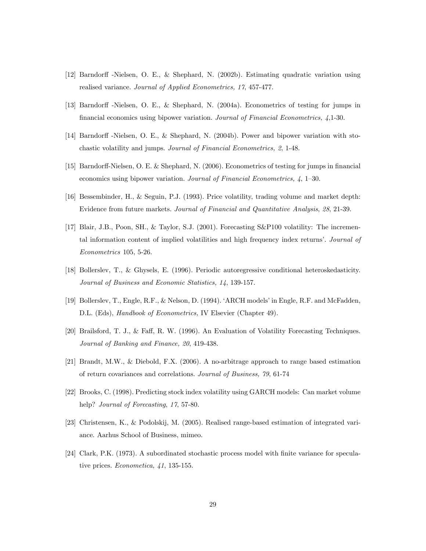- [12] Barndorff -Nielsen, O. E., & Shephard, N. (2002b). Estimating quadratic variation using realised variance. Journal of Applied Econometrics, 17, 457-477.
- [13] Barndorff -Nielsen, O. E., & Shephard, N. (2004a). Econometrics of testing for jumps in financial economics using bipower variation. Journal of Financial Econometrics,  $\ddot{4}$ , 1-30.
- [14] Barndorff -Nielsen, O. E., & Shephard, N. (2004b). Power and bipower variation with stochastic volatility and jumps. Journal of Financial Econometrics, 2, 1-48.
- [15] Barndorff-Nielsen, O. E. & Shephard, N. (2006). Econometrics of testing for jumps in financial economics using bipower variation. Journal of Financial Econometrics,  $\lambda$ , 1–30.
- [16] Bessembinder, H., & Seguin, P.J. (1993). Price volatility, trading volume and market depth: Evidence from future markets. Journal of Financial and Quantitative Analysis, 28, 21-39.
- [17] Blair, J.B., Poon, SH., & Taylor, S.J. (2001). Forecasting S&P100 volatility: The incremental information content of implied volatilities and high frequency index returns'. Journal of Econometrics 105, 5-26.
- [18] Bollerslev, T., & Ghysels, E. (1996). Periodic autoregressive conditional heteroskedasticity. Journal of Business and Economic Statistics, 14, 139-157.
- [19] Bollerslev, T., Engle, R.F., & Nelson, D. (1994). ëARCH modelsíin Engle, R.F. and McFadden, D.L. (Eds), *Handbook of Econometrics*, IV Elsevier (Chapter 49).
- [20] Brailsford, T. J., & Faff, R. W. (1996). An Evaluation of Volatility Forecasting Techniques. Journal of Banking and Finance, 20, 419-438.
- [21] Brandt, M.W., & Diebold, F.X. (2006). A no-arbitrage approach to range based estimation of return covariances and correlations. Journal of Business, 79, 61-74
- [22] Brooks, C. (1998). Predicting stock index volatility using GARCH models: Can market volume help? *Journal of Forecasting*, 17, 57-80.
- [23] Christensen, K., & Podolskij, M. (2005). Realised range-based estimation of integrated variance. Aarhus School of Business, mimeo.
- [24] Clark, P.K. (1973). A subordinated stochastic process model with Önite variance for speculative prices. Econometica, 41, 135-155.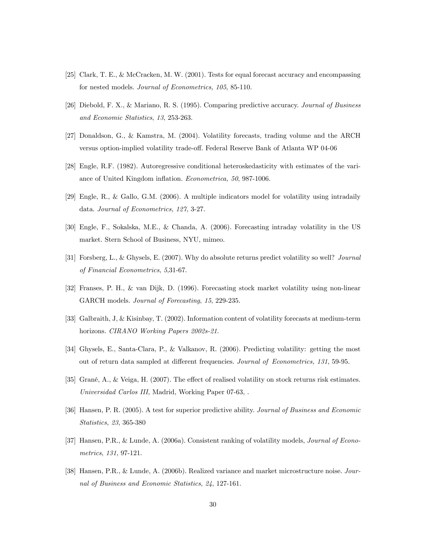- [25] Clark, T. E., & McCracken, M. W. (2001). Tests for equal forecast accuracy and encompassing for nested models. Journal of Econometrics, 105, 85-110.
- [26] Diebold, F. X., & Mariano, R. S. (1995). Comparing predictive accuracy. Journal of Business and Economic Statistics, 13, 253-263.
- [27] Donaldson, G., & Kamstra, M. (2004). Volatility forecasts, trading volume and the ARCH versus option-implied volatility trade-off. Federal Reserve Bank of Atlanta WP 04-06
- [28] Engle, R.F. (1982). Autoregressive conditional heteroskedasticity with estimates of the variance of United Kingdom inflation. Econometrica, 50, 987-1006.
- [29] Engle, R., & Gallo, G.M. (2006). A multiple indicators model for volatility using intradaily data. Journal of Econometrics, 127, 3-27.
- [30] Engle, F., Sokalska, M.E., & Chanda, A. (2006). Forecasting intraday volatility in the US market. Stern School of Business, NYU, mimeo.
- [31] Forsberg, L., & Ghysels, E. (2007). Why do absolute returns predict volatility so well? Journal of Financial Econometrics, 5,31-67.
- [32] Franses, P. H., & van Dijk, D. (1996). Forecasting stock market volatility using non-linear GARCH models. Journal of Forecasting, 15, 229-235.
- [33] Galbraith, J, & Kisinbay, T. (2002). Information content of volatility forecasts at medium-term horizons. CIRANO Working Papers 2002s-21.
- [34] Ghysels, E., Santa-Clara, P., & Valkanov, R. (2006). Predicting volatility: getting the most out of return data sampled at different frequencies. Journal of Econometrics, 131, 59-95.
- [35] Grané, A., & Veiga, H. (2007). The effect of realised volatility on stock returns risk estimates. Universidad Carlos III, Madrid, Working Paper 07-63, .
- [36] Hansen, P. R. (2005). A test for superior predictive ability. Journal of Business and Economic Statistics, 23, 365-380
- [37] Hansen, P.R., & Lunde, A. (2006a). Consistent ranking of volatility models, Journal of Econometrics, 131, 97-121.
- [38] Hansen, P.R., & Lunde, A. (2006b). Realized variance and market microstructure noise. Journal of Business and Economic Statistics, 24, 127-161.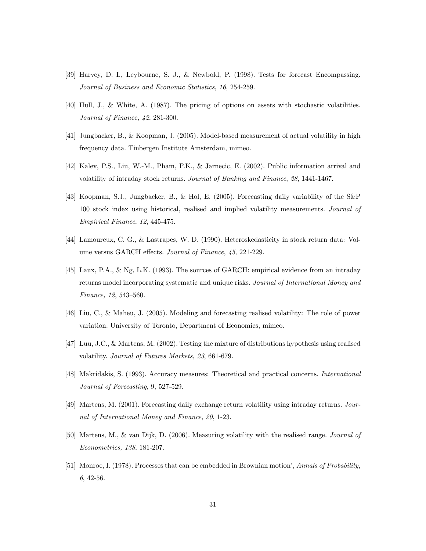- [39] Harvey, D. I., Leybourne, S. J., & Newbold, P. (1998). Tests for forecast Encompassing. Journal of Business and Economic Statistics, 16, 254-259.
- [40] Hull, J., & White, A. (1987). The pricing of options on assets with stochastic volatilities. Journal of Finance, 42, 281-300.
- [41] Jungbacker, B., & Koopman, J. (2005). Model-based measurement of actual volatility in high frequency data. Tinbergen Institute Amsterdam, mimeo.
- [42] Kalev, P.S., Liu, W.-M., Pham, P.K., & Jarnecic, E. (2002). Public information arrival and volatility of intraday stock returns. Journal of Banking and Finance, 28, 1441-1467.
- [43] Koopman, S.J., Jungbacker, B., & Hol, E. (2005). Forecasting daily variability of the S&P 100 stock index using historical, realised and implied volatility measurements. Journal of Empirical Finance, 12, 445-475.
- [44] Lamoureux, C. G., & Lastrapes, W. D. (1990). Heteroskedasticity in stock return data: Volume versus GARCH effects. Journal of Finance, 45, 221-229.
- [45] Laux, P.A., & Ng, L.K. (1993). The sources of GARCH: empirical evidence from an intraday returns model incorporating systematic and unique risks. Journal of International Money and Finance,  $12, 543-560$ .
- [46] Liu, C., & Maheu, J. (2005). Modeling and forecasting realised volatility: The role of power variation. University of Toronto, Department of Economics, mimeo.
- [47] Luu, J.C., & Martens, M. (2002). Testing the mixture of distributions hypothesis using realised volatility. Journal of Futures Markets, 23, 661-679.
- [48] Makridakis, S. (1993). Accuracy measures: Theoretical and practical concerns. International Journal of Forecasting, 9, 527-529.
- [49] Martens, M. (2001). Forecasting daily exchange return volatility using intraday returns. Journal of International Money and Finance, 20, 1-23.
- [50] Martens, M., & van Dijk, D. (2006). Measuring volatility with the realised range. Journal of Econometrics, 138, 181-207.
- [51] Monroe, I. (1978). Processes that can be embedded in Brownian motion', Annals of Probability, 6, 42-56.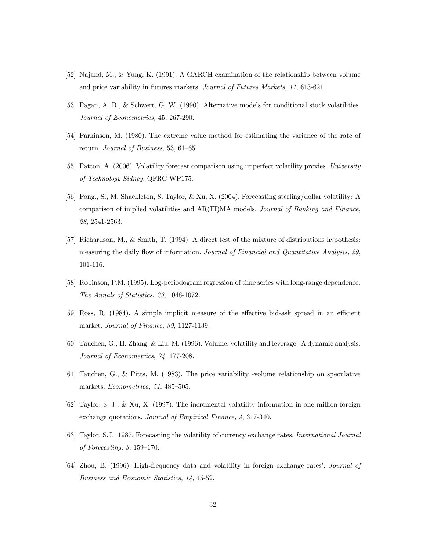- [52] Najand, M., & Yung, K. (1991). A GARCH examination of the relationship between volume and price variability in futures markets. Journal of Futures Markets, 11, 613-621.
- [53] Pagan, A. R., & Schwert, G. W. (1990). Alternative models for conditional stock volatilities. Journal of Econometrics, 45, 267-290.
- [54] Parkinson, M. (1980). The extreme value method for estimating the variance of the rate of return. Journal of Business, 53, 61-65.
- [55] Patton, A. (2006). Volatility forecast comparison using imperfect volatility proxies. University of Technology Sidney, QFRC WP175.
- [56] Pong., S., M. Shackleton, S. Taylor, & Xu, X. (2004). Forecasting sterling/dollar volatility: A comparison of implied volatilities and AR(FI)MA models. Journal of Banking and Finance, 28, 2541-2563.
- [57] Richardson, M., & Smith, T. (1994). A direct test of the mixture of distributions hypothesis: measuring the daily flow of information. Journal of Financial and Quantitative Analysis, 29, 101-116.
- [58] Robinson, P.M. (1995). Log-periodogram regression of time series with long-range dependence. The Annals of Statistics, 23, 1048-1072.
- [59] Ross, R. (1984). A simple implicit measure of the effective bid-ask spread in an efficient market. Journal of Finance, 39, 1127-1139.
- [60] Tauchen, G., H. Zhang, & Liu, M. (1996). Volume, volatility and leverage: A dynamic analysis. Journal of Econometrics, 74, 177-208.
- [61] Tauchen, G., & Pitts, M. (1983). The price variability -volume relationship on speculative markets. Econometrica, 51, 485-505.
- [62] Taylor, S. J., & Xu, X. (1997). The incremental volatility information in one million foreign exchange quotations. Journal of Empirical Finance, 4, 317-340.
- [63] Taylor, S.J., 1987. Forecasting the volatility of currency exchange rates. International Journal of Forecasting,  $3, 159-170$ .
- [64] Zhou, B. (1996). High-frequency data and volatility in foreign exchange rates'. Journal of Business and Economic Statistics, 14, 45-52.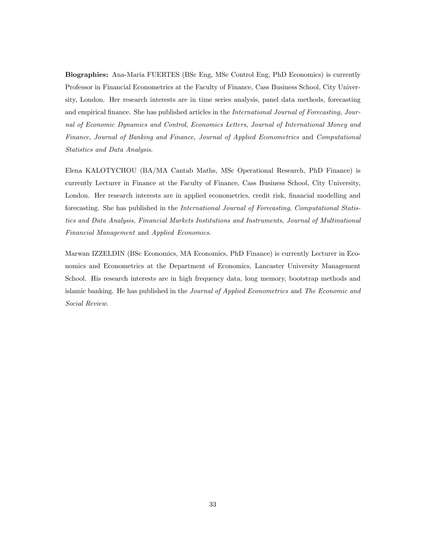Biographies: Ana-Maria FUERTES (BSc Eng, MSc Control Eng, PhD Economics) is currently Professor in Financial Econometrics at the Faculty of Finance, Cass Business School, City University, London. Her research interests are in time series analysis, panel data methods, forecasting and empirical finance. She has published articles in the International Journal of Forecasting, Journal of Economic Dynamics and Control, Economics Letters, Journal of International Money and Finance, Journal of Banking and Finance, Journal of Applied Econometrics and Computational Statistics and Data Analysis.

Elena KALOTYCHOU (BA/MA Cantab Maths, MSc Operational Research, PhD Finance) is currently Lecturer in Finance at the Faculty of Finance, Cass Business School, City University, London. Her research interests are in applied econometrics, credit risk, financial modelling and forecasting. She has published in the International Journal of Forecasting, Computational Statistics and Data Analysis, Financial Markets Institutions and Instruments, Journal of Multinational Financial Management and Applied Economics.

Marwan IZZELDIN (BSc Economics, MA Economics, PhD Finance) is currently Lecturer in Economics and Econometrics at the Department of Economics, Lancaster University Management School. His research interests are in high frequency data, long memory, bootstrap methods and islamic banking. He has published in the *Journal of Applied Econometrics* and *The Economic and* Social Review.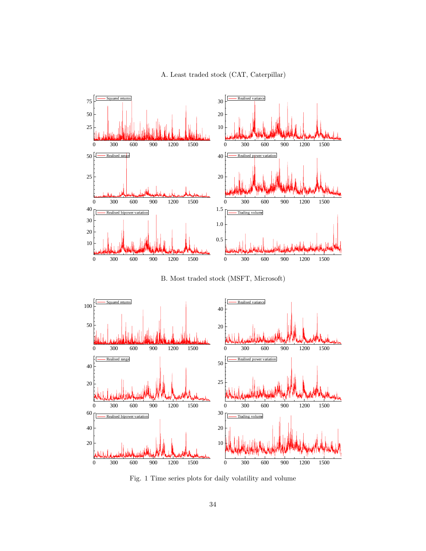



B. Most traded stock (MSFT, Microsoft)



Fig. 1 Time series plots for daily volatility and volume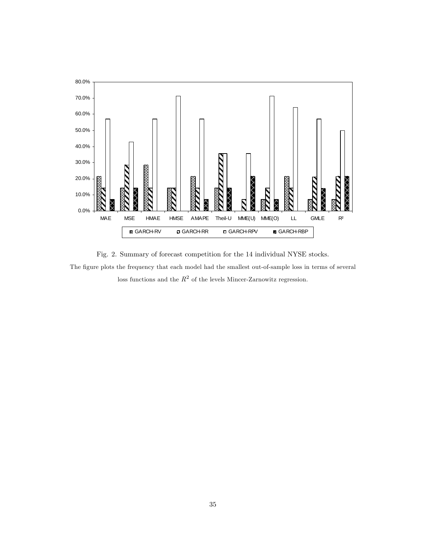

Fig. 2. Summary of forecast competition for the 14 individual NYSE stocks. The figure plots the frequency that each model had the smallest out-of-sample loss in terms of several loss functions and the  $R^2$  of the levels Mincer-Zarnowitz regression.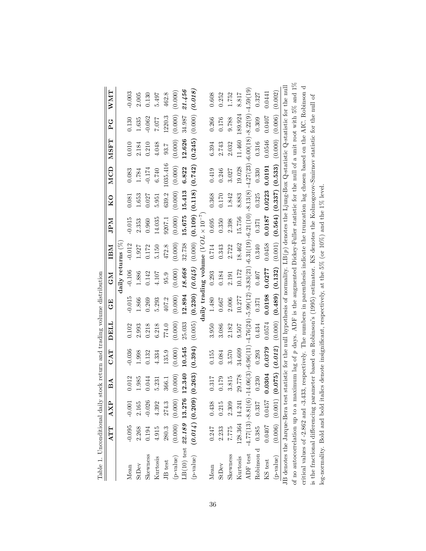|                                                                                                                                                  | ATT            | <b>AXP</b> | BA                     | CAT                                                                                                                                                                        | DELL<br>p | 田<br>じ                                                                                                                         | <b>NO</b>          | IBM      | <b>Ndr</b> | KO                         | MCD                                                                   | NSFT    | U<br>A         | <b>NNA</b> T |
|--------------------------------------------------------------------------------------------------------------------------------------------------|----------------|------------|------------------------|----------------------------------------------------------------------------------------------------------------------------------------------------------------------------|-----------|--------------------------------------------------------------------------------------------------------------------------------|--------------------|----------|------------|----------------------------|-----------------------------------------------------------------------|---------|----------------|--------------|
|                                                                                                                                                  |                |            |                        |                                                                                                                                                                            |           |                                                                                                                                | daily returns $\%$ |          |            |                            |                                                                       |         |                |              |
| Mean                                                                                                                                             | $-0.095$       | $-0.001$   | 0.012                  | $-0.036$                                                                                                                                                                   | 0.102     | $-0.015$                                                                                                                       | $-0.106$           | $-0.012$ | $-0.015$   | 0.081                      | 0.083                                                                 | 0.010   | 0.130          | $-0.003$     |
| <b>StDev</b>                                                                                                                                     | 2.268          | 2.165      | 1.985                  | 1.998                                                                                                                                                                      | 2.993     | 1.866                                                                                                                          | 1.886              | 1.927    | 2.353      | 1.653                      | 1.784                                                                 | 2.184   | 1.635          | 2.005        |
| Skewness                                                                                                                                         | 0.194          | $-0.026$   | 0.044                  | 0.132                                                                                                                                                                      | 0.218     | 0.269                                                                                                                          | 0.142              | 0.172    | 0.960      | 0.027                      | $-0.174$                                                              | 0.210   | $-0.062$       | 0.130        |
| Kurtosis                                                                                                                                         | 4.915          | 4.392      | 5.231                  | 4.334                                                                                                                                                                      | 6.218     | 5.293                                                                                                                          | 4.107              | 5.150    | 14.035     | 5.951                      | 6.740                                                                 | 4.048   | 7.077          | 5.497        |
| JB test                                                                                                                                          | 280.3          | 274.3      | 366.1                  | 135.9                                                                                                                                                                      | 774.0     | 407.2                                                                                                                          | 95.9               | 472.8    | 9207.1     | 639.2                      | 1035.416                                                              | 93.7    | 1220.3         | 462.8        |
| (p-value)                                                                                                                                        |                |            |                        | (0.000)                                                                                                                                                                    | (0.000)   | (0.000)                                                                                                                        | (0.000)            | (0.000)  | (0.000)    | (0.000)                    | (0.000)                                                               | (0.000) | (0.000)        | (0.000)      |
| $LB(10)$ test 22.189 13.276 1                                                                                                                    |                |            | 2.340                  | 10.545                                                                                                                                                                     | 25.033    | 12.894                                                                                                                         | 18.668             | 32.738   | 15.675     | 15.413                     | 6.822                                                                 | 12.626  | 34.987         | 21.456       |
| (p-value)                                                                                                                                        |                |            | (0.014)(0.209)(0.263)  | (0.394)                                                                                                                                                                    | (0.005)   |                                                                                                                                |                    |          |            |                            | $(0.230)$ $(0.045)$ $(0.109)$ $(0.118)$ $(0.742)$ $(0.245)$ $(0.000)$ |         |                | (0.018)      |
|                                                                                                                                                  |                |            |                        |                                                                                                                                                                            |           | $\text{daily trading volume}$ ( $VOL \times 10^{-7}$ )                                                                         |                    |          |            |                            |                                                                       |         |                |              |
| Mean                                                                                                                                             | 0.247          | 0.438      | 0.317                  | 0.155                                                                                                                                                                      | 3.950     | 1.480                                                                                                                          | 0.293              | 0.714    | 0.695      | 0.368                      | 0.419                                                                 | 6.394   | 0.266          | 0.608        |
| <b>StDev</b>                                                                                                                                     | 2.233          | 0.215      | 0.179                  | 0.084                                                                                                                                                                      | 3.086     | 1990                                                                                                                           | $0.184\,$          | 0.343    | 0.350      | 0.170                      | 0.246                                                                 | 2.743   | 0.176          | 0.252        |
| Skewness                                                                                                                                         | 7.775          | 2.309      | 3.815                  | 3.570                                                                                                                                                                      | 2.182     | 2.006                                                                                                                          | 2.191              | 2.722    | 2.398      | 1.842                      | 3.027                                                                 | 2.032   | 9.788          | 1.752        |
| Kurtosis                                                                                                                                         | 128.364 14.241 |            | 29.778                 | 34.609                                                                                                                                                                     | 9.507     | 10.277                                                                                                                         | 10.172             | 18.462   | 15.756     | 8.883                      | 19.028                                                                |         | 11.460 189.924 | 8.817        |
| ADF test                                                                                                                                         |                |            |                        | $-4.77(13) -8.81(6) -14.06(3) -6.96(11)$                                                                                                                                   |           | $-4.76(24)$ - $5.99(12)$ - $3.83(21)$ - $6.31(21)$ - $6.21(10)$ - $8.13(8)$ - $4.27(23)$ - $6.00(18)$ - $8.22(9)$ - $4.59(19)$ |                    |          |            |                            |                                                                       |         |                |              |
| Robinson d 0.385 0.337                                                                                                                           |                |            | 0.230                  | 0.293                                                                                                                                                                      | 0.434     | 0.371                                                                                                                          | 0.407              | 0.340    | 0.371      | 0.325                      | 0.330                                                                 | 0.316   | 0.309          | 0.327        |
| KS test                                                                                                                                          |                |            | $0.0407$ 0.0457 0.0304 | 0.0379                                                                                                                                                                     | 0.0574    | 0.0198                                                                                                                         | 0.0277             | 0.0458   |            | $0.0187$ $0.0223$ $0.0191$ |                                                                       | 0.0546  | 1070.0         | 0.0441       |
| (p-value)                                                                                                                                        |                |            |                        | $(0.012)$ $(0.006)$ $(0.075)$ $(0.375)$ $(0.327)$ $(0.078)$ $(0.3737)$ $(0.072)$ $(0.000)$ $(0.072)$ $(0.072)$ $(0.072)$ $(0.000)$ $(0.000)$ $(0.000)$ $(0.000)$ $(0.000)$ |           |                                                                                                                                |                    |          |            |                            |                                                                       |         |                |              |
| JB denotes the Jarque-Bera test statistic for the null hypothesis of normality. LB(p) denotes the Ljung-Box Q-statistic Q-statistic for the null |                |            |                        |                                                                                                                                                                            |           |                                                                                                                                |                    |          |            |                            |                                                                       |         |                |              |
| of no autocorrelation up to a maximum lag of p days. ADF is the augmented Dickey-Fuller statistic for the null of a unit root with 5% and 1%     |                |            |                        |                                                                                                                                                                            |           |                                                                                                                                |                    |          |            |                            |                                                                       |         |                |              |
| critical values of -2.862 and -3.433, respectively. The numbers in parenthesis indicate the truncation lag chosen based on the AIC. Robinson d   |                |            |                        |                                                                                                                                                                            |           |                                                                                                                                |                    |          |            |                            |                                                                       |         |                |              |
| is the fractional differencing parameter based on Robinson's (1995) estimator. KS denotes the Kolmogorov-Smirnov statistic for the null of       |                |            |                        |                                                                                                                                                                            |           |                                                                                                                                |                    |          |            |                            |                                                                       |         |                |              |
| log-normality. Bold and bold italics denote insignificant, respectively, at the 5% (or 10%) and the 1% level.                                    |                |            |                        |                                                                                                                                                                            |           |                                                                                                                                |                    |          |            |                            |                                                                       |         |                |              |

| l                                      |  |
|----------------------------------------|--|
| l                                      |  |
| )<br>ı                                 |  |
|                                        |  |
| and the section of the contract of the |  |
|                                        |  |
| j<br>l                                 |  |
| i                                      |  |
| l<br>l<br>ı<br>ׇ֘֝֬֝<br>.<br>E<br>l    |  |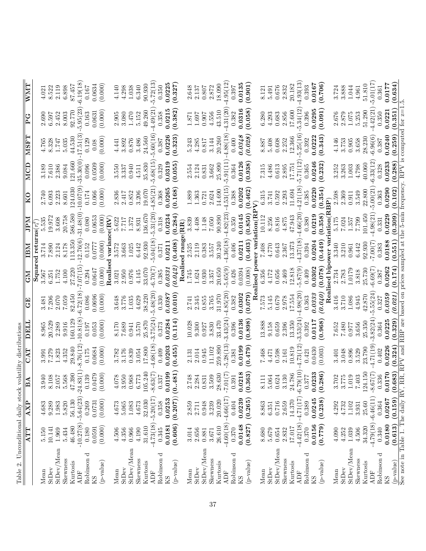| Table 2. Unconditional daily stock volatility distributions |             |                        |              |               |             |                                                                                  |              |                                    |                       |                       |             |             |                |                         |
|-------------------------------------------------------------|-------------|------------------------|--------------|---------------|-------------|----------------------------------------------------------------------------------|--------------|------------------------------------|-----------------------|-----------------------|-------------|-------------|----------------|-------------------------|
|                                                             | <b>ATT</b>  | $\overline{AXP}$       | $\mathbb{E}$ | CAT           | DELI        | E                                                                                | <b>CM</b>    | IBM                                | $\overline{\text{M}}$ | $\overline{\text{K}}$ | MCD         | <b>MSFT</b> | $\overline{P}$ | $\overline{\text{WMT}}$ |
| Mean                                                        | 5.150       | 4.683                  | 3.940        | 3.991         | 8.965       | 3.481                                                                            | 3.567        | Squared returns $(r_t^2)$<br>3.714 | 5.535                 | 2.740                 | 3.189       | 4.765       | 2.690          | 4.021                   |
| <b>StDev</b>                                                | 10.141      | 9.289                  | 8.108        | 7.279         | 20.529      | 7.206                                                                            | 6.251        | 7.890                              | 19.972                | 6.093                 | $7.610\,$   | 8.328       | 6.597          | 8.522                   |
| StDev/Mean                                                  | 1.969       | 1.983                  | 2.057        | 1.823         | 2.289       | 2.070                                                                            | 1.752        | 2.124                              | 3.608                 | 2.223                 | 2.386       | 1.747       | 2.452          | 2.119                   |
| Skewness                                                    | 5.434       | 5.820                  | 5.568        | 4.352         | 9.916       | 7.059                                                                            | 4.100        | 8.178                              | 20.758                | 8.601                 | 9.084       | 5.035       | 8.003          | 6.898                   |
| Kurtosis                                                    | 46.480      | 56.130                 | 47.390       | 29.840        | 160.129     | 82.450                                                                           | 27.220       | 113.350                            | 586.580               | 124.030               | 121.660     | 44.530      | 92.770         | 87.457                  |
| <b>ADF</b>                                                  | $-10.27(8)$ | $-5.64(23) - 24.83(1)$ |              | 8.76(12)      | $-10.81(8)$ | 6.72(18)                                                                         | (51)20.      | 12.76(6)                           | 31.48(0)              | $-10.07(9)$           | 35.30(0)    | 17.51(3)    | 5.95(23)       | 6.19(18)                |
| Robinson d                                                  | 0.180       | 0.269                  | 0.139        | 0.175         | 0.197       | 0.086                                                                            | 0.294        | 0.152                              | 0.080                 | 0.174                 | 0.096       | 0.129       | 0.163          | 0.167                   |
| KS                                                          | 0.0591      | 0.0731                 | 0.0479       | 0.0684        | 0.053       | 0.0696                                                                           | 0.0647       | 0.0777                             | 0.0653                | 0.066                 | 0.0509      | 0.08        | 0.0631         | 0.0634                  |
| (p-value)                                                   | (0.000)     | (0.000)                | (0.000)      | (0.000)       | (0.000)     | (0.000)                                                                          | (0.000)      | (0.000)                            | (0.000)               | (0.000)               | (0.000)     | (0.000)     | (0.000)        | (0.000)                 |
|                                                             |             |                        |              |               |             |                                                                                  | Realis       | varial                             | $e({\bf RV})$         |                       |             |             |                |                         |
| Mean                                                        | 4.506       | 4.673                  | 4.078        | 3.782         | 8.170       | 3.648                                                                            | 3.021        | 3.572                              | 5.622                 | 2.836                 | 3.550       | 4.441       | 2.905          | 4.140                   |
| StDev                                                       | 4.356       | $5.065\,$              | 3.950        | 3.176         | $7.689\,$   | 3.776                                                                            | 2.950        | 3.663                              | $7.717$               | 2.417                 | 3.337       | 3.892       | 3.080          | 4.298                   |
| StDev/Mean                                                  | 0.966       | 1.083                  | 0.968        | 0.839         | 0.941       | 1.035                                                                            | 0.976        | 1.025                              | 1.372                 | 0.852                 | 0.940       | 0.876       | 1.470          | 1.038                   |
| Skewness                                                    | 4.190       | 4.673                  | 6.773        | 3.054         | 3.570       | 4.629                                                                            | 4.145        | 6.442                              | 8.931                 | 3.206                 | 4.511       | 3.486       | 5.152          | 6.340                   |
| Kurtosis                                                    | 31.610      | 32.030                 | 105.240      | 17.800        | 25.870      | 38.220                                                                           | 33.070       | 92.930                             | 136.670               | 19.070                | 35.830      | 24.560      | 49.260         | 90.930                  |
| <b>ADF</b>                                                  | $-4.73(18)$ | $-5.20(17)$            | $-8.63(7)$   | 4.68(18)      | $-3.75(24)$ | 5.48(20)                                                                         | (7)01.9      | 5.04(18)                           | 5.31(20)              | 4.85(21               | 5.68(15)    | 5.60(16)    | 4.49(21)       | 5.72(13)                |
| Robinson d                                                  | 0.345       | 0.358                  | 0.337        | 0.409         | 0.373       | 0.330                                                                            | 0.385        | 0.371                              | $0.318\,$             | 0.368                 | 0.329       | 0.387       | 0.358          | 0.350                   |
| KS                                                          | 0.0181      | 0.0253                 | 0.0199       | 0.0203        | 0.0284      | 0.0387                                                                           | 0.0331       | 0.0211                             | 0.0234                | 0.0265                | 0.0319      | 0.0226      | 0.0215         | 0.0225                  |
| (p-value)                                                   | (0.606)     | $(0.207)$ $(0.481)$    |              | (0.455)       | (0.114)     | (0.010)                                                                          | (0.042)      | (0.408)                            | (0.284)               | (0.168)               | (0.055)     | (0.323)     | (0.382)        | (0.327)                 |
|                                                             |             |                        |              |               |             |                                                                                  | Reali        | sed rang                           | $\epsilon$ (RR)       |                       |             |             |                |                         |
| Mean                                                        | 3.014       | 2.859                  | 2.748        | 2.131         | 10.028      | 2.741                                                                            | 1.745        | 2.525                              | 3.839                 | 1.889                 | 2.554       | 5.243       | $1.871\,$      | 2.648                   |
| StDev                                                       | 2.656       | 2.711                  | 2.284        | 2.014         | 9.300       | 2.345                                                                            | 1.624        | 2.119                              | $4.408$               | 1.363                 | 2.124       | 4.285       | 1.697          | 2.137                   |
| StDev/Mean                                                  | 0.881       | 0.948                  | 0.831        | 0.945         | 0.927       | 0.855                                                                            | 0.930        | 0.383                              |                       | 0.721                 | 0.831       | 0.817       | 0.907          | 0.807                   |
| Skewness                                                    | 3.671       | 3.239                  | 3.509        | 11.102        | $\!3.830$   | 3.765                                                                            | 3.357        | 3.557                              | $1.148$<br>7.050      | 2.624                 | 3.662       | 3.144       | 4.556          | 2.872                   |
| Kurtosis                                                    | 26.610      | 20.020                 | 28.630       | 259.890       | 33.470      | 31.970                                                                           | 20.650       | 30.240                             | 90.890                | 14.690                | 25.890      | 20.260      | 43.510         | 18.090                  |
| ADF                                                         | $-4.60(18)$ | $-4.66(17)$            | 7.01(7)      | 5.28(13)      | $-3.43(24)$ | 4.85(20)                                                                         | 5.65(9)      | 4.36(18)                           | 4.82(23)              | 4.53(15)              | 5.91(11)    | 4.88(18)    | 4.31(20)       | 4.95(12)                |
| Robinson d                                                  | 0.370       | 0.404                  | 0.391        | 0.381         | 0.396       | 0.382                                                                            | 0.426        | 0.406                              | 0.350                 | 0.388                 | 0.364       | 0.400       | 0.382          | 0.397                   |
| KS                                                          | 0.0148      | 0.0239                 | 0.218        | 0.0199        | 0.0136      | 0.0302                                                                           | 0.0394       | 0.0211                             | 0.0145                | 0.0202                | 0.0126      | 0.0348      | 0.0316         | 0.0135                  |
| (p-value)                                                   | (0.827)     | (0.265)                | (0.363)      | (0.479)       | (0.898)     | (0.079)                                                                          | (0.008)      | (0.403)                            | (0.850)               | (0.462)               | (0.938)     | (0.028)     | (0.058)        | (0.901)                 |
|                                                             |             |                        |              |               |             | Rea                                                                              | ised po      | ver vari                           | ation(R               | $\sum_{i=1}^{n}$      |             |             |                |                         |
| Mean                                                        | 8.680       | 8.863                  | 8.111        | 7.468         | 13.888      | 7.573                                                                            | 6.356        | 7.408                              | 10.112                | 6.315                 | 7.315       | 8.887       | 6.280          | 8.121                   |
| <b>StDev</b>                                                | 5.679       | 6.351                  | 5.064        | 4.471         | 9.158       | 5.145                                                                            | 4.172        | 4.770                              | 8.256                 | 3.741                 | 4.486       | 5.408       | 4.293          | 5.491                   |
| StDev/Mean                                                  | $\rm 0.654$ | 0.716                  | 0.624        | 0.598         | 0.659       | 0.679                                                                            | 0.656        | 0.643                              |                       | 0.592                 | $\,0.613\,$ | 0.608       | 0.683          | 0.676                   |
| Skewness                                                    | 2.832       | 2.659                  | 3.130        | 2.161         | 2.396       | 2.978                                                                            | 2.469        | 2.367                              | $\frac{0.816}{4.875}$ | 2.293                 | 2.895       | 2.252       | 2.856          | 2.832                   |
| Kurtosis                                                    | 17.017      | 14.370                 | 24.786       | 10.819        | 13.350      | 17.554                                                                           | 12.818       | 13.373                             | 47.943                | 11.694                | 17.751      | 12.366      | 17.600         | 20.182                  |
| <b>ADF</b>                                                  | $-4.42(18)$ | $-4.71(17)$            | $-6.79(10)$  | 4.73(12)      | $-3.53(24)$ | 4.98(20)                                                                         | .5.87(9)     | 4.37(18)                           | 4.66(20)              | 4.21(18)              | 5.71(12)    | 5.25(16)    | 5.34(12)       | 4.93(13)                |
| Robinson d                                                  | 0.370       | 0.389                  | 0.377        | 0.421         | 0.392       | 0.363                                                                            | 0.409        | 0.394                              | 0.380                 | 0.385                 | 0.365       | 0.392       | 0.396          | 0.393                   |
| KS                                                          | 0.0156      | 0.0245                 | 0.0233       | 0.0430        | 0.0117      | 0.0333                                                                           | 0.0302       | 0.0204                             | 0.0219                | 0.0220                | 0.0246      | 0.0222      | 0.0295         | 0.0167                  |
| (p-value)                                                   | (0.779)     | (0.238)                | 0.286)       | (0.003)       | (0.968)     | (0.040)                                                                          | (0.078)      | (0.449)                            | (0.358)               | (0.354)               | (0.232)     | (0.343)     | (0.091)        | (0.706)                 |
|                                                             |             |                        |              |               |             |                                                                                  | Realised bip | ower var                           | iation(RBP)           |                       |             |             |                |                         |
| Mean                                                        | 4.090       | 4.292                  | 3.702        | 3.401         | 7.652       | 3.416                                                                            | 2.734        | 3.340                              | $5.175$               | 2.598                 | 3.252       | 4.146       | 2.676          | 3.724                   |
| StDev                                                       | 4.252       | 4.732                  | 3.775        | $\!.048$      | 7.480       | 3.710                                                                            | 2.783        | 3.210                              | 7.024                 | 2.369                 | 3.263       | 3.753       | 2.879          | 3.888                   |
| StDev/Mean                                                  | $1.039\,$   | $1.102\,$              | $1.019\,$    | 0.896         | 126.0       | 1.086                                                                            | 1.0179       | $\!0.961$                          | 1.357                 | 0.911                 | $1.003\,$   | 0.905       | $1.075\,$      | 1.044                   |
| Skewness                                                    | 4.506       | 3.931                  | 7.403        | 3.529         | 3.656       | 4.945                                                                            | 3.818        | 6.442                              | <b>G62.2</b>          | 3.549                 | 4.798       | 3.658       | 5.253          | 4.961                   |
| Kurtosis                                                    | 34.320      | 25.60                  | 124.150      | 23.790        | 25.350      | 42.870                                                                           | 25.730       | 92.930                             | 101.450               | 22.800                | 40.060      | 28.230      | 51.290         | 51.810                  |
| <b>ADF</b>                                                  | $-4.79(18)$ | $-6.46(11)$            | $-8.67(7)$   | 4.71(19)      | $-3.82(24)$ | 5.55(24)                                                                         | $-6.69(7)$   | (2)00(2)                           | 4.98(21)              | 5.00(21)              | 6.33(12)    | $-6.96(6)$  | 4.42(21)       | 5.01(17)                |
| ರ<br>Robinson                                               | 0.340       | 0.364                  | 0.336        | 0.402         | 0.364       | 0.327                                                                            | 0.387        | 0.383                              | 0.331                 | 0.363                 | 0.328       | 0.387       | 0.350          | 0.361                   |
| KS                                                          | 0.0180      | 0.0267                 | 0.0170       | 0.0226        | 0.0225      | 0.0359                                                                           | 0.0262       | 0.0188                             | 0.0229                | 0.0290                | 0.0233      | 0.0240      | 0.0221         | 0.0177                  |
| (p-value)                                                   | (0.613)     | (0.159)                | (0.683)      | (0.324)       | (0.329)     | (0.021)                                                                          | (0.174)      | (0.551)                            | (0.309)               | (0.102)               | (0.288)     | (0.259)     | (0.351)        | (0.634)                 |
| See note in Table 1. The daily RV                           |             |                        |              | , RR, RPV and |             | RBP are based on prices sampled at the 5-min frequency. RPV is computed for $z=$ |              |                                    |                       |                       |             |             |                |                         |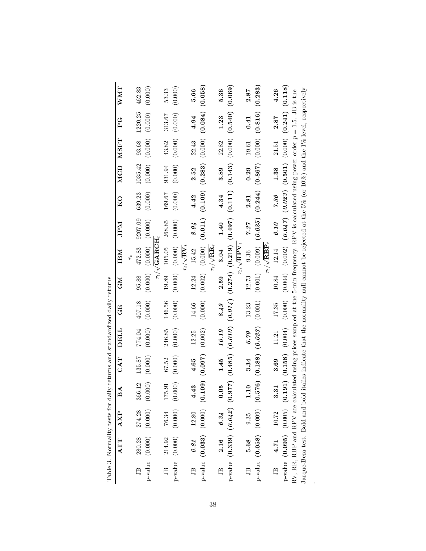| WMT          | 462.83                       | (0.000)                   |                            | 53.33                   | (0.000)                       |                         | 5.66  |                                                                                 |                                | 5.36  |                                                                                                                                  |                          | 2.87         |                                                                                                                                                                                                                              |                             | 4.26            |                                                                                 |
|--------------|------------------------------|---------------------------|----------------------------|-------------------------|-------------------------------|-------------------------|-------|---------------------------------------------------------------------------------|--------------------------------|-------|----------------------------------------------------------------------------------------------------------------------------------|--------------------------|--------------|------------------------------------------------------------------------------------------------------------------------------------------------------------------------------------------------------------------------------|-----------------------------|-----------------|---------------------------------------------------------------------------------|
| U<br>P       |                              | $(00000)$ (000:0) (000:0) |                            | 313.67                  | (0.000)                       |                         | 4.94  | $(0.002)$ $(0.000)$ $(0.101)$ $(0.109)$ $(0.283)$ $(0.000)$ $(0.084)$ $(0.058)$ |                                | 1.23  | $_{\rm P-value}$ (0.039) (0.042) (0.977) (0.485) (0.014) (0.274) (0.219) (0.497) (0.497) (0.111) (0.143) (0.000) (0.540) (0.069) |                          | 0.41         | $(0.816)$ (0.000; 0.000; 0.000; 0.000; 0.000; 0.000; 0.000; 0.000; 0.000; 0.000; 0.000; 0.000; 0.000; 0.000; 0.000; 0.000; 0.000; 0.000; 0.000; 0.000; 0.000; 0.000; 0.000; 0.000; 0.000; 0.000; 0.000; 0.000; 0.000; 0.000; |                             | 2.87            | $(0.004)$ $(0.002)$ $(0.047)$ $(0.023)$ $(0.501)$ $(0.000)$ $(0.241)$ $(0.118)$ |
| <b>NSFT</b>  |                              |                           |                            | 43.82                   |                               |                         | 22.43 |                                                                                 |                                | 22.82 |                                                                                                                                  |                          |              |                                                                                                                                                                                                                              |                             |                 |                                                                                 |
| MCD          | 639.23 1035.42 93.68 1220.25 |                           |                            | 931.94                  | $(0.000)$ $(0.000)$           |                         | 2.52  |                                                                                 |                                | 3.89  |                                                                                                                                  |                          | $0.29$ 19.61 |                                                                                                                                                                                                                              |                             | 1.38 21.51      |                                                                                 |
| $_{\rm K0}$  |                              |                           |                            | 169.67                  | (0.000)                       |                         | 4.42  |                                                                                 |                                | 4.34  |                                                                                                                                  |                          | 2.81         |                                                                                                                                                                                                                              |                             | 7.36            |                                                                                 |
| <b>Ndf</b>   |                              |                           |                            | 268.85                  |                               |                         | 8.94  |                                                                                 |                                | 1.40  |                                                                                                                                  |                          | 7.97         |                                                                                                                                                                                                                              |                             | 6.10            |                                                                                 |
| IBM          | 472.83 9207.09               | $(0.000) (0.000) (0.000)$ | $r_t/\sqrt{{\rm GARTH}_t}$ | 19.89 105.05            | $(0.000)$ $(0.000)$ $(0.000)$ | $r_t/\sqrt{{\bf RV}_t}$ | 15.42 |                                                                                 | $r_t/\sqrt{{\bf R} {\bf R}_t}$ | 3.04  |                                                                                                                                  | $r_t/\sqrt{{\bf RPV}_t}$ |              |                                                                                                                                                                                                                              | $r_t/\sqrt{\mathbf{RBP}}_t$ | 10.84 12.14     |                                                                                 |
| <b>ND</b>    | 95.88                        |                           |                            |                         |                               |                         | 12.24 |                                                                                 |                                | 2.59  |                                                                                                                                  |                          | 12.73 9.36   |                                                                                                                                                                                                                              |                             |                 |                                                                                 |
| E)           | 407.18                       | (0.000)                   |                            | 146.56                  | (0.000)                       |                         | 14.66 | (0.000)                                                                         |                                | 8.49  |                                                                                                                                  |                          | 13.23        |                                                                                                                                                                                                                              |                             | 17.35           |                                                                                 |
| DELL         | 774.04                       | (0.000)                   |                            | 246.85                  | (0.000)                       |                         | 12.25 |                                                                                 |                                | 10.19 |                                                                                                                                  |                          | 6.79         |                                                                                                                                                                                                                              |                             | 11.21           |                                                                                 |
| CAT          | 135.87                       | (0.000)                   |                            | 67.52                   | (0.000)                       |                         | 4.65  |                                                                                 |                                | 1.45  |                                                                                                                                  |                          | 3.34         |                                                                                                                                                                                                                              |                             | 3.69            |                                                                                 |
| $\mathbb{A}$ | 36.12<br>36                  | (0.000)                   |                            | 5.91<br>$\overline{17}$ | (0.000)                       |                         | 4.43  |                                                                                 |                                | 0.05  |                                                                                                                                  |                          | 110          |                                                                                                                                                                                                                              |                             | $\ddot{3}$<br>S |                                                                                 |
| AXP          | 274.28                       | (0.000)                   |                            | 76.34                   | (0.000)                       |                         | 12.80 | p-value $(0.033)$ $(0.000)$ $(0.109)$ $(0.097)$ $(0.002)$                       |                                | 6.34  |                                                                                                                                  |                          | 9.35         | p-value $(0.058)$ $(0.576)$ $(0.188)$ $(0.033)$ $(0.001)$                                                                                                                                                                    |                             | 10.72           | p-value $(0.095)$ $(0.005)$ $(0.191)$ $(0.158)$ $(0.004)$ $(0.000)$             |
| ATT          | 280.28                       | $p$ -value $(0.000)$      |                            | 214.92                  |                               |                         | 6.81  |                                                                                 |                                | 2.16  |                                                                                                                                  |                          | 5.68         |                                                                                                                                                                                                                              |                             | 4.71            |                                                                                 |
|              | JВ                           |                           |                            | $\overline{AB}$         | $p$ -value $(0.000)$          |                         | Цſ    |                                                                                 |                                | щ     |                                                                                                                                  |                          | ЭŚ           |                                                                                                                                                                                                                              |                             | $\Xi$           |                                                                                 |

| į                                                    |
|------------------------------------------------------|
| $\frac{1}{2}$<br>֦                                   |
| $\frac{1}{2}$<br>$\frac{1}{2}$                       |
| i<br>$\ddot{\phantom{a}}$<br>$\frac{1}{2}$           |
| $\frac{1}{2}$                                        |
| .<br>.<br>.<br>i                                     |
| $\frac{1}{1}$                                        |
| $\begin{array}{c} \hline \end{array}$<br>i<br>I<br>l |
| I<br>١                                               |

: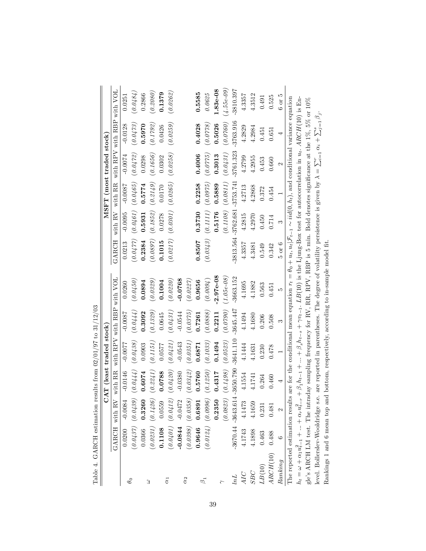| Table 4. GARCH estimation results from $02/01/97$ to $31/12/03$ |           |                       |                          |             |                            |                                                                                                                                                                                  |            |                                  |             |                            |                                    |              |
|-----------------------------------------------------------------|-----------|-----------------------|--------------------------|-------------|----------------------------|----------------------------------------------------------------------------------------------------------------------------------------------------------------------------------|------------|----------------------------------|-------------|----------------------------|------------------------------------|--------------|
|                                                                 |           |                       | CAT (least traded stock) |             |                            |                                                                                                                                                                                  |            |                                  |             | $MSET$ (most traded stock) |                                    |              |
|                                                                 |           | GARCH with RV         | with RR                  |             | with RPV with RBP with VOL |                                                                                                                                                                                  | GARCH      | with RV                          |             |                            | with RR with RPV with RBP with VOL |              |
|                                                                 | 0.0200    | $-0.0084$             | $-0.0146$                | $-0.0077$   | $-0.0087$                  | 0.0260                                                                                                                                                                           | 0.0213     | $-0.0095$                        | $-0.0087$   | $-0.0074$                  | $-0.0128$                          | 0.0251       |
| $\theta_0$                                                      |           | $(0.0437)$ $(0.0439)$ | (0.0444)                 | (0.0438)    | (0.0444)                   | (0.0450)                                                                                                                                                                         | (0.0477)   | (0.0461)                         | (0.0465)    | (0.0472)                   | (0.0473)                           | (0.0484)     |
|                                                                 | 0.0366    | 0.3260                | 0.6074                   | 0.0903      | 0.3092                     | 0.0894                                                                                                                                                                           | 0.2384     | 0.5931                           | 0.5774      | 0.0298                     | 0.5970                             | 0.2866       |
| 3                                                               |           | $(0.0231)$ $(0.1426)$ | (0.2241)                 | (0.1151)    | (0.1329)                   | (0.0329)                                                                                                                                                                         | (0.0897)   | (0.1852)                         | (0.2149)    | (0.1656)                   | (0.1792)                           | (0.2080)     |
|                                                                 | 0.1108    | 0.0559                | 0.0788                   | 0.0577      | 0.0645                     | 0.1004                                                                                                                                                                           | 0.1015     | 0.0278                           | 0.0170      | 0.0302                     | 0.0426                             | 0.1379       |
| $\alpha_1$                                                      |           | $(0.0401)$ $(0.0412)$ | (0.0420)                 | (0.0421)    | (0.0431)                   | (0.0220)                                                                                                                                                                         | (0.0217)   | $(\textit{0.0301})$              | (0.0265)    | (0.0258)                   | (0.0259)                           | (0.0262)     |
|                                                                 | $-0.0844$ | $-0.0472$             | $-0.0380$                | $-0.0543$   | $-0.0544$                  | $-0.0768$                                                                                                                                                                        |            |                                  |             |                            |                                    |              |
| $\alpha_2$                                                      | (0.0398)  | $(\mathit{0.0358})$   | (0.0342)                 | (0.0351)    | (0.0375)                   | (0.0227)                                                                                                                                                                         |            |                                  |             |                            |                                    |              |
|                                                                 | 0.9646    | 0.6891                | 0.5760                   | 0.6871      | 0.7261                     | 0.9656                                                                                                                                                                           | 0.8507     | 0.3730                           | 0.2258      | 0.4006                     | 0.4028                             | 0.5585       |
| $\beta_1$                                                       |           | $(0.0124)$ $(0.0996)$ | (0.1250)                 | (0.1033)    | (0.0888)                   | (0.0094)                                                                                                                                                                         |            | $(0.0343)$ $(0.1111)$ $(0.0975)$ |             | (0.0775)                   | (0.0778)                           | 0.0625       |
|                                                                 |           | 0.2350                | 0.4317                   | 0.1494      | 0.2211                     | $2.97e-08$                                                                                                                                                                       |            | 0.5176                           | 0.5889      | 0.3013                     | 0.5026                             | 1.83e-08     |
|                                                                 |           | (0.0823)              | (0.1498)                 | (0.0523)    | (0.0790)                   | $(1.05e-0.8)$                                                                                                                                                                    |            | (0.1108)                         | (0.0811)    | (0.0431)                   | (0.0760)                           | $(4.55e-09)$ |
| lnL                                                             |           | $-3670.44 - 3643.614$ | 3650.790                 | $-3641.110$ | $-3645.447$                | $-3663.152$                                                                                                                                                                      |            | $-3813.564 - 3762.681$           | $-3753.741$ | $-3761.323$                | $-3763.916$                        | $-3810.397$  |
| AIC                                                             | 4.1743    | 4.1473                | 4.1554                   | 4.1444      | 4.1494                     | 4.1695                                                                                                                                                                           | 4.3357     | 4.2815                           | 4.2713      | 4.2799                     | 4.2829                             | 4.3357       |
| <b>SBC</b>                                                      | 4.1898    | 4.1659                | 4.1741                   | 4.1631      | 4.1680                     | 4.1882                                                                                                                                                                           | 4.3481     | 4.2970                           | 4.2868      | 4.2955                     | 4.2984                             | 4.3512       |
| LB(10)                                                          | 0.463     | 0.231                 | 0.264                    | 0.230       | 0.206                      | 0.563                                                                                                                                                                            | 0.549      | 0.450                            | 0.372       | 0.453                      | 0.451                              | 0.491        |
| ARCH(10)                                                        | 0.488     | 0.481                 | 0.460                    | 0.478       | 0.508                      | 0.451                                                                                                                                                                            | 0.342      | 0.714                            | 0.454       | 0.660                      | 0.651                              | 0.525        |
| Ranking                                                         |           |                       | 4                        |             | $\infty$                   | IJ                                                                                                                                                                               | $5$ or $6$ | $\infty$                         |             | $\mathbf{\Omega}$          | 4                                  | $6$ or $5$   |
|                                                                 |           |                       |                          |             |                            | The reported estimation results are for the conditional mean equation $r_t = \theta_0 + u_t, u_t   \mathcal{F}_{t-1} \sim \dot{u} d(0, h_t)$ , and conditional variance equation |            |                                  |             |                            |                                    |              |
| $h_t = \omega + \alpha_1 u_{t-1}^2 +  + \alpha_r u_{t-r}^2$     |           |                       |                          |             |                            | $+\beta_1h_{t-1} +  + \beta_sh_{t-s} + \gamma v_{t-1}$ . $LB(10)$ is the Ljung-Box test for autocorrelation in $u_t$ . $ARCH(10)$ is En-                                         |            |                                  |             |                            |                                    |              |
|                                                                 |           |                       |                          |             |                            | gle's ARCH LM test. The intraday sampling frequency for RV, RR, RPV, RBP is 5 min. Bold denotes significance at the 1%, 5% or 10%                                                |            |                                  |             |                            |                                    |              |
|                                                                 |           |                       |                          |             |                            | level. Bollerslev-Wooldridge s.e. are reported in parentheses. The degree of volatility persistence is given by $\lambda = \sum_{i=1}^r \alpha_i + \sum_{j=1}^s \beta_j$ .       |            |                                  |             |                            |                                    |              |
|                                                                 |           |                       |                          |             |                            | Rankings 1 and 6 mean top and bottom, respectively, according to in-sample model fit.                                                                                            |            |                                  |             |                            |                                    |              |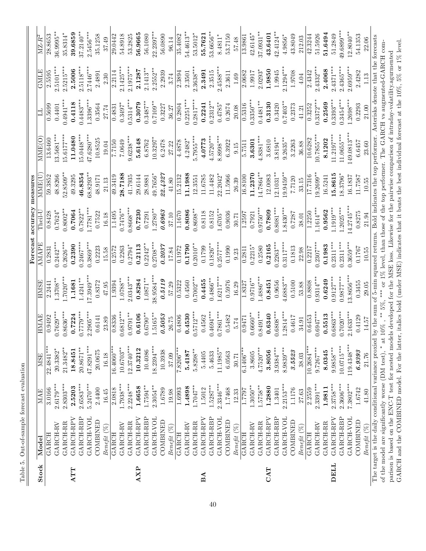|            | Table 5. Out-of-sample forecast evaluation |             |              |             |              |             |                 |               |                        |             |             |                                |
|------------|--------------------------------------------|-------------|--------------|-------------|--------------|-------------|-----------------|---------------|------------------------|-------------|-------------|--------------------------------|
|            |                                            |             |              |             |              | Forecast    | accuracy        | measures      |                        |             |             |                                |
| Stock      | Model                                      | MAE         | <b>MSE</b>   | HMAE        | <b>HMSE</b>  | AMAPE       | $\Gamma$ heil-l | MME(U         | MME(O                  |             | GMLE        | $\overline{\rm MZ\text{-}R^2}$ |
|            | GARCH                                      | 3.0166      | 22.4841***   | 0.9492      | 2.2441       | 0.2831      | 0.8428          | 59.3852       | 13.6460                | 0.5699      | 2.5595      | 28.8653                        |
|            | GARCH-RV                                   | $2.6179***$ | $20.3382*$   | $0.7629**$  | $.3708**$    | $0.2442**$  | $0.7624*$       | 48.8266       | $13.5681***$           | 0.4401      | $2.5101***$ | $36.9995**$                    |
|            | GARCH-RR                                   | $2.8303***$ | $21.3482**$  | $0.8636***$ | $.7020***$   | $0.2626***$ | $0.8002**$      | 52.8509**     | $15.6177***$           | $0.4941***$ | $2.5215***$ | 35.8314*                       |
| <b>ATT</b> | GARCH-RPV                                  | 2.5203      | 18.8451      | 0.7224      | 1.1681       | 0.2390      | 0.7064          | 49.3295       | 11.0480                | 0.4118      | 2.5006      | 39.6859                        |
|            | GARCH-RBP                                  | $2.6583***$ | 20.8671**    | $0.7779***$ | $1.4241***$  | $0.2467***$ | $0.7822***$     | 46.8354       | $5.0448***$            | $0.4483***$ | $2.5118***$ | $37.2140**$                    |
|            | GARCH-VOL                                  | $5.2470***$ | 47.8291***   | $2.2905***$ | $17.3949***$ | $0.3869***$ | $*$ 1877.       | $68.8293***$  | $17.6280***$           | $1.3396***$ | $2.7446***$ | 2.5456***                      |
|            | COMBINED                                   | 2.4400      | 20.0675      | 0.6141      | 0.8372       | 0.2223      | 0.7522          | 48.9171       | 10.8525                | 0.3564      | 2.4891      | 35.1258                        |
|            | $Beneftt\; (\%)$                           | 16.45       | 16.18        | 23.89       | 47.95        | 15.58       | 16.18           | 21.13         | 19.04                  | 27.74       | 2.30        | 37.49                          |
|            | <b>GARCH</b>                               | 2.0818      | $16.4060***$ | 0.8336      | 1.9394       | 0.2572      | 1.1495          | 49.3419       | 7.7150                 | 0.4831      | 2.2114      | 29.0442                        |
|            | GARCH-RV                                   | $1.7938***$ | $10.6703**$  | $0.6812***$ | $1.0788**$   | 0.2263      | $0.7476**$      | 28.7188       | 7.0649                 | $0.3497*$   | $2.1425***$ | 54.8918                        |
|            | GARCH-RR                                   | $2.2248***$ | $12.3740***$ | $0.9791**$  | $2.0343***$  | $0.2794*$   | $0.8668***$     | 41.7935       | $9.6238***$            | $0.5314***$ | $2.1975***$ | 53.2825                        |
| <b>AXP</b> | GARCH-RPV                                  | 1.6658      | 10.3212      | 0.6106      | 0.8284       | 0.2113      | 0.7230          | 29.6144       | 5.6148                 | 0.3079      | 2.1287      | 56.9665                        |
|            | GARCH-RBP                                  | $1.7594***$ | 10.4086      | $0.6790**$  | $1.0871***$  | $0.2242**$  | 0.7291          | 28.9881       | 6.8762                 | $0.3487***$ | $2.1413**$  | 56.1080                        |
|            | GARCH-VOL                                  | $2.3054***$ | $18.2394***$ | $.5165***$  | 38.9584***   | $0.2708***$ | $.2780**$       | 49.7656*      | $10.3297$ <sup>*</sup> | $0.7109**$  | $2.2552***$ | $22.2397***$                   |
|            | COMBINED                                   | 1.6789      | 10.3938      | 0.5053      | 0.5119       | 0.2037      | 0.6963          | 22.4327       | 6.2478                 | 0.3227      | 2.2939      | 56.0890                        |
|            | Beneft(S <sub>0</sub> )                    | 19.98       | 37.09        | 26.75       | 57.29        | 17.84       | 37.10           | 41.80         | 27.22                  | 36.27       | 3.74        | 96.14                          |
|            | GARCH                                      | 1.6993      | $7.8206***$  | 0.4806      | 0.5322       | 0.1972      | 1.1670          | 15.2132       | 4.4878                 | 0.2804      | 2.3894      | 35.4082                        |
|            | GARCH-RV                                   | 1.4898      | 5.4187       | 0.4530      | 0.4560       | 0.1790      | 0.8086          | 11.1988       | $4.2482*$              | $0.2251**$  | 2.3501      | 54.4613**                      |
|            | GARCH-RR                                   | $1.7047***$ | $5.8298***$  | $0.5712***$ | $.7002***$   | $0.2010***$ | $0.8698**$      | 12.3551       | $5.7955***$            | $0.2817***$ | $2.3638***$ | $53.5012*$                     |
| BA         | GARCH-RPV                                  | 1.5012      | 5.4405       | 0.4562      | 0.4455       | 0.1799      | 0.8118          | 11.6785       | 4.0773                 | 0.2241      | 2.3491      | 55.7621                        |
|            | GARCH-RBP                                  | $1.5287***$ | 5.4633       | $0.4694***$ | $0.4866***$  | $0.1826**$  | 0.8152          | 11.4482       | $4.5720***$            | $0.2312**$  | 2.3515      | 53.6656**                      |
|            | GARCH-VOL                                  | $2.3346***$ | 11.1985**    | $0.7861***$ | $.6217***$   | $0.2577***$ | $0.6705**$      | 22.2042*      | 8.8998***              | $0.4785*$   | $2.4588***$ | 8.4811*                        |
|            | COMBINED                                   | 1.7468      | 6.0563       | 0.5482      | 0.5976       | 0.1990      | 0.9036          | 11.5966       | 6.3922                 | 0.2674      | 2.3611      | 53.7150                        |
|            | Benefit (%)                                | 12.33       | 30.71        | 5.74        | 16.29        | 9.23        | 30.71           | 26.39         | 0.15                   | 20.08       | 1.69        | 57.48                          |
|            | GARCH                                      | 1.7797      | $6.1406***$  | 0.9471      | 1.8327       | 0.2811      | 1.2597          | 16.8100       | 5.7511                 | 0.5316      | 2.0682      | 13.9861                        |
|            | GARCH-RV                                   | $1.3050***$ | 3.8605       | $0.6660**$  | $0.9716**$   | $0.2215*$   | 0.7921          | 11.2370       | 3.6301                 | $0.3350**$  | 1.9917      | $42.6145*$                     |
|            | GARCH-RR                                   | $1.5758**$  | $4.7520***$  | $0.8491***$ | $0.4886***$  | 0.2580      | $0.9750**$      | $14.7864**$   | $1.8381***$            | $0.4481***$ | $2.0293*$   | 37.0931**                      |
| CAT        | GARCH-RPV                                  | 1.2880      | 3.8056       | 0.6340      | 0.8451       | 0.2165      | 0.7809          | 12.0083       | 3.6810                 | 0.3130      | 1.9850      | 43.6401                        |
|            | GARCH-RBP                                  | 1.3401      | $3.9384***$  | $0.6808***$ | 0.9656       | $0.2263***$ | $0.8081***$     | $12.1031**$   | $3.8194***$            | 0.3420      | 1.9945      | $42.4124**$                    |
|            | GARCH-VOL                                  | $2.2153***$ | $8.9839***$  | $1.2814***$ | $4.6883***$  | $0.3117***$ | $1.8430***$     | $19.9459***$  | $9.2635***$            | $0.7403*$   | $2.1294**$  | 4.9856*                        |
|            | COMBINED                                   | 1.1176      | 3.5523       | 0.4617      | 0.5100       | 0.1813      | 0.7287          | 7.7120        | 3.2263                 | 0.2373      | 1.9708      | 43.8049                        |
|            | Benefit (%                                 | 27.63       | 38.03        | 34.91       | 53.88        | 22.98       | 38.01           | 33.15         | 36.88                  | 41.21       | 4.04        | 212.03                         |
|            | GARCH                                      | 2.2559      | $10.2684***$ | 0.6453      | 0.8808       | 0.2217      | 1.2250          | 17.7316       | 10.6282                | 0.3252      | 2.4342      | 42.3244                        |
|            | GARCH-RV                                   | $2.3391***$ | $9.7267***$  | $0.6947***$ | $.9314***$   | $0.2307***$ | $.1614***$      | $1.9.2699***$ | $0.7855***$            | $0.3372**$  | $2.4332***$ | 51.5926                        |
|            | GARCH-RR                                   | 1.9811      | 8.0345       | 0.5513      | 0.6249       | 0.1983      | 0.9562          | 16.5241       | 8.1202                 | 0.2569      | 2.4068      | 51.6494                        |
| DELL       | GARCH-RPV                                  | $2.3758***$ | $9.9858***$  | $0.6863**$  | $0.9127***$  | $0.2311***$ | $1.1919***$     | 15.8615       | $11.2197***$           | $0.3393***$ | $2.4371***$ | 51.2849                        |

The target is the daily conditional variance proxied by the sum of 5-min squared returns. Bold indicates the top performer. Asterisks denote that the forecasts 22.06 The target is the daily conditional variance proxied by the sum of 5-min squared returns. Bold indicates the top performer. Asterisks denote that the forecasts  $Benefit~(\%) \qquad \qquad 41.80 \qquad \qquad 21.76 \qquad \qquad 14.57 \qquad \qquad 29.05 \qquad \qquad 21.94 \qquad \qquad 10.55 \qquad \qquad 23.60 \qquad \qquad 21.00 \qquad \qquad 1.13 \qquad \qquad 22.06$ GARCH and the COMBINED model. For the latter, italics bold (under MSE) indicates that it beats the best individual forecast at the 10%, 5% or 1% level. of the model are significantly worse (DM test), \* at 10%, \*\* 5%, \*\*\* or 1% level, than those of the top performer. The GARCH vs augmented-GARCH com-GARCH and the COMBINED model. For the latter, italics bold (under MSE) indicates that it beats the best individual forecast at the 10%, 5% or 1% level. of the model are significantly worse (DM test), \* at 10%, \*\* 5%, \*\*\* or 1% level, than those of the top performer. The GARCH vs augmented-GARCH comparison is based on the ENC-T test for nested models developed for the MSE loss. Likewise for the pairwise comparison of intraday-volatility.agurmented parison is based on the ENC-T test for nested models developed for the MSE loss. Likewise for the pairwise comparison of intraday-volatility.agurmented 1.13  $21.00$ 23.60  $10.55$ 21.94  $10.55$ 29.05 14.57 21.76  $41.80\,$  $Beneftt~(\%)$ 

 $\mathrm{GARCH-RBP}\quad 2.3606***\quad 10.0715***\quad 0.7020***\quad 0.9877***\quad 0.2311***\quad 1.2025***\quad 18.3796*\quad 11.0655***\quad 0.3454***\quad 2.4365***\quad 49.6899***\quad 10.8999***\quad 10.8999***\quad 10.8999***\quad 10.8999***\quad 10.8999***\quad 10.8999***\quad 10.8999***\quad 10.8999***\quad 10.8999***$  $\mathrm{GARGH-VOL}$  7.3802\*\*\* 119.4348\*\*\* 2.1633\*\*\* 13.8656\*\*\* 0.3659\*\*\* 14.2745\*\*\* 16.1837 149.0813\*\*\* 1.2698\*\*\* 2.698\*\*\* 12.8040\*\* COMBINED 1.6742 6.9393 0.4129 0.3455 0.1767 0.8275 11.7587 6.6457 0.2293 2.4282 54.1353

 $0.2311***$  $0.3659***$ 0.1767

 $0.7020***$  $2.1633***$ 0.4129

 $2.3606***$  $7.3802***$ 1.6742

GARCH-RBP GARCH-VOL

 $14.2745***$  $1.2025***$ 

13.8656\*\*\*  $0.9877***$ 

 $119.4348***$  $10.0715***$ 

 $6.9393$ 

COMBINED

0.3455

18.3796\*

 $49.6899***$  $12.8040**$ 

 $2.4365***$  $2.6959***$ 2.4282

 $0.3454***$  $1.2698***$ 0.2293

 $149.0813***$  $11.0655***$ 

 $6.6457$ 

11.7587 16.1837

0.8275

54.1353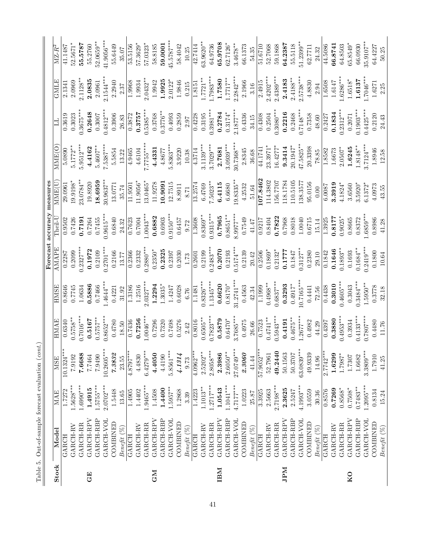|             | Table 5. Out-of-sample forecast evaluation (cont.) |                      |                            |                       |                       |                 |                   |                   |                 |                  |                |                                                       |
|-------------|----------------------------------------------------|----------------------|----------------------------|-----------------------|-----------------------|-----------------|-------------------|-------------------|-----------------|------------------|----------------|-------------------------------------------------------|
|             |                                                    |                      |                            |                       |                       | Forecast        | accuracy          | measures          |                 |                  |                |                                                       |
| Stock       | Model<br>GARCH                                     | 1.7272<br><b>MAE</b> | $10.1324***$<br><b>MSE</b> | <b>HMAE</b><br>0.6340 | <b>HMSE</b><br>0.8646 | AMAPE<br>0.2287 | Theil-U<br>0.9502 | MME(U)<br>29.0961 | MME(O<br>5.0890 | 0.3619<br>$\Box$ | GMLE<br>2.1341 | $\mathbf{M}\mathbf{Z}\text{-}\mathbf{R}^2$<br>41.1487 |
|             | GARCH-RV                                           | $1.5628***$          | 7.9192                     | $0.5758***$           | 0.7745                | 0.2099          | 0.7426            | 19.9198*          | $5.1772**$      | 0.3023           | 2.0969         | 52.5671*                                              |
|             | GARCH-RR                                           | $1.6990***$          | 7.6688                     | $0.7016***$           | 1.0634                | $0.2327***$     | 0.7191            | 23.0784**         | $5.9512***$     | $0.3675***$      | $2.1128**$     | 55.5787                                               |
| 田じ          | GARCH-RPV                                          | 1.4915               | 7.7464                     | 0.5167                | 0.5886                | 0.1972          | 0.7264            | 19.8920           | 4.4162          | 0.2648           | 2.0835         | 55.2760                                               |
|             | GARCH-RBP                                          | $1.5755***$          | 7.9490                     | $0.5757***$           | 0.7466                | 0.2109          | 0.7455            | 18.6959           | $5.4607***$     | 0.3007           | 2.0961         | $52.0659***$                                          |
|             | GARCH-VOL                                          | $2.0702***$          | $10.2605***$               | $0.8652***$           | $1.4644***$           | $0.2701***$     | $0.9615***$       | $30.9637***$      | $7.5387***$     | $0.4812***$      | 2.1544**       | $41.9056***$                                          |
|             | COMBINED                                           | 1.5448               | 7.3832                     | 0.4780                | 0.4221                | 0.2166          | 0.6840            | 13.0771           | 5.5854          | 0.3906           | 2.2940         | 55.6449                                               |
|             | $Beneft$ $(\%)$                                    | 13.65                | 23.55                      | $18.50\,$             | 31.92                 | 13.77           | 24.32             | 35.74             | 13.22           | 26.83            | 2.37           | 35.07                                                 |
|             | <b>GARCH</b>                                       | 1.4905               | $4.8797***$                | 0.7436                | 1.3186                | 0.2366          | 0.7623            | 11.9501           | 4.9465          | 0.3872           | 1.9968         | 53.5156                                               |
|             | <b>GARCH-RV</b>                                    | 1.4402               | 4.4830                     | 0.7256                | 1.2516                | 0.2332          | 0.7004            | $11.9056*$        | 4.6104          | 0.3757           | 1.9934         | $57.3629*$                                            |
|             | <b>GARCH-RR</b>                                    | $1.9465***$          | $6.4279**$                 | $1.0046***$           | $2.0327***$           | $0.2880***$     | $1.0043***$       | 13.0465*          | $7.7755***$     | $0.5385***$      | $2.0432**$     | 57.0323*                                              |
| <b>CM</b>   | GARCH-RPV                                          | 1.4508               | 4.4050                     | 0.7296                | 1.2294                | $0.2350*$       | 0.6882            | 11.9278           | 4.4331          | 0.3768           | 1.9942         | 58.8185                                               |
|             | GARCH-RBP                                          | 1.4400               | 4.4190                     | 0.7320                | $1.3035*$             | 0.2325          | 0.6903            | 10.9091           | 4.8677          | $0.3776**$       | 1.9925         | 59.0001                                               |
|             | GARCH-VOL                                          | $1.5957***$          | $5.8561***$                | 0.7498                | 1.4247                | 0.2397          | $0.9150***$       | 12.7515           | $5.8363***$     | 0.4093           | $2.0122*$      | $15.5787***$                                          |
|             | COMBINED                                           | 1.2868               | 4.1314                     | 0.5276                | 0.6028                | 0.2030          | 0.6457            | 8.8911            | 3.9220          | 0.2859           | 1.9846         | 58.4042                                               |
|             | Benefit (%)                                        | 3.39                 | 9.73                       | 2.42                  | 6.76                  | 1.73            | 9.72              | 8.71              | 10.38           | 2.97             | 0.215          | 10.25                                                 |
|             | <b>GARCH</b>                                       | 1.4223               | $4.0962***$                | 0.8016                | 1.1481                | 0.2601          | 1.3608            | 13.2574           | 4.3714          | 0.4228           | 1.8151         | 42.7414                                               |
|             | GARCH-RV                                           | $1.1013**$           | $2.5202***$                | $0.6505***$           | $0.8326***$           | 0.2199          | $0.8369**$        | 6.4769            | $3.1139***$     | 0.3195           | $1.7721**$     | $63.9620**$                                           |
|             | GARCH-RR                                           | $1.2717***$          | $2.8058***$                | $0.7823***$           | $1.1345***$           | $0.2483***$     | $0.9315***$       | $7.5023**$        | $3.7029***$     | $0.3981***$      | $1.7983***$    | 64.9736                                               |
| IBM         | GARCH-RPV                                          | 1.0543               | 2.3986                     | 0.5879                | 0.6620                | 0.2070          | 0.7965            | 6.4115            | 2.7681          | 0.2784           | 1.7580         | 65.9708                                               |
|             | GARCH-RBP                                          | $1.1041***$          | $2.6050***$                | $0.6470^{\ast}$       | $0.8170*$             | 0.2193          | $0.8651***$       | 6.6680            | $3.0939***$     | $0.3174*$        | $1.7717**$     | $62.7126*$                                            |
|             | GARCH-VOL                                          | $4.7177***$          | $27.0749***$               | $3.7685***$           | $31.2741***$          | $0.5174***$     | $8.9977***$       | $19.8335***$      | $30.7368***$    | $2.1877***$      | $2.2842***$    | $3.4678***$                                           |
|             | COMBINED                                           | 1.0223               | 2.3060                     | 0.4975                | 0.4563                | 0.2139          | 0.7549            | 4.2532            | 2.8345          | 0.4336           | 2.1966         | 66.1373                                               |
|             | Beneft(S <sub>0</sub> )                            | $25.87\,$            | 41.44                      | 26.66                 | 42.34                 | 20.42           | 41.47             | 51.64             | 36.68           | 34.15            | 3.16           | 54.35                                                 |
|             | <b>GARCH</b>                                       | 3.3925               | 57.9052***                 | 0.7523                | 1.1999                | 0.2506          | 0.9217            | 107.8462          | 44.1741         | 0.4308           | 2.4915         | 51.6710                                               |
|             | <b>GARCH-RV</b>                                    | 2.5663               | 52.7961                    | $0.4741***$           | $0.4968***$           | $0.1869*$       | 0.8404            | 114.3802          | 23.3971*        | 0.2504           | $2.4202***$    | 52.7068                                               |
|             | GARCH-RR                                           | $2.7198***$          | 49.2440                    | $0.5943***$           | $0.6837***$           | $0.2132*$       | 0.7822            | 156.7707          | 16.4277*        | $0.3080**$       | $2.4389***$    | 59.1868                                               |
| JPM         | GARCH-RPV                                          | 2.3625               | 50.1563                    | 0.4191                | 0.3293                | 0.1777          | 0.7968            | 118.1784          | 9.3414          | 0.2216           | 2.4183         | 64.2387                                               |
|             | GARCH-RBP                                          | 2.5247               | 50.3707                    | $0.4675***$           | $0.4917*$             | 0.1847          | 0.8018            | 110.5105          | $20.1947*$      | 0.2468           | $2.4188**$     | 55.5118                                               |
|             | GARCH-VOL                                          | $4.1993***$          | 63.0839***                 | $1.2677***$           | $10.7165***$          | $0.3127***$     | 1.0040            | 138.3577          | $47.5825**$     | $0.7148***$      | $2.5738***$    | $51.2399***$                                          |
|             | COMBINED                                           | 3.0559               | 49.9339                    | 0.4982                | 0.4441                | 0.2380          | 0.6715            | 95.0156           | 20.3398         | 0.7358           | 4.8830         | 62.7711                                               |
|             | $Beneftt~(\%)$                                     | 30.36                | 14.96                      | 44.29                 | 72.56                 | 29.10           | 15.14             | 0.00              | 78.85           | 48.60            | 2.94           | 24.32                                                 |
|             | GARCH                                              | 0.8576               | $2.7742**$                 | 0.4397                | 0.4438                | 0.1842          | 1.3925            | 6.0087            | 1.8582          | 0.2427           | 1.6508         | 44.5086                                               |
|             | GARCH-RV                                           | 0.7269               | 1.6299                     | 0.3880                | 0.3010                | 0.1646          | 0.8177            | 3.3919            | 1.6673          | 0.1834           | 1.6147         | 66.8741                                               |
|             | <b>GARCH-RR</b>                                    | $0.8568*$            | $1.7987*$                  | $0.4953***$           | $0.4605***$           | $0.1893***$     | $0.9025*$         | $4.1824*$         | $2.0507*$       | $0.2312***$      | $1.6286***$    | 64.8503                                               |
| $_{\rm K0}$ | GARCH-RPV                                          | $0.7508*$            | 1.7307                     | 0.3934                | 0.3043                | 0.1693          | 0.8665            | 3.6560            | 1.6245          | 0.2071           | $1.6518*$      | $65.8549*$                                            |
|             | GARCH-RBP                                          | $0.7483**$           | 1.6682                     | $0.4133***$           | $0.3484***$           | $0.1684***$     | 0.8372            | $3.5920*$         | $1.8148**$      | $0.1903***$      | 1.6137         | 66.0930                                               |
|             | GARCH-VOL                                          | $1.2095***$          | $3.3809***$                | $0.7807***$           | $1.5950***$           | $0.2419***$     | $.6859***$        | $6.1372*$         | $3.7124***$     | $0.4425***$      | 1.7046**       | $35.9107***$                                          |
|             | COMBINED                                           | 0.8134               | 1.7910                     | 0.4480                | 0.3778                | 0.1800          | 0.8986            | 4.0973            | 1.8946          | 0.2120           | 1.6271         | 64.4227                                               |
|             | $Beneftt (\%)$                                     | 15.24                | 41.25                      | 11.76                 | 32.18                 | 10.64           | $41.28\,$         | 43.55             | 12.58           | 24.43            | 2.25           | 50.25                                                 |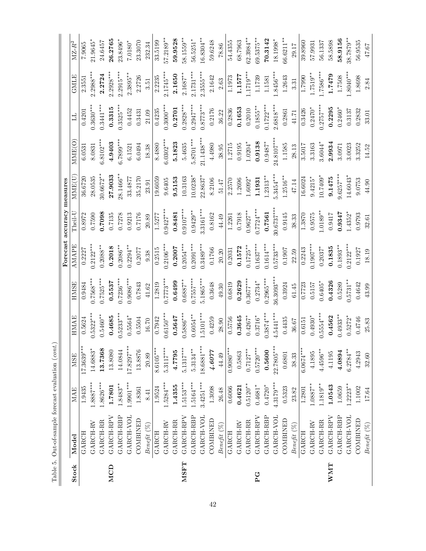| l                                                                                                                                                                                  |
|------------------------------------------------------------------------------------------------------------------------------------------------------------------------------------|
| l<br>١<br>l<br>$\frac{1}{2}$                                                                                                                                                       |
| )                                                                                                                                                                                  |
| ı<br>l<br>ı<br>is a company of<br>l<br>i<br>֖֖֖֖֖֖֖֖֧ׅׅׅ֪ׅ֖ׅ֪֪ׅ֖ׅ֖֧֚֚֚֚֚֚֚֚֚֚֚֚֚֚֚֚֚֚֚֚֚֡֝֝֝֬<br>י<br>l<br>١<br>֖֖֖֧ׅ֧ׅׅ֧ׅ֧ׅ֧֧֪֪ׅ֖֧֪ׅ֧֚֚֚֚֚֚֚֚֚֚֚֚֚֚֚֚֚֚֚֚֚֚֚֚֚֬֝֝֬֝֬֝֬֝֬֓֞֝֬<br>C |
| ì<br>١<br>Į<br>J<br>l<br>١                                                                                                                                                         |

|            |                |             |              |             |             | Forecast    | accuracy measures |             |              |             |             |              |
|------------|----------------|-------------|--------------|-------------|-------------|-------------|-------------------|-------------|--------------|-------------|-------------|--------------|
| Stock      | Model          | MAE         | <b>MSE</b>   | HMAE        | <b>HMSE</b> | AMAPE       | $Then-U$          | MME(U       | MME(C        |             | GMLE        | $MZ-R^2$     |
|            | <b>GARCH</b>   | 1.9435      | 17.3639***   | 0.5624      | 0.9484      | 0.2227      | 0.8972            | 36.6720     | 6.0531       | 0.4201      | 2.3551      | 7.9065       |
|            | GARCH-RV       | $1.8887***$ | 14.6883*     | $0.5322***$ | $0.7568***$ | $0.2122***$ | 0.7590            | 28.0535     | 8.0831       | $0.3630**$  | $2.2988***$ | 21.9645*     |
|            | GARCH-RR       | $1.8626***$ | 13.7368      | $0.5460**$  | $0.7525***$ | $0.2088**$  | 0.7098            | 30.6672**   | $6.8102***$  | $0.3441***$ | 2.2724      | 24.6457      |
| MCD        | GARCH-RPV      | 1.7801      | 13.8080      | 0.4685      | 0.5537      | 0.2018      | 0.7135            | 27.9033     | 4.9403       | 0.3315      | $2.2928***$ | 26.2765      |
|            | GARCH-RBP      | $1.8483**$  | 14.0844      | $0.5233***$ | $0.7236***$ | $0.2086**$  | 0.7278            | 28.1466*    | $6.7899***$  | $0.3525***$ | $2.2915***$ | 23.8496*     |
|            | GARCH-VOL      | 1.9901***   | $17.8297***$ | $0.5564*$   | $0.9086***$ | $0.2294**$  | 0.9213            | 33.4877     | 6.1521       | 0.4452      | $2.3895**$  | $7.0180*$    |
|            | COMBINED       | 1.8361      | 13.8876      | 0.5504      | 0.7843      | 0.2077      | 0.7176            | 35.2170     | 6.0494       | 0.3431      | 2.2726      | 23.3070      |
|            | $Beneftt~(\%)$ | 8.41        | 20.89        | 16.70       | $41.62\,$   | 9.38        | 20.89             | 23.91       | 18.38        | 21.09       | 3.51        | 232.34       |
|            | <b>GARCH</b>   | 1.9524      | $8.6105***$  | 0.7942      | 1.2819      | 0.2515      | 1.5277            | 19.6059     | 8.4880       | 0.4235      | 2.2235      | 33.5199      |
|            | GARCH-RV       | $1.5284***$ | $5.3117***$  | $0.6150***$ | $0.7773**$  | $0.2106***$ | $0.9427***$       | 9.6405      | $6.0302***$  | $0.3000***$ | $2.1745***$ | $57.2189**$  |
|            | GARCH-RR       | 1.4355      | 4.7795       | 0.5647      | 0.6499      | 0.2007      | 0.8481            | 9.5153      | 5.1823       | 0.2701      | 2.1650      | 59.9528      |
| NSFT       | GARCH-RPV      | $1.5153***$ | $5.1317***$  | $0.5886***$ | $0.6887***$ | $0.2054***$ | $0.9107***$       | 10.3163     | 5.4635       | $0.2828***$ | $2.1687**$  | 58.1559**    |
|            | GARCH-RBP      | $1.5164***$ | $5.3134***$  | $0.6054***$ | $0.7557***$ | $0.2091***$ | $0.9429***$       | $10.0238*$  | $5.8701***$  | $0.2947***$ | $2.1731***$ | 56.5251*     |
|            | GARCH-VOL      | $3.4251***$ | 18.6881***   | $1.5101***$ | $5.1865***$ | $0.3489***$ | $3.3161***$       | 22.8637     | $21.1438***$ | $0.8773***$ | $2.3555***$ | $16.8304**$  |
|            | COMBINED       | 1.3098      | 4.6077       | 0.4259      | 0.3648      | 0.1766      | 0.8162            | 8.2106      | 4.4980       | 0.2176      | 2.1642      | 59.6248      |
|            | $Beneftt~(\%)$ | 26.48       | 44.49        | 28.90       | 49.30       | 20.20       | 44.49             | 51.47       | 38.95        | 36.22       | 2.63        | 78.86        |
|            | GARCH          | 0.6066      | $0.9080***$  | 0.5756      | 0.6819      | 0.2031      | 1.2261            | 2.2570      | 1.2715       | 0.2836      | 1.1973      | 54.4355      |
|            | GARCH-RV       | 0.4621      | 0.5863       | 0.3645      | 0.2629      | 0.1572      | 0.7918            | 1.2696      | $\,0.9195\,$ | 0.1653      | 1.1577      | 68.7963      |
|            | GARCH-RR       | $0.5120**$  | $0.7127**$   | $0.4267*$   | $0.3677***$ | $0.1725**$  | $0.9627**$        | $1.6092*$   | $1.0204*$    | 0.2010      | $1.1719***$ | $62.3984**$  |
| C<br>P     | GARCH-RPV      | $0.4681*$   | $0.5720***$  | $0.3716*$   | $0.2734*$   | $0.1637***$ | $0.7724***$       | 1.1931      | 0.9138       | $0.1855***$ | 1.1739      | $39.5375***$ |
|            | GARCH-RBP      | $0.4720*$   | 0.5600       | $0.3874***$ | $0.2965***$ | $0.1614***$ | 0.7561            | $1.2313***$ | $0.9487*$    | $0.1722**$  | 1.1581      | 70.3142      |
|            | GARCH-VOL      | $4.3179***$ | $22.7805***$ | .5441***    | 36.3093**   | $0.5733**$  | $30.6737***$      | $5.3454***$ | 24.8107*     | $2.6818***$ | $.8456**$   | 18.1998*     |
|            | COMBINED       | 0.5323      | 0.6801       | 0.4435      | 0.3924      | 0.1907      | 0.9145            | $1.2516***$ | 1.1585       | 0.2861      | 1.2643      | 66.6211**    |
|            | $Beneftt~(\%)$ | 23.82       | 38.33        | 36.67       | 61.45       | 22.59       | 38.33             | 47.14       | 28.13        | 41.71       | 3.31        | 29.17        |
|            | <b>GARCH</b>   | 1.2801      | $6.0674***$  | 0.6151      | 0.7723      | 0.2243      | 1.3870            | 16.6024     | 3.5017       | 0.3426      | 1.7990      | 39.8960      |
|            | GARCH-RV       | $1.0887***$ | 4.1895       | $0.4930*$   | 0.5157      | $0.1907***$ | 0.9575            | $9.4215*$   | 3.3163       | $0.2470*$   | $1.7519***$ | 57.9931      |
|            | GARCH-RR       | $1.1819***$ | $4.4596***$  | $0.5554***$ | $0.6405*$   | $0.2037*$   | $1.0189**$        | 10.7409*    | $3.6044*$    | $0.2757***$ | $1.7586***$ | 56.1337      |
| <b>NNT</b> | GARCH-RPV      | 1.0543      | 4.1195       | 0.4562      | 0.4326      | 0.1835      | 0.9417            | 9.1475      | 2.9934       | 0.2295      | 1.7479      | 58.5898      |
|            | GARCH-RBP      | 1.0659      | 4.0894       | $0.4933**$  | 0.5289      | $0.1893**$  | 0.9347            | $9.6257***$ | 3.0971       | $0.2460*$   | 1.7508      | 58.9156      |
|            | GARCH-VOL      | $1.2223**$  | $6.2784**$   | $0.5272*$   | $0.5731**$  | $0.2122***$ | $1.4352*$         | $4.6043*$   | 3.0023       | 0.3137      | $-8040*$    | $38.7879**$  |
|            | COMBINED       | 1.1002      | 4.2943       | 0.4746      | 0.4642      | 0.1927      | 0.9793            | 9.0753      | 3.3252       | 0.2832      | 1.8698      | 56.9535      |
|            | $Beneftt~(\%)$ | 17.64       | 32.60        | 25.83       | 43.99       | 18.19       | 32.61             | 44.90       | 14.52        | 33.01       | 2.84        | 19.74        |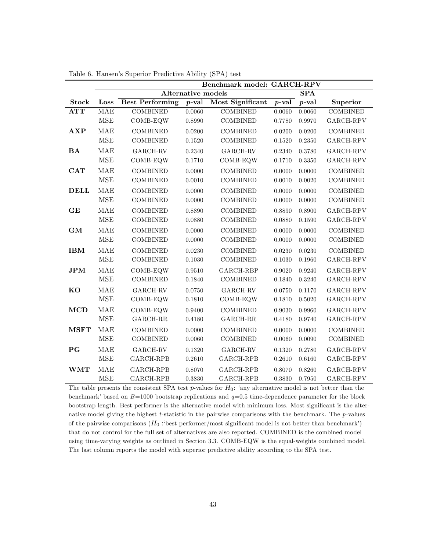|              |                      |                                     |                           | Benchmark model: GARCH-RPV |          |            |                            |
|--------------|----------------------|-------------------------------------|---------------------------|----------------------------|----------|------------|----------------------------|
|              |                      |                                     | <b>Alternative models</b> |                            |          | <b>SPA</b> |                            |
| <b>Stock</b> | Loss                 | <b>Best Performing</b>              | $p$ -val                  | Most Significant           | $p$ -val | $p$ -val   | Superior                   |
| <b>ATT</b>   | <b>MAE</b>           | <b>COMBINED</b>                     | 0.0060                    | <b>COMBINED</b>            | 0.0060   | 0.0060     | <b>COMBINED</b>            |
|              | <b>MSE</b>           | COMB-EQW                            | 0.8990                    | <b>COMBINED</b>            | 0.7780   | 0.9970     | GARCH-RPV                  |
| $\bf AXP$    | <b>MAE</b>           | <b>COMBINED</b>                     | 0.0200                    | <b>COMBINED</b>            | 0.0200   | 0.0200     | <b>COMBINED</b>            |
|              | $\operatorname{MSE}$ | <b>COMBINED</b>                     | 0.1520                    | <b>COMBINED</b>            | 0.1520   | 0.2350     | GARCH-RPV                  |
| <b>BA</b>    | <b>MAE</b>           | GARCH-RV                            | 0.2340                    | GARCH-RV                   | 0.2340   | 0.3780     | GARCH-RPV                  |
|              | <b>MSE</b>           | COMB-EQW                            | 0.1710                    | COMB-EQW                   | 0.1710   | 0.3350     | GARCH-RPV                  |
| CAT          | <b>MAE</b>           | <b>COMBINED</b>                     | 0.0000                    | <b>COMBINED</b>            | 0.0000   | 0.0000     | <b>COMBINED</b>            |
|              | $\operatorname{MSE}$ | <b>COMBINED</b>                     | 0.0010                    | <b>COMBINED</b>            | 0.0010   | 0.0020     | <b>COMBINED</b>            |
| <b>DELL</b>  | <b>MAE</b>           | <b>COMBINED</b>                     | 0.0000                    | <b>COMBINED</b>            | 0.0000   | 0.0000     | <b>COMBINED</b>            |
|              | $\operatorname{MSE}$ | <b>COMBINED</b>                     | 0.0000                    | <b>COMBINED</b>            | 0.0000   | 0.0000     | <b>COMBINED</b>            |
| GE           | <b>MAE</b>           | <b>COMBINED</b>                     | 0.8890                    | <b>COMBINED</b>            | 0.8890   | 0.8900     | GARCH-RPV                  |
|              | $\operatorname{MSE}$ | <b>COMBINED</b>                     | 0.0880                    | <b>COMBINED</b>            | 0.0880   | 0.1590     | GARCH-RPV                  |
| GM           | <b>MAE</b>           | <b>COMBINED</b>                     | 0.0000                    | <b>COMBINED</b>            | 0.0000   | 0.0000     | <b>COMBINED</b>            |
|              | $\operatorname{MSE}$ | <b>COMBINED</b>                     | 0.0000                    | <b>COMBINED</b>            | 0.0000   | 0.0000     | <b>COMBINED</b>            |
| <b>IBM</b>   | <b>MAE</b>           | <b>COMBINED</b>                     | 0.0230                    | <b>COMBINED</b>            | 0.0230   | 0.0230     | <b>COMBINED</b>            |
|              | $\operatorname{MSE}$ | <b>COMBINED</b>                     | 0.1030                    | <b>COMBINED</b>            | 0.1030   | 0.1960     | $\operatorname{GARCH-RPV}$ |
| <b>JPM</b>   | <b>MAE</b>           | COMB-EQW                            | 0.9510                    | GARCH-RBP                  | 0.9020   | 0.9240     | GARCH-RPV                  |
|              | <b>MSE</b>           | <b>COMBINED</b>                     | 0.1840                    | <b>COMBINED</b>            | 0.1840   | 0.3240     | GARCH-RPV                  |
| <b>KO</b>    | <b>MAE</b>           | $\mathsf{GARCH}\text{-}\mathsf{RV}$ | 0.0750                    | GARCH-RV                   | 0.0750   | 0.1170     | $\operatorname{GARCH-RPV}$ |
|              | $\operatorname{MSE}$ | COMB-EQW                            | 0.1810                    | COMB-EQW                   | 0.1810   | 0.5020     | GARCH-RPV                  |
| <b>MCD</b>   | <b>MAE</b>           | COMB-EQW                            | 0.9400                    | <b>COMBINED</b>            | 0.9030   | 0.9960     | GARCH-RPV                  |
|              | <b>MSE</b>           | GARCH-RR                            | 0.4180                    | $GARCH-RR$                 | 0.4180   | $0.9740\,$ | GARCH-RPV                  |
| <b>MSFT</b>  | <b>MAE</b>           | <b>COMBINED</b>                     | 0.0000                    | <b>COMBINED</b>            | 0.0000   | 0.0000     | <b>COMBINED</b>            |
|              | $\operatorname{MSE}$ | COMBINED                            | 0.0060                    | <b>COMBINED</b>            | 0.0060   | $0.0090\,$ | <b>COMBINED</b>            |
| P G          | <b>MAE</b>           | GARCH-RV                            | 0.1320                    | GARCH-RV                   | 0.1320   | 0.2780     | GARCH-RPV                  |
|              | <b>MSE</b>           | GARCH-RPB                           | 0.2610                    | GARCH-RPB                  | 0.2610   | 0.6160     | GARCH-RPV                  |
| <b>WMT</b>   | <b>MAE</b>           | GARCH-RPB                           | 0.8070                    | GARCH-RPB                  | 0.8070   | 0.8260     | GARCH-RPV                  |
|              | <b>MSE</b>           | GARCH-RPB                           | 0.3830                    | GARCH-RPB                  | 0.3830   | 0.7950     | GARCH-RPV                  |

Table 6. Hansen's Superior Predictive Ability (SPA) test

The table presents the consistent SPA test  $p$ -values for  $H_0$ : 'any alternative model is not better than the benchmark' based on  $B=1000$  bootstrap replications and  $q=0.5$  time-dependence parameter for the block bootstrap length. Best performer is the alternative model with minimum loss. Most significant is the alternative model giving the highest t-statistic in the pairwise comparisons with the benchmark. The p-values of the pairwise comparisons  $(H_0:$  best performer/most significant model is not better than benchmark') that do not control for the full set of alternatives are also reported. COMBINED is the combined model using time-varying weights as outlined in Section 3.3. COMB-EQW is the equal-weights combined model. The last column reports the model with superior predictive ability according to the SPA test.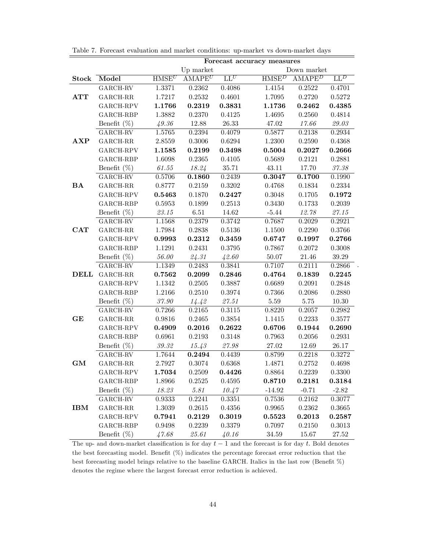|              |                           |                   |            |                  | Forecast accuracy measures |             |                                                                                     |
|--------------|---------------------------|-------------------|------------|------------------|----------------------------|-------------|-------------------------------------------------------------------------------------|
|              |                           |                   | Up market  |                  |                            | Down market |                                                                                     |
| <b>Stock</b> | Model                     | HMSE <sup>U</sup> | $AMAPE^U$  | $LL^U$           | HMSE <sup>D</sup>          | $AMAPE^D$   | $\mathrm{LL}^D$                                                                     |
|              | $\operatorname{GARCH-RV}$ | 1.3371            | 0.2362     | 0.4086           | 1.4154                     | 0.2522      | 0.4701                                                                              |
| <b>ATT</b>   | $GARCH-RR$                | 1.7217            | 0.2532     | 0.4601           | 1.7095                     | 0.2720      | 0.5272                                                                              |
|              | GARCH-RPV                 | 1.1766            | 0.2319     | 0.3831           | 1.1736                     | 0.2462      | 0.4385                                                                              |
|              | GARCH-RBP                 | 1.3882            | 0.2370     | 0.4125           | 1.4695                     | 0.2560      | 0.4814                                                                              |
|              | Benefit $(\%)$            | 49.36             | $12.88\,$  | 26.33            | 47.02                      | 17.66       | $\it 29.03$                                                                         |
|              | $\operatorname{GARCH-RV}$ | 1.5765            | 0.2394     | 0.4079           | 0.5877                     | 0.2138      | 0.2934                                                                              |
| $\bf AXP$    | $_{\rm GARCH-RR}$         | 2.8559            | 0.3006     | 0.6294           | 1.2300                     | 0.2590      | 0.4368                                                                              |
|              | $GARCH-RPV$               | 1.1585            | 0.2199     | 0.3498           | 0.5004                     | 0.2027      | 0.2666                                                                              |
|              | GARCH-RBP                 | 1.6098            | 0.2365     | $0.4105\,$       | 0.5689                     | 0.2121      | 0.2881                                                                              |
|              | Benefit $(\%)$            | 61.55             | 18.24      | 35.71            | 43.11                      | 17.70       | $\mathbf{\mathcal{3}}\mathbf{\mathcal{7}}.\mathbf{\mathcal{3}}\mathbf{\mathcal{8}}$ |
|              | $GARCH-RV$                | 0.5706            | 0.1860     | 0.2439           | 0.3047                     | 0.1700      | 0.1990                                                                              |
| <b>BA</b>    | $_{\rm GARCH-RR}$         | 0.8777            | 0.2159     | $0.3202\,$       | 0.4768                     | 0.1834      | 0.2334                                                                              |
|              | GARCH-RPV                 | 0.5463            | 0.1870     | 0.2427           | 0.3048                     | 0.1705      | 0.1972                                                                              |
|              | GARCH-RBP                 | $0.5953\,$        | 0.1899     | 0.2513           | 0.3430                     | 0.1733      | 0.2039                                                                              |
|              | Benefit $(\%)$            | $\it 23.15$       | $6.51\,$   | 14.62            | $-5.44$                    | 12.78       | $\it 27.15$                                                                         |
|              | GARCH-RV                  | 1.1568            | 0.2379     | 0.3742           | 0.7687                     | 0.2029      | 0.2921                                                                              |
| $\bf CAT$    | $GARCH-RR$                | 1.7984            | 0.2838     | 0.5136           | 1.1500                     | 0.2290      | 0.3766                                                                              |
|              | GARCH-RPV                 | 0.9993            | 0.2312     | 0.3459           | 0.6747                     | 0.1997      | 0.2766                                                                              |
|              | GARCH-RBP                 | 1.1291            | 0.2431     | 0.3795           | 0.7867                     | 0.2072      | 0.3008                                                                              |
|              | Benefit $(\%)$            | 56.00             | 24.31      | 42.60            | 50.07                      | 21.46       | $39.29\,$                                                                           |
|              | $\operatorname{GARCH-RV}$ | 1.1349            | 0.2483     | 0.3841           | 0.7107                     | 0.2111      | 0.2866                                                                              |
|              | <b>DELL</b> GARCH-RR      | 0.7562            | 0.2099     | 0.2846           | 0.4764                     | 0.1839      | 0.2245                                                                              |
|              | GARCH-RPV                 | 1.1342            | $0.2505\,$ | 0.3887           | 0.6689                     | 0.2091      | 0.2848                                                                              |
|              | GARCH-RBP                 | 1.2166            | $0.2510\,$ | 0.3974           | 0.7366                     | 0.2086      | 0.2880                                                                              |
|              | Benefit $(\%)$            | $\it 37.90$       | 14.42      | $\mathit{27.51}$ | 5.59                       | $5.75\,$    | $10.30\,$                                                                           |
|              | $GARCH-RV$                | 0.7266            | 0.2165     | 0.3115           | 0.8220                     | 0.2057      | 0.2982                                                                              |
| GE           | $_{\rm GARCH-RR}$         | 0.9816            | 0.2465     | $0.3854\,$       | 1.1415                     | 0.2233      | $0.3577\,$                                                                          |
|              | GARCH-RPV                 | 0.4909            | 0.2016     | 0.2622           | 0.6706                     | 0.1944      | 0.2690                                                                              |
|              | GARCH-RBP                 | 0.6961            | 0.2193     | 0.3148           | 0.7963                     | 0.2056      | 0.2931                                                                              |
|              | Benefit $(\%)$            | $\it 39.32$       | 15.43      | $\it 27.98$      | 27.02                      | 12.69       | 26.17                                                                               |
|              | $\operatorname{GARCH-RV}$ | 1.7644            | 0.2494     | 0.4439           | 0.8799                     | 0.2218      | 0.3272                                                                              |
| GM           | GARCH-RR                  | 2.7927            | 0.3074     | 0.6368           | 1.4871                     | 0.2752      | 0.4698                                                                              |
|              | GARCH-RPV                 | 1.7034            | 0.2509     | 0.4426           | 0.8864                     | 0.2239      | 0.3300                                                                              |
|              | GARCH-RBP                 | 1.8966            | 0.2525     | 0.4595           | 0.8710                     | 0.2181      | 0.3184                                                                              |
|              | Benefit $(\%)$            | 18.23             | 5.81       | 10.47            | $-14.92$                   | $-0.71$     | $-2.82$                                                                             |
|              | $_{\rm GARCH-RV}$         | 0.9333            | 0.2241     | 0.3351           | 0.7536                     | 0.2162      | 0.3077                                                                              |
| IBM          | GARCH-RR                  | 1.3039            | 0.2615     | 0.4356           | 0.9965                     | 0.2362      | 0.3665                                                                              |
|              | GARCH-RPV                 | 0.7941            | 0.2129     | 0.3019           | 0.5523                     | 0.2013      | 0.2587                                                                              |
|              | GARCH-RBP                 | 0.9498            | 0.2239     | 0.3379           | 0.7097                     | 0.2150      | 0.3013                                                                              |
|              | Benefit $(\%)$            | 47.68             | 25.61      | 40.16            | 34.59                      | 15.67       | 27.52                                                                               |

.

Table 7. Forecast evaluation and market conditions: up-market vs down-market days

The up- and down-market classification is for day  $t-1$  and the forecast is for day t. Bold denotes the best forecasting model. Benefit  $(\%)$  indicates the percentage forecast error reduction that the best forecasting model brings relative to the baseline GARCH. Italics in the last row (Benefit  $\%$ ) denotes the regime where the largest forecast error reduction is achieved.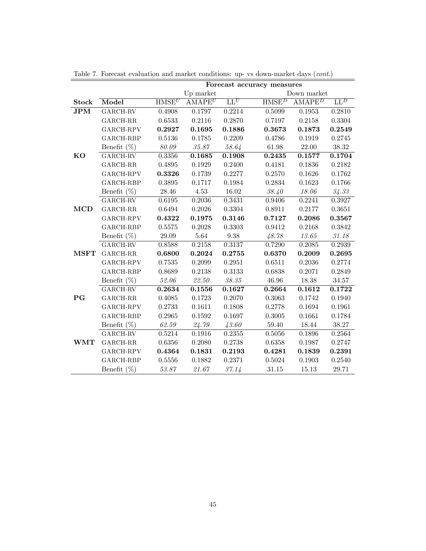|              |                              |                   |                     |             | Table 7. Forecast evaluation and market conditions: up- vs down-market days ( <i>cont.</i> ) |  |
|--------------|------------------------------|-------------------|---------------------|-------------|----------------------------------------------------------------------------------------------|--|
|              |                              |                   |                     |             | Forecast accuracy measures                                                                   |  |
|              |                              |                   | Up market           |             | Down market                                                                                  |  |
| <b>Stock</b> | Model                        | HMSE <sup>U</sup> | $AMAPE^U$           | $LL^U$      | HMSE <sup>D</sup><br>$AMAPE^D$<br>$\mathbf{L}\mathbf{L}^D$                                   |  |
| JPM          | $\operatorname{GARCH-RV}$    | 0.4908            | 0.1797              | 0.2214      | 0.2810<br>0.5099<br>0.1953                                                                   |  |
|              | $\operatorname{GARCH-RR}$    | 0.6533            | 0.2116              | 0.2870      | 0.3304<br>0.7197<br>0.2158                                                                   |  |
|              | GARCH-RPV                    | 0.2927            | 0.1695              | 0.1886      | 0.3673<br>0.1873<br>0.2549                                                                   |  |
|              | GARCH-RBP                    | 0.5136            | 0.1785              | 0.2209      | 0.4786<br>0.1919<br>0.2745                                                                   |  |
|              | Benefit $(\%)$               | 80.09             | 35.87               | 58.64       | 61.98<br>22.00<br>$38.32\,$                                                                  |  |
| <b>KO</b>    | $\operatorname{GARCH-RV}$    | 0.3356            | 0.1685              | 0.1908      | 0.1577<br>0.1704<br>0.2435                                                                   |  |
|              | $GARCH-RR$                   | 0.4895            | 0.1929              | 0.2400      | 0.4181<br>0.1836<br>0.2182                                                                   |  |
|              | GARCH-RPV                    | 0.3326            | 0.1739              | 0.2277      | 0.2570<br>0.1626<br>0.1762                                                                   |  |
|              | GARCH-RBP                    | 0.3895            | 0.1717              | 0.1984      | 0.2834<br>0.1623<br>0.1766                                                                   |  |
|              | Benefit $(\%)$               | $28.46\,$         | $4.53\,$            | $16.02\,$   | 38.40<br>$18.06\,$<br>34.33                                                                  |  |
|              | $GARCH-RV$                   | 0.6195            | 0.2036              | 0.3431      | 0.2241<br>0.3927<br>0.9406                                                                   |  |
| <b>MCD</b>   | $\operatorname{GARCH-RR}$    | 0.6494            | 0.2026              | 0.3304      | 0.2177<br>0.3651<br>0.8911                                                                   |  |
|              | GARCH-RPV                    | 0.4322            | $\bf0.1975$         | 0.3146      | 0.2086<br>0.3567<br>0.7127                                                                   |  |
|              | $GARCH-RBP$                  | 0.5575            | 0.2028              | 0.3303      | 0.9412<br>0.2168<br>0.3842                                                                   |  |
|              | Benefit $(\%)$               | 29.09             | 5.64                | $9.38\,$    | 13.65<br>48.78<br>31.18                                                                      |  |
|              | GARCH-RV                     | 0.8588            | 0.2158              | 0.3137      | 0.2085<br>0.7290<br>0.2939                                                                   |  |
| <b>MSFT</b>  | $\operatorname{GARCH-RR}$    | 0.6800            | 0.2024              | 0.2755      | 0.6370<br>0.2009<br>0.2695                                                                   |  |
|              | GARCH-RPV                    | 0.7535            | 0.2099              | 0.2951      | 0.6511<br>0.2036<br>0.2774                                                                   |  |
|              | $GARCH-RBP$                  | 0.8689            | 0.2138              | 0.3133      | 0.6838<br>0.2071<br>0.2849                                                                   |  |
|              | Benefit $(\%)$               | 52.06             | 22.50               | $\it 38.35$ | $34.57\,$<br>46.96<br>18.38                                                                  |  |
|              | $GARCH-RV$                   | 0.2634            | 0.1556              | 0.1627      | 0.1612<br>0.1722<br>0.2664                                                                   |  |
| $_{\rm PG}$  | $GARCH-RR$                   | 0.4085            | 0.1723              | 0.2070      | 0.3063<br>0.1742<br>0.1940                                                                   |  |
|              | $\operatorname{GARCH-RPV}$   | 0.2733            | 0.1611              | 0.1808      | 0.2778<br>0.1961<br>0.1694                                                                   |  |
|              | GARCH-RBP                    | 0.2965            | 0.1592              | 0.1697      | 0.1661<br>$0.1784\,$<br>0.3005                                                               |  |
|              | Benefit $(\%)$               | 62.59             | 24.79               | 43.60       | $59.40\,$<br>18.44<br>38.27                                                                  |  |
|              | $\overline{\text{GARCH-RV}}$ | 0.5214            | $\overline{0.19}16$ | 0.2355      | 0.1896<br>0.2564<br>0.5056                                                                   |  |
| <b>WMT</b>   | $GARCH-RR$                   | $0.6356\,$        | 0.2080              | 0.2738      | 0.6358<br>0.1987<br>0.2747                                                                   |  |
|              | GARCH-RPV                    | 0.4364            | 0.1831              | 0.2193      | 0.1839<br>0.2391<br>0.4281                                                                   |  |
|              | GARCH-RBP                    | 0.5556            | 0.1882              | 0.2371      | 0.5024<br>0.1903<br>0.2540                                                                   |  |
|              | Benefit $(\%)$               | 53.87             | 21.67               | 37.14       | 29.71<br>31.15<br>15.13                                                                      |  |

Table 7. Forecast evaluation and market conditions: up- vs down-market days (cont.)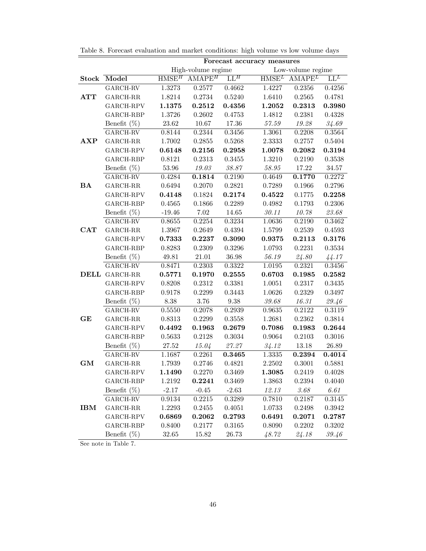|              |                              |                   |                    |                          | Forecast accuracy measures |                   |                 |
|--------------|------------------------------|-------------------|--------------------|--------------------------|----------------------------|-------------------|-----------------|
|              |                              |                   | High-volume regime |                          |                            | Low-volume regime |                 |
| Stock        | Model                        | HMSE <sup>H</sup> | $AMAPE^H$          | $\mathbf{L}\mathbf{L}^H$ | HMSE <sup>L</sup>          | $AMAPE^L$         | $\mathrm{LL}^L$ |
|              | $\operatorname{GARCH-RV}$    | 1.3273            | 0.2577             | 0.4662                   | 1.4227                     | 0.2356            | 0.4256          |
| ATT          | $GARCH-RR$                   | 1.8214            | 0.2734             | 0.5240                   | 1.6410                     | 0.2565            | 0.4781          |
|              | GARCH-RPV                    | 1.1375            | $\  \  0.2512$     | 0.4356                   | 1.2052                     | 0.2313            | 0.3980          |
|              | GARCH-RBP                    | 1.3726            | 0.2602             | 0.4753                   | 1.4812                     | 0.2381            | 0.4328          |
|              | Benefit $(\%)$               | $23.62\,$         | 10.67              | 17.36                    | 57.59                      | 19.28             | 34.69           |
|              | $\operatorname{GARCH-RV}$    | 0.8144            | 0.2344             | 0.3456                   | 1.3061                     | 0.2208            | 0.3564          |
| AXP          | $\mbox{GARCH-RR}$            | 1.7002            | 0.2855             | 0.5268                   | 2.3333                     | 0.2757            | $0.5404\,$      |
|              | GARCH-RPV                    | 0.6148            | 0.2156             | $\bf 0.2958$             | 1.0078                     | 0.2082            | 0.3194          |
|              | GARCH-RBP                    | 0.8121            | 0.2313             | 0.3455                   | 1.3210                     | 0.2190            | 0.3538          |
|              | Benefit $(\%)$               | $53.96\,$         | 19.03              | $38.87\,$                | $58.95\,$                  | 17.22             | 34.57           |
|              | GARCH-RV                     | 0.4284            | 0.1814             | 0.2190                   | 0.4649                     | 0.1770            | 0.2272          |
| BA           | $\operatorname{GARCH-RR}$    | 0.6494            | 0.2070             | 0.2821                   | 0.7289                     | 0.1966            | 0.2796          |
|              | GARCH-RPV                    | 0.4148            | 0.1824             | 0.2174                   | 0.4522                     | 0.1775            | 0.2258          |
|              | GARCH-RBP                    | 0.4565            | 0.1866             | 0.2289                   | 0.4982                     | 0.1793            | 0.2306          |
|              | Benefit $(\%)$               | $-19.46$          | 7.02               | 14.65                    | $\it 30.11$                | 10.78             | 23.68           |
|              | GARCH-RV                     | 0.8655            | 0.2254             | 0.3234                   | 1.0636                     | 0.2190            | 0.3462          |
| $_{\rm CAT}$ | GARCH-RR                     | 1.3967            | 0.2649             | 0.4394                   | $1.5799\,$                 | 0.2539            | 0.4593          |
|              | GARCH-RPV                    | 0.7333            | 0.2237             | 0.3090                   | ${\bf 0.9375}$             | 0.2113            | 0.3176          |
|              | GARCH-RBP                    | 0.8283            | 0.2309             | 0.3296                   | 1.0793                     | 0.2231            | 0.3534          |
|              | Benefit $(\%)$               | 49.81             | 21.01              | 36.98                    | 56.19                      | 24.80             | 44.17           |
|              | $\overline{\text{GARCH-RV}}$ | 0.8471            | 0.2303             | 0.3322                   | 1.0195                     | 0.2321            | 0.3456          |
|              | <b>DELL GARCH-RR</b>         | 0.5771            | 0.1970             | 0.2555                   | 0.6703                     | 0.1985            | 0.2582          |
|              | GARCH-RPV                    | 0.8208            | 0.2312             | 0.3381                   | 1.0051                     | 0.2317            | $0.3435\,$      |
|              | GARCH-RBP                    | 0.9178            | 0.2299             | 0.3443                   | 1.0626                     | 0.2329            | 0.3497          |
|              | Benefit $(\%)$               | $8.38\,$          | 3.76               | $\boldsymbol{9.38}$      | $\it 39.68$                | 16.31             | 29.46           |
|              | GARCH-RV                     | 0.5550            | 0.2078             | 0.2939                   | 0.9635                     | 0.2122            | 0.3119          |
| GE           | $GARCH-RR$                   | 0.8313            | 0.2299             | 0.3558                   | $1.2681\,$                 | 0.2362            | $0.3814\,$      |
|              | GARCH-RPV                    | 0.4492            | 0.1963             | 0.2679                   | 0.7086                     | 0.1983            | 0.2644          |
|              | GARCH-RBP                    | 0.5633            | 0.2128             | 0.3034                   | 0.9064                     | 0.2103            | 0.3016          |
|              | Benefit $(\%)$               | $27.52\,$         | 15.04              | 27.27                    | 34.12                      | $13.18\,$         | 26.89           |
|              | GARCH-RV                     | 1.1687            | 0.2261             | 0.3465                   | 1.3335                     | 0.2394            | 0.4014          |
| GM           | $GARCH-RR$                   | 1.7939            | 0.2746             | 0.4821                   | 2.2502                     | 0.3001            | 0.5881          |
|              | GARCH-RPV                    | 1.1490            | 0.2270             | 0.3469                   | 1.3085                     | 0.2419            | 0.4028          |
|              | GARCH-RBP                    | 1.2192            | 0.2241             | 0.3469                   | 1.3863                     | 0.2394            | 0.4040          |
|              | Benefit $(\%)$               | $-2.17$           | $-0.45$            | $-2.63$                  | 12.13                      | 3.68              | 6.61            |
|              | GARCH-RV                     | 0.9134            | 0.2215             | 0.3289                   | 0.7810                     | 0.2187            | 0.3145          |
| IBM          | GARCH-RR                     | 1.2293            | 0.2455             | 0.4051                   | 1.0733                     | 0.2498            | 0.3942          |
|              | GARCH-RPV                    | 0.6869            | 0.2062             | 0.2793                   | 0.6491                     | 0.2071            | 0.2787          |
|              | GARCH-RBP                    | 0.8400            | 0.2177             | 0.3165                   | 0.8090                     | 0.2202            | 0.3202          |
|              | Benefit $(\%)$               | 32.65             | 15.82              | 26.73                    | 48.72                      | 24.18             | 39.46           |

Table 8. Forecast evaluation and market conditions: high volume vs low volume days

See note in Table 7.

 $\overline{a}$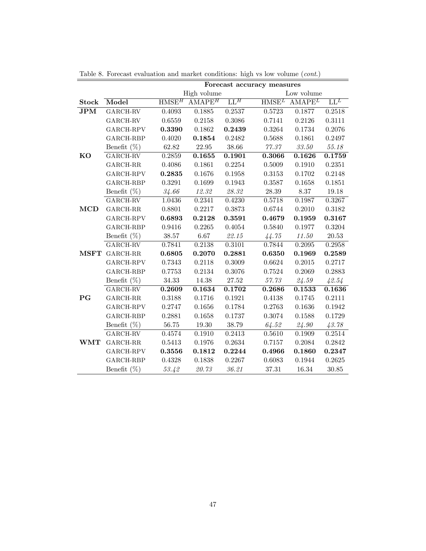|                                |                            |                            |             |              | Forecast accuracy measures |             |                            |
|--------------------------------|----------------------------|----------------------------|-------------|--------------|----------------------------|-------------|----------------------------|
|                                |                            |                            | High volume |              |                            | Low volume  |                            |
| <b>Stock</b>                   | Model                      | $\overline{\mbox{HMSE}^H}$ | $AMAPE^H$   | ${\rm LL}^H$ | HMSE <sup>L</sup>          | $AMAPE^L$   | $\overline{\mathrm{LL}^L}$ |
| JPM                            | GARCH-RV                   | 0.4093                     | 0.1885      | 0.2537       | 0.5723                     | 0.1877      | 0.2518                     |
|                                | GARCH-RV                   | 0.6559                     | 0.2158      | $0.3086\,$   | 0.7141                     | 0.2126      | 0.3111                     |
|                                | $\operatorname{GARCH-RPV}$ | 0.3390                     | 0.1862      | 0.2439       | 0.3264                     | 0.1734      | 0.2076                     |
|                                | GARCH-RBP                  | 0.4020                     | 0.1854      | 0.2482       | 0.5688                     | 0.1861      | 0.2497                     |
|                                | Benefit $(\%)$             | 62.82                      | $22.95\,$   | $38.66\,$    | 77.37                      | $\it 33.50$ | 55.18                      |
| KO                             | GARCH-RV                   | 0.2859                     | 0.1655      | 0.1901       | 0.3066                     | 0.1626      | 0.1759                     |
|                                | GARCH-RR                   | 0.4086                     | 0.1861      | 0.2254       | 0.5009                     | 0.1910      | 0.2351                     |
|                                | GARCH-RPV                  | 0.2835                     | 0.1676      | 0.1958       | 0.3153                     | 0.1702      | 0.2148                     |
|                                | GARCH-RBP                  | $0.3291\,$                 | $0.1699\,$  | 0.1943       | 0.3587                     | 0.1658      | 0.1851                     |
|                                | Benefit $(\%)$             | 34.66                      | $12.32\,$   | $28.32\,$    | $28.39\,$                  | 8.37        | 19.18                      |
|                                | $_{\rm GARCH-RV}$          | 1.0436                     | 0.2341      | 0.4230       | 0.5718                     | 0.1987      | 0.3267                     |
| $\bf MCD$                      | GARCH-RR                   | 0.8801                     | 0.2217      | 0.3873       | 0.6744                     | 0.2010      | 0.3182                     |
|                                | GARCH-RPV                  | 0.6893                     | 0.2128      | 0.3591       | 0.4679                     | 0.1959      | 0.3167                     |
|                                | GARCH-RBP                  | 0.9416                     | 0.2265      | 0.4054       | 0.5840                     | 0.1977      | 0.3204                     |
|                                | Benefit $(\%)$             | 38.57                      | $6.67\,$    | 22.15        | 44.75                      | $11.50\,$   | $20.53\,$                  |
|                                | $GARCH-RV$                 | 0.7841                     | 0.2138      | 0.3101       | 0.7844                     | 0.2095      | 0.2958                     |
| $\operatorname{\mathbf{MSFT}}$ | GARCH-RR                   | 0.6805                     | 0.2070      | 0.2881       | 0.6350                     | 0.1969      | 0.2589                     |
|                                | GARCH-RPV                  | 0.7343                     | 0.2118      | 0.3009       | $0.6624\,$                 | 0.2015      | 0.2717                     |
|                                | GARCH-RBP                  | 0.7753                     | 0.2134      | $0.3076\,$   | 0.7524                     | 0.2069      | 0.2883                     |
|                                | Benefit $(\%)$             | $34.33\,$                  | 14.38       | 27.52        | 57.73                      | 24.59       | 42.54                      |
|                                | $GARCH-RV$                 | 0.2609                     | 0.1634      | 0.1702       | 0.2686                     | 0.1533      | 0.1636                     |
| $_{\rm PG}$                    | $GARCH-RR$                 | 0.3188                     | 0.1716      | 0.1921       | 0.4138                     | 0.1745      | 0.2111                     |
|                                | GARCH-RPV                  | 0.2747                     | 0.1656      | 0.1784       | 0.2763                     | 0.1636      | 0.1942                     |
|                                | GARCH-RBP                  | 0.2881                     | 0.1658      | 0.1737       | 0.3074                     | 0.1588      | 0.1729                     |
|                                | Benefit $(\%)$             | 56.75                      | $19.30\,$   | 38.79        | 64.52                      | 24.90       | 43.78                      |
|                                | GARCH-RV                   | 0.4574                     | 0.1910      | 0.2413       | 0.5610                     | 0.1909      | 0.2514                     |
| <b>WMT</b>                     | $\operatorname{GARCH-RR}$  | 0.5413                     | 0.1976      | 0.2634       | 0.7157                     | 0.2084      | ${0.2842}$                 |
|                                | GARCH-RPV                  | 0.3556                     | 0.1812      | 0.2244       | 0.4966                     | 0.1860      | 0.2347                     |
|                                | GARCH-RBP                  | 0.4328                     | 0.1838      | 0.2267       | 0.6083                     | 0.1944      | 0.2625                     |
|                                | Benefit $(\%)$             | 53.42                      | 20.73       | 36.21        | 37.31                      | 16.34       | 30.85                      |

Table 8. Forecast evaluation and market conditions: high vs low volume (cont.)

 $\overline{\phantom{0}}$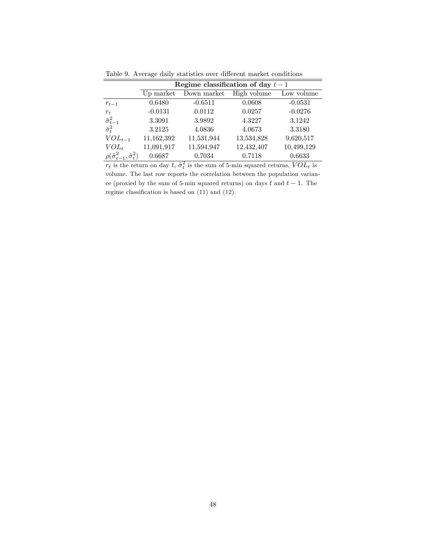|                                                     |            | Regime classification of day $t-1$ |             |            |
|-----------------------------------------------------|------------|------------------------------------|-------------|------------|
|                                                     | Up market  | Down market                        | High volume | Low volume |
| $r_{t-1}$                                           | 0.6480     | $-0.6511$                          | 0.0608      | $-0.0531$  |
| $r_t$                                               | $-0.0131$  | 0.0112                             | 0.0257      | $-0.0276$  |
| $\frac{\tilde{\sigma}_{t-1}^2}{\tilde{\sigma}_t^2}$ | 3.3091     | 3.9892                             | 4.3227      | 3.1242     |
|                                                     | 3.2125     | 4.0836                             | 4.0673      | 3.3180     |
| $VOL_{t-1}$                                         | 11,162,392 | 11,531,944                         | 13,534,828  | 9,620,517  |
| $VOL_t$                                             | 11,091,917 | 11,594,947                         | 12,432,407  | 10,499,129 |
| $\rho(\tilde{\sigma}_{t-}^2)$                       | 0.6687     | 0.7034<br>᠊ᢆ᠇ᡪ                     | 0.7118      | 0.6633     |

Table 9. Average daily statistics over different market conditions

 $r_t$  is the return on day  $t, \, \tilde{\sigma}_t^2$  is the sum of 5-min squared returns,  $VOL_t$  is volume. The last row reports the correlation between the population variance (proxied by the sum of 5-min squared returns) on days  $t$  and  $t-1$ . The regime classification is based on  $(11)$  and  $(12)$ .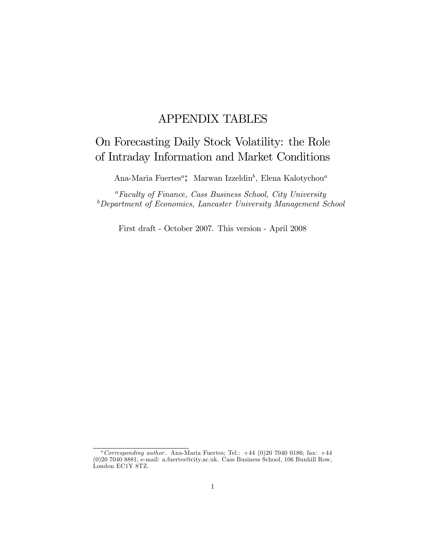## APPENDIX TABLES

## On Forecasting Daily Stock Volatility: the Role of Intraday Information and Market Conditions

Ana-Maria Fuertes<sup>a</sup>, Marwan Izzeldin<sup>b</sup>, Elena Kalotychou<sup>a</sup>

 ${}^a$ Faculty of Finance, Cass Business School, City University <sup>b</sup>Department of Economics, Lancaster University Management School

First draft - October 2007. This version - April 2008

<sup>\*</sup> Corresponding author. Ana-Maria Fuertes; Tel.:  $+44$  (0)20 7040 0186; fax:  $+44$ (0)20 7040 8881, e-mail: a.fuertes@city.ac.uk. Cass Business School, 106 Bunhill Row, London EC1Y 8TZ.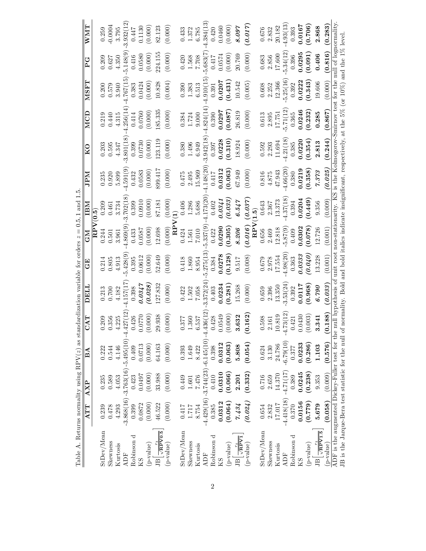| Table A. Returns normality using RPV( $z$ ) as standardization variable for orders $z = 0.5, 1$ and 1.5                                                                                                             |              |                                            |             |                        |                    |              |                |                  |            |              |                                                                                             |             |          |            |
|---------------------------------------------------------------------------------------------------------------------------------------------------------------------------------------------------------------------|--------------|--------------------------------------------|-------------|------------------------|--------------------|--------------|----------------|------------------|------------|--------------|---------------------------------------------------------------------------------------------|-------------|----------|------------|
|                                                                                                                                                                                                                     | ATT          | AXP                                        | $_{\rm BA}$ | <b>TAT</b>             | LTELI              | 田口           | <b>NP</b>      | mв               | <b>NGI</b> | $_{\rm K0}$  | $M\overline{CD}$                                                                            | <b>LASN</b> | P G      | <b>NNW</b> |
|                                                                                                                                                                                                                     |              |                                            |             |                        |                    |              | $_{\rm RPV}$   | $\widetilde{6}$  |            |              |                                                                                             |             |          |            |
| StDev/Mean                                                                                                                                                                                                          | 0.239        | 0.235                                      | 0.222       | 209                    | 0.213              | $\rm 0.214$  | 0.244          | 0.209            | 0.235      | 0.203        | 0.219                                                                                       | 0.200       | 0.209    | 0.259      |
| Skewness                                                                                                                                                                                                            | 0.478        | 0.589                                      | 0.544       | 356                    | 0.700              | 0.805        | 0.501          | 0.461            | 0.920      | 0.595        | 0.440                                                                                       | 0.579       | 0.627    | $-0.0004$  |
| Kurtosis                                                                                                                                                                                                            | 4.293        | 4.053                                      | 4.146       | .225                   | 4.182              | $4.913\,$    | 3.961          | 3.734            | 5.899      | 4.347        | 4.315                                                                                       | 3.940       | 4.350    | 3.795      |
| ADF                                                                                                                                                                                                                 |              | $-3.868(16) - 3.763(16) - 5.495(10) - 4.4$ |             | 127(12)                | 4.157(17           | 5.428(9      | 4.869(9        | 3.702(18)        | 4.591(9)   | 3.801(18)    | .256(14)                                                                                    | .767(15)    | 5.148(9) | 3.932(12)  |
| Robinson d                                                                                                                                                                                                          | 0.399        | 0.423                                      | 0.409       | 426                    | 0.398              | 0.395        | 0.433          | 0.399            | 0.432      | 0.399        | 0.414                                                                                       | 0.383       | 0.416    | 0.447      |
| KS                                                                                                                                                                                                                  | 0.0872       | 0.0497                                     | 0.0713      | 0770<br>Õ              | 0.0347             | 0.0612       | 0.0587         | 0.0910           | 0.0583     | 0.0730       | 0.0760                                                                                      | 0.0424      | 0.0580   | 0.1130     |
| (p-value)                                                                                                                                                                                                           | (0.000)      | (0.000)                                    | (0.000)     | (000)                  | (0.028)            | (0.000)      | (0.000)        | (0.000)          | (0.000)    | (0.000)      | (0.000)                                                                                     | (0.000)     | (0.000)  | (0.000)    |
| $\frac{r_t}{\sqrt{\text{RPV0.5}}}$<br>$\overline{B}$                                                                                                                                                                | 46.522       | 33.988                                     | 64.163      | .938<br>$^{29}$        | 127.832            | 52.649       | 12.698         | 87.181           | 899.417    | 23.119       | 185.335                                                                                     | 10.828      | 224.15   | 82.123     |
| (p-value)                                                                                                                                                                                                           | (0.000)      | (0.000)                                    | (0.000)     | (000)                  | (0.000)            | (0.000)      | (0.000)        | (0.000)          | (0.000)    | (0.000)      | (0.000)                                                                                     | (0.004)     | (0.000)  | (0.000)    |
|                                                                                                                                                                                                                     |              |                                            |             |                        |                    |              | $_{\rm RP}$    | V(1)             |            |              |                                                                                             |             |          |            |
| StDev/Mean                                                                                                                                                                                                          | 0.417        | 0.449                                      | 0.393       | 377                    | 0.422              | 0.418        | 0.424          | 0.406            | 0.475      | 0.380        | 0.384                                                                                       | 0.390       | 0.420    | 0.433      |
| Skewness                                                                                                                                                                                                            | 1.717        | $1.601\,$                                  | 1.649       | 360                    | $1.502\,$          | 1.860        | 1.561          | 1.286            | 2.495      | 1.496        | 1.724                                                                                       | 1.383       | 1.568    | 1.372      |
| Kurtosis                                                                                                                                                                                                            | 8.754        | 7.476                                      | 8.422       | 537                    | 7.058              | 8.954        | 7.010          | 5.686            | 15.969     | 6.949        | 9.000                                                                                       | 6.513       | 7.708    | 6.785      |
| <b>ADF</b>                                                                                                                                                                                                          |              | $-4.429(16) - 3.744(23) - 6.145(10)$       |             | 436(12)<br>-4.4        | 3.372(24)          | $-5.275(13)$ | $-5.337(9)$    | .173(20)         | 1.148(20)  | $-3.942(18)$ | $-4.824(14)$                                                                                | .910(15     | 5.683(7  | .384(13)   |
| Robinson d                                                                                                                                                                                                          | 0.385        | 0.410                                      | 0.398       | .428                   | 0.403              | 0.384        | 0.422          | 0.402            | 0.417      | 0.397        | 0.390                                                                                       | 0.391       | 0.417    | 0.420      |
| KS                                                                                                                                                                                                                  | 0.0312       | 0.0310                                     | 0.0312      | 0549                   | 0.0234             | 0.278        | 0.0290         | 0.0341           | 0.0312     | 0.0228       | 0.0297                                                                                      | 0.0207      | 0.0574   | 0.0460     |
| (p-value)                                                                                                                                                                                                           | (0.064)      | (0.066)                                    | (0.063)     | (000)                  | (0.281)            | (0.128)      | (0.305)        | (0.033)          | (0.063)    | (0.310)      | (0.087)                                                                                     | (0.431)     | (0.000)  | (0.000)    |
| $\sqrt{\frac{r_t}{\rm RPV1}}$<br>$\overline{B}$                                                                                                                                                                     | 7.434        | 2.201                                      | 5.808       | .632<br>S              | 15.268             | 9.517        | 8.206          | 6.547            | 67.949     | 18.924       | 26.819                                                                                      | 10.542      | 20.769   | 8.097      |
| (p-value)                                                                                                                                                                                                           | (0.024)      | (0.332)                                    | (0.054)     | .162)<br>$\dot{\circ}$ | (0.000)            | (0.008)      | RPV<br>(0.016) | (0.037)<br>(1.5) | (0.000)    | (0.000)      | (0.000)                                                                                     | (0.005)     | (0.000)  | (0.017)    |
| StDev/Mean                                                                                                                                                                                                          | 0.654        | 0.716                                      | 0.624       | 598.                   | 0.659              | $0.679\,$    | 0.656          | 0.643            | 0.816      | 0.592        | $\,0.613\,$                                                                                 | $\,0.608\,$ | 0.683    | $0.676\,$  |
| Skewness                                                                                                                                                                                                            | 2.832        | 2.659                                      | 3.130       | 161                    | 2.396              | 2.978        | 2.469          | 2.367            | 4.875      | 2.293        | 2.895                                                                                       | 2.252       | 2.856    | 2.832      |
| Kurtosis                                                                                                                                                                                                            | 17.017       | 14.370                                     | 24.786      | 0.819                  | 13.350             | 17.554       | 12.818         | 13.373           | 47.943     | 11.694       | 17.751                                                                                      | 12.366      | 17.600   | 20.182     |
| <b>ADF</b>                                                                                                                                                                                                          | $-4.418(18)$ | $-4.71(17)$                                | $-6.79(10)$ | .73(12)<br>:<br> -     | 3.53(24            | 4.98(20)     | $-5.87(9)$     | 4.37(18          | 4.66(20)   | 4.21(18      | 5.71(12                                                                                     | 5.25(16)    | 5.34(12) | 4.93(13)   |
| Robinson d                                                                                                                                                                                                          | 0.370        | 0.389                                      | 0.377       | $-421$                 | 0.392              | 0.363        | 0.409          | 0.394            | 0.380      | 0.385        | 0.365                                                                                       | 0.392       | 0.396    | 0.393      |
| KS                                                                                                                                                                                                                  | 0.0156       | 0.0245                                     | 0.0233      | 0430<br>$\circ$        | 0.0117             | 0.333        | 0.0302         | 0.0204           | 0.0219     | 0.0220       | 0.0246                                                                                      | 0.0222      | 0.0295   | 0.0167     |
| (p-value)                                                                                                                                                                                                           | (6.779)      | (0.238)                                    | (0.286)     | (603)                  | (0.968)            | (0.040)      | 0.078          | (0.449)          | (0.358)    | (0.354)      | (0.232)                                                                                     | (0.343)     | (0.091)  | (0.706)    |
| $\sqrt{RPV1.5}$<br>$\overline{B}$                                                                                                                                                                                   | 5.679        | 9.353                                      | 1.103       | .341<br>S              | 6.790              | 13.228       | 12.726         | 9.356            | 7.373      | 2.813        | 0.285                                                                                       | 19.606      | 0.406    | 2.868      |
| (p-value)                                                                                                                                                                                                           | (0.058)      | (0.009)                                    | (0.576)     | (0.188)                | (0.033)            | (0.001)      | (0.001)        | (0.009)          | (0.025)    | (0.244)      | (0.867)                                                                                     | (0.000)     | (0.816)  | (0.283)    |
| JB is the Jarque-Bera test statistic for the null of normality. Bold and bold italics indicate insignificant, respectively, at the 5% (or 10%) and the 1% level.<br>ADF is the augmented Dickey-Fuller test for the |              |                                            |             |                        | null hypothesis of |              |                |                  |            |              | unit root non-stationarity. KS is the Kolmogorov-Smirnov test for the null of lognormality. |             |          |            |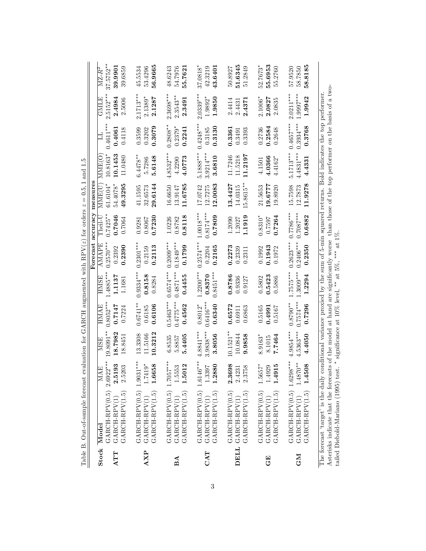|           | Table B. Out-of-sample forecast            |                                | evaluation for GARCH augmented with RPV( $z$ ) for orders $z$ |                            |                            |                             |                                                                                                    | $= 0.5, 1$                   | and 1.5                    |                            |                            |                          |
|-----------|--------------------------------------------|--------------------------------|---------------------------------------------------------------|----------------------------|----------------------------|-----------------------------|----------------------------------------------------------------------------------------------------|------------------------------|----------------------------|----------------------------|----------------------------|--------------------------|
|           |                                            |                                |                                                               |                            | <b>HMSE</b>                |                             |                                                                                                    | Forecast accuracy measures   |                            |                            |                            | $\mathbf{MZ}\text{-}R^2$ |
|           | $GARTCH-RPV(0.5) 2.6922***$<br>Stock Model | $\overline{\text{MAE}}$        | 19.8091**<br><b>MSE</b>                                       | $0.8052***$<br>HMAE        | $1.4885***$                | $0.2570***$<br><b>AMAPE</b> | $0.7425**$<br>Theil-U                                                                              | $61.6104*$<br><b>NANE( U</b> | 10.8163*<br>MME(O          | $0.4611***$<br>彐           | $2.5152***$<br>GMLE        | $37.5752***$             |
| ATT       | GARCH-RPV(1.5)<br>GARCH-RPV(1              | 2.5193<br>2.5203               | 18.7982<br>18.8451                                            | 0.7147<br>0.7224           | 1.1137<br>1.1681           | 0.2390<br>0.2392            | 0.7046<br>0.7064                                                                                   | 54.4078*<br>49.3295          | 10.1453<br>11.0480         | 0.4061<br>0.4118           | 2.4984<br>2.5006           | 39.9901<br>39.6859       |
| AXP       | $GARCH-RPV(0.5) 1.9031***$<br>GARCH-RPV(1) | $1.7419*$                      | 3.3308<br>11.5166                                             | $0.6741***$<br>0.6185      | $0.9334***$<br>0.8158      | $0.2301***$<br>0.2159       | 0.8067<br>0.9281                                                                                   | 41.1595<br>32.6573           | $6.4478**$<br>5.7286       | 0.3599<br>0.3202           | $2.1713***$<br>$2.1389*$   | 53.4296<br>45.5534       |
|           | GARCH-RPV(1.5)                             | 1.6658                         | 10.3212                                                       | 0.6106                     | 0.8284                     | 0.2113                      | 0.7230                                                                                             | 29.6144                      | 5.6148                     | 0.3079                     | 2.1287                     | 56.9665                  |
| BA        | GARCH-RPV(0.5)<br>GARCH-RPV(1)             | $1.7057***$<br>1.5553          | 6.8535<br>5.8857                                              | $0.5463***$<br>$0.4775***$ | $0.6574***$<br>$0.4871***$ | $0.1849***$<br>$0.2009***$  | 1.0226<br>0.8782                                                                                   | 16.6650<br>13.9147           | $4.8532***$<br>4.2290      | $0.2808**$<br>$0.2379*$    | $2.3698***$<br>$2.3543***$ | 54.7976<br>48.6243       |
|           | $GARCH-RPV(1.5)$                           | 1.5012                         | 5.4405                                                        | 0.4562                     | 0.4455                     | 0.1799                      | 0.8118                                                                                             | 11.6785                      | 4.0773                     | 0.2241                     | 2.3491                     | 55.7621                  |
| CAT       | $GARCH-RPV(0.5) 1.6146***$<br>GARCH-RPV(1) | 1.3397                         | $3.9838***$<br>$4.8841***$                                    | $0.6416***$<br>$0.8012*$   | $1.2200***$<br>0.8370      | $0.2574***$<br>0.2204       | $0.8174***$<br>$1.0018***$                                                                         | 12.7275<br>17.0742           | $3.9214***$<br>$5.1888***$ | $0.4248**$<br>0.3185       | $2.0339***$<br>1.9892*     | 87.0818<br>42.3219       |
|           | GARCH-RPV(1.5)                             | 1.2880                         | 3.8056                                                        | 0.6340                     | $0.8451***$                | 0.2165                      | 0.7809                                                                                             | 12.0083                      | 3.6810                     | 0.3130                     | 1.9850                     | 43.6401                  |
|           | GARCH-RPV(0.5)<br>DELL GARCH-RPV(1         | 2.3698                         | $0.1521**$<br>10.0844                                         | 0.6572                     | 0.8786<br>0.9336           | 0.2273                      | 1.2090<br>1.2027                                                                                   | 13.4427<br>14.0315           | 11.7246<br>11.5218         | 0.3361                     | 2.4414                     | 51.6345<br>50.8927       |
|           | $GART-HPV(1.5)$                            | 2.3758<br>2.4231               | 9.9858                                                        | 0.6863<br>0.6911           | 0.9127                     | 0.2339<br>0.2311            | 1.1919                                                                                             | 15.8615**                    | 11.2197                    | 0.3393<br>0.3491           | 2.4371<br>2.4431           | 51.2849                  |
| 田<br>じ    | GARCH-RPV(0.5)                             | 1.5657*                        | $8.9163*$<br>8.1015                                           | 0.5165                     | 0.5802                     | 0.1943<br>0.1992            | $0.8310*$<br>0.7597                                                                                | 19.6777<br>21.5653           | 4.1501                     | 0.2736                     | $2.1006*$                  | 52.7673*                 |
|           | GARCH-RPV(1.5)<br>GARCH-RPV(1)             | 915<br>1.4929<br>$\frac{4}{1}$ | 7.7464                                                        | 0.4991<br>0.5167           | 0.5423<br>0.5886           | 0.1972                      | 0.7264                                                                                             | 19.8920                      | 4.0366<br>$4.4162*$        | 0.2584<br>0.2648           | 2.0827<br>2.0835           | 55.6953<br>55.2760       |
| <b>NP</b> | $GARCH-RPV(0.5) 1.629$<br>GARCH-RPV(1)     | $8***$<br>$1.4870**$           | $4.5363***$<br>$4.9854***$                                    | $0.7574***$<br>$0.8790***$ | $1.3009***$<br>$1.7575***$ | $0.2406***$<br>$0.2623***$  | $0.7087***$<br>$0.7786***$                                                                         | 15.7598<br>12.7873           | $4.4831***$<br>$5.1713***$ | $0.3934***$<br>$0.4657***$ | 1.9997***<br>$2.0211***$   | 57.9520<br>58.7850       |
|           | GARCH-RPV(1.5)                             | 1.4508                         | 4.4050                                                        | 0.7296                     | 1.2294                     | 0.2350                      | 0.6882                                                                                             | 11.9278                      | 4.4331                     | 0.3768                     | 1.9942                     | 58.8185                  |
|           | The forecast 'target' is the daily         |                                |                                                               |                            |                            |                             | conditional ranjance providd by the sum of 5-min sougred returns. Rold indicates the top performer |                              |                            |                            |                            |                          |

The forecast 'target' is the daily conditional variance proxied by the sum of 5-min squared returns. Bold indicates the top performer. Asterisks indicate that the forecasts of the model at hand are signiÖcantly worse than those of the top performer on the basis of a twotailed Diebold-Mariano (1995) test. The torecast 'target' is the daily conditional variance proxied by the sum of 5-min squared returns. Bold indicates the top performer.<br>Asterisks indicate that the forecasts of the model at hand are significantly worse tha \* significance at 10% level,  $**$  at 5%,  $***$  at 1%.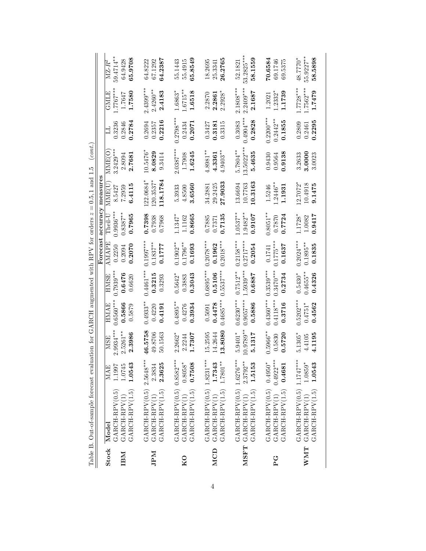|                           | TODIO TO A CHARLEY TO TOTALOGICAL CARDINAL |                      |                            |                       |                            | Forecast              | accuracy                   | measures                |                        |                           |                       |                                |
|---------------------------|--------------------------------------------|----------------------|----------------------------|-----------------------|----------------------------|-----------------------|----------------------------|-------------------------|------------------------|---------------------------|-----------------------|--------------------------------|
| Stock                     | Model                                      | MAE                  | <b>MSE</b>                 | HMAE                  | HMSE                       | AMAPE                 | $\Gamma$ heil-U            | MME(U)                  | MME(O                  |                           | GMLE                  | $\overline{\rm MZ\text{-}R^2}$ |
| ΙВΜ                       | $GARCH-RPV(0.5)$<br>GARCH-RPV(1)           | 1.0745<br>1.1997     | $2.9934***$<br>$2.5261***$ | $0.6560***$<br>0.5866 | $0.7939**$<br>0.6476       | 0.2250<br>0.2094      | $0.9936***$<br>$0.8387***$ | 8.5427<br>7.2959        | $3.2429***$<br>2.8094  | 0.3236<br>0.2846          | $1.7767***$<br>1.7647 | 59.4714**<br>64.9428           |
|                           | $GARCH-RPV(1.5)$                           | 1.0543               | 2.3986                     | 0.5879                | 0.6620                     | 0.2070                | 0.7965                     | 6.4115                  | 2.7681                 | 0.2784                    | 1.7580                | 65.9708                        |
|                           | $GARCH-RPV(0.5) 2.5648***$                 |                      | 16.5758                    | $0.4933***$           | $0.4461***$                | $0.1997***$           | 0.7398                     | $122.0684*$             | 10.5476                | 0.2694                    | $2.4399***$           | 64.8222                        |
| <b>NHI</b>                | GARCH-RPV(1.5)<br>GARCH-RPV(1)             | 2.3625<br>2.3834     | 49.8706<br>50.1563         | 0.4191<br>0.4220      | 0.3215<br>0.3293           | $0.1837***$<br>0.1777 | 0.7938<br>0.7968           | 118.1784<br>$120.3537*$ | 8.0829<br>9.3414       | 0.2216<br>0.2357          | $2.4260**$<br>2.4183  | 64.2387<br>67.1292             |
|                           | $GARCH-RPV(0.5) 0.8582***$                 |                      | $2.2662*$                  | $0.4895***$           | $0.5642*$                  | $0.1902***$           | $1.1347$ <sup>*</sup>      | 5.3933                  | $.0387***$             | $0.2798***$               | 1.6863*               | 55.1443                        |
| KO                        | GARCH-RPV(1.5)<br>GARCH-RPV(1)             | $0.8058*$<br>0.7508  | 1.7307<br>2.2244           | 0.3934<br>0.4276      | ${ 0.3043}$<br>0.3883      | $0.1796***$<br>0.1693 | 0.8665<br>1.1162           | 3.6560<br>4.8500        | 1.6245<br>1.7908       | 0.2434<br>0.2071          | 1.6518<br>$1.6715**$  | 65.8549<br>55.4915             |
|                           | $GARCH-RPV(0.5)$ 1.8231***                 |                      | 15.2595                    | 0.5091                | $0.6895***$                | $0.2078***$           | 0.7885                     | 34.2881                 | $4.8981***$            | 0.3427                    | 2.2870                | 18.2695                        |
| <b>MCD</b>                | GARCH-RPV(1)                               | 1.7343               | 14.2644                    | 0.4478                | 0.5106                     | 0.1962                | 0.7371                     | 29.2425                 | 4.3361                 | 0.3181                    | 2.2861                | 25.3341                        |
|                           | GARCH-RPV(1.5)                             | $1.7801***$          | 13.8080                    | $0.4685***$           | $0.5537***$                | $0.2018***$           | 0.7135                     | 27.9033                 | $4.9403**$             | 0.3315                    | $2.2928*$             | 26.2765                        |
|                           | $GARTCH-RPV(0.5) 1.6276***$                |                      | $5.9401*$                  | $0.6230***$           | $0.7512***$                | $0.2158***$           | $1.0537***$                | 13.6694                 | 5.7804**               | 0.3083                    | $2.1808***$           | 52.1821                        |
|                           | GARCH-RPV(1.5)<br>MSFT GARCH-RPV(1)        | $2.3792**$<br>1.5153 | $10.9789**$<br>5.1317      | $0.9057***$<br>0.5886 | $1.5939***$<br>0.6887      | $0.2717***$<br>0.2054 | $1.9482***$<br>0.9107      | 10.3163<br>10.7763      | $13.5022***$<br>5.4635 | $0.4904***$<br>0.2828     | $2.2409***$<br>2.1687 | 53.2825***<br>58.1559          |
|                           |                                            |                      |                            | $0.4360***$           |                            |                       |                            |                         |                        |                           |                       |                                |
| ុ<br>ក                    | $GARCH-RPV(0.5) 0.4950*$<br>GARCH-RPV(1)   | $0.4922***$          | 1.5966**<br>0.5830         | $0.4118***$           | $0.3539***$<br>$0.3470***$ | $0.1775***$<br>0.1741 | $0.8051***$<br>0.870       | $.2446*$<br>1.5246      | 0.9430<br>0.9564       | $0.2200***$<br>$0.2442**$ | 1.2332*<br>1.2021     | 70.6584<br>69.1746             |
|                           | GARCH-RPV(1.5)                             | 0.4681               | 0.5720                     | 0.3716                | 0.2734                     | 0.1637                | 0.7724                     | 1.1931                  | 0.9138                 | 0.1855                    | 1.1739                | 69.5375                        |
|                           | $GARCH-RPV(0.5) 1.1747***$                 |                      | $5.1305*$                  | $0.5202***$           | $0.5430*$                  | $0.2024***$           | $1.1728*$                  | $2.7072$ <sup>*</sup>   | 3.2633                 | 0.2809                    | $1.7728***$           | 48.7770*                       |
| $\ensuremath{\text{WMT}}$ | GARCH-RPV(1.5)<br>GARCH-RPV(1)             | $1.0859*$<br>1.0543  | 4.1195<br>4.4105           | $0.4751*$<br>0.4562   | $0.4655***$<br>0.4326      | $0.1895***$<br>0.1835 | 0.9417<br>1.0082           | 10.4918<br>9.1475       | 3.0000<br>3.0023       | 0.2295<br>0.2461          | $1.7562***$<br>1.7479 | 55.9227**<br>58.5898           |

Table B. Out-of-sample forecast evaluation for GARCH augmented with RPV for orders  $z = 0.5$ , 1 and 1.5 (cont.) Table B. Out-of-sample forecast evaluation for GARCH augmented with RPV for orders  $z = 0.5, 1$  and 1.5 (cont.)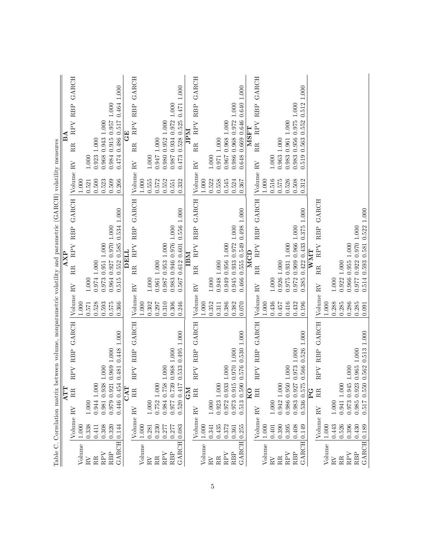| Volume                |                        | ATT               |           |                   | Table C. Correlation matrix between volume, nonparametric volatility and parametric (GARCH) volatility measures |                 |                       | $\overline{X}$          |                                 |              |                 |                |              | ⋖<br>$\overline{\mathbf{u}}$ |             |             |
|-----------------------|------------------------|-------------------|-----------|-------------------|-----------------------------------------------------------------------------------------------------------------|-----------------|-----------------------|-------------------------|---------------------------------|--------------|-----------------|----------------|--------------|------------------------------|-------------|-------------|
|                       |                        | RR                | RPV       | RBP               | <b>GARCH</b>                                                                                                    |                 |                       | $\mathbb{RR}$           | <b>RBP</b><br>RPV               | <b>GARCH</b> |                 | $\mathbf{R}V$  | $\mathbb{R}$ |                              | RPV RBP     | GARCH       |
|                       | Volume RV<br>$1.000\,$ |                   |           |                   |                                                                                                                 | Volume<br>1.000 | $\mathbf{R}^{\prime}$ |                         |                                 |              | Volume<br>1.000 |                |              |                              |             |             |
| $\overline{R}V$       | 0.338                  | 1.000             |           |                   |                                                                                                                 | 0.571           | 1.000                 |                         |                                 |              | 0.521           | 1.000          |              |                              |             |             |
| RR                    | 0.411                  | 1.000<br>0.944    |           |                   |                                                                                                                 | 0.528           | 0.974                 | 1.000                   |                                 |              | 0.500           | 0.923          | 1.000        |                              |             |             |
| RPV                   | 0.308                  | 0.981 0.938       | $1.000\,$ |                   |                                                                                                                 | 0.593           | 0.973                 | 0.951 1.000             |                                 |              | 0.523           | 0.968          |              | 0.943 1.000                  |             |             |
| RBP                   | 0.320                  | 0.979 0.921       |           | 0.969 1.000       |                                                                                                                 | 0.575           | 0.964                 |                         | 0.927 0.970 1.000               |              | 0.509           |                |              | 0.984 0.915 0.957 1.000      |             |             |
| <b>GARCH</b>          | 0.144                  | 0.446 0.454       |           | 0.481 0.448 1.000 |                                                                                                                 | 0.366           | 0.515                 |                         | $0.552$ $0.585$ $0.534$ $1.000$ |              | 0.266           | 0.474          |              | 0.486 0.517                  |             | 0.464 1.000 |
|                       |                        | CAT               |           |                   |                                                                                                                 |                 |                       | <b>DELL</b>             |                                 |              |                 |                |              | $\Xi$                        |             |             |
|                       | Volume RV              | $\mathbb{R}$      | RPV       | <b>RBP</b>        | GARCH                                                                                                           | Volume          | $\mathbb{R}^V$        | RR.                     | RPV RBP                         | GARCH        | Volume          | $\mathbb{R}^V$ | RR           | RPV                          | RBP         | GARCH       |
| Volume                | $1.000\,$              |                   |           |                   |                                                                                                                 | $1.000\,$       |                       |                         |                                 |              | $1.000$         |                |              |                              |             |             |
| $_{\rm RV}$           | 0.281                  | 1.000             |           |                   |                                                                                                                 | 0.302           | $1.000\,$             |                         |                                 |              | 0.555           | 1.000          |              |                              |             |             |
| RR                    | 0.230                  | 0.752 1.000       |           |                   |                                                                                                                 | $0.297\,$       |                       | 0.961 1.000             |                                 |              | 0.572           | 176.0          | 1.000        |                              |             |             |
| RPV                   | 0.277                  | 0.984 0.758       | 1.000     |                   |                                                                                                                 | 0.310           | 0.987                 | 0.953 1.000             |                                 |              | 0.552           | 0.980          | 0.952        | $1.000$                      |             |             |
| <b>RBP</b>            | 0.277                  | 0.977 0.739       |           | 0.968 1.000       |                                                                                                                 | 0.306           | 0.983                 |                         | 0.946 0.976 1.000               |              | 0.551           | 0.987          |              | 0.934 0.972                  | $1.000\,$   |             |
| GARCH                 | 0.083                  | 0.520 0.417       | 0.533     | 0.495             | 1.000                                                                                                           | 0.246           | 0.567                 |                         | 0.612 0.601 0.556 1.000         |              | 0.332           | 0.473          | 0.528        | 0.525                        | 0.471       | 1.000       |
|                       |                        | <b>GM</b>         |           |                   |                                                                                                                 |                 |                       | IBM                     |                                 |              |                 |                |              | Ndfr                         |             |             |
|                       | Volume                 | RR<br>$_{\rm RV}$ | RPV       | <b>RBP</b>        | <b>GARCH</b>                                                                                                    | Volume          | $\mathbb{R}^V$        | $\mathbb{R}$            | <b>RBP</b><br>RPV               | <b>GARCH</b> | Volume          | $\rm RV$       | RR           | RPV                          | <b>RBP</b>  | GARCH       |
| Volume                | $1.000\,$              |                   |           |                   |                                                                                                                 | 1.000           |                       |                         |                                 |              | 1.000           |                |              |                              |             |             |
| $\mathbf{R}^{\prime}$ | 0.341                  | $1.000\,$         |           |                   |                                                                                                                 | 0.352           | 1.000                 |                         |                                 |              | 0.522           | 1.000          |              |                              |             |             |
| RR                    | 0.435                  | 0.923 1.000       |           |                   |                                                                                                                 | 0.311           |                       | 0.948 1.000             |                                 |              | 0.558           | 0.971          | $1.000\,$    |                              |             |             |
| RPV                   | 0.372                  | 0.972 0.933       | $1.000$   |                   |                                                                                                                 | 0.386           |                       | 0.949 0.956 1.000       |                                 |              | 0.545           | 0.967          |              | $0.968$ 1.000                |             |             |
| RBP                   | 0.361                  | 0.973 0.915       |           | 0.970 1.000       |                                                                                                                 | 0.382           | 0.945                 |                         | 0.933 0.972 1.000               |              | 0.524           | 0.986          |              | 0.968 0.972                  | $1.000\,$   |             |
| <b>GARCH</b>          | 0.255                  | 0.513 0.590       | 0.576     | 0.5301.000        |                                                                                                                 | 0.070           | 0.466                 |                         | 0.555 0.549 0.498 1.000         |              | 0.367           | 0.648          |              | 0.669 0.646 0.640 1.000      |             |             |
|                       |                        | KО                |           |                   |                                                                                                                 |                 |                       | $\overline{\text{MCD}}$ |                                 |              |                 |                |              | <b>MSFT</b>                  |             |             |
|                       | Volume RV              | RR                | RPV       | RBP               | GARCH                                                                                                           | Volume RV       |                       | RR                      | RPV RBP                         | <b>GARCH</b> | Volume          | $\mathbf{R}$   | RR           | RPV                          | RBP         | GARCH       |
| Volume                | $1.000\,$              |                   |           |                   |                                                                                                                 | 1.000           |                       |                         |                                 |              | $1.000$         |                |              |                              |             |             |
| $\mathbb{R}^V$        | 0.401                  | $1.000\,$         |           |                   |                                                                                                                 | 0.436           | $1.000\,$             |                         |                                 |              | 0.516           | 1.000          |              |                              |             |             |
| RR                    | 0.390                  | 1.000<br>0.942    |           |                   |                                                                                                                 | 0.457           | 0.926 1.000           |                         |                                 |              | 0.575           | 0.963          | $1.000\,$    |                              |             |             |
| RPV                   | 0.395                  | 0.986 0.950       | 1.000     |                   |                                                                                                                 | 0.416           | 0.975                 | 0.931 1.000             |                                 |              | 0.526           | 0.983          | 0.961        | $1.000$                      |             |             |
| RBP                   | 0.408                  | 0.983 0.927       |           | 0.973 1.000       |                                                                                                                 | 0.432           | 0.972                 |                         | 0.909 0.966 1.000               |              | 0.508           | 0.983          | 0.956        |                              | 0.975 1.000 |             |
| GARCH                 | 0.149                  | 0.536 0.575       | 0.566     | 0.526             | 1.000                                                                                                           | 0.196           | 0.385                 | 0.4220.433              | 0.375                           | 1.000        | 0.312           | 0.519          | 0.563        | 0.552                        | 0.512       | $1.000\,$   |
|                       |                        | U<br>P            |           |                   |                                                                                                                 |                 |                       | <b>NNT</b>              |                                 |              |                 |                |              |                              |             |             |
|                       | Volume                 | $_{\rm RR}$<br>RV | RPV       | <b>RBP</b>        | GARCH                                                                                                           | Volume          | $\rm RV$              | RR                      | RBP<br>RPV                      | <b>GARCH</b> |                 |                |              |                              |             |             |
| Volume                | $1.000\,$              |                   |           |                   |                                                                                                                 | 1.000           |                       |                         |                                 |              |                 |                |              |                              |             |             |
| $\rm RV$              | 0.443                  | $1.000\,$         |           |                   |                                                                                                                 | 0.288           | $1.000$               |                         |                                 |              |                 |                |              |                              |             |             |
| RR                    | 0.526                  | 0.941 1.000       |           |                   |                                                                                                                 | 0.285           | 0.922 1.000           |                         |                                 |              |                 |                |              |                              |             |             |
| RPV                   | 0.396                  | 0.973 0.945       | $1.000\,$ |                   |                                                                                                                 | 0.286           |                       | 0.966 0.955 1.000       |                                 |              |                 |                |              |                              |             |             |
| RBP                   | 0.430                  | 0.985 0.922       |           | 0.965 1.000       |                                                                                                                 | 0.285           | 0.977                 |                         | 0.922 0.970 1.000               |              |                 |                |              |                              |             |             |
| GARCH                 | 0.189                  | 0.550<br>0.517    | 0.562     | 0.513 1.000       |                                                                                                                 | 0.091           | 0.514                 | 0.593                   | 0.581                           | 0.522 1.000  |                 |                |              |                              |             |             |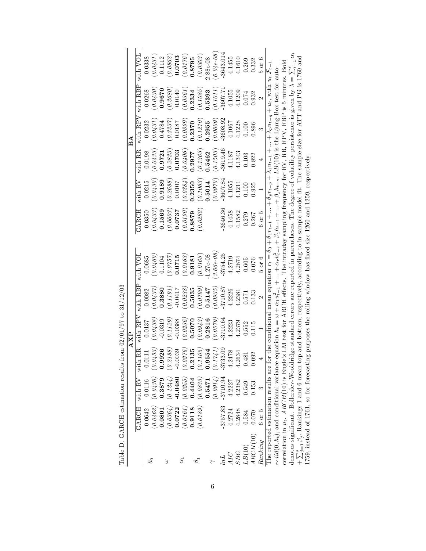|                                                      |            |            |                           | <b>AXP</b>                       |                   |                                                                                                                                                                                                                                     |            |            |          | $_{\rm B}$ A |               |                   |
|------------------------------------------------------|------------|------------|---------------------------|----------------------------------|-------------------|-------------------------------------------------------------------------------------------------------------------------------------------------------------------------------------------------------------------------------------|------------|------------|----------|--------------|---------------|-------------------|
|                                                      | GARCH      | with RV    | with RR                   | with $\ensuremath{\mathsf{RPV}}$ | with RBP          | with VOL                                                                                                                                                                                                                            | GARCH      | with RV    | with RR  | with $RPV$   | with RBP      | with VOL          |
| $\theta_0$                                           | 0.0642     | 0.0116     | 0.01                      | 0.0137                           | 0.0082            | 0.0685                                                                                                                                                                                                                              | 0.0350     | 0.0215     | 0.0198   | 0.0232       | 0.0268        | 0.338             |
|                                                      | (0.0462)   | (0.0436)   | $(0.0453)$<br>0.9926      | 0.0438,                          | (0.0437)          | (0.0460)                                                                                                                                                                                                                            | (0.0433)   | (0.0430)   | (0.0433) | 0.0431       | 0.0430        | 0.0431            |
|                                                      | 0.0801     | 1.3879     |                           | $-0.0319$                        | 0.3880            | 0.1104                                                                                                                                                                                                                              | 0.1569     | 0.9189     | 0.9721   | 0.4784       | 0.9670        | 0.1112            |
| 3                                                    | (0.0364)   | (0.1244)   | (0.2188)                  | 0.1129                           | 0.1191            | 0.0757                                                                                                                                                                                                                              | (0.0603)   | (0.2688)   | (0.2833) | 0.3237       | 0.2680        | 0.0862            |
|                                                      | 0.0722     | 0.0480     | $-0.0039$                 | 0.0388                           | $-0.0417$         | 0.0715                                                                                                                                                                                                                              | 0.0737     | $0.0107\,$ | 0.0703   | 0.0187       | 0.0140        | 0.0703            |
| $\overline{\alpha}$                                  | (0.0161)   | (0.0255)   | $\frac{(0.0276)}{0.2135}$ | 0.0236                           | (0.0238)          | (0.0163)                                                                                                                                                                                                                            | 0.0190     | (0.0384)   | (0.0406) | 0.0399       | 0.0361        | (0.0176)          |
|                                                      | 0.9118     | 0.4404     |                           | 0.5070                           | 0.5035            | 0.9181                                                                                                                                                                                                                              | 1.8879     | 0.2350     | 1.2977   | 0.2370       | 1.2334        | 0.8795            |
|                                                      | (0.0189)   | (0.0833)   | (0.1105)                  | 0.0943                           | 66LO.0            | (0.0165)                                                                                                                                                                                                                            | 0.0282     | (0.1063)   | (0.1363) | 0.1210       | $0.1085\,$    | (0.0303)          |
|                                                      |            | 0.5471     | 0.9554                    | 0.2816                           | 0.5147            | $1.27e-08$                                                                                                                                                                                                                          |            | 0.5014     | 1.5462   | 1.2955       | 1.5393        | .88e-08           |
|                                                      |            | (0.0914)   | (0.1741)                  | 0.0579                           | 0.0935            | $3.66e - 08$                                                                                                                                                                                                                        |            | 0.0970     | 0.1503   | 0.0609       | $0.1011\,$    | $6.04e-08$        |
| lnL                                                  | $-3757.83$ | $-3710.94$ | $-3733.09$                | $-3710.64$                       | 3710.87           | $-3754.25$                                                                                                                                                                                                                          | 3646.36    | $-3607.84$ | 3619.46  | 3608.92      | 3607.7        | 3643.014          |
| AIC                                                  | 4.2724     | 4.2227     | 4.2478                    | 4.2223                           | 4.2226            | 4.2719                                                                                                                                                                                                                              | 4.1458     | 4.1055     | 4.1187   | 4.1067       | 4.1055        | 4.1455            |
| SBC                                                  | 4.2848     | 4.2382     | 4.2634                    | 4.2379                           | 4.2381            | 4.2874                                                                                                                                                                                                                              | 4.1582     | 4.1211     | 4.1343   | 4.1228       | 4.1209        | 4.1610            |
| LB(10)                                               | 0.584      | 0.549      | 0.481                     | 0.552                            | 0.571             | 0.605                                                                                                                                                                                                                               | 0.279      | 0.100      | 0.103    | 0.100        | 0.074         | 0.269             |
| ARCH(10)                                             | 0.070      | 0.153      | 92<br>$\ddot{0}.\ddot{0}$ | 0.115                            | 0.133             | 0.076                                                                                                                                                                                                                               | 0.267      | 0.925      | 0.822    | 0.896        | 0.932         | 0.332             |
| Ranking                                              | $6$ or $5$ | S          |                           |                                  | $\mathbf{\Omega}$ | $5 \text{ or } 6$                                                                                                                                                                                                                   | $6$ or $5$ |            | 4        | S            | $\mathcal{C}$ | $5 \text{ or } 6$ |
| The reported estimation results are for              |            |            |                           |                                  |                   | the conditional mean equation $r_t = \theta_0 + \theta_1 r_{t-1} +  + \theta_p r_{t-p} + \lambda_1 u_{t-1} +  + \lambda_p u_{t-q} + u_t$ , with $u_t   \mathcal{F}_{t-}$                                                            |            |            |          |              |               |                   |
|                                                      |            |            |                           |                                  |                   | $\sim$ <i>iid</i> (0, <i>h<sub>t</sub></i> ), and conditional variance equation $h_t = \omega + \alpha_1 u_{t-1}^2 +  + \alpha_r u_{t-r}^2 + \beta_1 h_{t-1} +  + \beta_s h_{t-s}$ . <i>LB</i> (10) is the Ljung-Box test for auto- |            |            |          |              |               |                   |
|                                                      |            |            |                           |                                  |                   | correlation in $u_t$ . ARCH(10) is Engle's LM test for ARCH effects. The intraday sampling frequency for RV, RR, RPV, RBP is 5 minutes. Bold                                                                                        |            |            |          |              |               |                   |
|                                                      |            |            |                           |                                  |                   | denotes significant. Bollerslev-Wooldridge standard errors are reported in parentheses. The degree of volatility persistence is given by $\lambda = \sum_{i=1}^r \alpha_i$                                                          |            |            |          |              |               |                   |
| $+\sum_{j=1}^{s} \beta_j$ . Rankings 1 and 6 mean to |            |            |                           |                                  |                   | p and bottom, respectively, according to in-sample model fit. The sample size for ATT and PG is 1760 and                                                                                                                            |            |            |          |              |               |                   |
|                                                      |            |            |                           |                                  |                   | 1759, instead of 1761, so for forecasting purposes the rolling window has fixed size 1260 and 1259, respectively                                                                                                                    |            |            |          |              |               |                   |

Table D. GARCH estimation results from  $02/01/97$  to  $31/12/03$ Table D. GARCH estimation results from  $02/01/97$  to  $31/12/03$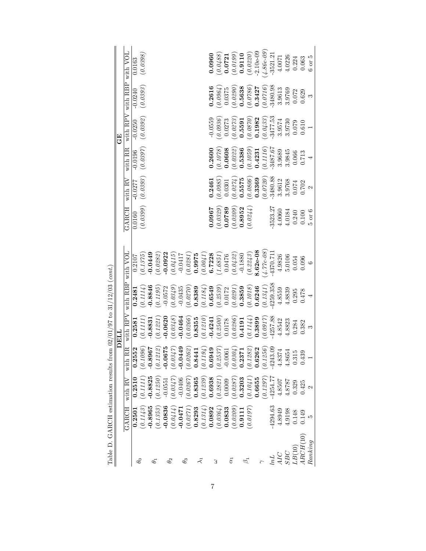| Table D. GARCH estimation results from $02/01/97$ to $31/12/03$ (cont. |            |                     |                                                                                                                                                                                                                                                                                      |                                                                                                                                                   |                                                                                                                 |                                                                      |                      |                      |                                            |                                                                                                    |                      |                         |
|------------------------------------------------------------------------|------------|---------------------|--------------------------------------------------------------------------------------------------------------------------------------------------------------------------------------------------------------------------------------------------------------------------------------|---------------------------------------------------------------------------------------------------------------------------------------------------|-----------------------------------------------------------------------------------------------------------------|----------------------------------------------------------------------|----------------------|----------------------|--------------------------------------------|----------------------------------------------------------------------------------------------------|----------------------|-------------------------|
|                                                                        |            |                     |                                                                                                                                                                                                                                                                                      | DELL                                                                                                                                              |                                                                                                                 |                                                                      |                      |                      |                                            | $\mathbb{E}$                                                                                       |                      |                         |
|                                                                        | GARCH      | with RV             | RR<br>with                                                                                                                                                                                                                                                                           | with $\overline{\text{RPV}}$                                                                                                                      | with RBP                                                                                                        | with VOL                                                             | GARCH                | with $R\overline{V}$ | with RR                                    | with RPV                                                                                           | with RBP with VOL    |                         |
|                                                                        | 0.2501     | 0.2510              | 0.2552                                                                                                                                                                                                                                                                               | 0.2581                                                                                                                                            | 0.2481                                                                                                          | 0.2107                                                               | 0.0160               | $-0.0277$            | $-0.0196$                                  | $-0.0250$                                                                                          | $-0.0240$            | 0.0163                  |
| $\theta_0$                                                             | (0.1143)   | (0.1111)            | $\begin{array}{l} (0.1096) \\ -0.8967 \\ -0.0672 \\ (0.1212) \\ -0.0675 \\ (0.0347) \\ -0.0449 \\ (0.0262) \\ (0.0443) \\ (0.1194) \\ (0.0304) \\ (0.0304) \\ (0.0304) \\ (0.0304) \\ (0.1283) \\ (0.1283) \\ (0.1285) \\ (0.1285) \\ (0.1285) \\ (0.1285) \\ 0.0262 \\ \end{array}$ | (0.1111)                                                                                                                                          | (0.1114)                                                                                                        | (0.1375)                                                             | (0.0399)             | (0.0393)             | $(\mathit{0.0397})$                        | (0.0392)                                                                                           | (0.0393)             | (0.0398)                |
| $\theta_1$                                                             | $-0.8965$  | 0.8825              |                                                                                                                                                                                                                                                                                      | $-0.8831$                                                                                                                                         | 0.8846                                                                                                          | 0.0449                                                               |                      |                      |                                            |                                                                                                    |                      |                         |
|                                                                        | (0.1353)   | (0.1250)            |                                                                                                                                                                                                                                                                                      | (0.1221)                                                                                                                                          | $0.1195\,$                                                                                                      | (0.0282)                                                             |                      |                      |                                            |                                                                                                    |                      |                         |
| $\theta_2$                                                             | $-0.0836$  | $-0.0551$           |                                                                                                                                                                                                                                                                                      | $-0.0620$                                                                                                                                         | $-0.0572$                                                                                                       | $-0.0922$                                                            |                      |                      |                                            |                                                                                                    |                      |                         |
|                                                                        | (0.0414)   | (0.0347)            |                                                                                                                                                                                                                                                                                      | (0.0348)                                                                                                                                          | (0.0349)                                                                                                        | $(\,0.0415)$                                                         |                      |                      |                                            |                                                                                                    |                      |                         |
|                                                                        | $-0.0471$  | $-0.0406$           |                                                                                                                                                                                                                                                                                      | 0.0464                                                                                                                                            | $-0.0435$                                                                                                       | $-0.0417$                                                            |                      |                      |                                            |                                                                                                    |                      |                         |
| $\theta_3$                                                             | (0.0271)   | (0.0267)            |                                                                                                                                                                                                                                                                                      | (0.0266)                                                                                                                                          | (0.0270)                                                                                                        | (0.0281)                                                             |                      |                      |                                            |                                                                                                    |                      |                         |
|                                                                        | 0.8293     | 0.8365              |                                                                                                                                                                                                                                                                                      | 0.8355                                                                                                                                            | 0.8389                                                                                                          | 0.9975                                                               |                      |                      |                                            |                                                                                                    |                      |                         |
| ミ                                                                      | (0.1314)   | (0.1239)            |                                                                                                                                                                                                                                                                                      | (0.1210)                                                                                                                                          | (0.1184)                                                                                                        | (0.0041)                                                             |                      |                      |                                            |                                                                                                    |                      |                         |
|                                                                        | 0.0892     | 0.6938              |                                                                                                                                                                                                                                                                                      |                                                                                                                                                   |                                                                                                                 |                                                                      | 1960.0               | 0.2461               | 0.2600                                     | $-0.0559$                                                                                          | 0.2616               | 0.0960                  |
| З                                                                      | (0.0364)   | (0.2821)            |                                                                                                                                                                                                                                                                                      |                                                                                                                                                   |                                                                                                                 | $\begin{array}{c} \textbf{6.7228} \\ (1.6851) \\ 0.0476 \end{array}$ | $(0.0329)$<br>0.0789 | (0.0985)             | (0.1078)                                   | $(\mathit{0.0936})$                                                                                | (0.0964)             | (0.0488)                |
|                                                                        | 0.0833     | 0.0009              |                                                                                                                                                                                                                                                                                      |                                                                                                                                                   |                                                                                                                 |                                                                      |                      | 0.0301               | 0.0608                                     | 0.0273                                                                                             | 0.0375               | 0.0721                  |
| E                                                                      | (0.0209)   | $(\mathit{0.0287})$ |                                                                                                                                                                                                                                                                                      |                                                                                                                                                   | $\begin{array}{c} \textbf{0.6549} \\ (0.2539) \\ 0.0172 \\ (0.0291) \\ (0.0291) \\ \textbf{0.3859} \end{array}$ | $(0.0432)$<br>-0.1880                                                | $(0.0209)$<br>0.8952 |                      |                                            |                                                                                                    |                      | $(0.0199)$<br>0.9110    |
|                                                                        | 0.9111     | 0.3203              |                                                                                                                                                                                                                                                                                      |                                                                                                                                                   |                                                                                                                 |                                                                      |                      | $(0.0274)$<br>0.5575 |                                            |                                                                                                    | $(0.0290)$<br>0.5638 |                         |
| $\beta_1$                                                              | (0.0197)   | (0.1041)            |                                                                                                                                                                                                                                                                                      | $\begin{array}{l} \textbf{0.4241} \\ (0.2500) \\ (0.0178) \\ (0.0286) \\ (0.0286) \\ (0.1144) \\ (0.1144) \\ (0.1144) \\ (0.1144) \\ \end{array}$ | (0.1018)                                                                                                        | (0.2243)                                                             | (0.0244)             | (0.0806)             | $(0.0322)$<br>0.5386<br>(0.1059)<br>0.4231 | $\begin{array}{c} (0.0273) \\ 0.5591 \\ (0.0370) \\ 0.1982 \\ (0.0433) \\ (0.0433) \\ \end{array}$ | $(\mathit{0.0786})$  | $(0.0220)$<br>-2.10e-09 |
|                                                                        |            | 0.6655              |                                                                                                                                                                                                                                                                                      |                                                                                                                                                   | 0.6246                                                                                                          | $3.62e-08$                                                           |                      | 0.3369               |                                            |                                                                                                    | 0.3427               |                         |
| $\sim$                                                                 |            | (0.1297)            |                                                                                                                                                                                                                                                                                      | (0.0917)                                                                                                                                          | (0.1341)                                                                                                        | $4.77e-08$                                                           |                      | (0.0720)             | $(\mathit{0.1116})$                        |                                                                                                    | (0.0716)             | $4.86e-09$              |
| lnL                                                                    | $-4294.63$ | $-4254.77$          |                                                                                                                                                                                                                                                                                      | 4257.88                                                                                                                                           | 4259.358                                                                                                        | -4370.71                                                             | 3523.27              | $-3480.88$           | 3487.67                                    |                                                                                                    | 3480.98              | $-3521.2$               |
| AIC                                                                    | 4.8949     | 4.8507              |                                                                                                                                                                                                                                                                                      | 4.8542                                                                                                                                            | 4.8559                                                                                                          | 4.9826                                                               | 4.0060               | 3.9612               | 3.9689                                     | 3.9574                                                                                             | 3.9613               | 4.0071                  |
| SBC                                                                    | 4.9198     | 4.8787              |                                                                                                                                                                                                                                                                                      | 4.8823                                                                                                                                            | 4.8839                                                                                                          | 5.0106                                                               | 4.0184               | 3.9768               | 3.9845                                     | 3.9730                                                                                             | 3.9769               | 4.0226                  |
| LB(10)                                                                 | $0.148\,$  | 0.329               | $0.315$<br>$0.439$                                                                                                                                                                                                                                                                   | 0.284                                                                                                                                             | 0.295                                                                                                           | 0.054                                                                | 0.240                | $0.074$<br>$0.702$   | 0.066                                      | 0.079                                                                                              | 0.072                | 0.224                   |
| ARCH(10)                                                               | 0.149      | 0.425               |                                                                                                                                                                                                                                                                                      | 0.382                                                                                                                                             | 0.478                                                                                                           | 0.096                                                                | $0.100$              |                      | 0.713                                      | 0.610                                                                                              | 0.629                | 0.063                   |
| Ranking                                                                | LΩ         | 2                   |                                                                                                                                                                                                                                                                                      | S                                                                                                                                                 |                                                                                                                 | $\circ$                                                              | $5$ or $6$           | $\mathbf{\Omega}$    |                                            |                                                                                                    | $\infty$             | $6$ or $5$              |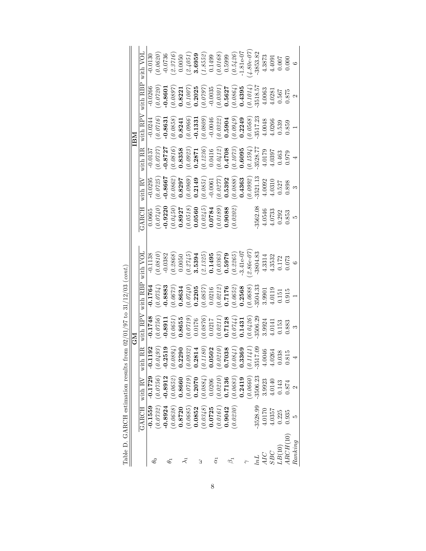|              |            |            |                                                                                                                                      | Σ<br>Ο                                                                                                                                   |                                                                                                                                                       |                                                                                                                                     |                                                                                                                                                                                                    |                                                                                                                                                                                                         |                                                                                                                                                                                                                                                                                                                                                                      | IBM                                                                                                                                                                                                  |                                                                                                                                                 |                                                                                                                                                                                                                                         |
|--------------|------------|------------|--------------------------------------------------------------------------------------------------------------------------------------|------------------------------------------------------------------------------------------------------------------------------------------|-------------------------------------------------------------------------------------------------------------------------------------------------------|-------------------------------------------------------------------------------------------------------------------------------------|----------------------------------------------------------------------------------------------------------------------------------------------------------------------------------------------------|---------------------------------------------------------------------------------------------------------------------------------------------------------------------------------------------------------|----------------------------------------------------------------------------------------------------------------------------------------------------------------------------------------------------------------------------------------------------------------------------------------------------------------------------------------------------------------------|------------------------------------------------------------------------------------------------------------------------------------------------------------------------------------------------------|-------------------------------------------------------------------------------------------------------------------------------------------------|-----------------------------------------------------------------------------------------------------------------------------------------------------------------------------------------------------------------------------------------|
|              | GARCH      | with RV    | RR<br>with                                                                                                                           | with $RPV$                                                                                                                               | with RBP                                                                                                                                              | with VOL                                                                                                                            | GARCH                                                                                                                                                                                              | with RV                                                                                                                                                                                                 | with RR                                                                                                                                                                                                                                                                                                                                                              | with RPV                                                                                                                                                                                             | with RBP                                                                                                                                        | with $\operatorname{VOL}$                                                                                                                                                                                                               |
|              | $-0.1559$  | $-0.1729$  | 192                                                                                                                                  | $-0.1748$                                                                                                                                | $-0.1764$                                                                                                                                             | $-0.1138$                                                                                                                           | 0.0665                                                                                                                                                                                             | $-0.0295$                                                                                                                                                                                               | $-0.0137$                                                                                                                                                                                                                                                                                                                                                            | $-0.0244$                                                                                                                                                                                            | $-0.0266$                                                                                                                                       | $-0.0130$                                                                                                                                                                                                                               |
|              | (0.0732)   | (0.0756)   | $\begin{array}{c} (0.0493) \\ -0.2519 \\ (0.0894) \\ 0.2290 \\ 0.2390 \\ (0.0932) \end{array}$                                       | (0.0756)                                                                                                                                 | (0.0754)                                                                                                                                              | (0.0810)                                                                                                                            | $\begin{array}{l} (0.0740) \\ -0.9220 \\ -0.6450) \\ (0.0450) \\ 0.8927 \\ (0.0518) \\ (0.0518) \\ (0.0545) \\ (0.0245) \\ (0.0245) \\ (0.0189) \\ (0.0189) \\ (0.0189) \\ (0.0088 \\ \end{array}$ | $(\,0.0725)$                                                                                                                                                                                            | $(\textit{0.0737})$                                                                                                                                                                                                                                                                                                                                                  | (0.0716)                                                                                                                                                                                             | (0.0720)                                                                                                                                        | (0.0620)                                                                                                                                                                                                                                |
|              | $-0.8924$  | $-0.8912$  | $\frac{5}{2}$                                                                                                                        |                                                                                                                                          | $-0.8883$                                                                                                                                             | $-0.0382$                                                                                                                           |                                                                                                                                                                                                    | $-0.8667$                                                                                                                                                                                               |                                                                                                                                                                                                                                                                                                                                                                      | $-0.8631$                                                                                                                                                                                            | $-0.8601$                                                                                                                                       |                                                                                                                                                                                                                                         |
|              | (0.0638)   | (0.0652)   |                                                                                                                                      | $\frac{1}{(0.0651)}$<br>(0.0651)<br>0.8655                                                                                               | (0.0673)                                                                                                                                              | $(\textit{0.2868}) \\ 0.0050$                                                                                                       |                                                                                                                                                                                                    |                                                                                                                                                                                                         |                                                                                                                                                                                                                                                                                                                                                                      |                                                                                                                                                                                                      |                                                                                                                                                 |                                                                                                                                                                                                                                         |
|              | 0.8720     | 0.8660     |                                                                                                                                      |                                                                                                                                          | 0.8634                                                                                                                                                |                                                                                                                                     |                                                                                                                                                                                                    |                                                                                                                                                                                                         |                                                                                                                                                                                                                                                                                                                                                                      |                                                                                                                                                                                                      |                                                                                                                                                 |                                                                                                                                                                                                                                         |
|              | (0.0685)   | (0.0719)   |                                                                                                                                      |                                                                                                                                          |                                                                                                                                                       |                                                                                                                                     |                                                                                                                                                                                                    |                                                                                                                                                                                                         |                                                                                                                                                                                                                                                                                                                                                                      |                                                                                                                                                                                                      |                                                                                                                                                 | $\begin{array}{l} -0.0736 \\ (2.3716) \\ (0.0050) \\ (2.4051) \\ (3.4052) \\ (4.8552) \\ (1.499) \\ (0.149) \\ (0.149) \\ (0.5399) \\ (0.5426) \\ (0.5426) \\ (0.5426) \\ (0.5426) \\ (0.5426) \\ (0.542853.82 \\ -3853.82 \end{array}$ |
|              | 0.0852     | 0.2070     | 1814<br>0.2                                                                                                                          |                                                                                                                                          |                                                                                                                                                       |                                                                                                                                     |                                                                                                                                                                                                    |                                                                                                                                                                                                         |                                                                                                                                                                                                                                                                                                                                                                      |                                                                                                                                                                                                      |                                                                                                                                                 |                                                                                                                                                                                                                                         |
|              | (0.0348)   | (0.0884)   |                                                                                                                                      |                                                                                                                                          |                                                                                                                                                       |                                                                                                                                     |                                                                                                                                                                                                    |                                                                                                                                                                                                         |                                                                                                                                                                                                                                                                                                                                                                      |                                                                                                                                                                                                      |                                                                                                                                                 |                                                                                                                                                                                                                                         |
|              | 0.0725     | 0.0206     |                                                                                                                                      |                                                                                                                                          |                                                                                                                                                       |                                                                                                                                     |                                                                                                                                                                                                    |                                                                                                                                                                                                         |                                                                                                                                                                                                                                                                                                                                                                      |                                                                                                                                                                                                      |                                                                                                                                                 |                                                                                                                                                                                                                                         |
|              | (0.0161)   | (0.0210)   |                                                                                                                                      |                                                                                                                                          |                                                                                                                                                       |                                                                                                                                     |                                                                                                                                                                                                    |                                                                                                                                                                                                         |                                                                                                                                                                                                                                                                                                                                                                      |                                                                                                                                                                                                      |                                                                                                                                                 |                                                                                                                                                                                                                                         |
|              | 0.9042     | 0.7136     |                                                                                                                                      |                                                                                                                                          |                                                                                                                                                       |                                                                                                                                     |                                                                                                                                                                                                    |                                                                                                                                                                                                         |                                                                                                                                                                                                                                                                                                                                                                      |                                                                                                                                                                                                      |                                                                                                                                                 |                                                                                                                                                                                                                                         |
|              | 0.0230     | (0.0683)   |                                                                                                                                      | $\begin{array}{c} (0.0719) \\ (0.0176) \\ (0.0876) \\ (0.0317) \\ (0.0211) \\ (0.0211) \\ (0.0211) \\ (0.07128) \\ (0.0744) \end{array}$ | $\begin{array}{c} (0.0740) \\ \textbf{0.2205} \\ (0.0857) \\ (0.0316) \\ (0.0212) \\ (0.0212) \\ \textbf{0.7176} \\ (0.0652) \\ (0.0652) \end{array}$ | $\begin{array}{c} (0.2745) \\ \textbf{3.5394} \\ (2.1325) \\ (0.1495 \\ (0.0363) \\ (0.0365) \\ (0.2265) \\ (0.205) \\ \end{array}$ |                                                                                                                                                                                                    |                                                                                                                                                                                                         |                                                                                                                                                                                                                                                                                                                                                                      |                                                                                                                                                                                                      |                                                                                                                                                 |                                                                                                                                                                                                                                         |
|              |            | 0.2419     |                                                                                                                                      |                                                                                                                                          |                                                                                                                                                       |                                                                                                                                     |                                                                                                                                                                                                    |                                                                                                                                                                                                         |                                                                                                                                                                                                                                                                                                                                                                      |                                                                                                                                                                                                      |                                                                                                                                                 |                                                                                                                                                                                                                                         |
|              |            | 0.0660     | $\begin{array}{l} (0.1180) \\ (0.0502 \\ (0.0210) \\ (0.0210) \\ (0.038 \\ (0.0341) \\ (0.0341) \\ (0.1141) \\ (0.1141) \end{array}$ | $(0.0426)$<br>-3506.29                                                                                                                   | $(\textit{0.0688})$                                                                                                                                   | $2.86e-07$                                                                                                                          |                                                                                                                                                                                                    | $\begin{array}{l} (0.0862) \\ \textbf{0.8297} \\ (0.0960) \\ (0.0961) \\ (0.0851) \\ (0.0851) \\ (0.0851) \\ (0.077) \\ (0.077) \\ (0.077) \\ (0.0888) \\ (0.0888) \\ (0.0992) \\ (0.0992) \end{array}$ | $\begin{array}{l} \textbf{-0.8727} \\ \textbf{0.0316} \\ \textbf{0.0388} \\ \textbf{0.0287} \\ \textbf{0.12871} \\ \textbf{0.1236} \\ \textbf{0.1236} \\ \textbf{0.1237} \\ \textbf{0.0416} \\ \textbf{0.0412} \\ \textbf{0.04170} \\ \textbf{0.0418} \\ \textbf{0.0418} \\ \textbf{0.0419} \\ \textbf{0.0095} \\ \textbf{0.0009} \\ \textbf{0.0009} \\ \textbf{0.0$ | $\begin{array}{l} (0.0858) \\ \textbf{0.8241} \\ (0.0966) \\ (0.0960) \\ \textbf{-0.1331} \\ (0.0809) \\ (0.0809) \\ (0.0322) \\ (0.0324) \\ (0.044) \\ (0.044) \\ (0.0568) \\ (0.0568) \end{array}$ | $(0.0897)$<br>$\mathbf{0.8221}$<br>$(0.1007)$<br>$(0.1007)$<br>$(0.0797)$<br>$(0.0355)$<br>$(0.0301)$<br>$(0.0864)$<br>$(0.0864)$<br>$(0.1014)$ |                                                                                                                                                                                                                                         |
|              | $-3528.99$ | $-3506.23$ | $-351$                                                                                                                               |                                                                                                                                          | $-3504.33$                                                                                                                                            | $-3804.83$                                                                                                                          | $-3562.08$                                                                                                                                                                                         | $-3521.13$                                                                                                                                                                                              |                                                                                                                                                                                                                                                                                                                                                                      |                                                                                                                                                                                                      |                                                                                                                                                 |                                                                                                                                                                                                                                         |
|              | 4.0170     | 3.9923     | $\begin{array}{c} 4.0046 \\ 4.0264 \\ 0.038 \\ 0.815 \end{array}$                                                                    | 3.9924                                                                                                                                   | 3.9901                                                                                                                                                | 4.3314                                                                                                                              | 4.0546                                                                                                                                                                                             | 4.0092                                                                                                                                                                                                  |                                                                                                                                                                                                                                                                                                                                                                      | 4.0048                                                                                                                                                                                               | $-3518.57$<br>4.0063                                                                                                                            | 4.3873                                                                                                                                                                                                                                  |
|              | 4.0357     | 4.0140     |                                                                                                                                      | 4.0141                                                                                                                                   | 4.0119                                                                                                                                                | 4.3532                                                                                                                              | 4.0733                                                                                                                                                                                             | 1.0310                                                                                                                                                                                                  | 4.0179<br>4.0397                                                                                                                                                                                                                                                                                                                                                     | 4.0266                                                                                                                                                                                               |                                                                                                                                                 |                                                                                                                                                                                                                                         |
|              | 0.225      | 0.143      |                                                                                                                                      | 0.153                                                                                                                                    | 0.151                                                                                                                                                 | 0.172                                                                                                                               | 0.292                                                                                                                                                                                              | 1.527<br>1.898                                                                                                                                                                                          | 0.463                                                                                                                                                                                                                                                                                                                                                                | 0.539                                                                                                                                                                                                | $4.0281$<br>$0.567$                                                                                                                             | $4.4091$<br>0.007                                                                                                                                                                                                                       |
| ${1RCH(10)}$ | 0.935      | 0.874      |                                                                                                                                      | 0.883                                                                                                                                    | $0.915\,$                                                                                                                                             | 0.073                                                                                                                               | 0.853                                                                                                                                                                                              |                                                                                                                                                                                                         | 0.979                                                                                                                                                                                                                                                                                                                                                                | 0.859                                                                                                                                                                                                | $0.875\,$                                                                                                                                       | 0.000                                                                                                                                                                                                                                   |
| Ranking      | ເລ         |            | 4                                                                                                                                    | S                                                                                                                                        |                                                                                                                                                       |                                                                                                                                     | Ŋ                                                                                                                                                                                                  | S                                                                                                                                                                                                       |                                                                                                                                                                                                                                                                                                                                                                      |                                                                                                                                                                                                      |                                                                                                                                                 | $\circ$                                                                                                                                                                                                                                 |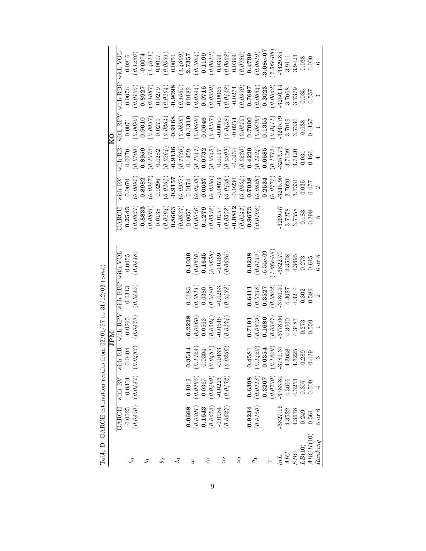|                                                                         |             |                                | 0.0816    | 0.1286                           | $-0.0074$  | (1.4611) | 0.0007               | (0.0331)              |                     | (1.4609)            |           |                                                      |        | $\begin{array}{c} {\bf 2.7357} \\ (0.3624) \\ {\bf 0.1199} \\ (0.0613) \\ (0.0613) \\ \end{array}$                                                                                                |           | (0.0608)                                                      | 0.0399    | (0.0786)                                          | 0.4799 | (0.0819)                                                                                                                 | $3.08e-07$  | $(7.56e-08)$ | $-3429.85$ | 3.9111                                                                  | 3.9423 | 0.038             | 0.000               | $\circ$        |
|-------------------------------------------------------------------------|-------------|--------------------------------|-----------|----------------------------------|------------|----------|----------------------|-----------------------|---------------------|---------------------|-----------|------------------------------------------------------|--------|---------------------------------------------------------------------------------------------------------------------------------------------------------------------------------------------------|-----------|---------------------------------------------------------------|-----------|---------------------------------------------------|--------|--------------------------------------------------------------------------------------------------------------------------|-------------|--------------|------------|-------------------------------------------------------------------------|--------|-------------------|---------------------|----------------|
|                                                                         |             | with RPV with RBP with VOL     |           | (0.0105)                         | 0.8927     | (0.1087) | $0.0279$<br>(0.0264) |                       | $-0.9098$           | (0.1055)            |           | (0.0182)                                             | 0.0716 | (0.0339)                                                                                                                                                                                          |           | $\begin{array}{c} -0.0065 \\ (0.0448) \\ -0.0274 \end{array}$ |           | $\begin{array}{c} (0.0330) \\ 0.7687 \end{array}$ |        | $(\textit{0.0654})$                                                                                                      | 0.2023      | (0.0662)     | $-3250.14$ | 3.7068                                                                  | 3.7379 | 0.035             | 0.557               | S              |
|                                                                         | $_{\rm K0}$ |                                | 0.0071    | $(\mathit{0.0092})$              | 0.9010     | (0.0937) | 0.0279               | (0.0264)              | $-0.9168$           | (0.0896)            |           |                                                      |        | $\begin{array}{c} \textbf{-0.1319} \\ (0.0809) \\ \textbf{0.0646} \\ (0.0337) \\ (0.0337) \\ \textbf{-0.0050} \end{array}$                                                                        |           |                                                               |           |                                                   |        | $\begin{array}{c} (0.0438) \\ (0.0254 \\ (0.0315) \\ (0.0315) \\ \textbf{0.7000} \\ (0.0879) \\ (0.0879) \\ \end{array}$ |             | (0.0411)     | 3245.79    | 3.7019                                                                  | 3.7330 | 0.038             | 0.4157              |                |
|                                                                         |             | with RR                        | 0.0070    | (0.0100)                         | 0.8959     | (0.1073) | 0.0282               | (0.0264)              | $-0.9136$           | (0.1036)            | 0.1459    | $\begin{array}{c} (0.1047) \\ \bf0.0732 \end{array}$ |        | $(\frac{\partial. \frac{\partial 3}{\partial 5}}{0.0117})$                                                                                                                                        |           | $(0.0399)$<br>-0.0234                                         |           | $(0.0230)$<br>0.4220                              |        | (0.1424)                                                                                                                 | 0.6685      | (0.1773)     | $-3253.73$ | 3.7109                                                                  | 3.7420 | 0.031             | 0.166               | $\overline{4}$ |
|                                                                         |             | with RV                        | 0.0070    | $(\mathit{0.0091})$              | 0.8982     | (0.0947) |                      | $0.0296$ ( $0.0264$ ) |                     | (0.000)             |           |                                                      |        | $\begin{array}{c} 0.0174 \\ (0.0435) \\ \textbf{0.0637} \\ (0.0336) \\ (0.0336) \\ \textbf{-0.0073} \end{array}$                                                                                  |           | $(0.0438)$<br>-0.0230                                         |           | $(0.0304)$<br>0.7038                              |        | $(\emph{0.0828})$                                                                                                        | 0.2524      | (0.0771)     | $-3245.90$ | 3.7020                                                                  | 3.7331 | 0.035             | 0.477               | $\mathfrak{g}$ |
|                                                                         |             | GARCH                          | 0.2543    | (0.0637)                         | $-0.8833$  | (0.0891) | 0.0138               | $(\mathit{0.0294})$   | 0.8663              | $(\mathit{0.0837})$ | 0.0057    | (0.0056)                                             | 0.1279 | (0.0538)                                                                                                                                                                                          | $-0.0157$ | (0.0553)                                                      | $-0.0812$ | $\begin{array}{c} (0.0442) \\ 0.9673 \end{array}$ |        | (0.0108)                                                                                                                 |             |              | 3269.57    | 3.7278                                                                  | 3.7558 | 0.183             | 0.298               | LO             |
|                                                                         |             |                                | 0.0055    | (0.0448)                         |            |          |                      |                       |                     |                     | 0.1030    | $\frac{(0.0616)}{0.1645}$                            |        | (0.0658)                                                                                                                                                                                          | $-0.0969$ | 0.0636                                                        |           |                                                   | 0.9238 | (0.0143)                                                                                                                 | $-6.54e-09$ | $1.66e-08$   | $-3822.70$ | 4.3508                                                                  | 4.3695 | 0.273             | 0.615               | $6$ or $5$     |
|                                                                         |             |                                | $-0.0343$ | (0.0445)                         |            |          |                      |                       |                     |                     | 0.1183    | $(0.0811)$<br>0.0380                                 |        | (0.0480)                                                                                                                                                                                          | $-0.0263$ | $0.0438^{\circ}$                                              |           |                                                   | 0.6411 | $^{(0.0748)}_{0.3527}$                                                                                                   |             | (0.0822)     | $-3780.40$ | 4.3027                                                                  | 4.3214 | 0.302             | 0.586               | $\mathbf{c}$   |
|                                                                         | NHL         | with RPV with RBP with VOL     | $-0.0265$ | (0.0433)                         |            |          |                      |                       |                     |                     | $-0.2228$ | (0.0260)                                             | 0.0563 | (0.0594)                                                                                                                                                                                          | $-0.0546$ | (0.0474)                                                      |           |                                                   | 0.7191 | (0.0639)                                                                                                                 | 0.1686      | (0.0387)     | 3778.06    | 4.3000                                                                  | 4.3187 | 0.273             | 0.559               |                |
|                                                                         |             | $\overline{\text{RR}}$<br>with | $-0.0404$ |                                  |            |          |                      |                       |                     |                     |           |                                                      |        | $\begin{array}{l} \textbf{0.3544} \\ \textbf{(0.1724)} \\ \textbf{(0.1724)} \\ \textbf{(0.0304)} \\ \textbf{(0.0481)} \\ \textbf{(0.0481)} \\ \textbf{(0.0304)} \\ \textbf{(0.0366)} \end{array}$ |           |                                                               |           |                                                   | 0.4581 | $(0.1422)$<br>0.6354                                                                                                     |             |              |            | $\begin{array}{c} (0.1829) \\ -3781.37 \\ 4.3038 \\ 4.3225 \end{array}$ |        | 0.289             | 0.429               |                |
|                                                                         |             | with RV                        | $-0.0304$ | $(0.0450)$ $(0.0447)$ $(0.0453)$ |            |          |                      |                       |                     |                     | 0.1019    | (0.0795)                                             | 0.0367 | (0.0499)                                                                                                                                                                                          | $-0.0223$ | $(\mathit{0.0472})$                                           |           |                                                   | 0.6398 | $(\mathit{0.0718})$                                                                                                      | 0.3267      | (0.0730)     | $-3783.81$ | 4.3066                                                                  | 4.3253 | 0.307             | 0.509               |                |
|                                                                         |             | GARCH                          | $-0.0025$ |                                  |            |          |                      |                       |                     |                     | 0.0668    | (0.0301)                                             | 0.1643 | (0.0653)                                                                                                                                                                                          | $-0.0984$ | (0.0627)                                                      |           |                                                   | 0.9234 | $(\mathit{0.0150})$                                                                                                      |             |              | $-3827.16$ | 4.3522                                                                  | 4.3678 | 0.249             | 0.561               | $5$ or $6$     |
| Table D. GARCH estimation results from $02/01/97$ to $31/12/03$ (cont.) |             |                                |           | $\theta_0$                       | $\theta_1$ |          | $\theta_2$           |                       | $\vec{\mathcal{K}}$ |                     |           | З                                                    |        | $\alpha_1$                                                                                                                                                                                        |           | $\alpha_2$                                                    |           | $\alpha_3$                                        |        | $\beta_1$                                                                                                                |             |              | $ln L$     | AIC                                                                     | SBC    | $\mathit{LB}(10)$ | $\textit{ARCH}(10)$ | Ranking        |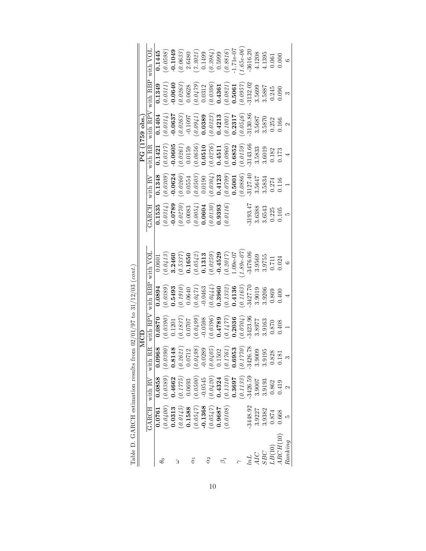|              |            |                      |                                                                                | MCD       |            |              |           |            |            | PG (1759 obs.) |          |                      |
|--------------|------------|----------------------|--------------------------------------------------------------------------------|-----------|------------|--------------|-----------|------------|------------|----------------|----------|----------------------|
|              | GARCH      | with $R\overline{V}$ | یہ<br>with R.                                                                  | with RPV  | with RBP   | with VOL     | GARCH     | with RV    | with RR    | with $RPV$     | with RBP | with VOL             |
|              | 0.0761     | 0.0858               | ∞<br>0.0968                                                                    | 0.870     | 0.0894     | 0.0601       | 0.1535    | 0.1348     | 0.1421     | 0.1404         | 0.1349   | 0.1445               |
| $\theta_{0}$ | (0.0400)   | (0.0389)             | (0.0390)                                                                       | 0.0390    | (0.0389)   | 0.0413       | (0.0314)  | 0.0309     | (0.0317)   | (0.0314)       | (0.0311) | (0.0598)             |
|              | 0.0313     | 0.4662               |                                                                                | 0.1201    | 0.5493     | 3.2460       | $-0.0789$ | 0.0624     | 0.0605     | $-0.0637$      | 0.0640   | $-0.1049$            |
| З            | (0.0145)   | (0.1775)             | $0.8148$<br>(0.2621<br>0.0712                                                  | (0.1837)  | 0.1910     | 0.5337       | (0.0270)  | (0.0260)   | 0.0261     | 0.0263         | (0.0263) | 0.0633               |
|              | 0.1588     | 0.0693               |                                                                                | 0.0707    | 0.0640     | 0.1650       | 0.0083    | 0.0554     | 0.0159     | $-0.1097$      | 0.0628   |                      |
| $\alpha_1$   | (0.0547)   | $(0.0500)$           | (0.0498)                                                                       | (0.0499)  | (0.0471)   | (0.0542)     | (0.0054)  | 0.0503     | 0.0656     | 1760.0         | 60/10.0  | $2.6480$<br>(7.3021) |
|              | $-0.1368$  | $-0.0545$            |                                                                                | $-0.0598$ | $-0.0463$  | 0.1313       | 0.0604    | 0.0190     | 0.0510     | 0.0389         | 0.0312   | 0.1499               |
| $\alpha_2$   | (0.0547)   |                      |                                                                                | (0.0396)  | (0.0444)   | (0.0259)     | (0.0130)  | 0.0304     | 0.0276     | (0.0323)       | (0.0306) | (0.3984)             |
|              | 0.9687     | $(0.0420)$<br>0.4324 |                                                                                | 0.4789    | 0.3960     | $-0.4529$    | 0.9393    | 0.4123     | 0.4511     | 0.4213         | 0.4361   | 0.5999               |
| $\beta_1$    | (0.0108)   | (0.1310)             | $\begin{array}{r} (0.0289 \ (0.0405 \ 0.1502 \ (0.1761 \ 0.0303 \ \end{array}$ | 0.1477    | (0.1332)   | 0.2017       | (0.0116)  | 0.0799     | (0.0960)   | 10010          | (0.0821) | (0.8816)             |
|              |            | 0.3697               |                                                                                | 0.2036    | 0.4136     | $-0.09e-0.7$ |           | 0.5001     | 0.6852     | 0.2317         | 0.5061   | $1.71e-07$           |
|              |            | 0.1133               |                                                                                | 0.0704    | 0.1163     | $1.89e - 07$ |           | 0.0886     | (0.0159)   | 0.0546         | (0.0957) | $1.65e - 06$         |
| lnL          | $-3448.92$ | $-3426.59$           | 突<br>$-3426.7$                                                                 | 3423.96   | $-3427.70$ | $-3476.06$   | 3193.47   | $-3127.40$ | $-3143.66$ | $-3130.86$     | 3132.02  | $-3616.20$           |
| AIC          | 3.9227     | 3.9007               | 3.9009                                                                         | 3.8977    | 3.9019     | 3.9569       | 3.6388    | 3.5647     | 3.5833     | 3.5687         | 3.5699   | 4.1208               |
| SBC          | 3.9382     | 3.9193               | 3.9195                                                                         | 3.9163    | 3.9206     | 3.9755       | 3.6543    | 3.5834     | 3.6019     | 3.5870         | 3.5887   | 4.1395               |
| LB(10)       | 0.874      | 0.862                | 0.828                                                                          | 0.870     | 0.869      | 0.711        | 0.225     | 0.274      | 0.182      | 0.252          | 0.245    | $\!0.061$            |
| ARCH(10)     | 0.668      | 0.419                | 0.181                                                                          | 0.408     | 0.400      | 0.024        | 0.105     | 0.116      | $0.173\,$  | 0.166          | 0.090    | 0.000                |
| Ranking      |            |                      |                                                                                |           | 4          | $\circ$      | ద         |            | 4          | 2              | S        | $\circ$              |

| ble D. GARCH estimation results from $02/01/97$ to $31/12/03$ (cont. |
|----------------------------------------------------------------------|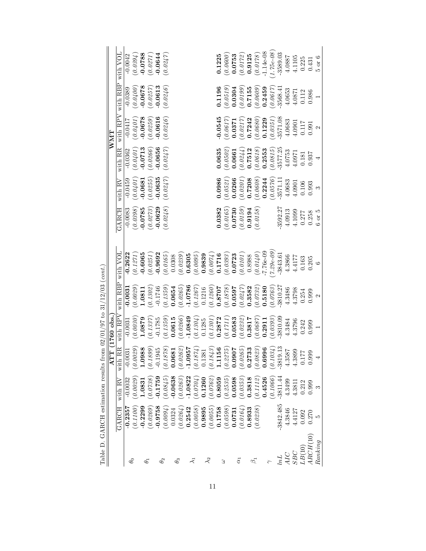|                                                                                                                                                                                                                                                                                                             | with VOL<br>with RBP         | $-0.0042$<br>$-0.0389$ | (0.0394)<br>(0.0400) | $-0.0678$     | (0.0788)<br>(0.0257)                                                    | $-0.0644$<br>$-0.0613$ | (0.0247)<br>(0.0246) |            |          |           |                                                   |                               |                      |                     | (0.0600)<br>0.1225        | 0.0753               | (0.0172)<br>$\begin{array}{c} 0.1196 \\ (0.0519) \\ 0.0304 \end{array}$ |                                                                                     |                         |                                                                                        | $\begin{array}{c} \textbf{0.9125} \\ (0.0178) \\ \textbf{-1.14e-08} \end{array}$<br>(0.0617)<br>$(0.0199)$<br>0.7155<br>0.0609)<br>0.2459 | $1.75e-0.8$<br>$-3589.03$<br>3568.4                                                                            |        | 4.0887<br>4.1105<br>4.0653<br>4.0871                                    | 0.225<br>0.112 | 0.431<br>0.986 |
|-------------------------------------------------------------------------------------------------------------------------------------------------------------------------------------------------------------------------------------------------------------------------------------------------------------|------------------------------|------------------------|----------------------|---------------|-------------------------------------------------------------------------|------------------------|----------------------|------------|----------|-----------|---------------------------------------------------|-------------------------------|----------------------|---------------------|---------------------------|----------------------|-------------------------------------------------------------------------|-------------------------------------------------------------------------------------|-------------------------|----------------------------------------------------------------------------------------|-------------------------------------------------------------------------------------------------------------------------------------------|----------------------------------------------------------------------------------------------------------------|--------|-------------------------------------------------------------------------|----------------|----------------|
|                                                                                                                                                                                                                                                                                                             | with $\overline{\text{RPV}}$ | $-0.0417$              | (0.0401)             | $-0.0678$     | (0.0259)                                                                | $-0.0616$              | (0.0246)             |            |          |           |                                                   |                               |                      | 0.0545              | (0.0617)                  |                      |                                                                         |                                                                                     |                         |                                                                                        |                                                                                                                                           | 3571.08<br>$\begin{array}{l} 0.0371\\ (0.0217)\\ 0.7242\\ (0.0680)\\ (0.0680)\\ 0.1229\\ (0.0351) \end{array}$ | 4.0683 | 4.0901                                                                  |                | 0.117<br>0.991 |
| $\mathbf{W}\mathbf{M}\mathbf{T}$                                                                                                                                                                                                                                                                            | with RR                      | $-0.0362$              |                      |               | $\begin{array}{c} (0.0401) \\ \textbf{-0.0713} \\ (0.0266) \end{array}$ | $-0.0656$              | (0.0247)             |            |          |           |                                                   |                               |                      | 0.0635              | (0.0502)                  |                      | 0.0661                                                                  |                                                                                     |                         |                                                                                        | $(0.0244)$<br>0.7512<br>(0.0618)<br>0.2553                                                                                                |                                                                                                                |        | $\begin{array}{c} (0.0815) \\ -3577.25 \\ 4.0753 \end{array}$<br>4.0971 | 0.181          | 0.937          |
|                                                                                                                                                                                                                                                                                                             | with $\overline{RV}$         | $-0.0459$              | (0.0401)             | $-0.0681$     | (0.0255)                                                                | $-0.0635$              | (0.0247)             |            |          |           |                                                   |                               |                      | 0.0986              |                           | (0.0521)             |                                                                         |                                                                                     |                         | $\begin{array}{c} 0.0266 \\ (0.0201) \\ 0.7208 \\ (0.0608) \\ (0.0608) \\ \end{array}$ | (0.0576)                                                                                                                                  | $-3571.1$                                                                                                      | 4.0683 | 4.0901                                                                  | 0.106          | 0.993          |
|                                                                                                                                                                                                                                                                                                             | GARCH                        | $-0.0083$              | (0.0398)             | $-0.0785$     | (0.0273)                                                                | $-0.0629$              | (0.0248)             |            |          |           |                                                   |                               |                      | 0.0382              | (0.0165)                  |                      | $\ket{0.0730} \ \left( 0.0159 \right)$                                  |                                                                                     | (0.0158)<br>0.9194      |                                                                                        |                                                                                                                                           | $-3592.27$                                                                                                     | 4.0913 | 4.1099                                                                  | 0.277          | 0.258          |
|                                                                                                                                                                                                                                                                                                             | with VOL                     | $-0.2622$              | (0.1271)             | $-0.6065$     | (0.0251)                                                                | $-0.9692$              | (0.0165)             | 0.0308     | (0.0239) | 0.6305    | (0.0095)                                          |                               | 0.9839               | (0.0074)            |                           | $0.1716$<br>(0.0393) | $\begin{array}{c} {\bf 0.0723} \ (0.0101) \end{array}$                  |                                                                                     | 0.8988                  |                                                                                        | $7.29 - 09$<br>$(0.0140)$<br>T.T6e-09                                                                                                     | $-3843.61$                                                                                                     |        | 4.3866<br>4.4177                                                        | 0.163          | 0.205          |
|                                                                                                                                                                                                                                                                                                             | with RBP                     | $-0.0031$              | 0.0029               |               | $\frac{1.0811}{(0.1302)}$                                               | $-0.1746$              | (0.1359)             | 0.0654     | (0.0265) | 1.0786    |                                                   |                               | $(0.1267)$<br>0.1216 | $(0.1260)$          | (678707)                  |                      |                                                                         | (0.0597)<br>0.3582                                                                  | (0.0732)                | 0.5180                                                                                 |                                                                                                                                           | $(0.0763)$<br>-3810.27                                                                                         |        | 4.3486<br>4.3798                                                        | 0.254          | 0.999          |
| TT (1760 obs.                                                                                                                                                                                                                                                                                               | with $RP\overline{V}$        | $-0.0031$              | (0.0030)             | 1.0879        | (0.1337)                                                                | $-0.1785$              | 0.1359               | 0.0615     | (0.0266) | 1.0849    |                                                   | $(\mathit{0.1304})$<br>0.1285 | (0.1301)             |                     | $\frac{0.2872}{(0.1711)}$ |                      | (0.0232)<br>0.0583                                                      | 0.3817                                                                              | (0.0687)                | 0.2911                                                                                 | 0.0393)                                                                                                                                   | $-3810.09$                                                                                                     | 4.3484 | 4.3796                                                                  | 0.242          | 0.999          |
| ৰ                                                                                                                                                                                                                                                                                                           | ıRR<br>witl                  | 0031                   | (6500                | 1988<br>$\Xi$ | (668)                                                                   | 1945                   | (878)                | 1890       |          |           | $\frac{1}{262}$<br>0957<br>$1874)$<br>$\tilde{c}$ | 381                           |                      | 843<br>156<br>$\Xi$ | 2275                      | 1060<br>0.0          |                                                                         | $\frac{9265}{2733}$<br>$\mathop{\circ}\limits^{\circ}\mathop{\circ}\limits^{\circ}$ | 3823<br>$\widetilde{c}$ | <b>996</b><br>0.6                                                                      | (0.1)                                                                                                                                     | $\left( \begin{matrix} 034 \\ 13 \end{matrix} \right)$<br>$-381$                                               | 1858   | 4.3899<br>$\frac{3}{4}$                                                 |                | 666.0<br>221.0 |
|                                                                                                                                                                                                                                                                                                             | with $RV$                    | $-0.0032$              | 0.0029               | 1.0831        | 60.0738                                                                 | $-0.1759$              | 0.0845               | $-0.0638$  | 0.0263   | $-1.0822$ | (0.0704)                                          | 0.1260                        | (0.0762)             | 0.8059              | (0.2535)                  | 0.0598               | (0.0353)                                                                | 0.3818                                                                              | (0.1112)                | 0.4526                                                                                 | (0.1066)                                                                                                                                  | $-3811.44$                                                                                                     | 4.3499 | 4.381                                                                   | 0.212          | 0.999          |
|                                                                                                                                                                                                                                                                                                             | GARCH                        | $-0.2357$              | (0.1100)             | $-0.2299$     | (0.0269)                                                                | $-0.9758$              | (0.0094)             | 0.0324     | (0.0264) | 0.2542    | (0.0058)                                          | 0.9895                        | (0.0055)             | 0.1758              | (0.0598)                  | 0.0731               | (0.0164)                                                                | 0.8933                                                                              | (0.0238)                |                                                                                        |                                                                                                                                           | $-3842.485$                                                                                                    | 4.3846 | 4.4127                                                                  | 0.092          | 0.270          |
| $\sim$ 1409 ( $\sim$ 1/16 00 14) ( $\sim$ 1/16 01) ( $\sim$ 1/21) ( $\sim$ 1/21) ( $\sim$ 1/21) ( $\sim$ 1/21) ( $\sim$ 1/14) ( $\sim$ 1/14) ( $\sim$ 1/14) ( $\sim$ 1/14) ( $\sim$ 1/14) ( $\sim$ 1/14) ( $\sim$ 1/14) ( $\sim$ 1/14) ( $\sim$ 1/14) ( $\sim$ 1/14) ( $\sim$ 1/14) ( $\sim$ 1/14) ( $\sim$ |                              | $\theta_0$             |                      | $\phi_1$      |                                                                         |                        | $\theta_2$           | $\theta_3$ |          |           | ミ                                                 |                               | $\lambda_2$          |                     | З                         |                      | $\alpha_1$                                                              |                                                                                     | $\beta_1$               |                                                                                        |                                                                                                                                           |                                                                                                                |        | SBC                                                                     | LB(10)         | ARCH(10)       |

 $(02/01/97 + 0.31/12/03$  (cont) Table D. GARCH estimation results from  $02/01/97$  to  $31/12/03$  (cont.)  $\epsilon$ alte from Table D<sub>GABCH</sub> estimation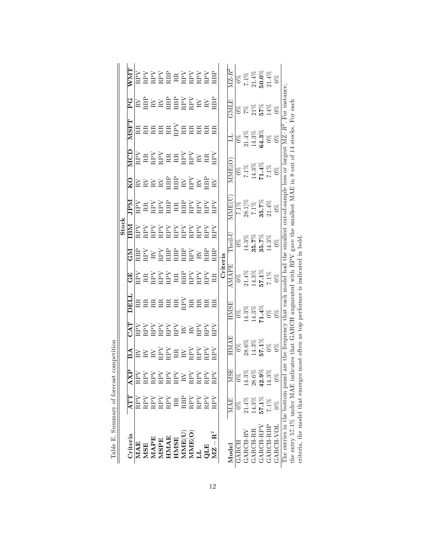| Table E. Summary of forecast                                                                                                              |                |                                                                                                                                                                                                                                                                                                                                                                                                                                                          | competition                                                                                                                                                                                                                                                                                                                                                                                                                                                                                                                                                                                                                 |     |                                             |                                                                                                                                                                                                                                                                                                                                                                                                                                                                   |                                                                                                                                                                                                                                                                                                                                                                                                                                                                                                                                                                                                                            |                                                                                                                    |                                                                                                                                                                                                                                                                                                                                                                                                                                                                  |                                                                                             |                                                                                                                                                                                                                                                                                                                                                                                                                      |                                                                           |                                                                                                                   |                                                                                     |
|-------------------------------------------------------------------------------------------------------------------------------------------|----------------|----------------------------------------------------------------------------------------------------------------------------------------------------------------------------------------------------------------------------------------------------------------------------------------------------------------------------------------------------------------------------------------------------------------------------------------------------------|-----------------------------------------------------------------------------------------------------------------------------------------------------------------------------------------------------------------------------------------------------------------------------------------------------------------------------------------------------------------------------------------------------------------------------------------------------------------------------------------------------------------------------------------------------------------------------------------------------------------------------|-----|---------------------------------------------|-------------------------------------------------------------------------------------------------------------------------------------------------------------------------------------------------------------------------------------------------------------------------------------------------------------------------------------------------------------------------------------------------------------------------------------------------------------------|----------------------------------------------------------------------------------------------------------------------------------------------------------------------------------------------------------------------------------------------------------------------------------------------------------------------------------------------------------------------------------------------------------------------------------------------------------------------------------------------------------------------------------------------------------------------------------------------------------------------------|--------------------------------------------------------------------------------------------------------------------|------------------------------------------------------------------------------------------------------------------------------------------------------------------------------------------------------------------------------------------------------------------------------------------------------------------------------------------------------------------------------------------------------------------------------------------------------------------|---------------------------------------------------------------------------------------------|----------------------------------------------------------------------------------------------------------------------------------------------------------------------------------------------------------------------------------------------------------------------------------------------------------------------------------------------------------------------------------------------------------------------|---------------------------------------------------------------------------|-------------------------------------------------------------------------------------------------------------------|-------------------------------------------------------------------------------------|
|                                                                                                                                           |                |                                                                                                                                                                                                                                                                                                                                                                                                                                                          |                                                                                                                                                                                                                                                                                                                                                                                                                                                                                                                                                                                                                             |     |                                             |                                                                                                                                                                                                                                                                                                                                                                                                                                                                   |                                                                                                                                                                                                                                                                                                                                                                                                                                                                                                                                                                                                                            | $\frac{\overline{\text{Stock}}}{\overline{\text{IBM}}}$                                                            |                                                                                                                                                                                                                                                                                                                                                                                                                                                                  |                                                                                             |                                                                                                                                                                                                                                                                                                                                                                                                                      |                                                                           |                                                                                                                   |                                                                                     |
| Criteria                                                                                                                                  | ATT            | AXP                                                                                                                                                                                                                                                                                                                                                                                                                                                      | BA                                                                                                                                                                                                                                                                                                                                                                                                                                                                                                                                                                                                                          | CAT | DELI                                        | 臼<br>じ                                                                                                                                                                                                                                                                                                                                                                                                                                                            | $\mathop{\mathbb{Z}}\nolimits$                                                                                                                                                                                                                                                                                                                                                                                                                                                                                                                                                                                             |                                                                                                                    | <b>Ndr</b>                                                                                                                                                                                                                                                                                                                                                                                                                                                       | KО                                                                                          | MCD                                                                                                                                                                                                                                                                                                                                                                                                                  | <b>LASEN</b>                                                              | ں<br>ط                                                                                                            | $\overline{\text{NMT}}$                                                             |
| MAE                                                                                                                                       | $_{\rm RPV}$   |                                                                                                                                                                                                                                                                                                                                                                                                                                                          |                                                                                                                                                                                                                                                                                                                                                                                                                                                                                                                                                                                                                             |     |                                             |                                                                                                                                                                                                                                                                                                                                                                                                                                                                   |                                                                                                                                                                                                                                                                                                                                                                                                                                                                                                                                                                                                                            |                                                                                                                    |                                                                                                                                                                                                                                                                                                                                                                                                                                                                  |                                                                                             |                                                                                                                                                                                                                                                                                                                                                                                                                      |                                                                           |                                                                                                                   |                                                                                     |
| <b>MSE</b>                                                                                                                                | RPV            |                                                                                                                                                                                                                                                                                                                                                                                                                                                          |                                                                                                                                                                                                                                                                                                                                                                                                                                                                                                                                                                                                                             |     |                                             |                                                                                                                                                                                                                                                                                                                                                                                                                                                                   |                                                                                                                                                                                                                                                                                                                                                                                                                                                                                                                                                                                                                            |                                                                                                                    |                                                                                                                                                                                                                                                                                                                                                                                                                                                                  |                                                                                             |                                                                                                                                                                                                                                                                                                                                                                                                                      |                                                                           |                                                                                                                   |                                                                                     |
| MAPE                                                                                                                                      | RPV            |                                                                                                                                                                                                                                                                                                                                                                                                                                                          |                                                                                                                                                                                                                                                                                                                                                                                                                                                                                                                                                                                                                             |     |                                             |                                                                                                                                                                                                                                                                                                                                                                                                                                                                   |                                                                                                                                                                                                                                                                                                                                                                                                                                                                                                                                                                                                                            |                                                                                                                    |                                                                                                                                                                                                                                                                                                                                                                                                                                                                  |                                                                                             |                                                                                                                                                                                                                                                                                                                                                                                                                      |                                                                           |                                                                                                                   |                                                                                     |
| MSPE                                                                                                                                      | RPV            | $\begin{tabular}{ l l l } \hline \multicolumn{1}{ l }{\textbf{RPN}} \\ \multicolumn{1}{ l }{\textbf{RPN}} \\ \multicolumn{1}{ l }{\textbf{RPN}} \\ \multicolumn{1}{ l }{\textbf{RPN}} \\ \multicolumn{1}{ l }{\textbf{RPN}} \\ \multicolumn{1}{ l }{\textbf{RPN}} \\ \multicolumn{1}{ l }{\textbf{RPN}} \\ \multicolumn{1}{ l }{\textbf{RPN}} \\ \multicolumn{1}{ l }{\textbf{RPN}} \\ \multicolumn{1}{ l }{\textbf{RPN}} \\ \multicolumn{1}{ l }{\text$ | $\begin{tabular}{ l l } \hline \quad \quad & \quad \quad & \quad \quad & \quad \quad & \quad \quad & \quad \quad \\ \hline \quad \quad & \quad \quad & \quad \quad & \quad \quad & \quad \quad \\ \hline \quad \quad & \quad \quad & \quad \quad & \quad \quad & \quad \quad \\ \hline \quad \quad & \quad \quad & \quad \quad & \quad \quad & \quad \quad \\ \hline \quad \quad & \quad \quad & \quad \quad & \quad \quad & \quad \quad \\ \hline \quad \quad & \quad \quad & \quad \quad & \quad \quad & \quad \quad \\ \hline \quad \quad & \quad \quad & \quad \quad & \quad \quad & \quad \quad \\ \hline \quad \quad$ |     | <b>Assasse</b> Sease                        | $\begin{array}{l} \begin{array}{l} \text{R} \\ \text{R} \\ \text{R} \\ \text{R} \\ \text{R} \\ \text{R} \\ \text{R} \\ \text{R} \\ \text{R} \\ \text{R} \\ \text{R} \\ \text{R} \\ \text{R} \\ \text{R} \\ \text{R} \\ \text{R} \\ \text{R} \\ \text{R} \\ \text{R} \\ \text{R} \\ \text{R} \\ \text{R} \\ \text{R} \\ \text{R} \\ \text{R} \\ \text{R} \\ \text{R} \\ \text{R} \\ \text{R} \\ \text{R} \\ \text{R} \\ \text{R} \\ \text{R} \\ \text{R} \\ \text$ | $\begin{tabular}{ c c c c } \hline \quad \quad & \quad \quad & \quad \quad & \quad \quad & \quad \quad \\ \hline \quad \quad & \quad \quad & \quad \quad & \quad \quad & \quad \quad & \quad \quad \\ \quad \quad & \quad \quad & \quad \quad & \quad \quad & \quad \quad & \quad \quad \\ \quad \quad & \quad \quad & \quad \quad & \quad \quad & \quad \quad & \quad \quad & \quad \quad \\ \quad \quad & \quad \quad & \quad \quad & \quad \quad & \quad \quad & \quad \quad & \quad \quad \\ \quad \quad & \quad \quad & \quad \quad & \quad \quad & \quad \quad & \quad \quad & \quad \quad \\ \quad \quad & \quad \$ | NATH<br>NATH SAN<br>NATH SAN<br>NATH SAN<br>NATH SAN<br>NATH SAN<br>NATH SAN<br>NATH SAN                           | $\begin{array}{l} \overline{\text{RBY}}\\ \text{RAY}}\\ \text{RAY}}\\ \text{RAY}}\\ \text{RAY}}\\ \text{RAY}}\\ \text{RAY}}\\ \text{RAY}}\\ \text{RAY}}\\ \text{RAY}}\\ \text{RAY}}\\ \text{RAY}}\\ \text{RAY}}\\ \text{RAY}}\\ \text{RAY}}\\ \text{RAY}}\\ \text{RAY}}\\ \text{RAY}}\\ \text{RAY}}\\ \text{RAY}}\\ \text{RAY}}\\ \text{RAY}}\\ \text{RAY}}\\ \text{RAY}}\\ \text{RAY}}\\ \text{RAY}}\\ \text{RAY}}\\ \text{RAY}}\\ \text{RAY}}\\ \text{RAY}}\\$ | $\boxtimes \cong \boxtimes \cong \boxtimes \boxtimes \boxtimes \boxtimes$                   | $\begin{array}{l} \begin{array}{c} \text{R1} \\ \text{R2} \\ \text{R3} \\ \text{R4} \\ \text{R5} \\ \text{R6} \\ \text{R7} \\ \text{R8} \\ \text{R9} \\ \text{R10} \\ \text{R21} \\ \text{R31} \\ \text{R42} \\ \text{R53} \\ \text{R64} \\ \text{R74} \\ \text{R85} \\ \text{R86} \\ \text{R9} \\ \text{R19} \\ \text{R10} \\ \text{R21} \\ \text{R31} \\ \text{R42} \\ \text{R53} \\ \text{R64} \\ \text{R7} \\ \$ | <b>Assassassassassa</b>                                                   | $\begin{array}{ccc} \times & \times & \times \\ \times & \times & \times \\ \times & \times & \times \end{array}$ | RPV<br>RPV RBR<br>RPV RBR<br>RPV RPV<br>RPV RPV<br>RBP                              |
| HMAE                                                                                                                                      | RPV            |                                                                                                                                                                                                                                                                                                                                                                                                                                                          |                                                                                                                                                                                                                                                                                                                                                                                                                                                                                                                                                                                                                             |     |                                             |                                                                                                                                                                                                                                                                                                                                                                                                                                                                   |                                                                                                                                                                                                                                                                                                                                                                                                                                                                                                                                                                                                                            |                                                                                                                    |                                                                                                                                                                                                                                                                                                                                                                                                                                                                  |                                                                                             |                                                                                                                                                                                                                                                                                                                                                                                                                      |                                                                           |                                                                                                                   |                                                                                     |
| <b>HMSE</b>                                                                                                                               | RR             |                                                                                                                                                                                                                                                                                                                                                                                                                                                          |                                                                                                                                                                                                                                                                                                                                                                                                                                                                                                                                                                                                                             |     |                                             |                                                                                                                                                                                                                                                                                                                                                                                                                                                                   |                                                                                                                                                                                                                                                                                                                                                                                                                                                                                                                                                                                                                            |                                                                                                                    |                                                                                                                                                                                                                                                                                                                                                                                                                                                                  |                                                                                             |                                                                                                                                                                                                                                                                                                                                                                                                                      |                                                                           |                                                                                                                   |                                                                                     |
| MME(U                                                                                                                                     | RBP            |                                                                                                                                                                                                                                                                                                                                                                                                                                                          |                                                                                                                                                                                                                                                                                                                                                                                                                                                                                                                                                                                                                             |     |                                             |                                                                                                                                                                                                                                                                                                                                                                                                                                                                   |                                                                                                                                                                                                                                                                                                                                                                                                                                                                                                                                                                                                                            |                                                                                                                    |                                                                                                                                                                                                                                                                                                                                                                                                                                                                  |                                                                                             |                                                                                                                                                                                                                                                                                                                                                                                                                      |                                                                           |                                                                                                                   |                                                                                     |
| MME(O)                                                                                                                                    | RPV            |                                                                                                                                                                                                                                                                                                                                                                                                                                                          |                                                                                                                                                                                                                                                                                                                                                                                                                                                                                                                                                                                                                             |     |                                             |                                                                                                                                                                                                                                                                                                                                                                                                                                                                   |                                                                                                                                                                                                                                                                                                                                                                                                                                                                                                                                                                                                                            |                                                                                                                    |                                                                                                                                                                                                                                                                                                                                                                                                                                                                  |                                                                                             |                                                                                                                                                                                                                                                                                                                                                                                                                      |                                                                           |                                                                                                                   |                                                                                     |
| E                                                                                                                                         | RPV            |                                                                                                                                                                                                                                                                                                                                                                                                                                                          |                                                                                                                                                                                                                                                                                                                                                                                                                                                                                                                                                                                                                             |     |                                             |                                                                                                                                                                                                                                                                                                                                                                                                                                                                   |                                                                                                                                                                                                                                                                                                                                                                                                                                                                                                                                                                                                                            |                                                                                                                    |                                                                                                                                                                                                                                                                                                                                                                                                                                                                  |                                                                                             |                                                                                                                                                                                                                                                                                                                                                                                                                      |                                                                           |                                                                                                                   |                                                                                     |
| QLE                                                                                                                                       | RPV            |                                                                                                                                                                                                                                                                                                                                                                                                                                                          |                                                                                                                                                                                                                                                                                                                                                                                                                                                                                                                                                                                                                             |     |                                             |                                                                                                                                                                                                                                                                                                                                                                                                                                                                   |                                                                                                                                                                                                                                                                                                                                                                                                                                                                                                                                                                                                                            |                                                                                                                    |                                                                                                                                                                                                                                                                                                                                                                                                                                                                  |                                                                                             |                                                                                                                                                                                                                                                                                                                                                                                                                      |                                                                           |                                                                                                                   |                                                                                     |
| $\mathbf{MZ}-\mathbf{R}^2$                                                                                                                | $_{\rm RPV}$   | $_{\rm RPV}$                                                                                                                                                                                                                                                                                                                                                                                                                                             |                                                                                                                                                                                                                                                                                                                                                                                                                                                                                                                                                                                                                             |     |                                             |                                                                                                                                                                                                                                                                                                                                                                                                                                                                   | RBP                                                                                                                                                                                                                                                                                                                                                                                                                                                                                                                                                                                                                        |                                                                                                                    |                                                                                                                                                                                                                                                                                                                                                                                                                                                                  | $_{\rm R}$                                                                                  | RPV                                                                                                                                                                                                                                                                                                                                                                                                                  |                                                                           | RBP                                                                                                               |                                                                                     |
|                                                                                                                                           |                |                                                                                                                                                                                                                                                                                                                                                                                                                                                          |                                                                                                                                                                                                                                                                                                                                                                                                                                                                                                                                                                                                                             |     |                                             | Criteria                                                                                                                                                                                                                                                                                                                                                                                                                                                          |                                                                                                                                                                                                                                                                                                                                                                                                                                                                                                                                                                                                                            |                                                                                                                    |                                                                                                                                                                                                                                                                                                                                                                                                                                                                  |                                                                                             |                                                                                                                                                                                                                                                                                                                                                                                                                      |                                                                           |                                                                                                                   |                                                                                     |
| Model                                                                                                                                     | <b>MAF</b>     | <b>MSE</b>                                                                                                                                                                                                                                                                                                                                                                                                                                               | HMA E                                                                                                                                                                                                                                                                                                                                                                                                                                                                                                                                                                                                                       |     | HMSE                                        | AMAPE                                                                                                                                                                                                                                                                                                                                                                                                                                                             |                                                                                                                                                                                                                                                                                                                                                                                                                                                                                                                                                                                                                            | Theil-L                                                                                                            | MMET                                                                                                                                                                                                                                                                                                                                                                                                                                                             | <b>NNEO</b>                                                                                 |                                                                                                                                                                                                                                                                                                                                                                                                                      | $\Xi$                                                                     | <b>GMLE</b>                                                                                                       | $MZ-R^2$                                                                            |
| <b>GARCH</b>                                                                                                                              | $\frac{8}{20}$ |                                                                                                                                                                                                                                                                                                                                                                                                                                                          |                                                                                                                                                                                                                                                                                                                                                                                                                                                                                                                                                                                                                             |     |                                             |                                                                                                                                                                                                                                                                                                                                                                                                                                                                   |                                                                                                                                                                                                                                                                                                                                                                                                                                                                                                                                                                                                                            |                                                                                                                    |                                                                                                                                                                                                                                                                                                                                                                                                                                                                  |                                                                                             |                                                                                                                                                                                                                                                                                                                                                                                                                      |                                                                           |                                                                                                                   |                                                                                     |
| GARCH-RV                                                                                                                                  | $21.4\%$       |                                                                                                                                                                                                                                                                                                                                                                                                                                                          |                                                                                                                                                                                                                                                                                                                                                                                                                                                                                                                                                                                                                             |     |                                             |                                                                                                                                                                                                                                                                                                                                                                                                                                                                   |                                                                                                                                                                                                                                                                                                                                                                                                                                                                                                                                                                                                                            |                                                                                                                    |                                                                                                                                                                                                                                                                                                                                                                                                                                                                  |                                                                                             |                                                                                                                                                                                                                                                                                                                                                                                                                      |                                                                           |                                                                                                                   |                                                                                     |
| GARCH-RR                                                                                                                                  | 14.3%          | $\begin{array}{c} 0\% \\ 14.3\% \\ 28.6\% \\ 42.3\% \\ 14.3\% \end{array}$                                                                                                                                                                                                                                                                                                                                                                               | $\frac{0\%}{28.6\%}$<br>14.3%<br>57.1%<br>57.1%                                                                                                                                                                                                                                                                                                                                                                                                                                                                                                                                                                             |     | 0%<br>14.3%<br>14.3%<br><b>11.4</b> %<br>0% | $\frac{0\%}{14.3\%}$<br>14.3%<br>57.1%<br>57.1%<br>7.1%                                                                                                                                                                                                                                                                                                                                                                                                           |                                                                                                                                                                                                                                                                                                                                                                                                                                                                                                                                                                                                                            | $\begin{array}{c} 0\% \\ 14.3\% \\ \textbf{35.7}\% \\ \textbf{35.7}\% \\ \textbf{35.7}\% \\ 14.3\% \\ \end{array}$ | $\frac{7.1\%}{7.1\%}$<br>$\frac{7.1\%}{7.1\%}$<br>$\frac{35.7\%}{21.4\%}$                                                                                                                                                                                                                                                                                                                                                                                        | $\frac{68}{120}$<br>$\frac{18}{14.3\%}$<br>$\frac{14.3\%}{14.8\%}$<br>$\frac{14.8\%}{15.0}$ |                                                                                                                                                                                                                                                                                                                                                                                                                      | $\begin{array}{r} 0\% \ 0\% \ 21.4\% \ 14.3\% \ 64.3\% \ 0\% \end{array}$ | 8888888<br>2875788                                                                                                | $\begin{array}{r} 0\% \ 7.1\%\ 21.4\%\ 20.0\%\ 21.4\%\ 21.4\%\ 21.4\%\ \end{array}$ |
| GARCH-RPV                                                                                                                                 | 57.1%          |                                                                                                                                                                                                                                                                                                                                                                                                                                                          |                                                                                                                                                                                                                                                                                                                                                                                                                                                                                                                                                                                                                             |     |                                             |                                                                                                                                                                                                                                                                                                                                                                                                                                                                   |                                                                                                                                                                                                                                                                                                                                                                                                                                                                                                                                                                                                                            |                                                                                                                    |                                                                                                                                                                                                                                                                                                                                                                                                                                                                  |                                                                                             |                                                                                                                                                                                                                                                                                                                                                                                                                      |                                                                           |                                                                                                                   |                                                                                     |
| GARCH-RBP                                                                                                                                 | $7.1\%$        |                                                                                                                                                                                                                                                                                                                                                                                                                                                          |                                                                                                                                                                                                                                                                                                                                                                                                                                                                                                                                                                                                                             |     |                                             |                                                                                                                                                                                                                                                                                                                                                                                                                                                                   |                                                                                                                                                                                                                                                                                                                                                                                                                                                                                                                                                                                                                            |                                                                                                                    |                                                                                                                                                                                                                                                                                                                                                                                                                                                                  |                                                                                             |                                                                                                                                                                                                                                                                                                                                                                                                                      |                                                                           |                                                                                                                   |                                                                                     |
| GARCH-VOL                                                                                                                                 |                | $\%$                                                                                                                                                                                                                                                                                                                                                                                                                                                     |                                                                                                                                                                                                                                                                                                                                                                                                                                                                                                                                                                                                                             |     |                                             |                                                                                                                                                                                                                                                                                                                                                                                                                                                                   |                                                                                                                                                                                                                                                                                                                                                                                                                                                                                                                                                                                                                            |                                                                                                                    |                                                                                                                                                                                                                                                                                                                                                                                                                                                                  |                                                                                             |                                                                                                                                                                                                                                                                                                                                                                                                                      |                                                                           |                                                                                                                   |                                                                                     |
| The entries in the bottom panel are the frequency that each model had the smallest out-of-sample loss or largest $MZ-R^2$ . For instance, |                |                                                                                                                                                                                                                                                                                                                                                                                                                                                          |                                                                                                                                                                                                                                                                                                                                                                                                                                                                                                                                                                                                                             |     |                                             |                                                                                                                                                                                                                                                                                                                                                                                                                                                                   |                                                                                                                                                                                                                                                                                                                                                                                                                                                                                                                                                                                                                            |                                                                                                                    |                                                                                                                                                                                                                                                                                                                                                                                                                                                                  |                                                                                             |                                                                                                                                                                                                                                                                                                                                                                                                                      |                                                                           |                                                                                                                   |                                                                                     |
| the entry 57.1% under MAE inc                                                                                                             |                |                                                                                                                                                                                                                                                                                                                                                                                                                                                          |                                                                                                                                                                                                                                                                                                                                                                                                                                                                                                                                                                                                                             |     |                                             |                                                                                                                                                                                                                                                                                                                                                                                                                                                                   |                                                                                                                                                                                                                                                                                                                                                                                                                                                                                                                                                                                                                            |                                                                                                                    | dicates that GARCH augmented with RPV gave the smallest MAE in 8 out of 14 stocks. For each                                                                                                                                                                                                                                                                                                                                                                      |                                                                                             |                                                                                                                                                                                                                                                                                                                                                                                                                      |                                                                           |                                                                                                                   |                                                                                     |
| criteria, the model that emerges most often as top performer is indicated in bold                                                         |                |                                                                                                                                                                                                                                                                                                                                                                                                                                                          |                                                                                                                                                                                                                                                                                                                                                                                                                                                                                                                                                                                                                             |     |                                             |                                                                                                                                                                                                                                                                                                                                                                                                                                                                   |                                                                                                                                                                                                                                                                                                                                                                                                                                                                                                                                                                                                                            |                                                                                                                    |                                                                                                                                                                                                                                                                                                                                                                                                                                                                  |                                                                                             |                                                                                                                                                                                                                                                                                                                                                                                                                      |                                                                           |                                                                                                                   |                                                                                     |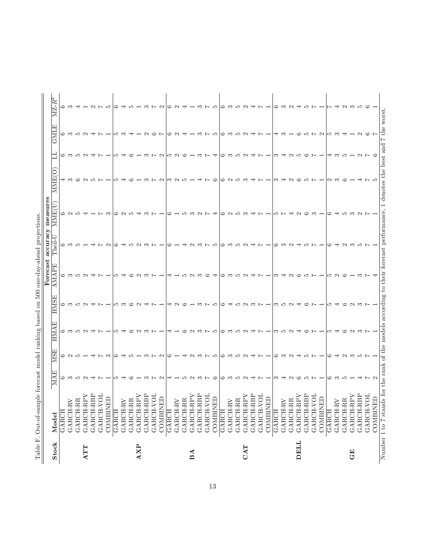|            |                                                                                                                              |                   |              |      |      | Forecast            | accuracy | measures |          |        |          |        |
|------------|------------------------------------------------------------------------------------------------------------------------------|-------------------|--------------|------|------|---------------------|----------|----------|----------|--------|----------|--------|
| Stock      | Model                                                                                                                        | 囜<br>ΚN           | 冚<br>σġ<br>≍ | HMAE | HMSI | $\Delta \text{MAP}$ | TheiL    | U<br>MME | ೦<br>MME | E      | ⊡<br>GNL | MZ-R   |
|            | GARCH                                                                                                                        | ు                 |              |      |      |                     |          |          |          |        |          |        |
|            | GARCH-R                                                                                                                      |                   |              |      |      |                     |          |          |          |        |          |        |
|            | GARCH-R                                                                                                                      | ນຕ                |              |      |      |                     |          |          |          |        |          |        |
| <b>ATT</b> | GARCH-R                                                                                                                      |                   |              |      |      |                     |          |          |          |        |          |        |
|            | GARCH-RBI                                                                                                                    |                   |              |      |      |                     |          |          |          |        |          |        |
|            | ్<br>GARCH-V                                                                                                                 |                   |              |      |      |                     |          |          |          |        |          |        |
|            | COMBINED                                                                                                                     |                   |              |      |      |                     |          |          |          |        |          |        |
|            | GARCH                                                                                                                        |                   |              |      |      |                     |          |          |          |        |          |        |
|            | GARCH-R                                                                                                                      |                   |              |      |      |                     |          |          |          |        |          |        |
|            | GARCH-R                                                                                                                      |                   |              |      |      |                     |          |          |          |        |          |        |
| <b>AXP</b> | GARCH-RI                                                                                                                     |                   |              |      |      |                     |          |          |          |        |          |        |
|            | GARCH-RBI                                                                                                                    |                   |              |      |      |                     |          |          |          |        |          |        |
|            | ನ<br>GARCH-V                                                                                                                 |                   |              |      |      |                     |          |          |          |        |          |        |
|            | COMBINED                                                                                                                     | $\sim$            |              |      |      |                     |          |          |          | $\sim$ |          | $\sim$ |
|            | <b>GARCH</b>                                                                                                                 |                   |              |      |      |                     |          |          |          |        |          |        |
|            | GARCH-R                                                                                                                      |                   |              |      |      |                     |          |          |          | $\sim$ |          |        |
|            | GARCH-RI                                                                                                                     |                   |              |      |      |                     |          |          |          |        |          |        |
| BA         | ๔<br>GARCH-RI                                                                                                                | $\sim$            |              |      |      | $\sim$              | $\sim$   |          |          |        |          |        |
|            | GARCH-RBP                                                                                                                    | ొ                 |              |      |      |                     |          |          |          |        |          |        |
|            | ā<br>GARCH-V                                                                                                                 |                   |              |      |      | ⊂                   |          |          |          |        |          |        |
|            | $\Box$<br><b>COMBINE</b>                                                                                                     | ಅ                 |              |      |      |                     |          |          |          |        |          |        |
|            | <b>GARCH</b>                                                                                                                 | ు                 |              |      |      | ు                   |          |          |          |        |          |        |
|            | <b>GARCH-RV</b>                                                                                                              | ొ                 |              |      |      | ొ                   |          |          |          |        |          | ొ      |
|            | GARCH-RI                                                                                                                     | ഹ                 |              |      |      | ນລ                  |          |          |          |        |          |        |
| CAT        | GARCH-RI                                                                                                                     | $\sim$            |              |      |      |                     |          |          |          |        |          |        |
|            | GARCH-RBF                                                                                                                    |                   |              |      |      |                     |          |          |          |        |          |        |
|            | ö<br>GARCH-V                                                                                                                 |                   |              |      |      |                     |          |          |          |        |          |        |
|            | COMBINED                                                                                                                     |                   |              |      |      |                     |          |          |          |        |          |        |
|            | GARCH                                                                                                                        |                   |              |      |      |                     |          |          |          |        |          |        |
|            | GARCH-R                                                                                                                      |                   |              |      |      |                     |          |          |          |        |          |        |
|            | GARCH-RI                                                                                                                     |                   |              |      |      | N                   |          |          |          |        |          |        |
| DELL       | GARCH-RI                                                                                                                     |                   |              |      |      | ో                   |          |          |          |        |          |        |
|            | È<br>GARCH-RI                                                                                                                |                   |              |      |      |                     |          |          |          |        |          |        |
|            | ਠ<br>GARCH-V                                                                                                                 |                   |              |      |      |                     |          |          |          |        |          |        |
|            | COMBINED                                                                                                                     |                   |              |      |      |                     |          |          |          |        | $\sim$   |        |
|            | <b>GARCH</b>                                                                                                                 | ు                 |              |      |      | ເລ                  |          |          |          |        |          |        |
|            | GARCH-R                                                                                                                      | ొ                 |              |      |      | $\sim$              |          |          |          |        |          |        |
|            | GARCH-RR                                                                                                                     | ıп                |              |      |      | ో                   |          |          |          |        |          |        |
| 日<br>じ     | GARCH-RI                                                                                                                     |                   |              |      |      |                     |          |          |          |        |          |        |
|            | GARCH-RBP                                                                                                                    |                   |              |      |      | ణ                   |          |          |          | $\sim$ |          |        |
|            | ਨ<br>GARCH-V                                                                                                                 |                   |              |      |      |                     |          |          |          |        |          |        |
|            | <b>COMBINED</b>                                                                                                              | $\mathbf{\Omega}$ |              |      |      |                     |          |          |          |        |          |        |
|            | Number 1 to 7 stands for the rank of the models according to their forecast performance, 1 denotes the best and 7 the worst. |                   |              |      |      |                     |          |          |          |        |          |        |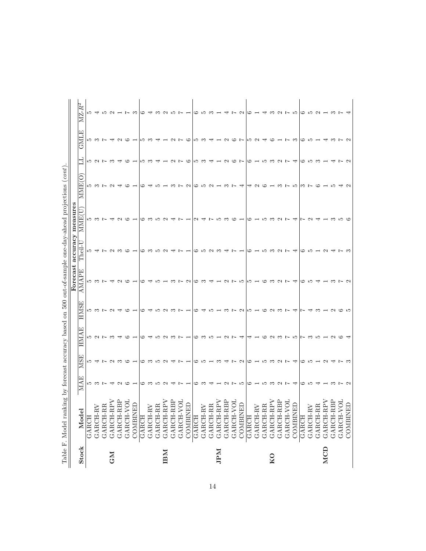| Table F. Model ranking by forecast accuracy<br>Stock |                                                                                               |               |                |                           |                            | Forecast                  | accuracy                         | measures                      |                                                                                                                                                                                                                                                                                                                  |                                                                                                                                                                                                                                                                                                                                                                                                                                                                                 |                                               |                          |
|------------------------------------------------------|-----------------------------------------------------------------------------------------------|---------------|----------------|---------------------------|----------------------------|---------------------------|----------------------------------|-------------------------------|------------------------------------------------------------------------------------------------------------------------------------------------------------------------------------------------------------------------------------------------------------------------------------------------------------------|---------------------------------------------------------------------------------------------------------------------------------------------------------------------------------------------------------------------------------------------------------------------------------------------------------------------------------------------------------------------------------------------------------------------------------------------------------------------------------|-----------------------------------------------|--------------------------|
|                                                      | Model                                                                                         | 囜<br>MA.      | ⊡<br>S<br>Ż    | 囜<br>⋖<br>HM <sub>1</sub> | <b>HMS</b>                 | ㅁ<br>$\Delta$<br>MA.<br>⋖ | $\overline{\phantom{a}}$<br>iei. | MME                           | C<br><b>NNE</b>                                                                                                                                                                                                                                                                                                  |                                                                                                                                                                                                                                                                                                                                                                                                                                                                                 | 囜<br>GNL                                      | œ<br>$MZ$ -.             |
| GARCH                                                |                                                                                               |               |                |                           |                            |                           | ೂ ಈ                              |                               |                                                                                                                                                                                                                                                                                                                  |                                                                                                                                                                                                                                                                                                                                                                                                                                                                                 |                                               |                          |
|                                                      |                                                                                               | ro co L       |                | <b>カンアッ</b>               |                            | ഥ ന ∟                     |                                  | ഥ ന ∟                         | ro co L                                                                                                                                                                                                                                                                                                          | ro co la co                                                                                                                                                                                                                                                                                                                                                                                                                                                                     | r w v                                         | ro 4                     |
|                                                      | $\begin{array}{c} \texttt{GARCH-RV} \\ \texttt{GARCH-RR} \end{array}$                         |               |                |                           |                            |                           |                                  |                               |                                                                                                                                                                                                                                                                                                                  |                                                                                                                                                                                                                                                                                                                                                                                                                                                                                 |                                               | ూ                        |
|                                                      | GARCH-RPV                                                                                     |               |                |                           | <b>ち い レ シ 斗</b>           |                           | <b>െ</b> ന                       | ┯                             | $\mathbf{\Omega}$                                                                                                                                                                                                                                                                                                |                                                                                                                                                                                                                                                                                                                                                                                                                                                                                 |                                               |                          |
|                                                      | GARCH-RBP                                                                                     | പ ന           | ちょて ク こ の ー    | ⊣                         |                            | 5 5 6 7 7                 |                                  | $\sim$ $\circ$                |                                                                                                                                                                                                                                                                                                                  |                                                                                                                                                                                                                                                                                                                                                                                                                                                                                 | $\sim$ $\sim$                                 | $\sim$ $ \sim$           |
|                                                      | GARCH-VOL                                                                                     |               |                | ಅ                         | ಂ                          |                           | ಲ                                |                               | ಅ                                                                                                                                                                                                                                                                                                                | ಲ                                                                                                                                                                                                                                                                                                                                                                                                                                                                               |                                               |                          |
|                                                      | $\mathop{\rm ED}\nolimits$<br>COMBIN                                                          |               |                |                           |                            |                           |                                  |                               |                                                                                                                                                                                                                                                                                                                  |                                                                                                                                                                                                                                                                                                                                                                                                                                                                                 |                                               | ా                        |
|                                                      | GARCH                                                                                         | ు             |                |                           | ు                          | ం                         |                                  |                               |                                                                                                                                                                                                                                                                                                                  | LO                                                                                                                                                                                                                                                                                                                                                                                                                                                                              |                                               | అ                        |
|                                                      | $\begin{array}{c} \texttt{GARCH-RV} \\ \texttt{GARCH-RR} \end{array}$                         | ొ             | <u>ວ ຕ ມ ຕ</u> | ਚਾ                        |                            | $\overline{a}$            |                                  |                               |                                                                                                                                                                                                                                                                                                                  | ొ                                                                                                                                                                                                                                                                                                                                                                                                                                                                               | ဟက္                                           |                          |
|                                                      |                                                                                               | ro.           |                |                           | ഹ                          |                           | ഹ                                | ഹ                             |                                                                                                                                                                                                                                                                                                                  |                                                                                                                                                                                                                                                                                                                                                                                                                                                                                 |                                               | ಌ                        |
|                                                      | GARCH-RPV                                                                                     |               |                |                           |                            |                           | $\sim$                           | $\sim$                        |                                                                                                                                                                                                                                                                                                                  |                                                                                                                                                                                                                                                                                                                                                                                                                                                                                 |                                               |                          |
|                                                      |                                                                                               |               |                |                           |                            |                           |                                  | ₩                             |                                                                                                                                                                                                                                                                                                                  |                                                                                                                                                                                                                                                                                                                                                                                                                                                                                 |                                               |                          |
|                                                      |                                                                                               | $\sim$        |                | <b>ちりこうしょ</b>             | $\sim$ $\sim$ $\sim$ $-$   |                           |                                  |                               |                                                                                                                                                                                                                                                                                                                  | $ \sim$ $\sim$ $\sim$                                                                                                                                                                                                                                                                                                                                                                                                                                                           | $ \alpha$ $\sim$ $\infty$                     | QDFH                     |
|                                                      | $\begin{array}{c} \texttt{GARCH-RBP} \\ \texttt{GARCH-VDL} \\ \texttt{COMBINED} \end{array}$  |               | コレコ            |                           |                            | $R \cup R \cup R$         |                                  | $\overline{r}$ $\overline{r}$ | $\sim \infty$                                                                                                                                                                                                                                                                                                    |                                                                                                                                                                                                                                                                                                                                                                                                                                                                                 |                                               |                          |
|                                                      | <b>GARCH</b>                                                                                  |               |                |                           |                            |                           |                                  |                               |                                                                                                                                                                                                                                                                                                                  |                                                                                                                                                                                                                                                                                                                                                                                                                                                                                 |                                               |                          |
|                                                      | GARCH-RV                                                                                      | ం ఌ           | $\circ$ က — က  |                           |                            |                           | မ n လ က                          | $\omega$ 4                    | $\circ$ 10 $\circ$ 10 $\circ$ 11 $\circ$ 11 $\circ$ 11 $\circ$ 11 $\circ$ 11 $\circ$ 11 $\circ$ 11 $\circ$ 11 $\circ$ 11 $\circ$ 11 $\circ$ 11 $\circ$ 11 $\circ$ 11 $\circ$ 11 $\circ$ 11 $\circ$ 11 $\circ$ 11 $\circ$ 11 $\circ$ 11 $\circ$ 11 $\circ$ 11 $\circ$ 11 $\circ$ 11 $\circ$ 11 $\circ$ 11 $\circ$ | ဟြ က —ျ                                                                                                                                                                                                                                                                                                                                                                                                                                                                         | ဟြ က —ျ                                       | ပေ I ဘက္က —              |
|                                                      |                                                                                               |               |                |                           |                            |                           |                                  | $\sim$                        |                                                                                                                                                                                                                                                                                                                  |                                                                                                                                                                                                                                                                                                                                                                                                                                                                                 |                                               |                          |
|                                                      |                                                                                               |               |                |                           |                            |                           |                                  | ഹ                             |                                                                                                                                                                                                                                                                                                                  |                                                                                                                                                                                                                                                                                                                                                                                                                                                                                 |                                               |                          |
|                                                      | GARCH-RR<br>GARCH-RR<br>GARCH-RBP<br>GARCH-VOL<br>GARCH-VOL                                   |               |                | にっこししアム                   |                            |                           |                                  |                               | こと4                                                                                                                                                                                                                                                                                                              | $\overline{\phantom{0}}$ $\overline{\phantom{0}}$ $\overline{\phantom{0}}$ $\overline{\phantom{0}}$ $\overline{\phantom{0}}$ $\overline{\phantom{0}}$ $\overline{\phantom{0}}$ $\overline{\phantom{0}}$ $\overline{\phantom{0}}$ $\overline{\phantom{0}}$ $\overline{\phantom{0}}$ $\overline{\phantom{0}}$ $\overline{\phantom{0}}$ $\overline{\phantom{0}}$ $\overline{\phantom{0}}$ $\overline{\phantom{0}}$ $\overline{\phantom{0}}$ $\overline{\phantom{0}}$ $\overline{\$ |                                               | $\overline{\phantom{a}}$ |
|                                                      |                                                                                               | $U \cup U$    |                |                           |                            |                           | $\sim$                           |                               |                                                                                                                                                                                                                                                                                                                  |                                                                                                                                                                                                                                                                                                                                                                                                                                                                                 |                                               |                          |
|                                                      | $\mathop{\rm ED}\nolimits$<br>COMBIN                                                          |               | 4 アクラー じさひて 4  |                           | 19 4 5 1 m 7 2 5 1 6 2 m 7 | てるりましつていてしょうこく            |                                  | $\infty$ $\sim$ $ \infty$ $-$ |                                                                                                                                                                                                                                                                                                                  |                                                                                                                                                                                                                                                                                                                                                                                                                                                                                 | 1200000000000                                 | $\sim$ $\sim$            |
|                                                      | GARCH                                                                                         | ు             |                | ⇥                         |                            |                           | ు                                |                               |                                                                                                                                                                                                                                                                                                                  |                                                                                                                                                                                                                                                                                                                                                                                                                                                                                 |                                               | అ                        |
|                                                      | GARCH-RV                                                                                      |               |                | 1623757351264             |                            |                           |                                  |                               | $\sim$ $\sim$                                                                                                                                                                                                                                                                                                    | $\circ$ - $\circ$ $\circ$ $\circ$ $\circ$                                                                                                                                                                                                                                                                                                                                                                                                                                       |                                               |                          |
|                                                      | GARCH-RR                                                                                      | ഹ             |                |                           |                            |                           | ഹ                                | ഹ                             |                                                                                                                                                                                                                                                                                                                  |                                                                                                                                                                                                                                                                                                                                                                                                                                                                                 |                                               |                          |
|                                                      |                                                                                               | ొ             |                |                           |                            |                           |                                  |                               |                                                                                                                                                                                                                                                                                                                  |                                                                                                                                                                                                                                                                                                                                                                                                                                                                                 |                                               | ಌ                        |
|                                                      | $\begin{array}{c} \texttt{GARCH-RPV} \\ \texttt{GARCH-RBP} \\ \texttt{GARCH-VOL} \end{array}$ | $\sim$ $\sim$ |                |                           |                            |                           | $\sim$ $\sim$                    | $\sim$ $\sim$                 | ొ                                                                                                                                                                                                                                                                                                                |                                                                                                                                                                                                                                                                                                                                                                                                                                                                                 |                                               | $\sim$ $\sim$            |
|                                                      |                                                                                               |               |                |                           |                            |                           |                                  |                               | $\sim$                                                                                                                                                                                                                                                                                                           |                                                                                                                                                                                                                                                                                                                                                                                                                                                                                 |                                               |                          |
|                                                      | $\Xi$<br>COMBIN                                                                               | ₩             |                |                           | ਚਾ                         | ਚਾ                        |                                  | ₩                             | ഹ                                                                                                                                                                                                                                                                                                                | $\overline{\phantom{a}}$                                                                                                                                                                                                                                                                                                                                                                                                                                                        |                                               | r.                       |
|                                                      | GARCH                                                                                         | ం             |                |                           |                            |                           | ం                                |                               | $\sim$ $\sim$                                                                                                                                                                                                                                                                                                    |                                                                                                                                                                                                                                                                                                                                                                                                                                                                                 |                                               |                          |
|                                                      | GARCH-RV<br>GARCH-RR                                                                          | ഹ             |                |                           | ↽                          | രഥ                        | ഹ                                | $\sim$                        |                                                                                                                                                                                                                                                                                                                  |                                                                                                                                                                                                                                                                                                                                                                                                                                                                                 |                                               |                          |
|                                                      |                                                                                               |               |                |                           |                            | ᡪ                         |                                  |                               | ಅ                                                                                                                                                                                                                                                                                                                | $\circ$ 10 $\circ$ 10 $\circ$ 11 $\circ$ 11 $\circ$ 11 $\circ$ 11 $\circ$ 11 $\circ$ 11 $\circ$ 11 $\circ$ 11 $\circ$ 11 $\circ$ 11 $\circ$ 11 $\circ$ 11 $\circ$ 11 $\circ$ 11 $\circ$ 11 $\circ$ 11 $\circ$ 11 $\circ$ 11 $\circ$ 11 $\circ$ 11 $\circ$ 11 $\circ$ 11 $\circ$ 11 $\circ$ 11 $\circ$ 11 $\circ$                                                                                                                                                                | $\circ$ $\circ$ $\circ$ $\rightarrow$ $\circ$ |                          |
|                                                      | GARCH-RPV                                                                                     |               |                |                           |                            |                           |                                  |                               |                                                                                                                                                                                                                                                                                                                  |                                                                                                                                                                                                                                                                                                                                                                                                                                                                                 |                                               |                          |
|                                                      | GARCH-RBP<br>GARCH-VOL                                                                        |               |                |                           |                            | $ \infty$ $\sim$          |                                  | ొ                             |                                                                                                                                                                                                                                                                                                                  | $\overline{ }$                                                                                                                                                                                                                                                                                                                                                                                                                                                                  |                                               |                          |
|                                                      |                                                                                               |               | にちりひょう         |                           | $m - N$ $\omega$ $m$       |                           |                                  | ဟော ဟော                       |                                                                                                                                                                                                                                                                                                                  | $\sim \infty$                                                                                                                                                                                                                                                                                                                                                                                                                                                                   | 357                                           | <b>いちワーコア</b> キ          |
|                                                      | E<br>COMBIN                                                                                   |               |                |                           |                            |                           |                                  |                               |                                                                                                                                                                                                                                                                                                                  |                                                                                                                                                                                                                                                                                                                                                                                                                                                                                 |                                               |                          |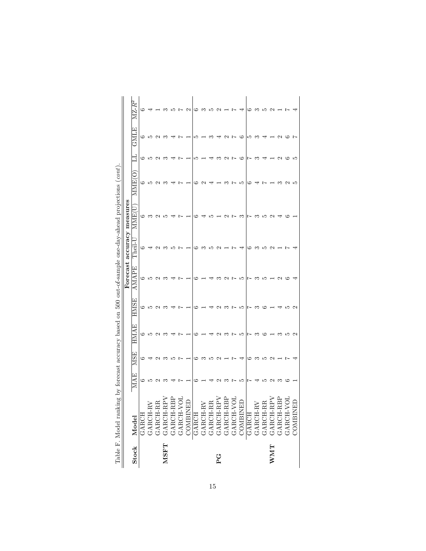|                                                                                                         | $\mathbb{M}\mathrm{Z\text{-}R}^2$<br>Ę<br>GMI | ≌<br>ు | Ω۵       | c        | ∽                                                                                             |  | c                                                                                                                                                                                                                                                                                                                                                              | مد | ಌ  |        | c | r | ం       | مد | ∽ |    | c                 |   |           |          |
|---------------------------------------------------------------------------------------------------------|-----------------------------------------------|--------|----------|----------|-----------------------------------------------------------------------------------------------|--|----------------------------------------------------------------------------------------------------------------------------------------------------------------------------------------------------------------------------------------------------------------------------------------------------------------------------------------------------------------|----|----|--------|---|---|---------|----|---|----|-------------------|---|-----------|----------|
|                                                                                                         | MME <sup>(</sup><br>$\mathrm{MME}$ (          |        | 15       | c        |                                                                                               |  |                                                                                                                                                                                                                                                                                                                                                                |    |    |        |   |   | 17<br>ಌ |    |   |    |                   |   | c         |          |
|                                                                                                         | accuracy measures<br>$\rm The il- U$          |        |          |          |                                                                                               |  |                                                                                                                                                                                                                                                                                                                                                                |    |    |        |   |   |         |    |   |    |                   |   |           |          |
|                                                                                                         | Forecast<br>AMAPE                             |        |          |          |                                                                                               |  |                                                                                                                                                                                                                                                                                                                                                                |    |    |        |   | ŗ | S       |    |   |    |                   |   |           |          |
|                                                                                                         | HMSE                                          | ు      | π        |          |                                                                                               |  |                                                                                                                                                                                                                                                                                                                                                                |    |    |        |   |   |         |    |   |    |                   |   |           |          |
|                                                                                                         | HMAE                                          | ు      | Ω۵       |          | ಌ                                                                                             |  |                                                                                                                                                                                                                                                                                                                                                                |    |    |        | ణ | ľ | مد      |    |   |    |                   | ణ | ນລ        |          |
|                                                                                                         | <b>MSE</b>                                    |        |          |          |                                                                                               |  |                                                                                                                                                                                                                                                                                                                                                                |    | ນລ | C<br>J |   | r |         |    |   | مد | $\mathbf{\Omega}$ |   |           |          |
|                                                                                                         | MAE                                           |        | ນລ       |          |                                                                                               |  |                                                                                                                                                                                                                                                                                                                                                                |    |    |        |   |   | ممد     |    |   |    |                   |   |           |          |
| Table F. Model ranking by forecast accuracy based on 500 out-of-sample one-day-ahead projections (cont) | Stock Model                                   | GARCH  | GARCH-RV | GARCH-RR | $\begin{array}{c} \texttt{GARCH-RPV} \\ \texttt{GARCH-RBP} \\ \texttt{GARCH-VOL} \end{array}$ |  | $\begin{tabular}{c c} \multicolumn{4}{c}{\text{COMBIND}}\\ \hline \text{GART-HW} \\ \text{GART-HR} \\ \text{GART-HW} \\ \text{GART-HW} \\ \text{GART-HW} \\ \text{GART-HW} \\ \text{GART-HW} \\ \text{GART-HW} \\ \text{GART-HW} \\ \text{GART-HW} \\ \text{GART-HW} \\ \text{GART-HW} \\ \text{GART-HW} \\ \text{GART-HW} \\ \text{GART-HW} \\ \end{tabular}$ |    |    |        |   |   |         |    |   |    |                   |   | GARCH-VOL | COMBINED |
|                                                                                                         |                                               |        |          |          | <b>MSFT</b>                                                                                   |  |                                                                                                                                                                                                                                                                                                                                                                |    |    | DC,    |   |   |         |    |   |    | <b>NNA</b>        |   |           |          |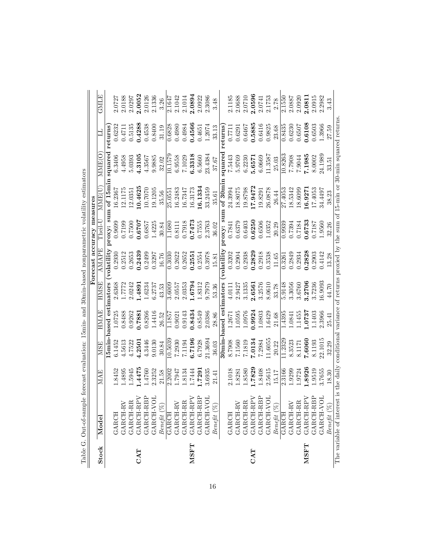|             | тачу Сильмиру с совержание в совержание в совержание полнительно совержания полности. Они с Оли Сильмиру с совержание полнительно совержания полнительно совержания совержания полнительно совержания полнительно совержания |        |            |                               |             |                            |           |                                      |         |         |             |
|-------------|------------------------------------------------------------------------------------------------------------------------------------------------------------------------------------------------------------------------------|--------|------------|-------------------------------|-------------|----------------------------|-----------|--------------------------------------|---------|---------|-------------|
|             |                                                                                                                                                                                                                              |        |            |                               |             | Forecast accuracy measures |           |                                      |         |         |             |
| Stock       | Model                                                                                                                                                                                                                        | MAE    | <b>MSE</b> | <b>HMAE</b>                   | <b>HMSE</b> | AMAPE                      | $Then-1$  | <b>MME(U</b>                         |         |         | <b>HINE</b> |
|             |                                                                                                                                                                                                                              |        |            | <b>I5min-based estimators</b> |             |                            |           | volatility proxy: sum of 15min       | squared | returns |             |
|             | GARCH                                                                                                                                                                                                                        | 1.8452 | 6.1452     | 1.0725                        | 2.6368      |                            | 0.9699    | 16.2367                              | 6.3406  |         | 2.0727      |
|             | GARCH-RV                                                                                                                                                                                                                     | 1.4895 | 4.5613     | 0.8488                        | 1.7772      | 0.2512                     | 0.7199    | 12.1175                              | 4.4958  | 0.4711  | 2.0188      |
|             | GARCH-RI                                                                                                                                                                                                                     | 1.5945 | 4.7522     | 0.9262                        | 2.0242      | 0.2653                     | 0.7500    | 12.0351                              | 5.0393  | 0.5135  | 2.0297      |
| CAT         | GARCH-RPV                                                                                                                                                                                                                    | .4475  | 4.2501     | 0.7881                        | 1.4891      | 0.2439                     | 0.6707    | 10.4625                              | 1.3105  | 0.4288  | 2.0052      |
|             | GARCH-RBP                                                                                                                                                                                                                    | 1.4760 | 4.3446     | 0.8266                        | 1.6234      | 0.2499                     | 0.6857    | 10.7070                              | 4.3567  | 0.4538  | 2.0126      |
|             | GARCH-VOL                                                                                                                                                                                                                    | 2.3252 | 9.0130     | 1.4416                        | 6.2737      | 0.3297                     | 1.4225    | 19.1205                              | 9.9885  | 0.8400  | 2.1336      |
|             | $Beneft$ $(\%)$                                                                                                                                                                                                              | 21.58  | 30.84      | 26.52                         | 43.53       | 16.76                      | 30.84     | 35.56                                | 32.02   | 31.19   | 3.26        |
|             | GARCH                                                                                                                                                                                                                        | 2.2002 | 10.503     | 1.1857                        | 3.6009      | 0.3030                     | 1.1680    | 25.0551                              | 10.1579 | 0.6828  | 2.1647      |
|             | GARCH-RV                                                                                                                                                                                                                     | 1.7947 | 7.2930     | 0.9021                        | 2.0557      | 0.2622                     | 0.8111    | 16.2483                              | 6.9558  | 0.4980  | 2.1042      |
|             | GARCH-RR                                                                                                                                                                                                                     | 1.8134 | 7.1194     | 0.9143                        | 2.0353      | 0.2652                     | 0.7918    | 16.7347                              | 7.1029  | 0.4984  | 2.1014      |
| <b>NSFT</b> | GARCH-RPV                                                                                                                                                                                                                    | 1.7444 | 6.7196     | 0.8434                        | 1.6794      | 0.2551                     | 0.7473    | 16.3173                              | 6.3318  | 0.4566  | 2.0894      |
|             | GARCH-RBP<br>GARCH-VOL                                                                                                                                                                                                       | 1.7291 | 6.7928     | 0.8549                        | 1.8312      | 0.2554                     | 0.7555    | 16.1334                              | 6.5660  | 0.4651  | 2.0922      |
|             | GARCH-VO                                                                                                                                                                                                                     | 3.6935 | 21.3694    | 2.0386                        | 9.7979      | 0.3978                     | 2.3763    | 33.2459                              | 23.4384 | 1.2074  | 2.3086      |
|             | Beneft(S <sub>0</sub> )                                                                                                                                                                                                      | 21.41  | 36.03      | 28.86                         | 53.36       | 15.81                      | 36.02     | 35.61                                | 37.67   | 33.13   | 3.48        |
|             |                                                                                                                                                                                                                              |        | $30min$ -  | $_{\text{based est}}$         | mators      | volatilit                  | roxy: sum | $\overline{\text{of } 30 \text{mi}}$ | squarec | returns |             |
|             | GARCH                                                                                                                                                                                                                        | 2.1018 | 8.7908     | 1.2671                        | 4.0111      | 0.3202                     | 1987.0    | 24.3994                              | 7.5443  | 0.771   | 2.1185      |
|             | GARCH-RV                                                                                                                                                                                                                     | 1.8281 | 7.1560     | 1.0595                        | 2.9427      | 0.2904                     | 0.6379    | 18.8075                              | 5.9769  | 0.6291  | 2.0688      |
|             | GARCH-RR                                                                                                                                                                                                                     | 1.8580 | 7.1819     | 1.0976                        | 3.1335      | 0.2938                     | 0.6403    | 19.8798                              | 6.2230  | 0.6467  | 2.0710      |
| CAT         | GARCH-RPV<br>GARCH-RBP                                                                                                                                                                                                       | .7829  | 7.0134     | 0.9924                        | 2.6561      | 0.2829                     | 0.6250    | 17.9472                              | 5.6571  | 0.5885  | 2.0596      |
|             |                                                                                                                                                                                                                              | 1.8408 | 7.2984     | 1.0803                        | 3.2576      | 0.2918                     | 0.6506    | 19.8291                              | 6.0669  | 0.6416  | 2.0741      |
|             | GARCH-V                                                                                                                                                                                                                      | 2.5615 | 11.6055    | 1.6429                        | 8.0610      | 0.3538                     | 1.0352    | 26.0878                              | 11.3587 | 0.9825  | 2.1753      |
|             | $Beneft$ $(\%)$                                                                                                                                                                                                              | 15.17  | 20.22      | 21.68                         | 33.78       | 11.65                      | 20.29     | 26.44                                | 25.03   | 23.68   | 2.78        |
|             | <b>GARCH</b>                                                                                                                                                                                                                 | 2.3166 | 11.2329    | 1.4395                        | 5.9148      | 0.3261                     | 0.9939    | 27.4053                              | 10.8263 | 0.8435  | 2.1550      |
|             | GARCH-RV                                                                                                                                                                                                                     | 1.9299 | 8.3523     | 1.0841                        | 3.3056      | 0.2849                     | 0.7394    | 18.5342                              | 8062.2  | 0.6230  | 2.0887      |
|             | GARCH-RR                                                                                                                                                                                                                     | .9724  | 8.1171     | 1.1455                        | 3.6760      | 0.2934                     | 0.7184    | 18.6099                              | 7.9044  | 0.6507  | 2.0920      |
| <b>NSFT</b> | GARCH-RPV                                                                                                                                                                                                                    | .8926  | 7.6060     | 1.0737                        | 3.2706      | 0.2828                     | 0.6733    | 16.9271                              | 7.1985  | 0.6108  | 2.0811      |
|             | GARCH-RBP                                                                                                                                                                                                                    | 9519   | 8.1193     | 1.1403                        | 3.7236      | 0.2903                     | 0.7187    | 17.4053                              | 8.0002  | 0.6503  | 2.0915      |
|             | GARCH-VOL                                                                                                                                                                                                                    | 1.7655 | 22.1015    | 2.3966                        | 6.9093      | 0.4142                     | 1.9560    | 34.4497                              | 24.1989 | 1.3966  | 2.2982      |
|             | Benefit $(\%)$                                                                                                                                                                                                               | 8.30   | 32.29      | 25.41                         | 44.70       | 3.28                       | 32.26     | 38.23                                | 33.51   | 27.59   | 3.43        |
|             | The variable of interest is the daily conditional variance of returns proxied by the sum of 15-min or 30-min squared returns                                                                                                 |        |            |                               |             |                            |           |                                      |         |         |             |

volatility estimators Table G. Out-of-sample forecast evaluation: 15min- and 30min-based nonparametric volatility estimators Σ,  $20min$  $-15$ min  $max_{i}$ Table G. Out-of-sample for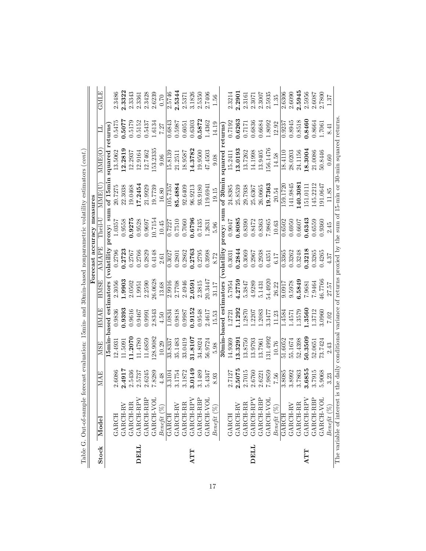|              |                        |        |                      |                        |             |              | Forecast accuracy measures                     |              |              |          |        |
|--------------|------------------------|--------|----------------------|------------------------|-------------|--------------|------------------------------------------------|--------------|--------------|----------|--------|
| <b>Stock</b> | Model                  | MAE    | <b>MSE</b>           | <b>HMAE</b>            | <b>HMSE</b> | <b>AMAPE</b> | Then 1                                         | <b>MME(U</b> | <b>MME(O</b> |          | GMLE   |
|              |                        |        |                      | 15min-based estimators |             |              | volatility proxy: sum of 15min squared returns |              |              |          |        |
|              | GARCH                  | 2.6086 | 12.4931              | 0.9836                 | 2.3056      | 0.2796       | 1.0357                                         | 20.7275      | 13.5062      | 0.5475   | 2.3486 |
|              | GARCH-RV               | 2.4917 | 11.5091              | 0.9393                 | 1.9903      | 0.2723       | 0.9558                                         | 22.3038      | 12.2819      | 1.5077   | 2.3322 |
|              | GARCH-RR               | 2.5436 | 11.2070              | 0.9616                 | 2.0502      | 0.2767       | 0.9275                                         | 19.0468      | 12.2937      | 0.5179   | 2.3343 |
| DELL         | GARCH-RPN              | 2.5737 | 11.4780              | 0.9467                 | 1.9951      | 0.2766       | 0.9528                                         | 17.2454      | 12.9164      | 0.5152   | 2.3361 |
|              | GARCH-RBP              | 2.6245 | 11.6859              | 0.9991                 | 2.2590      | 0.2829       | 0.9697                                         | 21.9929      | 12.7462      | 0.5437   | 2.3428 |
|              | GARCH-VOI              | 7.8289 | .28.9082             | 2.8343                 | 26.0628     | 0.4148       | 10.7154                                        | 19.7739      | 153.2335     | 1.6134   | 2.6239 |
|              | $Beneftt\;(\%)$        | 4.48   | 10.29                | 4.50                   | 13.68       | 2.61         | 10.45                                          | 16.80        | 0.06         | 7.27     | 0.70   |
|              | GARCH                  | 3.3104 | 33.8337              | 1.0834                 | 2.9916      | 0.3027       | 0.7227                                         | 105.7357     | 15.8139      | 0.6843   | 2.5746 |
|              | <b>GARCH-RV</b>        | 3.1754 | 35.1483              | 0.9818                 | 2.7708      | 0.2801       | 0.7510                                         | 85.4884      | 21.2511      | 0.5987   | 2.5344 |
|              | <b>GARCH-RR</b>        | 3.1872 | 33.0419              | 1866.0                 | 2.4946      | 0.2862       | 0.7060                                         | 92.6409      | 18.9587      | 0.6051   | 2.5371 |
| <b>ATT</b>   | GARCH-RPV              | 3.0149 | 31.8107              | 0.9152                 | 2.0591      | 0.2763       | 0.6796                                         | 96.9213      | 14.3782      | 0.6303   | 3.1826 |
|              | GARCH-RBP              | 3.1489 | 34.8024              | 0.9548                 | 2.3815      | 0.2795       | 0.7435                                         | 93.9180      | 19.9500      | 0.5872   | 2.5350 |
|              | GARCH-VOL              | 5.4347 | 56.9724              | 2.4617                 | 20.3447     | 0.3998       | 1.2631                                         | 119.6941     | 47.4503      | 1.4362   | 2.7406 |
|              | $Beneftt~(\%)$         | 8.93   | 5.98                 | 15.53                  | 31.17       | 8.72         | 5.96                                           | 19.15        | 9.08         | 14.19    | 1.56   |
|              |                        |        |                      | 30min-based estimators |             | volatility   | proxy: sum of 30min                            |              | squared      | returns) |        |
|              | GARCH                  | 2.7127 | 14.9369              | 1.2721                 | 5.7954      | 0.3031       | 1506.0                                         | 24.8385      | 15.2411      | 0.7192   | 2.3214 |
|              | GARCH-RV               | 2.5075 | 13.3291              | 1.1292                 | 4.2759      | 0.2844       | 0.8085                                         | 25.8539      | 13.0193      | 0.6263   | 2.2901 |
|              | GARCH-RR               | 2.7015 | 13.8750              | 1.2870                 | 5.3847      | 0.3069       | 0.8390                                         | 29.7938      | 13.7262      | 0.7171   | 2.3161 |
| DELL         | GARCH-RPV              | 2.6760 | 13.9793              | 1.2207                 | 4.9289      | 0.2967       | 0.8472                                         | 25.6367      | 14.1998      | 0.6836   | 2.3071 |
|              | GARCH-RBP              | 2.6221 | 13.7961              | 1.2083                 | 5.1431      | 0.2938       | 0.8363                                         | 26.0665      | 13.9405      | 0.6684   | 2.3007 |
|              | GARCH-VOI              | 7.9859 | 131.4992             | 3.3477                 | 54.4920     | 0.4351       | 7.9865                                         | 19.7363      | 156.1476     | 1.8092   | 2.5935 |
|              | Benefit $(\%)$         | 7.56   | 10.76                | 11.23                  | 26.22       | 6.17         | 10.63                                          | 20.54        | 14.58        | 12.92    | 1.35   |
|              | GARCH                  | 3.8085 | $\frac{51.6052}{51}$ | 1.4584                 | 9.0917      | 0.3365       | 0.6502                                         | 159.1720     | 18.4110      | 0.9237   | 2.6306 |
|              | <b>GARCH-RV</b>        | 3.8992 | 55.1674              | 1.4571                 | 9.5978      | 0.3262       | 0.6950                                         | 141.9845     | 28.0203      | 0.8945   | 2.6090 |
|              | GARCH-RR               | 3.7863 | 52.4398              | 1.3579                 | 6.5849      | 0.3248       | 0.6607                                         | 140.3081     | 24.1156      | 0.8518   | 2.5945 |
| ATT          | GARCH-RPV              | 3.6855 | 50.3509              | .3560                  | 7.9681      | 0.3218       | 0.6343                                         | 151.0111     | 18.3004      | 0.8460   | 2.5956 |
|              | GARCH-RBP              | 3.7915 | 52.0651              | 1.3712                 | 7.9464      | 0.3265       | 0.6559                                         | 145.2212     | 21.0086      | 0.8664   | 2.6087 |
|              | GARCH-VOI              | 5.9068 | 73.7424              | 3.0960                 | 16.7766     | 0.4265       | 0.9360                                         | 191.0647     | 50.8446      | 1.7061   | 2.7800 |
|              | $Bene\hslash t\hslash$ | 3.23   | 2.43                 | 7.02                   | 27.57       | 4.37         | 2.45                                           | 11.85        | 0.60         | 8.41     | 1.37   |

| i                                                                                                       |
|---------------------------------------------------------------------------------------------------------|
|                                                                                                         |
|                                                                                                         |
|                                                                                                         |
|                                                                                                         |
| $\frac{1}{2}$                                                                                           |
|                                                                                                         |
|                                                                                                         |
|                                                                                                         |
|                                                                                                         |
|                                                                                                         |
|                                                                                                         |
| i<br>i                                                                                                  |
| ֖֖֖֖֖֖֖֖֧֖֖֧֪֪֪֪֪֪֧֖֧֚֚֚֚֚֚֚֚֚֚֚֚֚֚֚֚֚֚֚֚֚֚֚֚֚֚֚֚֚֚֬֝֓֞֝֓֞֝                                             |
|                                                                                                         |
|                                                                                                         |
|                                                                                                         |
|                                                                                                         |
|                                                                                                         |
| S Contractor                                                                                            |
|                                                                                                         |
| $\frac{1}{2}$                                                                                           |
| ļ                                                                                                       |
| l                                                                                                       |
|                                                                                                         |
|                                                                                                         |
|                                                                                                         |
|                                                                                                         |
|                                                                                                         |
|                                                                                                         |
|                                                                                                         |
|                                                                                                         |
| l                                                                                                       |
|                                                                                                         |
| į<br>Ï                                                                                                  |
|                                                                                                         |
|                                                                                                         |
|                                                                                                         |
| ֖֖֪ׅׅׅ֚֚֚֚֚֚֚֚֚֚֚֚֚֚֬֝֝֝֓֡֡֡֝֬֝֬֝֬֝֬֝֓֬֝֓֬֝֬֝֓֬<br>֖֖֖֖֖֖֖֖֖ׅׅׅ֪֪ׅ֚֚֚֚֚֚֚֚֚֚֚֚֚֚֚֚֚֚֚֚֡֝֬֝֬֓֞֓֓֬֓֬<br>j |
|                                                                                                         |
| l<br>3<br>ø<br>ł<br>F                                                                                   |
|                                                                                                         |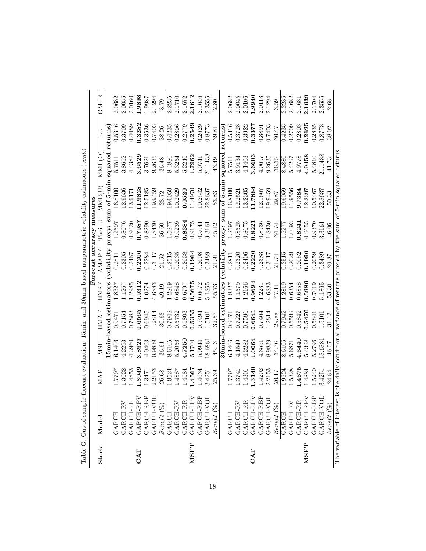|             | Table G. Out-of-sample forecast evaluation: 15min- and 30min-based nonparametric volatility estimators (cont.)     |        |            |                        |             |                            |                 |                        |                       |         |        |
|-------------|--------------------------------------------------------------------------------------------------------------------|--------|------------|------------------------|-------------|----------------------------|-----------------|------------------------|-----------------------|---------|--------|
|             |                                                                                                                    |        |            |                        |             | Forecast accuracy measures |                 |                        |                       |         |        |
| Stock       | Mode                                                                                                               | MAE    | <b>MSE</b> | <b>HMAE</b>            | <b>HMSE</b> | <b>AMAPE</b>               | ${\rm Theil-1}$ | <b>MME<sub>U</sub></b> | <b>MME(C</b>          |         | GMLE   |
|             |                                                                                                                    |        |            | 15min-based estimators |             | (volatility                |                 | proxy: sum of 5-min    | square <sub>red</sub> | returns |        |
|             | GARCH                                                                                                              | 1.7797 | 6.1406     | 0.9471                 | 1.8327      | 0.2811                     | 1.2597          | 16.8100                | 5.7511                | 0.5316  | 2.0682 |
|             | GARCH-RV                                                                                                           | 1.3622 | 4.2293     | 0.7154                 | 1.1267      | 0.2305                     | 0.8676          | 12.9636                | 3.8652                | 0.3709  | 2.0055 |
|             |                                                                                                                    | 1.4853 | 4.3960     | 0.7883                 | 1.2985      | 0.2467                     | 0.9020          | 13.9171                | 4.4382                | 0.4089  | 2.0160 |
| CAT         |                                                                                                                    | .3049  | 3.8927     | 0.6565                 | 0.9312      | 0.2206                     | 1862.0          | 11.9828                | 3.6529                | 0.3282  | 1.9898 |
|             | $\begin{array}{c} \text{GARCH-RR} \\ \text{GARCH-RPV} \\ \text{GARCH-RBP} \\ \text{GARCH-RBP} \\ \end{array}$      | 1.3471 | 4.0403     | 0.6945                 | 1.0274      | 0.2284                     | 0.8290          | 12.5185                | 3.7621                | 0.3536  | 1.9987 |
|             |                                                                                                                    | 2.2153 | 8.9839     | 1.2814                 | 4.6883      | 0.3117                     | 1.8430          | 19.9459                | 9.2635                | 0.7403  | 2.1294 |
|             | $Beneftt~(\%)$                                                                                                     | 26.68  | 36.61      | 30.68                  | 49.19       | 21.52                      | 36.60           | 28.72                  | 36.48                 | 38.26   | 3.79   |
|             | GARCH                                                                                                              | 1.9524 | 8.6105     | 0.7942                 | 1.2819      | 0.2515                     | 1.5277          | 19.6059                | 8.4880                | 0.4235  | 2.2235 |
|             | $\begin{array}{c} \texttt{GARCH-RV} \\ \texttt{GARCH-RR} \end{array}$                                              | 1.4887 | 5.2056     | 0.5732                 | 0.6848      | 0.2035                     | 0.9239          | 10.2429                | 5.3254                | 0.2806  | 2.1710 |
|             |                                                                                                                    | 1.4584 | 4.7250     | 0.5803                 | 1629.0      | 0.2038                     | 0.8384          | 9.0520                 | 5.2240                | 0.2779  | 2.1672 |
| <b>NSFT</b> |                                                                                                                    | 1.4567 | 5.1700     | 0.5355                 | 0.5675      | 0.1964                     | 0.9175          | 11.4970                | 4.7962                | 0.2549  | 2.1612 |
|             | $\begin{array}{c} \texttt{GARCH-RPV} \\ \texttt{GARCH-RBP} \\ \texttt{GARCH-RBP} \end{array}$                      | 1.4634 | 5.0944     | 0.5494                 | 0.6072      | 0.2008                     | 0.9041          | 10.2542                | 5.0741                | 0.2629  | 2.1646 |
|             |                                                                                                                    | 3.4251 | 18.688     | 1.5101                 | 5.1865      | 0.3489                     | 3.3161          | 22.8637                | 21.1438               | 0.8773  | 2.3555 |
|             | $Beneftt$ $(\%)$                                                                                                   | 25.39  | 45.13      | 32.57                  | 55.73       | 21.91                      | 45.12           | 53.83                  | 43.49                 | 39.81   | 2.80   |
|             |                                                                                                                    |        |            | 30min-based estimators |             | volatility                 |                 | proxy: sum of 5-min    | squared               | returns |        |
|             | <b>GARCH</b>                                                                                                       | 1.7797 | 6.1406     | 0.9471                 | 1.8327      | 0.2811                     | 1.2597          | 16.8100                | 5.7511                | 0.5316  | 2.0682 |
|             | <b>GARCH-RV</b>                                                                                                    | 1.3741 | 4.1549     | 0.7227                 | 1.1579      | 0.2320                     | 0.8525          | 12.2521                | 3.9134                | 0.3728  | 2.0045 |
|             | GARCH-RR                                                                                                           | 1.4301 | 4.2282     | 0.7596                 | 1.2166      | 0.2406                     | 0.8675          | 13.2305                | 4.1403                | 0.3922  | 2.0106 |
| CAT         | $\begin{array}{c} \texttt{GARCH-RPV} \\ \texttt{GARCH-RBP} \\ \texttt{GARCH-VDL} \end{array}$                      | .3140  | 4.0064     | 0.6641                 | 0.9694      | 0.2220                     | 0.8221          | 11.7884                | 3.6603                | 0.3377  | 0.9940 |
|             |                                                                                                                    | 1.4202 | 4.3551     | 0.7464                 | 1.2231      | 0.2383                     | 0.8936          | 12.1667                | 4.0697                | 0.3891  | 2.0113 |
|             |                                                                                                                    | 2.2153 | 8.9839     | 1.2814                 | 4.6883      | 0.3117                     | 1.8430          | 19.9459                | 9.2635                | 0.7403  | 2.1294 |
|             | $Beneft$ $(\%)$                                                                                                    | 26.17  | 34.76      | 29.88                  | 47.11       | 21.74                      | 34.74           | 29.87                  | 36.35                 | 36.47   | 3.59   |
|             | GARCH                                                                                                              | 1.9524 | 8.6105     | 0.7942                 | 1.2819      | 0.2515                     | 1.5277          | 19.6059                | 8.4880                | 0.4235  | 2.2235 |
|             | <b>GARCH-RV</b>                                                                                                    | 1.5328 | 5.6871     | 0.5599                 | 0.6354      | 0.2029                     | 1.0093          | 11.9556                | 5.4297                | 0.2709  | 2.1682 |
|             | GARCH-RR                                                                                                           | .4675  | 4.6440     | 0.5842                 | 0.6858      | 0.2052                     | 0.8241          | 9.7384                 | 4.9778                | 0.2803  | 2.1681 |
| <b>NSFT</b> | $\begin{array}{c} \texttt{GARCH-RPV} \\ \texttt{GARCH-RBP} \\ \texttt{GARCH-VDL} \end{array}$                      | 1.4884 | 5.4398     | 0.5470                 | 0.5986      | 0.1990                     | 0.9655          | 12.3397                | 4.9458                | 0.2625  | 2.1639 |
|             |                                                                                                                    | 1.5240 | 5.2796     | 0.5841                 | 0.7019      | 0.2059                     | 0.9370          | 10.5467                | 5.4810                | 0.2835  | 2.1704 |
|             |                                                                                                                    | 3.4251 | 18.6881    | 1.5101                 | 5.1865      | 0.3489                     | 3.3161          | 22.8637                | 21.1438               | 0.8773  | 2.3555 |
|             | $Beneft$ $(\%)$                                                                                                    | 24.84  | 46.07      | 31.13                  | 53.30       | 20.87                      | 46.06           | 50.33                  | 41.73                 | 38.02   | 2.68   |
|             | The variable of interest is the daily conditional variance of returns proxied by the sum of 5-min squared returns. |        |            |                        |             |                            |                 |                        |                       |         |        |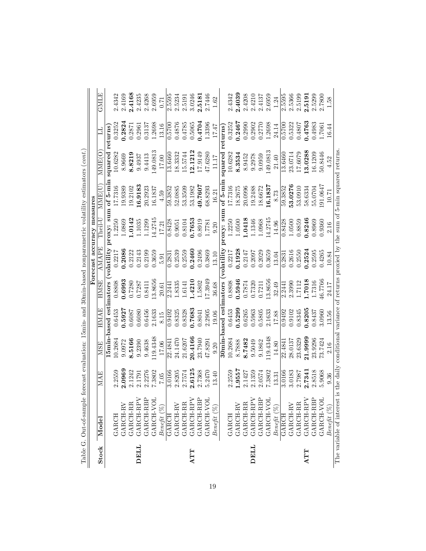|       | Table G. Out-of-sample forecast evaluation: 15min- and 30min-based nonparametric volatility estimators (cont.)     |        |            |                        |         |                                 |                            |                     |                 |         |          |
|-------|--------------------------------------------------------------------------------------------------------------------|--------|------------|------------------------|---------|---------------------------------|----------------------------|---------------------|-----------------|---------|----------|
|       |                                                                                                                    |        |            |                        |         |                                 | Forecast accuracy measures |                     |                 |         |          |
| Stock | Model                                                                                                              | MAE    | <b>MSE</b> | <b>HMAE</b>            | HMSE    | AMAPE                           | Theil-L                    | MME(U               | MME(O           |         | GMLE     |
|       |                                                                                                                    |        |            | 15min-based estimators |         | volatility                      |                            | proxy: sum of 5-min | squared returns |         |          |
|       | <b>GARCH</b>                                                                                                       | 2.2559 | 10.2684    | 0.6453                 | 0.8808  | 0.2217                          | 2250                       | 17.7316             | 10.6282         | 0.3252  | 2.4342   |
|       | GARCH-RV                                                                                                           | 2.0969 | 9.0972     | 0.5927                 | 0.6993  | 0.2086                          | 1.0869                     | 19.9389             | 8.9669          | 0.2824  | 2.4169   |
|       | GARCH-RR                                                                                                           | 2.1242 | 8.5166     | 0.6087                 | 0.7280  | 0.2122                          | 1.0142                     | 19.2102             | 8.8219          | 0.2871  | 2.4168   |
| DELL  | GARCH-RPV                                                                                                          | 2.1791 | 9.2390     | 0.6080                 | 0.7287  | 0.2143                          | 1.1035                     | 16.9183             | 9.4937          | 0.2961  | 2.4235   |
|       | GARCH-RBP                                                                                                          | 2.2276 | 9.4638     | 0.6456                 | 0.8411  | 0.2199                          | 1.1299                     | 20.2923             | 9.4413          | 0.3137  | 2.4268   |
|       | GARCH-VO                                                                                                           | 7.3802 | 19.4348    | 2.1633                 | 3.8656  | 0.3659                          | 14.2745                    | 16.1837             | 149.0813        | 1.2698  | 2.6959   |
|       | $Beneftt~(\%)$                                                                                                     | 7.05   | 17.06      | 8.15                   | 20.61   | 5.91                            | 17.21                      | 4.59                | 17.00           | 13.16   | 0.71     |
|       | GARCH                                                                                                              | 3.0166 | 22.484     | 0.9492                 | 2.2441  | $\overline{0.2831}$             | 0.8428                     | 59.3852             | 13.6460         | 0.5700  | 2.5595   |
|       | GARCH-RV                                                                                                           | 2.8205 | 24.1470    | 0.8325                 | 1.8335  | 0.2539                          | 0.9051                     | 52.0885             | 18.3332         | 0.4876  | 2.5234   |
|       | GARCH-RR                                                                                                           | 2.7574 | 21.6207    | 0.8328                 | 1.6141  | 0.2559                          | 0.8104                     | 53.3509             | 15.5744         | 0.4785  | 2.5191   |
| ATT   |                                                                                                                    | 2.6125 | 20.4166    | 0.7683                 | 1.4210  | 0.2460                          | 0.7653                     | 53.1982             | 12.1212         | 0.5065  | 3.0246   |
|       | GARCH-RPV<br>GARCH-RBP                                                                                             | 2.7368 | 23.7940    | 0.8041                 | 1.5802  | 0.2496                          | 0.8919                     | 49.7607             | 17.9149         | 0.4704  | 2.5181   |
|       | GARCH-VO                                                                                                           | 5.2470 | 47.8291    | 2.2905                 | 17.3949 | 0.3869                          | 1.7781                     | 68.8293             | 47.6280         | 1.3396  | 2.7446   |
|       | $Beneftt~(\%)$                                                                                                     | 13.40  | 0.20       | 19.06                  | 36.68   | 13.10                           | 0.20                       | 16.21               | 11.17           | 17.47   | $1.62\,$ |
|       |                                                                                                                    |        |            | 30min-based estimators |         | $\overline{\text{vol}}$ atility | proxy: sum                 | of 5-min            | squared         | returns |          |
|       | GARCH                                                                                                              | 2.2559 | 10.2684    | 0.6453                 | 0.8808  | 0.2217                          | 1.2250                     | 17.7316             | 10.6282         | 0.3252  | 2.4342   |
|       | GARCH-RV                                                                                                           | 1.9557 | 8.7888     | 0.5299                 | 0.5946  | 0.1928                          | 1.0500                     | 18.2675             | 8.3534          | 0.2467  | 2.4039   |
|       | GARCH-RR                                                                                                           | 2.1427 | 8.7482     | 0.6265                 | 0.7874  | 0.2147                          | 1.0418                     | 20.0996             | 8.9452          | 0.2990  | 2.4208   |
| DELL  | GARCH-RPV<br>GARCH-RBP                                                                                             | 2.1359 | 9.5049     | 0.5963                 | 0.7320  | 0.2097                          | 1.1346                     | 19.2488             | 9.2978          | 0.2902  | 2.4210   |
|       |                                                                                                                    | 2.0574 | 9.1862     | 0.5805                 | 0.7211  | 0.2029                          | 1.0968                     | 18.6672             | 9.0959          | 0.2770  | 2.4137   |
|       | GARCH-VO                                                                                                           | 7.3802 | 19.4348    | 2.1633                 | 13.8656 | 0.3659                          | 14.2745                    | 16.1837             | 149.0813        | 1.2698  | 2.6959   |
|       | $Beneft$ $(\%)$                                                                                                    | 13.31  | 14.80      | 17.88                  | 32.49   | 13.04                           | 14.96                      | 8.73                | 21.40           | 24.14   | 1.24     |
|       | GARCH                                                                                                              | 3.0166 | 22.484     | 0.9492                 | 2.2441  | 0.2831                          | 0.8428                     | 59.3852             | 13.6460         | 0.5700  | 2.5595   |
|       | GARCH-RV                                                                                                           | 3.0183 | 28.0137    | 0.9102                 | 2.3990  | 0.2616                          | 1.0500                     | 53.0276             | 23.0714         | 0.5322  | 2.5366   |
|       | GARCH-RR                                                                                                           | 2.7987 | 23.6329    | 0.8345                 | 1.7112  | 0.2550                          | 0.8859                     | 53.0910             | 17.6079         | 0.4807  | 2.5199   |
| ATT   |                                                                                                                    | 2.7341 | 21.9999    | 0.8205                 | 1.7018  | 0.2524                          | 0.8246                     | 58.6334             | 13.0288         | 0.4763  | 2.5191   |
|       | $\begin{array}{c} \texttt{GARCH-RPV} \\ \texttt{GARCH-RBP} \\ \texttt{GARCH-VDL} \end{array}$                      | 2.8518 | 23.9296    | 0.8437                 | 1.7316  | 0.2595                          | 0.8969                     | 55.0704             | 16.1209         | 0.4983  | 2.5299   |
|       |                                                                                                                    | 5.9068 | 73.7424    | 3.0960                 | 16.7766 | 0.4265                          | 0.9360                     | 91.0647             | 50.8446         | 1.7061  | 2.7800   |
|       | Benefit $(\%)$                                                                                                     | 9.36   | 2.16       | 13.56                  | 24.17   | 10.84                           | 2.16                       | 10.71               | 4.52            | 16.44   | 1.58     |
|       | The variable of interest is the daily conditional variance of returns proxied by the sum of 5-min squared returns. |        |            |                        |         |                                 |                            |                     |                 |         |          |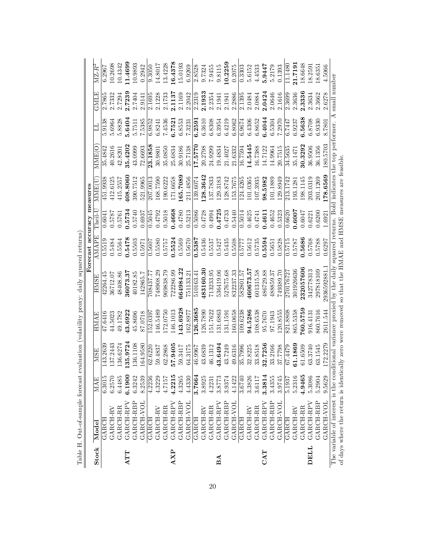|       |                                                                                                                                             |        |          |          |              | Forecast accuracy measures |              |          |          |        |        |          |
|-------|---------------------------------------------------------------------------------------------------------------------------------------------|--------|----------|----------|--------------|----------------------------|--------------|----------|----------|--------|--------|----------|
| Stock | Model                                                                                                                                       | MAE    | MSE      | HMAE     | HMSF         | <b>AMAPE</b>               | ${\rm Thei}$ | MME(U    | MMEIO    |        | GMLE   | $MZ-R^2$ |
|       | GARCH                                                                                                                                       | 6.3015 | 143.2639 | 47.6416  | 42264.45     | 0.5519                     | 0.6041       | 451.9938 | 35.4842  | 5.9138 | 2.7865 | 6.2967   |
|       | GARCH-RV                                                                                                                                    | 6.2570 | 137.2443 | 44.5023  | 36712.07     | 0.5484                     | 0.5787       | 412.6125 | 40.2616  | 5.6964 | 2.7332 | 10.2698  |
|       | GARCH-RR                                                                                                                                    | 6.4485 | 136.6274 | 49.1782  | 48408.86     | 0.5564                     | 0.5761       | 415.2557 | 42.8201  | 5.8828 | 2.7294 | 10.4342  |
| ATT   | GARCH-RPV                                                                                                                                   | 6.1900 | 135.9724 | 43.6922  | 36073.37     | 0.5478                     | 0.5734       | 108.8060 | 35.4202  | 5.6404 | 2.7239 | 1.4699   |
|       | GARCH-RBP                                                                                                                                   | 6.3242 | 136.1108 | 45.8696  | 40182.85     | 0.5503                     | 0.5740       | 390.7512 | 43.0999  | 5.7511 | 2.7404 | 10.9893  |
|       | GARCH-VOL                                                                                                                                   | 8.2539 | 164.9580 | 87.0718  | 142865.7     | 0.5971                     | 0.6937       | 521.9965 | 72.6693  | 7.5385 | 2.9141 | 0.2942   |
|       | GARCH                                                                                                                                       | 4.2236 | 62.6220  | 152.0397 | 708437.77    | 0.5607                     | 0.5045       | 207.0013 | 23.1858  | 6.9852 | 2.1695 | 9.3050   |
|       | GARCH-RV                                                                                                                                    | 4.3229 | 59.4837  | 146.5489 | 748908.29    | 0.5580                     | 0.4792       | 168.7590 | 30.9801  | 6.8241 | 2.1228 | 14.8017  |
|       | GARCH-RR                                                                                                                                    | 4.7157 | 62.2868  | 172.0750 | 969838.79    | 0.5757                     | 0.5018       | 190.6222 | 35.0850  | 7.4536 | 2.1733 | 13.4228  |
| AXP   | GARCH-RPV                                                                                                                                   | 4.2215 | 57.9405  | 146.1013 | 722286.99    | 0.5524                     | 0.4668       | 171.6658 | 25.6834  | 6.7521 | 2.1137 | 16.4378  |
|       | GARCH-RBP                                                                                                                                   | 4.3265 | 59.3417  | 143.6928 | 664984.22    | 0.5569                     | 0.4780       | 165.7089 | 30.9186  | 6.8553 | 2.1169 | 15.0193  |
|       | GARCH-VOL                                                                                                                                   | 4.4330 | 64.3175  | 162.8977 | 751133.21    | 0.5670                     | 0.5213       | 211.4856 | 25.7138  | 7.3231 | 2.2042 | 6.9269   |
|       | GARCH                                                                                                                                       | 3.7664 | 46.9967  | 126.3685 | 510163.41    | 0.5387                     | 0.5086       | 139.6074 | 17.5770  | 6.2591 | 2.2319 | 2.8528   |
|       | GARCH-RV                                                                                                                                    | 3.8925 | 43.6839  | 126.7890 | 483160.30    | 0.5436                     | 0.4728       | 128.3642 | 20.2798  | 6.3610 | 2.1933 | 9.7324   |
|       | GARCH-RR                                                                                                                                    | 4.2231 | 46.1312  | 151.7622 | 713233.95    | 0.5537                     | 0.4994       | 137.7833 | 24.9299  | 6.8308 | 2.2354 | 7.9455   |
| ΔA    | GARCH-RPV                                                                                                                                   | 3.8773 | 43.6494  | 131.6863 | 536419.06    | 0.5427                     | 0.4725       | 129.3183 | 19.4834  | 6.3954 | 2.1941 | 9.8115   |
|       | GARCH-RBP                                                                                                                                   | 3.9374 | 43.7249  | 131.1591 | 527675.68    | 0.5435                     | 0.4733       | 128.8742 | 21.4027  | 6.4219 | 2.1941 | 10.2259  |
|       | GARCH-VOL                                                                                                                                   | 4.1422 | 49.6316  | 160.0658 | 832237.33    | 0.5508                     | 0.5440       | 153.7675 | 21.6332  | 6.8062 | 2.2886 | 0.2075   |
|       | GARCH                                                                                                                                       | 3.6740 | 35.7996  | 109.6238 | 582801.57    | 0.5777                     | 0.5014       | 124.4265 | 16.7594  | 6.9674 | 2.1395 | 0.3303   |
|       | GARCH-RV                                                                                                                                    | 3.3826 | 32.8225  | 94.5286  | 460673.57    | 0.5612                     | 0.4625       | 101.0365 | 14.5445  | 6.4306 | 2.0484 | 5.6152   |
|       | GARCH-RR                                                                                                                                    | 3.6117 | 33.8518  | 108.6538 | 601315.58    | 0.5735                     | 0.4741       | 107.3935 | 16.7388  | 6.8652 | 2.0884 | 4.4533   |
| CAT   | GARCH-RPV                                                                                                                                   | 3.3814 | 32.7256  | 95.7670  | 486729.88    | 0.5594                     | 0.4611       | 98.5982  | 14.7122  | 6.4044 | 2.0424 | 5.9447   |
|       | GARCH-RBP                                                                                                                                   | 3.4355 | 33.2166  | 97.1943  | 488859.37    | 0.5651                     | 0.4652       | 101.1889 | 14.9964  | 6.5304 | 2.0646 | 5.2179   |
|       | GARCH-VOL                                                                                                                                   | 3.9745 | 37.7798  | 120.8555 | 749389.70    | 0.5828                     | 0.5323       | 129.8949 | 20.7515  | 7.2970 | 2.1616 | 0.1393   |
|       | GARCH                                                                                                                                       | 5.1937 | 67.4479  | 821.8808 | 270176727    | 0.5715                     | 0.6620       | 213.1742 | 34.5635  | 6.7447 | 2.3699 | 1.1480   |
|       | GARCH-RV                                                                                                                                    | 5.2316 | 61.1869  | 865.5358 | 301926636    | 0.5787                     | 7.0007       | 193.1281 | 35.1471  | 6.9237 | 2.3636 | 21.7191  |
|       | GARCH-RR                                                                                                                                    | 4.9465 | 61.6509  | 60.5759  | 232057606    | 0.5686                     | 0.6047       | 198.1145 | 30.3292  | 6.5638 | 2.3336 | 18.6648  |
| TTED  | GARCH-RPY                                                                                                                                   | 5.3086 | 63.3740  | 916.4131 | 342778313    | 0.5768                     | 0.6221       | 203.0319 | 36.9506  | 6.8708 | 2.3634 | 18.2591  |
|       | GARCH-RBP                                                                                                                                   | 5.2904 | 63.1545  | 860.7616 | 297818109    | 0.5788                     | 0.6200       | 201.1269 | 36.1356  | 6.9330 | 2.3662 | 18.6351  |
|       | GARCH-VOL                                                                                                                                   | 9.5629 | 172.2279 | 2611.544 | 2936592881.1 | 0.6297                     | 1.6921       | 178.6569 | 180.5703 | 8.7801 | 2.6278 | 4.5066   |
|       | The variable of interest is the conditional variance proxied by the daily squared returns. Bold indicates the top performer. A small number |        |          |          |              |                            |              |          |          |        |        |          |
|       | of days where the return is identically zero were removed so that the HMAE and HMSE measures are feasible.                                  |        |          |          |              |                            |              |          |          |        |        |          |

Table H. Out-of-sample forecast evaluation (volatility proxy: daily squared returns) Table H. Out-of-sample forecast evaluation (volatility proxy: daily squared returns)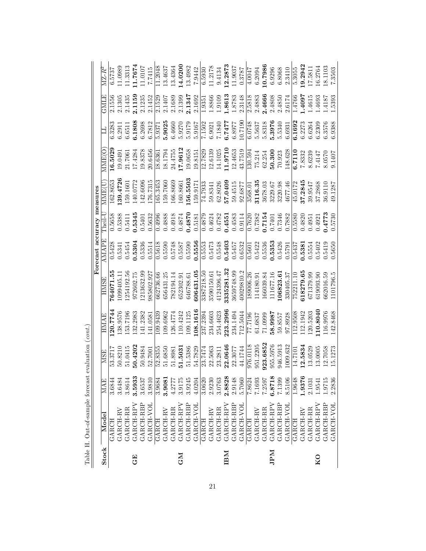| MAE<br>Model                               |  | MSE | HMAE | <b>ASMH</b> | Forecast accuracy measures<br>AMAPE |                                  | MME(U    | <b>MNEGO</b> |         | <b>GNILE</b> | $MZ-R^2$ |
|--------------------------------------------|--|-----|------|-------------|-------------------------------------|----------------------------------|----------|--------------|---------|--------------|----------|
| 120.7744<br>53.3717<br>3.6844<br>GARCH     |  |     |      | 764071.55   | 0.5428                              | ${\rm Theil-{\cal U}}$<br>0.5658 | 162.8653 | 16.5029      | 6.328   | 2.1556       | 6.5737   |
| 138.9576<br>50.8210<br>3.6484<br>GARCH-RV  |  |     |      | 1.60494     | 0.5341                              | 0.5388                           | 39.4726  | 19.0491      | 6.2911  | 2.1305       | 11.0989  |
| 153.7196<br>51.0415<br>3.8614<br>GARCH-RR  |  |     |      | .254192.56  | 0.5454                              | 0.5411                           | 159.1601 | 21.7061      | 6.6511  | 2.1435       | 11.3313  |
| 132.2983<br>50.4202<br>3.5933<br>GARCH-RPV |  |     |      | 972602.75   | 0.5304                              | 0.5345                           | 140.0772 | 17.4284      | 6.1808  | 2.1159       | 11.7674  |
| 141.2382<br>50.9484<br>3.6537<br>GARCH-RBP |  |     |      | 1213632.99  | 0.5336                              | 0.5401                           | 142.6096 | 19.8378      | 6.2698  | 2.1235       | 11.0107  |
| 141.0581<br>52.7001<br>3.9810<br>GARCH-VOL |  |     |      | 985802.927  | 0.5514                              | 0.5632                           | 176.7315 | 20.6456      | 6.7812  | 2.1452       | 7.7415   |
| 109.9439<br>52.8355<br>3.9684<br>GARCH     |  |     |      | 662736.66   | 0.5618                              | 0.4996                           | 165.3453 | 18.6361      | 5.9371  | 2.1529       | 11.2048  |
| 109.6962<br>51.6850<br>3.9081<br>GARCH-RV  |  |     |      | 656431.25   | 0.5590                              | 0.4888                           | 159.7060 | 18.1794      | 5.9025  | 2.1407       | 13.4637  |
| 126.4774<br>51.8981<br>4.2777<br>GARCH-RR  |  |     |      | 782194.14   | 0.5748                              | 0.4918                           | 166.8669 | 24.4755      | 6.4660  | 2.1689       | 13.4364  |
| 110.4242<br>51.5031<br>3.9175<br>GARCH-RPV |  |     |      | 652302.91   | 0.5587                              | 0.4874                           | 160.8661 | 17.9612      | 5.9270  | 2.1399       | 14.0200  |
| 109.1125<br>51.5386<br>3.9245<br>GARCH-RBP |  |     |      | 646788.61   | 0.5590                              | 0.4870                           | 56.5503  | 19.0658      | 5.9179  | 2.1347       | 13.4982  |
| 08.1616<br>54.7829<br>4.0204<br>GARCH-VOL  |  |     |      | 606431.05   | 0.5556                              | 0.5181                           | 159.9171 | 19.8151      | 5.9167  | 2.1692       | 7.9442   |
| 237.2394<br>23.7474<br>3.0620<br>GARCH     |  |     |      | 3387218.50  | 0.5553                              | 0.4879                           | 74.7933  | 12.7829      | 7.1502  | 1.9351       | 6.5930   |
| 234.6603<br>22.5063<br>2.9230<br>GARCH-RV  |  |     |      | 3590150.61  | 0.5473                              | 0.4624                           | 59.8341  | 12.6139      | 6.9021  | 1.8866       | 11.2178  |
| 254.4623<br>23.2811<br>3.0763<br>GARCH-RR  |  |     |      | 4124396.47  | 0.5548                              | 0.4782                           | 62.8026  | 14.1025      | 7.1840  | 1.9109       | 9.4134   |
| 223.2996<br>22.0646<br>2.8828<br>GARCH-RPV |  |     |      | 3335281.32  | 0.5403                              | 0.4551                           | 57.0409  | 11.9710      | 6.7477  | 1.8613       | 12.2873  |
| 234.1494<br>22.3077<br>2.9148<br>GARCH-RBP |  |     |      | 3659748.99  | 0.5457                              | 0.4583                           | 59.4515  | 12.4653      | 6.8977  | 1.8783       | 11.9037  |
| 712.5044<br>44.1744<br>5.7060<br>GARCH-VOL |  |     |      | 40029810.2  | 0.6532                              | 0.9114                           | 92.6877  | 43.7519      | 10.7190 | 2.3148       | 0.3787   |
| 77.7196<br>976.0118<br>7.8624<br>GARCH     |  |     |      | 189006.26   | 0.5601                              | 0.7620                           | 3568.01  | .30.594      | 6.0748  | 2.5818       | 4.0047   |
| 61.6837<br>951.2205<br>7.1693<br>GARCH-RV  |  |     |      | 114180.91   | 0.5422                              | 0.7382                           | 3116.35  | 75.214       | 5.5637  | 2.4883       | 6.2094   |
| 71.0999<br>923.6852<br>7.2597<br>GARCH-RR  |  |     |      | 166039.84   | 0.5536                              | 0.7154                           | 3678.03  | 62.254       | 5.8318  | 2.4666       | 10.7986  |
| 58.9987<br>955.5976<br>6.8718<br>GARCH-RPV |  |     |      | 111677.16   | 0.5353                              | 0.7401                           | 3229.67  | 50.300       | 5.3976  | 2.4808       | 6.9296   |
| 59.8557<br>946.5913<br>7.1399<br>GARCH-RBP |  |     |      | 106823.61   | 0.5426                              | 0.7346                           | 3220.98  | 70.923       | 5.5340  | 2.4850       | 6.8068   |
| 97.8928<br>1009.632<br>8.5106<br>GARCH-VOL |  |     |      | 330405.37   | 0.5791                              | 0.7882                           | 4677.46  | 48.628       | 6.6931  | 2.6174       | 2.3410   |
| 12.9508<br>14.7101<br>9648<br>GARCH        |  |     |      | 752211.10   | 0.5437                              | 0.5580                           | 45.0172  | 3.7110       | 6.1692  | 1.4766       | 5.3055   |
| 12.1942<br>12.5834<br>1.9376<br>GARCH-RV   |  |     |      | 618279.65   | 0.5381                              | 0.4820                           | 37.2845  | 7.8332       | 6.2273  | 1.4097       | 19.2942  |
| 120.5203<br>13.0529<br>2.1031<br>GARCH-RR  |  |     |      | 671379.99   | 0.5554                              | 0.4951                           | 39.9547  | 8.6239       | 6.6264  | 1615         | 17.5811  |
| 10.8040<br>13.0005<br>9541<br>GARCH-RPV    |  |     |      | 619093.90   | 0.5402                              | 0.4921                           | 37.2868  | 7.4147       | 6.2309  | 1.4693       | 16.2764  |
| 116.9976<br>12.7058<br>.9715<br>GARCH-RBP  |  |     |      | 662016.59   | 0.5419                              | 0.4773                           | 36.9110  | 8.0570       | 6.3576  | .4187        | 18.1103  |
| 142.8468<br>15.1273<br>2.2836<br>GARCH-VOI |  |     |      | 1101796.5   | 0.5650                              | 0.5730                           | 49.1287  | 9.1407       | 6.9388  | 1.5393       | 7.3503   |

Table H. Out-of-sample forecast evaluation  $(\mathit{cont.})$ Table H. Out-of-sample forecast evaluation (cont.)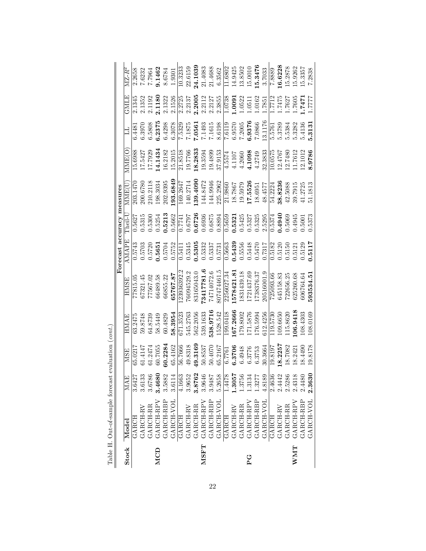|              | Table H. Out-of-sample forecast evaluation (cont. |        |         |          |             |                            |                          |          |         |            |        |                     |
|--------------|---------------------------------------------------|--------|---------|----------|-------------|----------------------------|--------------------------|----------|---------|------------|--------|---------------------|
|              |                                                   |        |         |          |             | Forecast accuracy measures |                          |          |         |            |        |                     |
| <b>Stock</b> | Model                                             | MAE    | MSE     | HMAE     | HMSE        | AMAPE                      | ${\rm Theil-}\mathcal I$ | MME(U    | MME(O   |            | GMLE   | $\rm MZ\text{-}R^2$ |
|              | GARCH                                             | 3.6427 | 65.021  | 63.2475  | 77815.05    | 0.5743                     | 0.5627                   | 203.1470 | 15.6988 | 6.448      | 2.1345 | 2.2658              |
|              | GARCH-RV                                          | 3.6133 | 61.4147 | 59.8748  | 67321.45    | 0.5703                     | 0.5315                   | 200.6780 | 17.5427 | 6.3970     | 2.1352 | 7.6232              |
|              | GARCH-RR                                          | 3.6786 | 61.2474 | 64.8739  | 77567.02    | 0.5720                     | 0.5300                   | 210.2118 | 17.7929 | 6.5808     | 2.1192 | 1.7964              |
| <b>MCD</b>   | GARCH-RPV                                         | 3.4680 | 60.7055 | 58.5449  | 66489.58    | 0.5651                     | 0.5254                   | 198.3034 | 14.1434 | 6.2375     | 2.1180 | 9.1462              |
|              | GARCH-RBP                                         | 3.5882 | 60.2284 | 60.4829  | 66855.22    | 0.5704                     | 0.5213                   | 202.9395 | 16.2182 | 6.4298     | 2.1322 | 8.6784              |
|              | <b>GARCH-VOL</b>                                  | 3.6114 | 65.4162 | 58.3954  | 65767.87    | 0.5752                     | 0.5662                   | 193.6849 | 15.2015 | 6.3078     | 2.1526 | 1.9301              |
|              | GARCH                                             | 4.1663 | 56.7666 | 671.3523 | 123936392.2 | 0.5411                     | 0.7741                   | 169.2647 | 21.8518 | 7.5329     | 2.2725 | 10.3233             |
|              | GARCH-RV                                          | 3.9652 | 49.8318 | 545.2763 | 76094529.2  | 0.5345                     | 1619.0                   | 140.2714 | 19.7766 | 7.1875     | 2.2137 | 22.6159             |
|              | GARCH-RR                                          | 3.8762 | 49.3169 | 562.2056 | 83165043.0  | 0.5305                     | 0.6726                   | 139.4090 | 18.2833 | 7.0561     | 2.2005 | 24.1039             |
|              | MSFT GARCH-RPV                                    | 3.9646 | 50.8537 | 539.1633 | 73417781.6  | 0.5332                     | 0.6936                   | 144.8472 | 19.3594 | 7.1493     | 2.2112 | 21.4083             |
|              | GARCH-RBP                                         | 3.9487 | 50.4070 | 538.9716 | 74714072.6  | 0.5337                     | 0.6875                   | 144.9946 | 19.4899 | $7.1615\,$ | 2.2127 | 21.4688             |
|              | GARCH-VOL                                         | 5.2658 | 65.2167 | 1528.542 | 807474461.5 | 0.5731                     | 0.8894                   | 225.2962 | 37.9153 | 8.6198     | 2.3855 | 6.3562              |
|              | GARCH                                             | 1.4478 | 6.7761  | 199.0418 | 2256027.34  | 0.5663                     | 0.5659                   | 21.9860  | 4.5574  | 7.6119     | 1.0738 | 11.6802             |
|              | GARCH-RV                                          | 1.3057 | 6.3706  | 167.2666 | 578421.81   | 0.5439                     | 0.5321                   | 18.7867  | 4.1107  | 6.9570     | 1.0091 | 14.9425             |
|              | GARCH-RR                                          | 1.3756 | 6.4948  | 179.8002 | 1831439.18  | 0.5556                     | 0.5425                   | 19.5979  | 4.2060  | 7.2005     | 1.0522 | 13.8502             |
| ር<br>ደ       | GARCH-RPV                                         | 1.3134 | 6.3776  | 171.5876 | 1721437.69  | 0.5448                     | 0.5327                   | 17.5526  | 4.1098  | 6.9376     | 1.0511 | 15.0010             |
|              | GARCH-RBP                                         | 1.3277 | 6.3753  | 176.5994 | 1738376.37  | 0.5470                     | 0.5325                   | 18.6951  | 4.2749  | 7.0866     | 1.0162 | 15.3476             |
|              | GARCH-VOL                                         | 4.8189 | 30.3664 | 612.4256 | 20516001.9  | 0.7317                     | 2.5295                   | 48.4577  | 32.3833 | 13.1176    | 1.7851 | 3.7033              |
|              | GARCH                                             | 2.4636 | 19.8197 | 119.5730 | 725093.66   | 0.5182                     | 0.5374                   | 54.2224  | 10.0575 | 5.5761     | 1.7712 | 7.8889              |
|              | GARCH-RV                                          | 2.4442 | 18.2257 | 109.6650 | 645158.83   | 0.5120                     | 0.4940                   | 38.8236  | 12.4767 | 5.3789     | 1.7475 | 16.6228             |
|              | GARCH-RR                                          | 2.5286 | 18.7082 | 115.8620 | 722656.25   | 0.5150                     | 0.5069                   | 42.5088  | 12.7480 | 5.5384     | 1.7627 | 15.2878             |
| NMT          | GARCH-RPV                                         | 2.4318 | 18.2421 | 06.9418  | 625260.68   | 0.5121                     | 1.4945                   | 39.7915  | 11.7612 | 5.3282     | 1.7605 | 15.9262             |
|              | GARCH-RBP                                         | 2.4480 | 18.4490 | 108.4303 | 606764.64   | 0.5129                     | 0.5001                   | 41.2725  | 12.1012 | 5.4136     | 1.747  | 15.3357             |
|              | GARCH-VOL                                         | 2.3630 | 19.8178 | 108.0169 | 593534.5    | 0.5117                     | 0.5373                   | 51.1813  | 8.9786  | 5.313      | 1.7777 | 7.2838              |

Table H. Out-of-sample forecast evaluation  $(\mathit{cont.})$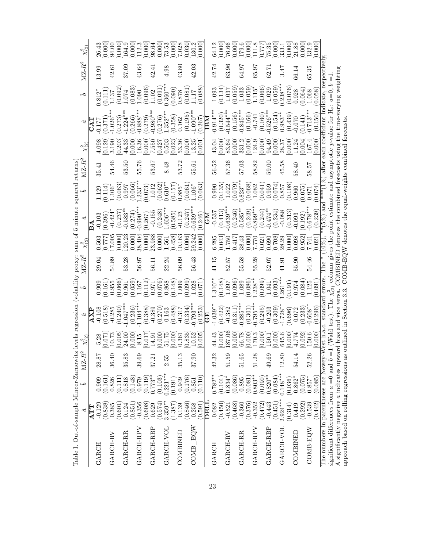| Table I. Out-of-sample Mincer-Zarnowitz        |                     |                        |          |                                                | levels regression (volatility proxy: sum of                                                                   |                                                                  |        |                 | 5 minute squared returns                                                 |                    |        |                |                                         |                     |                                            |                                                                |
|------------------------------------------------|---------------------|------------------------|----------|------------------------------------------------|---------------------------------------------------------------------------------------------------------------|------------------------------------------------------------------|--------|-----------------|--------------------------------------------------------------------------|--------------------|--------|----------------|-----------------------------------------|---------------------|--------------------------------------------|----------------------------------------------------------------|
|                                                | â                   | ρ                      | $MZ-R^2$ | $\chi^2_{(2)}$                                 | â                                                                                                             | ς                                                                | $MZ-R$ |                 |                                                                          | ٥                  | $MZ-R$ | $\chi^2_{(2)}$ | â                                       | ς                   | $\mathbf{M}\mathbf{Z}\text{-}\mathbf{R}^2$ | $\chi^2_{(2)}$                                                 |
|                                                | ATT                 |                        |          |                                                |                                                                                                               |                                                                  |        |                 | $\mathbf{B}\mathbf{A}$                                                   |                    |        |                |                                         |                     |                                            |                                                                |
| GARCH                                          | $-0.129$<br>(0.838) | 0.909<br>0.161         | 28.87    | 0.071<br>5.28                                  | $-0.108$<br>(0.518)                                                                                           | 0.909<br>0.161                                                   | 29.04  | 0.503           | (0.396)<br>$-0.103$                                                      | (0.114)<br>1.129   | 35.41  | 0.129<br>4.098 | (0.371)<br>$-0.177$                     | $0.812*$<br>(0.111) | 13.99                                      | 0.000<br>26.43                                                 |
| GARCH-RV                                       | 0.385               | 0.826                  | 36.40    | 10.73                                          | $-0.285$                                                                                                      | 0.955                                                            | 54.89  | 17.005          | $-0.424*$                                                                | $1.106*$           | 54.46  | 3.190          | $-1.026$ <sup>*</sup>                   | 1.137               | 42.61                                      | 94.00                                                          |
|                                                | (0.601)             | (0.111)                |          | 0.005                                          | (0.240)                                                                                                       | (0.066)                                                          |        | 0.000           | (0.237)                                                                  | $(0.063)$<br>0.997 |        | 0.203          | (0.273)                                 | (0.092)             |                                            | $\frac{0.000}{164.9}$                                          |
| GARCH-RR                                       | 0.124               | 0.818                  | 35.83    | 24.00                                          | $1.047***$                                                                                                    | 0.961                                                            | 53.28  | 120.23          | $0.583**$                                                                |                    | 53.50  | 44.33          | $-1.224$ *                              | 1.074               | 37.09                                      |                                                                |
|                                                | (0.851)             | (0.148)                |          | [0.000]                                        | (0.236)                                                                                                       | (0.059)                                                          |        | 0.000           | (0.274)                                                                  | (0.066)            |        | 0.000          | (0.266)                                 | (0.083)             |                                            | $\frac{0.000}{112.3}$                                          |
| GARCH-RPV                                      | $-0.356$            | 0.979                  | 39.69    | 8.15                                           | $1.104***$                                                                                                    | 1.167                                                            | 56.97  | 38.404          | $0.990**$                                                                | $0.233***$         | 55.76  | 16.36          | $-0.888*$                               | 0.090               | 43.64                                      |                                                                |
| GARCH-RBP                                      | (0.608)<br>0.629    | $0.773**$<br>(0.119)   | 37.21    | 0.017<br>14.91                                 | (0.388)<br>$-0.389$                                                                                           | (0.112)<br>0.971                                                 | 56.11  | 23.988<br>0.000 | $-0.155$<br>(0.267)                                                      | 1.012<br>(0.073)   | 53.67  | 0.000<br>7.550 | $0.980***$<br>(0.279)                   | (0.096)<br>1.02     | 42.41                                      | 0.000<br>98.64                                                 |
|                                                | (0.574)             | (0.103)                |          | 0.000                                          | 0.270)                                                                                                        | (0.076)                                                          |        | 0.000           | (0.248)                                                                  | (0.062)            |        | 0.427          | (0.276)                                 | (0.091)             |                                            |                                                                |
| GARCH-VOL                                      | $3.359**$           | $0.221***$             | 2.55     | 51.75                                          | 0.163                                                                                                         | 0.868                                                            | 22.24  | 1.561           | $-606***$                                                                | $0.610**$          | 8.48   | 0.503          | $1.352**$                               | $0.360**$           | 4.98                                       | $\frac{0.000}{73.53}$                                          |
|                                                | (1.387)             | (0.191)                |          | 0.000                                          | (88)                                                                                                          | 0.148                                                            |        | 0.458           | (0.585)                                                                  | (0.157)            |        | 0.023          | (0.358)                                 | (0.090)             |                                            | 0.000                                                          |
| COMBINED                                       | 0.139               | 0.949                  | 35.13    | 0.361                                          | $-0.317$                                                                                                      | 1.009                                                            | 56.09  | 10.163          | $-0.123$                                                                 | $0.885*$           | 53.72  | 53.36          | 0.162                                   | 0.878               | 43.80                                      | 7.028                                                          |
|                                                | (0.846)             | (0.176)                |          | $\frac{0.835}{10.52}$                          | (0.334)                                                                                                       | (0.099)                                                          |        | 0.006           | (0.247)                                                                  | 0.061              |        | 0.000          | (0.195)                                 | (0.081)             |                                            | 0.030                                                          |
| COMB EQW                                       | 0.258               | 0.851                  | 37.90    |                                                | $0.793**$                                                                                                     | 1.028                                                            | 56.43  | 59.242          | $0.639**$                                                                | $1.106*$           | 55.61  | 13.25          | $1.090**$                               | .117                | 42.03                                      | 130.2                                                          |
|                                                | (0.591)             | (0.110)                |          | 0.005                                          | (0.253)                                                                                                       | (0.071)                                                          |        | 0.000           | (0.246)                                                                  | (0.063)            |        | 0.001          | (0.267)                                 | (0.088)             |                                            | 0.000                                                          |
|                                                | DELI                |                        |          |                                                | $\mathbb{E}$                                                                                                  |                                                                  |        |                 | CМ                                                                       |                    |        |                | $\overline{\text{IBM}}$                 |                     |                                            |                                                                |
| GARCH                                          | 0.082               | $0.782**$              | 42.32    | 44.43                                          | $-1.039**$                                                                                                    | $-.310**$                                                        | 41.15  | 6.295           | $-0.537$                                                                 | 0.990              | 56.52  | 43.04          | $-0.914***$                             | 1.093               | 42.74                                      | 64.12                                                          |
|                                                | (0.450)             | (0.101)                |          | 0.000                                          | (0.422)                                                                                                       |                                                                  |        | [0.043]         | $(0.413)$<br>$-0.639***$                                                 | (0.135)            |        | 0.000          | (0.320)                                 | (0.134)             |                                            | $[0.000]$<br>76.66                                             |
| GARCH-RV                                       | $-0.521$            | $0.834*$               | 51.59    | 187.06                                         | $-0.382$                                                                                                      | $\begin{pmatrix} 0.148 \\ 7.097 \\ 7.097 \\ 0.011 \end{pmatrix}$ | 52.57  | 1.750           |                                                                          | 1.022              | 57.36  | 83.64          | $0.544**$                               | 1.037               | 63.96                                      |                                                                |
|                                                | (0.468)             | (0.086)                |          | 0.000                                          | (0.311)                                                                                                       |                                                                  |        | 0.417           | (0.246)                                                                  | (0.079)            |        | 0.000          | (0.156)                                 | (0.059)             |                                            | $\frac{0.000}{179.6}$                                          |
| GARCH-RR                                       | $-0.360$            | 0.895                  | 51.65    | 66.78                                          | $0.885***$                                                                                                    | 1.089                                                            | 55.58  | 38.43           | $0.585**$                                                                | $0.823**$          | 57.03  | 331.2          | $0.845***$                              | 1.033               | 64.97                                      |                                                                |
|                                                | (0.376)             | (0.081)                |          | 0.000]                                         | (0.301)                                                                                                       | (0.086)                                                          |        | 0.000           | (0.249)                                                                  | (0.068)            |        | 0.000          | (0.166)                                 | (0.059)             |                                            |                                                                |
| GARCH-RPV                                      | $-0.352$            | $0.803**$              | 51.28    | 170.3                                          | $0.795**$                                                                                                     | $.238**$                                                         | 55.28  | 7.770           | $0.899***$                                                               | 1.082              | 58.82  | 124.9          | $-0.741$                                | 1.115               | 65.97                                      | $\begin{array}{c} 0.000 \\ 111.8 \\ 0.777 \\ 0.35 \end{array}$ |
|                                                | (0.472)             | $(0.090)$<br>$0.820**$ |          | $\begin{bmatrix} 0.000 \\ 150.1 \end{bmatrix}$ | (0.295)                                                                                                       | (0.099)                                                          |        | 0.021           | (0.244)                                                                  | (0.041)            |        | [0.000]        | (0.160)                                 | $(0.066)$<br>1.029  |                                            |                                                                |
| GARCH-RBP                                      | $-0.443$<br>(0.451) | (0.084)                | 49.69    | 0.000                                          | $-0.203$<br>(0.309)                                                                                           | (0.093)<br>1.041                                                 | 52.07  | 0.708<br>0.690  | $0.474**$<br>(0.234)                                                     | (0.074)<br>0.959   | 59.00  | 0.000<br>94.49 | $0.526***$<br>(0.154)                   | (0.059)             | 62.71                                      |                                                                |
| GARCH-VOL                                      | $2.924***$          | $0.148***$             | 12.80    | 645.6                                          | $1.728**$                                                                                                     | $.261***$                                                        | 41.91  | 28.29           | $-0.088$                                                                 | $0.857\,$          | 45.58  | 28.37          | $0.983**$                               | $0.238***$          | 3.47                                       | [0.000]                                                        |
|                                                | (0.314)             | (0.036)                |          | 0.000                                          | (0.696)                                                                                                       | 0.191                                                            |        | 0.000           | (0.313)                                                                  | (0.108)            |        | 0.000          | (0.439)                                 | (0.076)             |                                            |                                                                |
| COMBINED                                       | 0.419               | $0.862*$               | 54.14    | 4.774                                          | 0.072                                                                                                         | 0.974                                                            | 55.90  | 0.098           | $-0.093$                                                                 | 0.960              | 58.40  | 11.24          | (0.141)                                 | 0.928               | 66.14                                      | $\frac{0.000}{21.88}$                                          |
|                                                | (0.292)             | (0.075)                |          | [0.092]                                        | (0.233)                                                                                                       | (0.084)                                                          |        | 0.952           | (0.192)                                                                  | (0.075)            |        | 0.004]         |                                         | (0.064)             |                                            | $\begin{bmatrix} 0.000 \\ 132.9 \end{bmatrix}$                 |
| COMB-EQW                                       | $-0.539$            | $0.857*$               | 52.26    | 150.6                                          | $0.608**$                                                                                                     | 1.125                                                            | 54.46  | 7.741           | $0.678**$                                                                | 0.971              | 58.57  | 167.4          | $0.713**$                               | 1.068               | 65.35                                      |                                                                |
|                                                | (0.442)             | (0.085)                |          | 0.000                                          | (0.296)                                                                                                       | 0.091                                                            |        | 0.021           | (0.239)                                                                  | 0.074              |        | 0.000          | (0.150)                                 | (0.058)             |                                            | 0.000                                                          |
| The numbers in parentheses are Newey-1         |                     |                        |          | Vest h.a.                                      | standard errors                                                                                               |                                                                  | l'he * | 10%             | and<br>(5%)                                                              | ***/               | after  |                | each coefficient indicate, respectively |                     |                                            |                                                                |
| significant differences from $a = 0$ and $b =$ |                     |                        |          |                                                | 1 (Wald test). The $\chi^2_{(2)}$ column gives the point estimate and asymptotic p-value for $H_0$ : $a=0, b$ |                                                                  |        |                 |                                                                          |                    |        |                |                                         |                     |                                            |                                                                |
| A significantly negative $a$ indicates upware  |                     |                        |          |                                                | rd bias and vice versa.                                                                                       |                                                                  |        |                 | COMBINED denotes the combined forecasts using the time-varying weighting |                    |        |                |                                         |                     |                                            |                                                                |
| approach based on rolling regressions as       |                     |                        |          |                                                | outlined in Section 3.3.                                                                                      |                                                                  |        |                 | $COMB-EQW$ denotes the equal-weights combined forecasts                  |                    |        |                |                                         |                     |                                            |                                                                |